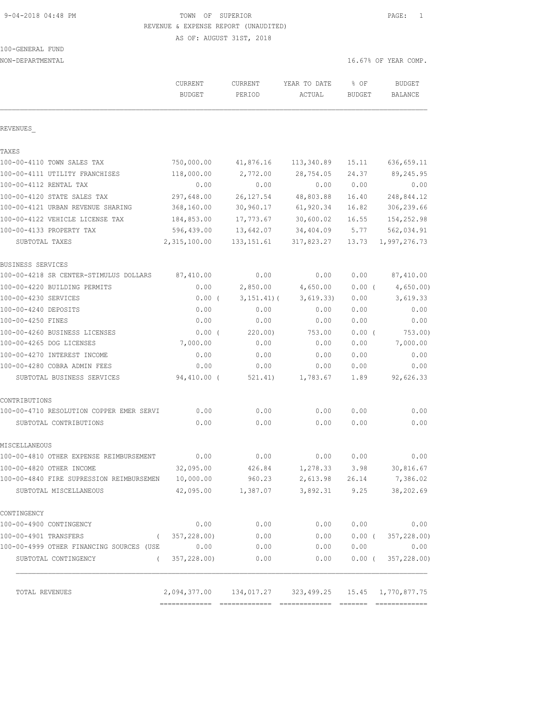9-04-2018 04:48 PM TOWN OF SUPERIOR PAGE: 1 REVENUE & EXPENSE REPORT (UNAUDITED)

AS OF: AUGUST 31ST, 2018

| 100-GENERAL | FUND |  |
|-------------|------|--|
|             |      |  |

| NON-DEPARTMENTAL                                   |                                                                     |                    |                        |                       | 16.67% OF YEAR COMP.            |
|----------------------------------------------------|---------------------------------------------------------------------|--------------------|------------------------|-----------------------|---------------------------------|
|                                                    | CURRENT<br><b>BUDGET</b>                                            | CURRENT<br>PERIOD  | YEAR TO DATE<br>ACTUAL | % OF<br><b>BUDGET</b> | <b>BUDGET</b><br><b>BALANCE</b> |
| REVENUES                                           |                                                                     |                    |                        |                       |                                 |
| TAXES                                              |                                                                     |                    |                        |                       |                                 |
| 100-00-4110 TOWN SALES TAX                         | 750,000.00                                                          | 41,876.16          | 113,340.89             | 15.11                 | 636, 659.11                     |
| 100-00-4111 UTILITY FRANCHISES                     | 118,000.00                                                          | 2,772.00           | 28,754.05              | 24.37                 | 89,245.95                       |
| 100-00-4112 RENTAL TAX                             | 0.00                                                                | 0.00               | 0.00                   | 0.00                  | 0.00                            |
| 100-00-4120 STATE SALES TAX                        | 297,648.00                                                          | 26, 127.54         | 48,803.88              | 16.40                 | 248,844.12                      |
| 100-00-4121 URBAN REVENUE SHARING                  | 368,160.00                                                          | 30,960.17          | 61,920.34              | 16.82                 | 306,239.66                      |
| 100-00-4122 VEHICLE LICENSE TAX                    | 184,853.00                                                          | 17,773.67          | 30,600.02              | 16.55                 | 154,252.98                      |
| 100-00-4133 PROPERTY TAX                           | 596,439.00                                                          | 13,642.07          | 34,404.09              | 5.77                  | 562,034.91                      |
| SUBTOTAL TAXES                                     | 2,315,100.00                                                        | 133, 151.61        | 317,823.27             | 13.73                 | 1,997,276.73                    |
| BUSINESS SERVICES                                  |                                                                     |                    |                        |                       |                                 |
| 100-00-4218 SR CENTER-STIMULUS DOLLARS             | 87,410.00                                                           | 0.00               | 0.00                   | 0.00                  | 87,410.00                       |
| 100-00-4220 BUILDING PERMITS                       | 0.00                                                                | 2,850.00           | 4,650.00               | 0.00(                 | 4,650.00)                       |
| 100-00-4230 SERVICES                               | 0.00(                                                               | $3, 151.41$ (      | 3,619.33)              | 0.00                  | 3,619.33                        |
| 100-00-4240 DEPOSITS                               | 0.00                                                                | 0.00               | 0.00                   | 0.00                  | 0.00                            |
| 100-00-4250 FINES                                  | 0.00                                                                | 0.00               | 0.00                   | 0.00                  | 0.00                            |
| 100-00-4260 BUSINESS LICENSES                      | $0.00$ (                                                            | 220.00             | 753.00                 | $0.00$ (              | 753.00)                         |
| 100-00-4265 DOG LICENSES                           | 7,000.00                                                            | 0.00               | 0.00                   | 0.00                  | 7,000.00                        |
| 100-00-4270 INTEREST INCOME                        | 0.00                                                                | 0.00               | 0.00                   | 0.00                  | 0.00                            |
| 100-00-4280 COBRA ADMIN FEES                       | 0.00                                                                | 0.00               | 0.00                   | 0.00                  | 0.00                            |
| SUBTOTAL BUSINESS SERVICES                         | 94,410.00 (                                                         | 521.41)            | 1,783.67               | 1.89                  | 92,626.33                       |
| CONTRIBUTIONS                                      |                                                                     |                    |                        |                       |                                 |
| 100-00-4710 RESOLUTION COPPER EMER SERVI           | 0.00                                                                | 0.00               | 0.00                   | 0.00                  | 0.00                            |
| SUBTOTAL CONTRIBUTIONS                             | 0.00                                                                | 0.00               | 0.00                   | 0.00                  | 0.00                            |
| MISCELLANEOUS                                      |                                                                     |                    |                        |                       |                                 |
| 100-00-4810 OTHER EXPENSE REIMBURSEMENT            | 0.00                                                                | 0.00               | 0.00                   | 0.00                  | 0.00                            |
| 100-00-4820 OTHER INCOME                           | 32,095.00                                                           | 426.84             | 1,278.33 3.98          |                       | 30,816.67                       |
| 100-00-4840 FIRE SUPRESSION REIMBURSEMEN 10,000.00 |                                                                     | 960.23             | 2,613.98 26.14         |                       | 7,386.02                        |
| SUBTOTAL MISCELLANEOUS                             |                                                                     | 42,095.00 1,387.07 | 3,892.31 9.25          |                       | 38,202.69                       |
| CONTINGENCY                                        |                                                                     |                    |                        |                       |                                 |
| 100-00-4900 CONTINGENCY                            | 0.00                                                                | 0.00               | 0.00                   | 0.00                  | 0.00                            |
| 100-00-4901 TRANSFERS<br>$\sqrt{2}$                | 357,228.00)                                                         | 0.00               | 0.00                   | $0.00$ (              | 357,228.00)                     |
| 100-00-4999 OTHER FINANCING SOURCES (USE           | 0.00                                                                | 0.00               | 0.00                   | 0.00                  | 0.00                            |
| SUBTOTAL CONTINGENCY<br>$\left($                   | 357,228.00)                                                         | 0.00               | 0.00                   | $0.00$ (              | 357,228.00)                     |
| TOTAL REVENUES                                     | 2, 094, 377.00   134, 017.27   323, 499.25   15.45   1, 770, 877.75 |                    |                        |                       |                                 |
|                                                    |                                                                     |                    |                        |                       |                                 |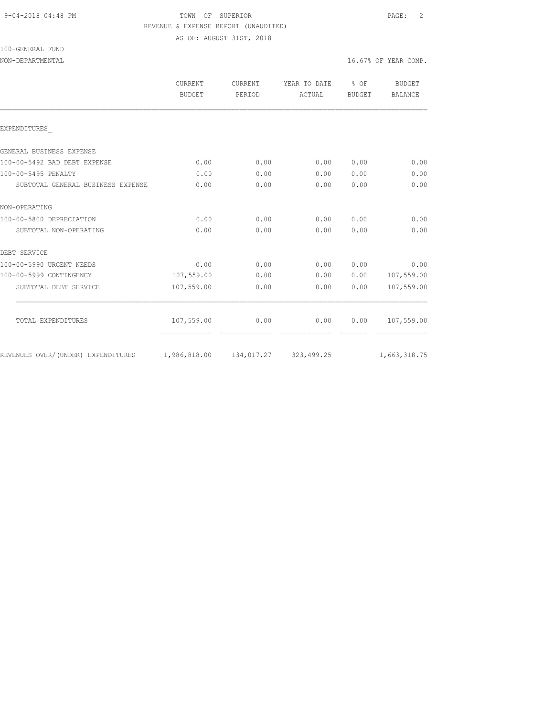## 9-04-2018 04:48 PM TOWN OF SUPERIOR PAGE: 2 REVENUE & EXPENSE REPORT (UNAUDITED)

AS OF: AUGUST 31ST, 2018

100-GENERAL FUND

|                                    | CURRENT<br>BUDGET                    | CURRENT<br>PERIOD | YEAR TO DATE<br>ACTUAL | $8$ OF<br>BUDGET | <b>BUDGET</b><br>BALANCE |
|------------------------------------|--------------------------------------|-------------------|------------------------|------------------|--------------------------|
| EXPENDITURES                       |                                      |                   |                        |                  |                          |
| GENERAL BUSINESS EXPENSE           |                                      |                   |                        |                  |                          |
| 100-00-5492 BAD DEBT EXPENSE       | 0.00                                 | 0.00              | 0.00                   | 0.00             | 0.00                     |
| 100-00-5495 PENALTY                | 0.00                                 | 0.00              | 0.00                   | 0.00             | 0.00                     |
| SUBTOTAL GENERAL BUSINESS EXPENSE  | 0.00                                 | 0.00              | 0.00                   | 0.00             | 0.00                     |
| NON-OPERATING                      |                                      |                   |                        |                  |                          |
| 100-00-5800 DEPRECIATION           | 0.00                                 | 0.00              | 0.00                   | 0.00             | 0.00                     |
| SUBTOTAL NON-OPERATING             | 0.00                                 | 0.00              | 0.00                   | 0.00             | 0.00                     |
| DEBT SERVICE                       |                                      |                   |                        |                  |                          |
| 100-00-5990 URGENT NEEDS           | 0.00                                 | 0.00              | 0.00                   | 0.00             | 0.00                     |
| 100-00-5999 CONTINGENCY            | 107,559.00                           | 0.00              | 0.00                   | 0.00             | 107,559.00               |
| SUBTOTAL DEBT SERVICE              | 107,559.00                           | 0.00              | 0.00                   | 0.00             | 107,559.00               |
| TOTAL EXPENDITURES                 | 107,559.00                           | 0.00              | 0.00                   | 0.00             | 107,559.00               |
|                                    | --------------                       |                   | -------------          |                  |                          |
| REVENUES OVER/(UNDER) EXPENDITURES | 1,986,818.00  134,017.27  323,499.25 |                   |                        |                  | 1,663,318.75             |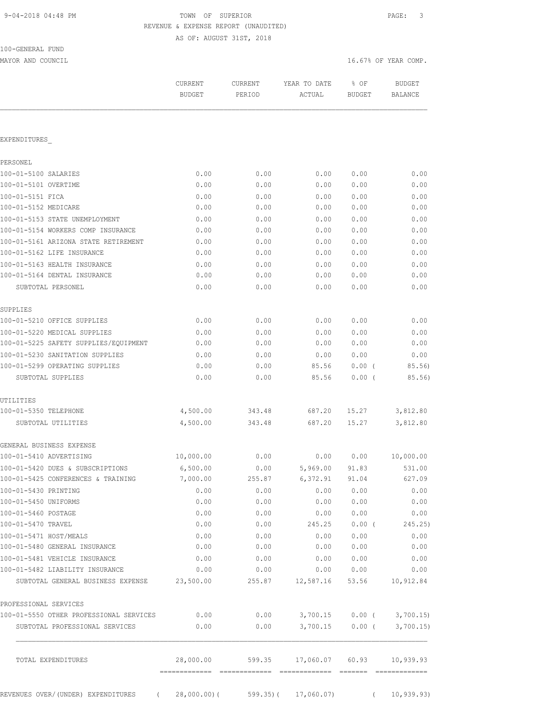# TOWN OF SUPERIOR **PAGE:** 3 REVENUE & EXPENSE REPORT (UNAUDITED)

AS OF: AUGUST 31ST, 2018

| 100-GENERAL FUND |  |
|------------------|--|
|                  |  |

MAYOR AND COUNCIL COUNCIL COMP. THE SERVICE OF STRAINING SERVICE OF STRAINING SERVICE OF STRAINING SERVICE OF STRAINING SERVICE OF STRAINING SERVICE OF STRAINING SERVICE OF STRAINING SERVICE OF STRAINING SERVICE OF STRAINI

| 0.00<br>0.00<br>0.00 | 0.00                  | 0.00      |                |                                                                    |
|----------------------|-----------------------|-----------|----------------|--------------------------------------------------------------------|
|                      |                       |           |                |                                                                    |
|                      |                       |           |                |                                                                    |
|                      |                       |           |                |                                                                    |
|                      |                       |           | 0.00           | 0.00                                                               |
|                      | 0.00                  | 0.00      | 0.00           | 0.00                                                               |
|                      | 0.00                  | 0.00      | 0.00           | 0.00                                                               |
|                      | 0.00                  | 0.00      | 0.00           | 0.00                                                               |
| 0.00                 | 0.00                  | 0.00      | 0.00           | 0.00                                                               |
| 0.00                 | 0.00                  | 0.00      | 0.00           | 0.00                                                               |
| 0.00                 | 0.00                  | 0.00      | 0.00           | 0.00                                                               |
| 0.00                 | 0.00                  | 0.00      | 0.00           | 0.00                                                               |
| 0.00                 | 0.00                  | 0.00      | 0.00           | 0.00                                                               |
| 0.00                 | 0.00                  | 0.00      | 0.00           | 0.00                                                               |
| 0.00                 | 0.00                  | 0.00      | 0.00           | 0.00                                                               |
|                      |                       |           |                |                                                                    |
| 0.00                 | 0.00                  | 0.00      | 0.00           | 0.00                                                               |
| 0.00                 | 0.00                  | 0.00      | 0.00           | 0.00                                                               |
| 0.00                 | 0.00                  | 0.00      | 0.00           | 0.00                                                               |
| 0.00                 | 0.00                  | 0.00      | 0.00           | 0.00                                                               |
| 0.00                 | 0.00                  | 85.56     | 0.00(          | 85.56)                                                             |
| 0.00                 | 0.00                  | 85.56     | 0.00(          | 85.56)                                                             |
|                      |                       |           |                |                                                                    |
| 4,500.00             | 343.48                | 687.20    | 15.27          | 3,812.80                                                           |
| 4,500.00             | 343.48                | 687.20    | 15.27          | 3,812.80                                                           |
|                      |                       |           |                |                                                                    |
| 10,000.00            | 0.00                  | 0.00      | 0.00           | 10,000.00                                                          |
| 6,500.00             | 0.00                  | 5,969.00  | 91.83          | 531.00                                                             |
| 7,000.00             | 255.87                | 6,372.91  | 91.04          | 627.09                                                             |
| 0.00                 | 0.00                  | 0.00      | 0.00           | 0.00                                                               |
| 0.00                 | 0.00                  | 0.00      | 0.00           | 0.00                                                               |
| 0.00                 | 0.00                  | 0.00      | 0.00           | 0.00                                                               |
| 0.00                 | 0.00                  | 245.25    | $0.00$ (       | 245.25)                                                            |
| 0.00                 | 0.00                  | 0.00      | 0.00           | 0.00                                                               |
| 0.00                 | 0.00                  | 0.00      | 0.00           | 0.00                                                               |
| 0.00                 | 0.00                  | 0.00      | 0.00           | 0.00                                                               |
| 0.00                 | 0.00                  | 0.00      | 0.00           | 0.00                                                               |
| 23,500.00            | 255.87                | 12,587.16 |                | 10,912.84                                                          |
|                      |                       |           |                |                                                                    |
| 0.00                 |                       |           |                | 3,700.15                                                           |
| 0.00                 | 0.00                  |           |                | 3,700.15                                                           |
| 28,000.00            |                       |           | 60.93          | 10,939.93                                                          |
|                      | 0.00<br>============= |           | 0.00<br>599.35 | 53.56<br>3,700.15<br>$0.00$ (<br>3,700.15<br>$0.00$ (<br>17,060.07 |

REVENUES OVER/(UNDER) EXPENDITURES ( 28,000.00)( 599.35)( 17,060.07) ( 10,939.93)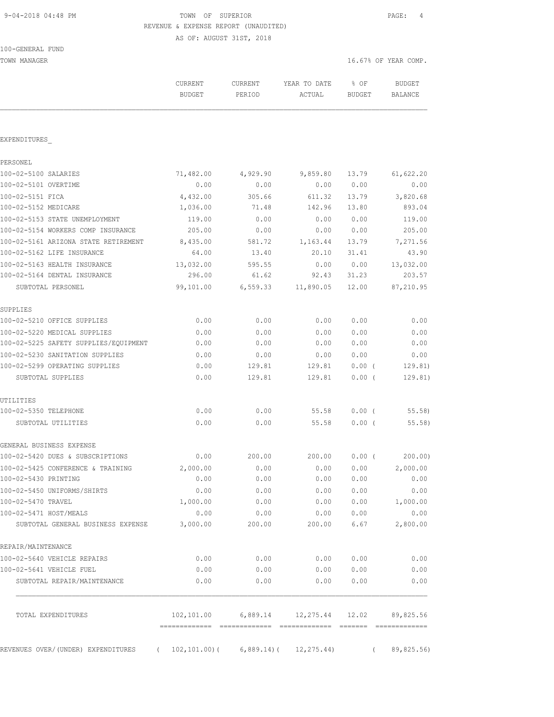### 9-04-2018 04:48 PM TOWN OF SUPERIOR PAGE: 4 REVENUE & EXPENSE REPORT (UNAUDITED)

AS OF: AUGUST 31ST, 2018

100-GENERAL FUND

TOWN MANAGER 16.67% OF YEAR COMP.

|                                       | CURRENT<br><b>BUDGET</b> | CURRENT<br>PERIOD | YEAR TO DATE<br>ACTUAL                           | % OF<br>BUDGET | <b>BUDGET</b><br>BALANCE |
|---------------------------------------|--------------------------|-------------------|--------------------------------------------------|----------------|--------------------------|
| EXPENDITURES                          |                          |                   |                                                  |                |                          |
|                                       |                          |                   |                                                  |                |                          |
| PERSONEL<br>100-02-5100 SALARIES      | 71,482.00                | 4,929.90          | 9,859.80                                         | 13.79          | 61,622.20                |
| 100-02-5101 OVERTIME                  | 0.00                     | 0.00              | 0.00                                             | 0.00           | 0.00                     |
| 100-02-5151 FICA                      | 4,432.00                 | 305.66            | 611.32                                           | 13.79          | 3,820.68                 |
| 100-02-5152 MEDICARE                  | 1,036.00                 | 71.48             | 142.96                                           | 13.80          | 893.04                   |
| 100-02-5153 STATE UNEMPLOYMENT        | 119.00                   | 0.00              | 0.00                                             | 0.00           | 119.00                   |
| 100-02-5154 WORKERS COMP INSURANCE    | 205.00                   | 0.00              | 0.00                                             | 0.00           | 205.00                   |
| 100-02-5161 ARIZONA STATE RETIREMENT  | 8,435.00                 | 581.72            | 1,163.44                                         | 13.79          | 7,271.56                 |
| 100-02-5162 LIFE INSURANCE            | 64.00                    | 13.40             | 20.10                                            | 31.41          | 43.90                    |
| 100-02-5163 HEALTH INSURANCE          | 13,032.00                | 595.55            | 0.00                                             | 0.00           | 13,032.00                |
| 100-02-5164 DENTAL INSURANCE          | 296.00                   | 61.62             | 92.43                                            | 31.23          | 203.57                   |
| SUBTOTAL PERSONEL                     | 99,101.00                |                   | 6,559.33 11,890.05                               | 12.00          | 87,210.95                |
| SUPPLIES                              |                          |                   |                                                  |                |                          |
| 100-02-5210 OFFICE SUPPLIES           | 0.00                     | 0.00              | 0.00                                             | 0.00           | 0.00                     |
| 100-02-5220 MEDICAL SUPPLIES          | 0.00                     | 0.00              | 0.00                                             | 0.00           | 0.00                     |
| 100-02-5225 SAFETY SUPPLIES/EQUIPMENT | 0.00                     | 0.00              | 0.00                                             | 0.00           | 0.00                     |
| 100-02-5230 SANITATION SUPPLIES       | 0.00                     | 0.00              | 0.00                                             | 0.00           | 0.00                     |
| 100-02-5299 OPERATING SUPPLIES        | 0.00                     | 129.81            | 129.81                                           | $0.00$ (       | 129.81)                  |
| SUBTOTAL SUPPLIES                     | 0.00                     | 129.81            | 129.81                                           | $0.00$ (       | 129.81)                  |
| UTILITIES                             |                          |                   |                                                  |                |                          |
| 100-02-5350 TELEPHONE                 | 0.00                     | 0.00              | 55.58                                            | 0.00(          | 55.58                    |
| SUBTOTAL UTILITIES                    | 0.00                     | 0.00              | 55.58                                            | 0.00(          | 55.58                    |
| GENERAL BUSINESS EXPENSE              |                          |                   |                                                  |                |                          |
| 100-02-5420 DUES & SUBSCRIPTIONS      | 0.00                     | 200.00            | 200.00                                           | 0.00(          | 200.00                   |
| 100-02-5425 CONFERENCE & TRAINING     | 2,000.00                 | 0.00              | 0.00                                             | 0.00           | 2,000.00                 |
| 100-02-5430 PRINTING                  | 0.00                     | 0.00              | 0.00                                             | 0.00           | 0.00                     |
| 100-02-5450 UNIFORMS/SHIRTS           | 0.00                     | 0.00              | 0.00                                             | 0.00           | 0.00                     |
| 100-02-5470 TRAVEL                    | 1,000.00                 | 0.00              | 0.00                                             | 0.00           | 1,000.00                 |
| 100-02-5471 HOST/MEALS                | 0.00                     | 0.00              | 0.00                                             | 0.00           | 0.00                     |
| SUBTOTAL GENERAL BUSINESS EXPENSE     | 3,000.00                 | 200.00            | 200.00                                           | 6.67           | 2,800.00                 |
| REPAIR/MAINTENANCE                    |                          |                   |                                                  |                |                          |
| 100-02-5640 VEHICLE REPAIRS           | 0.00                     | 0.00              | 0.00                                             | 0.00           | 0.00                     |
| 100-02-5641 VEHICLE FUEL              | 0.00                     | 0.00              | 0.00                                             | 0.00           | 0.00                     |
| SUBTOTAL REPAIR/MAINTENANCE           | 0.00                     | 0.00              | 0.00                                             | 0.00           | 0.00                     |
| TOTAL EXPENDITURES                    |                          |                   | $102, 101.00$ 6,889.14 12,275.44 12.02 89,825.56 |                |                          |
| REVENUES OVER/(UNDER) EXPENDITURES    | $\sqrt{2}$               |                   | $102, 101.00$ ( 6,889.14) ( 12,275.44)           | $\left($       | 89,825.56)               |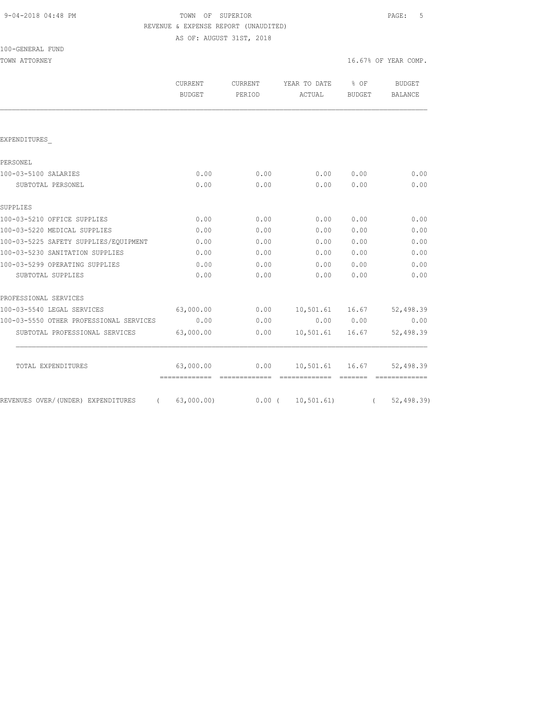| 9-04-2018 04:48 PM |  |
|--------------------|--|
|                    |  |

# TOWN OF SUPERIOR  $PAGE: 5$ REVENUE & EXPENSE REPORT (UNAUDITED)

AS OF: AUGUST 31ST, 2018

| 100-GENERAL<br>FUND |  |
|---------------------|--|
|---------------------|--|

| TOWN ATTORNEY                                                     |                          |                   |                                  | 16.67% OF YEAR COMP. |                                 |
|-------------------------------------------------------------------|--------------------------|-------------------|----------------------------------|----------------------|---------------------------------|
|                                                                   | CURRENT<br><b>BUDGET</b> | CURRENT<br>PERIOD | YEAR TO DATE % OF<br>ACTUAL      | BUDGET               | <b>BUDGET</b><br><b>BALANCE</b> |
|                                                                   |                          |                   |                                  |                      |                                 |
| EXPENDITURES                                                      |                          |                   |                                  |                      |                                 |
| PERSONEL                                                          |                          |                   |                                  |                      |                                 |
| 100-03-5100 SALARIES                                              | 0.00                     | 0.00              | 0.00                             | 0.00                 | 0.00                            |
| SUBTOTAL PERSONEL                                                 | 0.00                     | 0.00              | 0.00                             | 0.00                 | 0.00                            |
| SUPPLIES                                                          |                          |                   |                                  |                      |                                 |
| 100-03-5210 OFFICE SUPPLIES                                       | 0.00                     | 0.00              | 0.00                             | 0.00                 | 0.00                            |
| 100-03-5220 MEDICAL SUPPLIES                                      | 0.00                     | 0.00              | 0.00                             | 0.00                 | 0.00                            |
| 100-03-5225 SAFETY SUPPLIES/EQUIPMENT                             | 0.00                     | 0.00              | 0.00                             | 0.00                 | 0.00                            |
| 100-03-5230 SANITATION SUPPLIES                                   | 0.00                     | 0.00              | 0.00                             | 0.00                 | 0.00                            |
| 100-03-5299 OPERATING SUPPLIES                                    | 0.00                     | 0.00              | 0.00                             | 0.00                 | 0.00                            |
| SUBTOTAL SUPPLIES                                                 | 0.00                     | 0.00              | 0.00                             | 0.00                 | 0.00                            |
| PROFESSIONAL SERVICES                                             |                          |                   |                                  |                      |                                 |
| 100-03-5540 LEGAL SERVICES 63,000.00                              |                          | 0.00              | 10,501.61 16.67                  |                      | 52,498.39                       |
| 100-03-5550 OTHER PROFESSIONAL SERVICES                           | 0.00                     | 0.00              | 0.00 0.00                        |                      | 0.00                            |
| SUBTOTAL PROFESSIONAL SERVICES                                    | 63,000.00                | 0.00              | 10,501.61 16.67                  |                      | 52,498.39                       |
| TOTAL EXPENDITURES                                                | 63,000.00                |                   | $0.00$ 10,501.61 16.67 52,498.39 |                      |                                 |
| REVENUES OVER/(UNDER) EXPENDITURES (63,000.00) 0.00 (10,501.61) ( |                          |                   |                                  |                      | 52, 498.39                      |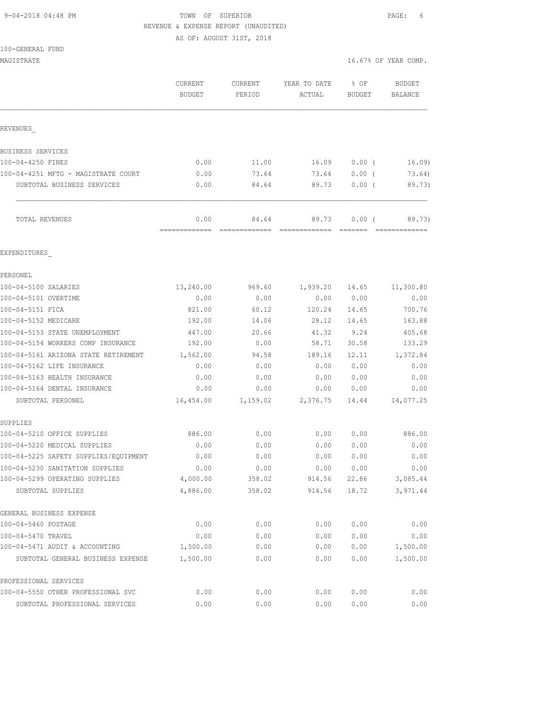## 9-04-2018 04:48 PM TOWN OF SUPERIOR PAGE: 6 REVENUE & EXPENSE REPORT (UNAUDITED)

AS OF: AUGUST 31ST, 2018

| MAGISTRATE                                          |                          |                   |                        |                       | 16.67% OF YEAR COMP.     |
|-----------------------------------------------------|--------------------------|-------------------|------------------------|-----------------------|--------------------------|
|                                                     | CURRENT<br><b>BUDGET</b> | CURRENT<br>PERIOD | YEAR TO DATE<br>ACTUAL | % OF<br><b>BUDGET</b> | <b>BUDGET</b><br>BALANCE |
| REVENUES                                            |                          |                   |                        |                       |                          |
| BUSINESS SERVICES                                   |                          |                   |                        |                       |                          |
| 100-04-4250 FINES                                   | 0.00                     | 11.00             | 16.09                  | $0.00$ (              | 16.09                    |
| 100-04-4251 MFTG - MAGISTRATE COURT                 | 0.00                     | 73.64             | 73.64                  | $0.00$ (              | 73.64)                   |
| SUBTOTAL BUSINESS SERVICES                          | 0.00                     | 84.64             | 89.73                  | $0.00$ (              | 89.73)                   |
| TOTAL REVENUES                                      | 0.00<br>-------------    | 84.64             | 89.73                  | $0.00$ (              | 89.73)<br>=============  |
| EXPENDITURES                                        |                          |                   |                        |                       |                          |
| PERSONEL                                            |                          |                   |                        |                       |                          |
| 100-04-5100 SALARIES                                | 13,240.00                | 969.60            | 1,939.20               | 14.65                 | 11,300.80                |
| 100-04-5101 OVERTIME                                | 0.00                     | 0.00              | 0.00                   | 0.00                  | 0.00                     |
| 100-04-5151 FICA                                    | 821.00                   | 60.12             | 120.24                 | 14.65                 | 700.76                   |
| 100-04-5152 MEDICARE                                | 192.00                   | 14.06             | 28.12                  | 14.65                 | 163.88                   |
| 100-04-5153 STATE UNEMPLOYMENT                      | 447.00                   | 20.66             | 41.32                  | 9.24                  | 405.68                   |
| 100-04-5154 WORKERS COMP INSURANCE                  | 192.00                   | 0.00              | 58.71                  | 30.58                 | 133.29                   |
| 100-04-5161 ARIZONA STATE RETIREMENT                | 1,562.00                 | 94.58             | 189.16                 | 12.11                 | 1,372.84                 |
| 100-04-5162 LIFE INSURANCE                          | 0.00                     | 0.00              | 0.00                   | 0.00                  | 0.00                     |
| 100-04-5163 HEALTH INSURANCE                        | 0.00                     | 0.00              | 0.00                   | 0.00                  | 0.00                     |
| 100-04-5164 DENTAL INSURANCE                        | 0.00                     | 0.00              | 0.00                   | 0.00                  | 0.00                     |
| SUBTOTAL PERSONEL                                   | 16,454.00                | 1,159.02          | 2,376.75               | 14.44                 | 14,077.25                |
| SUPPLIES                                            |                          |                   |                        |                       |                          |
| 100-04-5210 OFFICE SUPPLIES                         | 886.00                   | 0.00              | 0.00                   | 0.00                  | 886.00                   |
| 100-04-5220 MEDICAL SUPPLIES                        | 0.00                     | 0.00              | 0.00                   | 0.00                  | 0.00                     |
| 100-04-5225 SAFETY SUPPLIES/EOUIPMENT               | 0.00                     | 0.00              | 0.00                   | 0.00                  | 0.00                     |
| 100-04-5230 SANITATION SUPPLIES                     | 0.00                     | 0.00              | 0.00                   | 0.00                  | 0.00                     |
| 100-04-5299 OPERATING SUPPLIES<br>SUBTOTAL SUPPLIES | 4,000.00<br>4,886.00     | 358.02<br>358.02  | 914.56<br>914.56       | 22.86<br>18.72        | 3,085.44<br>3,971.44     |
| GENERAL BUSINESS EXPENSE                            |                          |                   |                        |                       |                          |
| 100-04-5460 POSTAGE                                 | 0.00                     | 0.00              | 0.00                   | 0.00                  | 0.00                     |
| 100-04-5470 TRAVEL                                  | 0.00                     | 0.00              | 0.00                   | 0.00                  | 0.00                     |
| 100-04-5471 AUDIT & ACCOUNTING                      | 1,500.00                 | 0.00              | 0.00                   | 0.00                  | 1,500.00                 |
| SUBTOTAL GENERAL BUSINESS EXPENSE                   | 1,500.00                 | 0.00              | 0.00                   | 0.00                  | 1,500.00                 |
| PROFESSIONAL SERVICES                               |                          |                   |                        |                       |                          |
| 100-04-5550 OTHER PROFESSIONAL SVC                  | 0.00                     | 0.00              | 0.00                   | 0.00                  | 0.00                     |
| SUBTOTAL PROFESSIONAL SERVICES                      | 0.00                     | 0.00              | 0.00                   | 0.00                  | 0.00                     |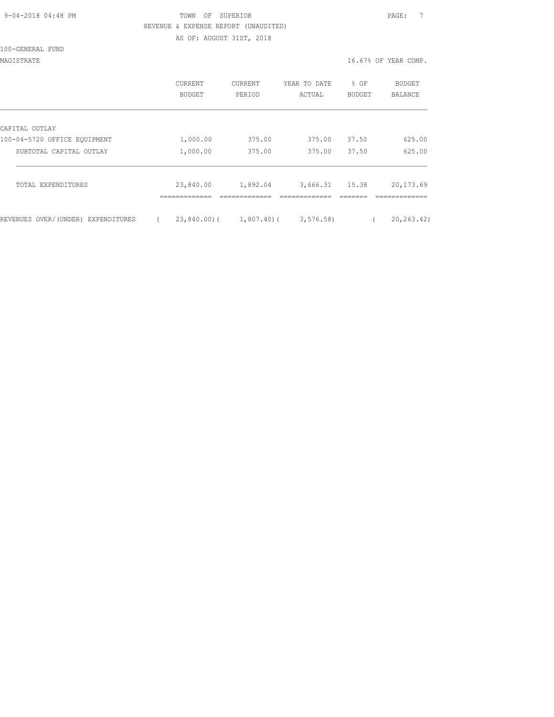| 9-04-2018 04:48 PM |  |
|--------------------|--|
|                    |  |

### TOWN OF SUPERIOR **PAGE:** 7 REVENUE & EXPENSE REPORT (UNAUDITED) AS OF: AUGUST 31ST, 2018

#### 100-GENERAL FUND

MAGISTRATE 16.67% OF YEAR COMP.

|                                    | CURRENT<br>BUDGET | CURRENT<br>PERIOD      | YEAR TO DATE<br>ACTUAL | % OF<br>BUDGET | <b>BUDGET</b><br>BALANCE |
|------------------------------------|-------------------|------------------------|------------------------|----------------|--------------------------|
| CAPITAL OUTLAY                     |                   |                        |                        |                |                          |
| 100-04-5720 OFFICE EQUIPMENT       | 1,000.00          | 375.00                 | 375.00                 | 37.50          | 625.00                   |
| SUBTOTAL CAPITAL OUTLAY            | 1,000.00          | 375.00                 | 375.00                 | 37.50          | 625.00                   |
| TOTAL EXPENDITURES                 | 23,840.00         | 1,892.04               | 3,666.31 15.38         |                | 20, 173.69               |
| REVENUES OVER/(UNDER) EXPENDITURES |                   | 23,840.00)( 1,807.40)( | 3, 576.58              |                | 20, 263.42               |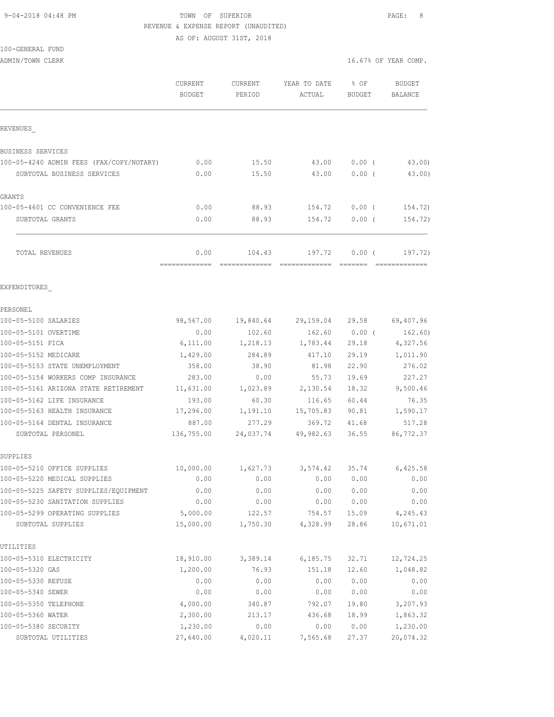### 9-04-2018 04:48 PM TOWN OF SUPERIOR PAGE: 8 REVENUE & EXPENSE REPORT (UNAUDITED) AS OF: AUGUST 31ST, 2018

100-GENERAL FUND

|                                          | <b>CURRENT</b><br><b>BUDGET</b> | <b>CURRENT</b><br>PERIOD | YEAR TO DATE<br>ACTUAL                 | % OF<br>BUDGET | <b>BUDGET</b><br>BALANCE |
|------------------------------------------|---------------------------------|--------------------------|----------------------------------------|----------------|--------------------------|
| REVENUES                                 |                                 |                          |                                        |                |                          |
| <b>BUSINESS SERVICES</b>                 |                                 |                          |                                        |                |                          |
| 100-05-4240 ADMIN FEES (FAX/COPY/NOTARY) | 0.00                            | 15.50                    | 43.00                                  | $0.00$ (       | 43.00)                   |
| SUBTOTAL BUSINESS SERVICES               | 0.00                            | 15.50                    | 43.00                                  | $0.00$ (       | 43.00)                   |
| GRANTS                                   |                                 |                          |                                        |                |                          |
| 100-05-4601 CC CONVENIENCE FEE           | 0.00                            | 88.93                    | 154.72                                 | $0.00$ (       | 154.72)                  |
| SUBTOTAL GRANTS                          | 0.00                            | 88.93                    | 154.72                                 | $0.00$ (       | 154.72)                  |
| TOTAL REVENUES                           | 0.00<br>---------               | 104.43                   | 197.72<br>-------------- ------        | 0.00(          | 197.72)                  |
| EXPENDITURES                             |                                 |                          |                                        |                |                          |
| PERSONEL                                 |                                 |                          |                                        |                |                          |
| 100-05-5100 SALARIES                     |                                 |                          | 98,567.00  19,840.64  29,159.04  29.58 |                | 69,407.96                |
| 100-05-5101 OVERTIME                     | 0.00                            | 102.60                   | 162.60                                 | $0.00$ (       | 162.60)                  |
| 100-05-5151 FICA                         | 6,111.00                        | 1,218.13                 | 1,783.44                               | 29.18          | 4,327.56                 |
| 100-05-5152 MEDICARE                     | 1,429.00                        | 284.89                   | 417.10                                 | 29.19          | 1,011.90                 |
| 100-05-5153 STATE UNEMPLOYMENT           | 358.00                          | 38.90                    | 81.98                                  | 22.90          | 276.02                   |
| 100-05-5154 WORKERS COMP INSURANCE       | 283.00                          | 0.00                     | 55.73                                  | 19.69          | 227.27                   |
| 100-05-5161 ARIZONA STATE RETIREMENT     | 11,631.00                       |                          | 1,023.89 2,130.54                      | 18.32          | 9,500.46                 |
| 100-05-5162 LIFE INSURANCE               | 193.00                          | 60.30                    | 116.65                                 | 60.44          | 76.35                    |
| 100-05-5163 HEALTH INSURANCE             | 17,296.00                       | 1,191.10                 | 15,705.83                              | 90.81          | 1,590.17                 |
| 100-05-5164 DENTAL INSURANCE             | 887.00                          | 277.29                   | 369.72                                 | 41.68          | 517.28                   |
| SUBTOTAL PERSONEL                        | 136,755.00                      | 24,037.74                | 49,982.63                              | 36.55          | 86,772.37                |
| SUPPLIES                                 |                                 |                          |                                        |                |                          |
| 100-05-5210 OFFICE SUPPLIES              | 10,000.00                       | 1,627.73                 | 3,574.42 35.74 6,425.58                |                |                          |
| 100-05-5220 MEDICAL SUPPLIES             | 0.00                            | 0.00                     | 0.00                                   | 0.00           | 0.00                     |
| 100-05-5225 SAFETY SUPPLIES/EQUIPMENT    | 0.00                            | 0.00                     | 0.00                                   | 0.00           | 0.00                     |
| 100-05-5230 SANITATION SUPPLIES          | 0.00                            | 0.00                     | 0.00                                   | 0.00           | 0.00                     |
| 100-05-5299 OPERATING SUPPLIES           | 5,000.00                        | 122.57                   | 754.57                                 | 15.09          | 4,245.43                 |
| SUBTOTAL SUPPLIES                        | 15,000.00                       | 1,750.30                 | 4,328.99                               | 28.86          | 10,671.01                |
| UTILITIES                                |                                 |                          |                                        |                |                          |
| 100-05-5310 ELECTRICITY                  | 18,910.00                       | 3,389.14                 | 6, 185.75                              | 32.71          | 12,724.25                |
| 100-05-5320 GAS                          | 1,200.00                        | 76.93                    | 151.18                                 | 12.60          | 1,048.82                 |
| 100-05-5330 REFUSE                       | 0.00                            | 0.00                     | 0.00                                   | 0.00           | 0.00                     |
| 100-05-5340 SEWER                        | 0.00                            | 0.00                     | 0.00                                   | 0.00           | 0.00                     |
| 100-05-5350 TELEPHONE                    | 4,000.00                        | 340.87                   | 792.07                                 | 19.80          | 3,207.93                 |
| 100-05-5360 WATER                        | 2,300.00                        | 213.17                   | 436.68                                 | 18.99          | 1,863.32                 |
| 100-05-5380 SECURITY                     | 1,230.00                        | 0.00                     | 0.00                                   | 0.00           | 1,230.00                 |
| SUBTOTAL UTILITIES                       | 27,640.00                       | 4,020.11                 | 7,565.68                               | 27.37          | 20,074.32                |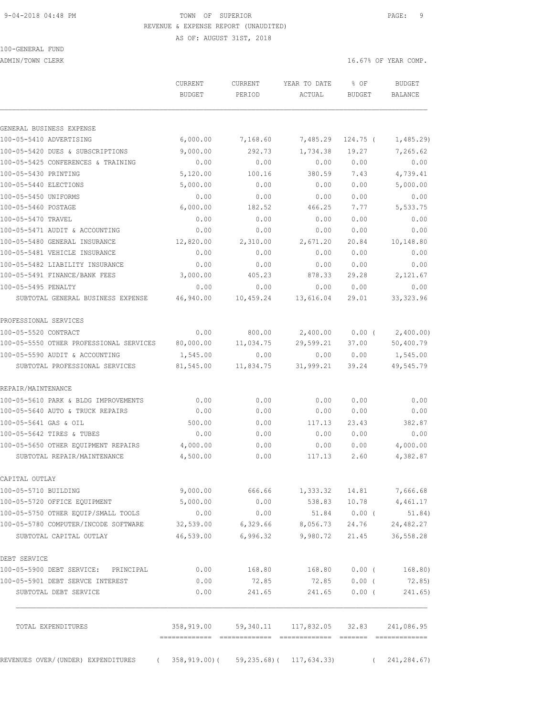#### 9-04-2018 04:48 PM TOWN OF SUPERIOR PAGE: 9 REVENUE & EXPENSE REPORT (UNAUDITED) AS OF: AUGUST 31ST, 2018

100-GENERAL FUND

ADMIN/TOWN CLERK 16.67% OF YEAR COMP.

 CURRENT CURRENT YEAR TO DATE % OF BUDGET BUDGET PERIOD ACTUAL BUDGET BALANCE GENERAL BUSINESS EXPENSE 100-05-5410 ADVERTISING 6,000.00 7,168.60 7,485.29 124.75 ( 1,485.29) 100-05-5420 DUES & SUBSCRIPTIONS 9,000.00 292.73 1,734.38 19.27 7,265.62 100-05-5425 CONFERENCES & TRAINING 0.00 0.00 0.00 0.00 0.00 100-05-5430 PRINTING 5,120.00 100.16 380.59 7.43 4,739.41 100-05-5440 ELECTIONS 5,000.00 0.00 0.00 0.00 5,000.00 100-05-5450 UNIFORMS 0.00 0.00 0.00 0.00 0.00 100-05-5460 POSTAGE 6,000.00 182.52 466.25 7.77 5,533.75 100-05-5470 TRAVEL 0.00 0.00 0.00 0.00 0.00 100-05-5471 AUDIT & ACCOUNTING 0.00 0.00 0.00 0.00 0.00 100-05-5480 GENERAL INSURANCE 12,820.00 2,310.00 2,671.20 20.84 10,148.80 100-05-5481 VEHICLE INSURANCE 0.00 0.00 0.00 0.00 0.00 100-05-5482 LIABILITY INSURANCE 0.00 0.00 0.00 0.00 0.00 100-05-5491 FINANCE/BANK FEES 3,000.00 405.23 878.33 29.28 2,121.67 100-05-5495 PENALTY 0.00 0.00 0.00 0.00 0.00 SUBTOTAL GENERAL BUSINESS EXPENSE 46,940.00 10,459.24 13,616.04 29.01 33,323.96 PROFESSIONAL SERVICES 100-05-5520 CONTRACT 0.00 800.00 2,400.00 0.00 ( 2,400.00) 100-05-5550 OTHER PROFESSIONAL SERVICES 80,000.00 11,034.75 29,599.21 37.00 50,400.79 100-05-5590 AUDIT & ACCOUNTING 1,545.00 0.00 0.00 0.00 1,545.00 SUBTOTAL PROFESSIONAL SERVICES 81,545.00 11,834.75 31,999.21 39.24 49,545.79 REPAIR/MAINTENANCE 100-05-5610 PARK & BLDG IMPROVEMENTS 0.00 0.00 0.00 0.00 0.00 100-05-5640 AUTO & TRUCK REPAIRS 0.00 0.00 0.00 0.00 0.00 100-05-5641 GAS & OIL 500.00 0.00 117.13 23.43 382.87 100-05-5642 TIRES & TUBES 0.00 0.00 0.00 0.00 0.00 100-05-5650 OTHER EQUIPMENT REPAIRS 4,000.00 0.00 0.00 0.00 4,000.00 SUBTOTAL REPAIR/MAINTENANCE 4,500.00 0.00 117.13 2.60 4,382.87 CAPITAL OUTLAY 100-05-5710 BUILDING 9,000.00 666.66 1,333.32 14.81 7,666.68 100-05-5720 OFFICE EQUIPMENT 5,000.00 0.00 538.83 10.78 4,461.17 100-05-5750 OTHER EQUIP/SMALL TOOLS 0.00 0.00 51.84 0.00 ( 51.84) 100-05-5780 COMPUTER/INCODE SOFTWARE 32,539.00 6,329.66 8,056.73 24.76 24,482.27 SUBTOTAL CAPITAL OUTLAY 46,539.00 6,996.32 9,980.72 21.45 36,558.28 DEBT SERVICE 100-05-5900 DEBT SERVICE: PRINCIPAL 0.00 168.80 168.80 0.00 ( 168.80) 100-05-5901 DEBT SERVCE INTEREST 0.00 72.85 72.85 0.00 ( 72.85) SUBTOTAL DEBT SERVICE  $0.00$  241.65 241.65 0.00 (241.65) TOTAL EXPENDITURES 358,919.00 59,340.11 117,832.05 32.83 241,086.95 ============= ============= ============= ======= =============

REVENUES OVER/(UNDER) EXPENDITURES ( 358,919.00)( 59,235.68)( 117,634.33) ( 241,284.67)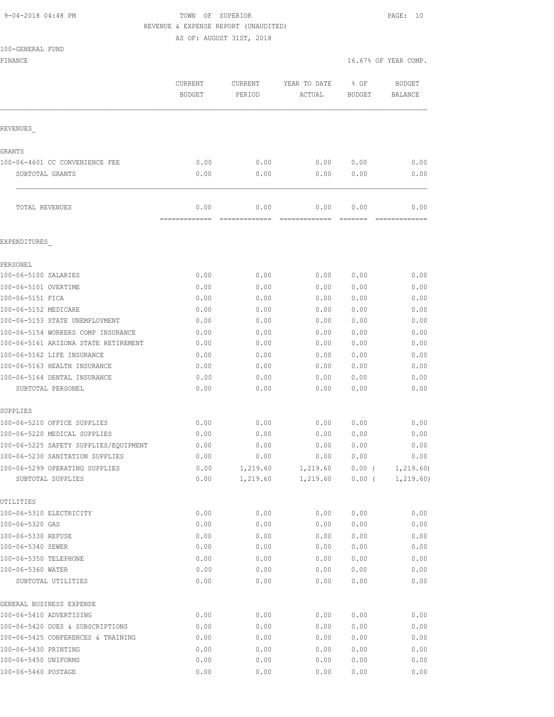### 9-04-2018 04:48 PM **TOWN** OF SUPERIOR **PAGE: 10** REVENUE & EXPENSE REPORT (UNAUDITED)

 CURRENT CURRENT YEAR TO DATE % OF BUDGET BUDGET PERIOD ACTUAL BUDGET BALANCE

16.67% OF YEAR COMP.

AS OF: AUGUST 31ST, 2018

| 100-GENERAL FUND |  |
|------------------|--|
| FINANCE          |  |
|                  |  |
|                  |  |
| <b>REVENUES</b>  |  |
| GRANTS           |  |

|        | TOTAL REVENUES                 | 0.00 | 0.00 | 0.00 | 0.00 | 0.00 |
|--------|--------------------------------|------|------|------|------|------|
|        | SUBTOTAL GRANTS                | 0.00 | 0.00 | 0.00 | 0.00 | 0.00 |
|        | 100-06-4601 CC CONVENIENCE FEE | 0.00 | 0.00 | 0.00 | 0.00 | 0.00 |
| GRANTS |                                |      |      |      |      |      |
|        | REVENUES                       |      |      |      |      |      |

### EXPENDITURES\_

| PERSONEL                              |      |          |          |       |            |
|---------------------------------------|------|----------|----------|-------|------------|
| 100-06-5100 SALARIES                  | 0.00 | 0.00     | 0.00     | 0.00  | 0.00       |
| 100-06-5101 OVERTIME                  | 0.00 | 0.00     | 0.00     | 0.00  | 0.00       |
| 100-06-5151 FICA                      | 0.00 | 0.00     | 0.00     | 0.00  | 0.00       |
| 100-06-5152 MEDICARE                  | 0.00 | 0.00     | 0.00     | 0.00  | 0.00       |
| 100-06-5153 STATE UNEMPLOYMENT        | 0.00 | 0.00     | 0.00     | 0.00  | 0.00       |
| 100-06-5154 WORKERS COMP INSURANCE    | 0.00 | 0.00     | 0.00     | 0.00  | 0.00       |
| 100-06-5161 ARIZONA STATE RETIREMENT  | 0.00 | 0.00     | 0.00     | 0.00  | 0.00       |
| 100-06-5162 LIFE INSURANCE            | 0.00 | 0.00     | 0.00     | 0.00  | 0.00       |
| 100-06-5163 HEALTH INSURANCE          | 0.00 | 0.00     | 0.00     | 0.00  | 0.00       |
| 100-06-5164 DENTAL INSURANCE          | 0.00 | 0.00     | 0.00     | 0.00  | 0.00       |
| SUBTOTAL PERSONEL                     | 0.00 | 0.00     | 0.00     | 0.00  | 0.00       |
| SUPPLIES                              |      |          |          |       |            |
| 100-06-5210 OFFICE SUPPLIES           | 0.00 | 0.00     | 0.00     | 0.00  | 0.00       |
| 100-06-5220 MEDICAL SUPPLIES          | 0.00 | 0.00     | 0.00     | 0.00  | 0.00       |
| 100-06-5225 SAFETY SUPPLIES/EQUIPMENT | 0.00 | 0.00     | 0.00     | 0.00  | 0.00       |
| 100-06-5230 SANITATION SUPPLIES       | 0.00 | 0.00     | 0.00     | 0.00  | 0.00       |
| 100-06-5299 OPERATING SUPPLIES        | 0.00 | 1,219.60 | 1,219.60 | 0.00( | 1, 219.60  |
| SUBTOTAL SUPPLIES                     | 0.00 | 1,219.60 | 1,219.60 | 0.00( | 1, 219.60) |
| UTILITIES                             |      |          |          |       |            |
| 100-06-5310 ELECTRICITY               | 0.00 | 0.00     | 0.00     | 0.00  | 0.00       |
| 100-06-5320 GAS                       | 0.00 | 0.00     | 0.00     | 0.00  | 0.00       |
| 100-06-5330 REFUSE                    | 0.00 | 0.00     | 0.00     | 0.00  | 0.00       |
| 100-06-5340 SEWER                     | 0.00 | 0.00     | 0.00     | 0.00  | 0.00       |
| 100-06-5350 TELEPHONE                 | 0.00 | 0.00     | 0.00     | 0.00  | 0.00       |
| 100-06-5360 WATER                     | 0.00 | 0.00     | 0.00     | 0.00  | 0.00       |
| SUBTOTAL UTILITIES                    | 0.00 | 0.00     | 0.00     | 0.00  | 0.00       |
| GENERAL BUSINESS EXPENSE              |      |          |          |       |            |
| 100-06-5410 ADVERTISING               | 0.00 | 0.00     | 0.00     | 0.00  | 0.00       |
| 100-06-5420 DUES & SUBSCRIPTIONS      | 0.00 | 0.00     | 0.00     | 0.00  | 0.00       |
| 100-06-5425 CONFERENCES & TRAINING    | 0.00 | 0.00     | 0.00     | 0.00  | 0.00       |
| 100-06-5430 PRINTING                  | 0.00 | 0.00     | 0.00     | 0.00  | 0.00       |
| 100-06-5450 UNIFORMS                  | 0.00 | 0.00     | 0.00     | 0.00  | 0.00       |
| 100-06-5460 POSTAGE                   | 0.00 | 0.00     | 0.00     | 0.00  | 0.00       |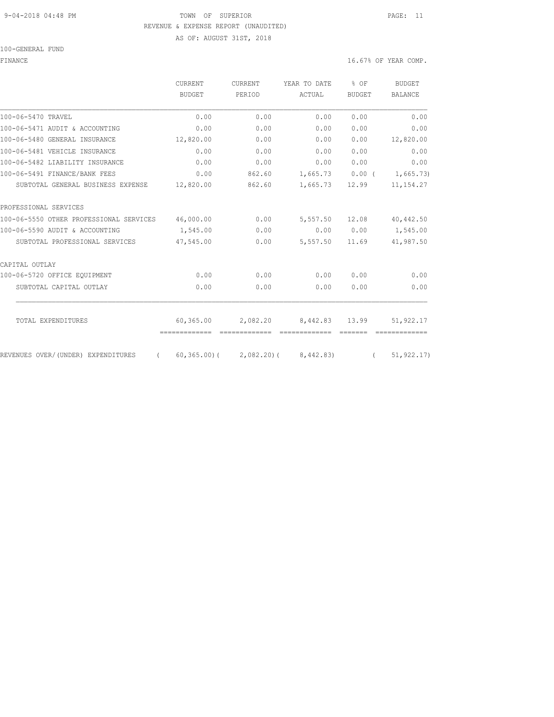#### 9-04-2018 04:48 PM TOWN OF SUPERIOR PAGE: 11 REVENUE & EXPENSE REPORT (UNAUDITED) AS OF: AUGUST 31ST, 2018

100-GENERAL FUND

FINANCE 16.67% OF YEAR COMP.

|                                                | CURRENT       | <b>CURRENT</b>              | YEAR TO DATE | $8$ OF        | <b>BUDGET</b>  |
|------------------------------------------------|---------------|-----------------------------|--------------|---------------|----------------|
|                                                | <b>BUDGET</b> | PERIOD                      | ACTUAL       | <b>BUDGET</b> | <b>BALANCE</b> |
| 100-06-5470 TRAVEL                             | 0.00          | 0.00                        | 0.00         | 0.00          | 0.00           |
| 100-06-5471 AUDIT & ACCOUNTING                 | 0.00          | 0.00                        | 0.00         | 0.00          | 0.00           |
| 100-06-5480 GENERAL INSURANCE                  | 12,820.00     | 0.00                        | 0.00         | 0.00          | 12,820.00      |
| 100-06-5481 VEHICLE INSURANCE                  | 0.00          | 0.00                        | 0.00         | 0.00          | 0.00           |
| 100-06-5482 LIABILITY INSURANCE                | 0.00          | 0.00                        | 0.00         | 0.00          | 0.00           |
| 100-06-5491 FINANCE/BANK FEES                  | 0.00          | 862.60                      | 1,665.73     | $0.00$ (      | 1,665.73)      |
| SUBTOTAL GENERAL BUSINESS EXPENSE              | 12,820.00     | 862.60                      | 1,665.73     | 12.99         | 11, 154.27     |
| PROFESSIONAL SERVICES                          |               |                             |              |               |                |
| 100-06-5550 OTHER PROFESSIONAL SERVICES        | 46,000.00     | 0.00                        | 5,557.50     | 12.08         | 40,442.50      |
| 100-06-5590 AUDIT & ACCOUNTING                 | 1,545.00      | 0.00                        | 0.00         | 0.00          | 1,545.00       |
| SUBTOTAL PROFESSIONAL SERVICES                 | 47,545.00     | 0.00                        | 5,557.50     | 11.69         | 41,987.50      |
| CAPITAL OUTLAY                                 |               |                             |              |               |                |
| 100-06-5720 OFFICE EQUIPMENT                   | 0.00          | 0.00                        | 0.00         | 0.00          | 0.00           |
| SUBTOTAL CAPITAL OUTLAY                        | 0.00          | 0.00                        | 0.00         | 0.00          | 0.00           |
|                                                |               |                             |              |               |                |
| TOTAL EXPENDITURES                             | 60,365.00     | 2,082.20                    | 8,442.83     | 13.99         | 51,922.17      |
| REVENUES OVER/(UNDER) EXPENDITURES<br>$\left($ |               | $60, 365, 00$ ( 2,082,20) ( | 8,442.83)    | $\sqrt{2}$    | 51, 922.17     |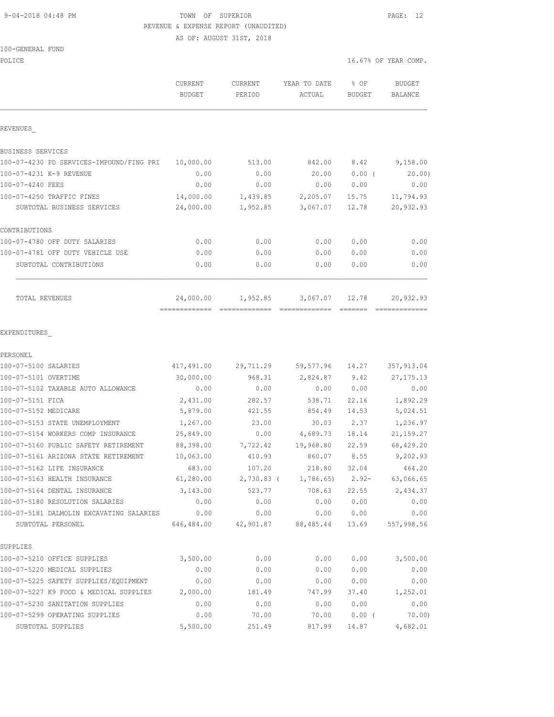### 9-04-2018 04:48 PM TOWN OF SUPERIOR PAGE: 12 REVENUE & EXPENSE REPORT (UNAUDITED)

AS OF: AUGUST 31ST, 2018

| POLICE                                                        |                                             |                          |                        |                | 16.67% OF YEAR COMP.     |
|---------------------------------------------------------------|---------------------------------------------|--------------------------|------------------------|----------------|--------------------------|
|                                                               | <b>CURRENT</b><br><b>BUDGET</b>             | <b>CURRENT</b><br>PERIOD | YEAR TO DATE<br>ACTUAL | % OF<br>BUDGET | <b>BUDGET</b><br>BALANCE |
| REVENUES                                                      |                                             |                          |                        |                |                          |
| BUSINESS SERVICES                                             |                                             |                          |                        |                |                          |
| 100-07-4230 PD SERVICES-IMPOUND/FING PRI                      | 10,000.00                                   | 513.00                   | 842.00                 | 8.42           | 9,158.00                 |
| 100-07-4231 K-9 REVENUE                                       | 0.00                                        | 0.00                     | 20.00                  | 0.00(          | 20.00                    |
| 100-07-4240 FEES                                              | 0.00                                        | 0.00                     | 0.00                   | 0.00           | 0.00                     |
| 100-07-4250 TRAFFIC FINES                                     | 14,000.00                                   | 1,439.85                 | 2,205.07               | 15.75          | 11,794.93                |
| SUBTOTAL BUSINESS SERVICES                                    | 24,000.00                                   | 1,952.85                 | 3,067.07               | 12.78          | 20,932.93                |
| CONTRIBUTIONS                                                 |                                             |                          |                        |                |                          |
| 100-07-4780 OFF DUTY SALARIES                                 | 0.00                                        | 0.00                     | 0.00                   | 0.00           | 0.00                     |
| 100-07-4781 OFF DUTY VEHICLE USE                              | 0.00                                        | 0.00                     | 0.00                   | 0.00           | 0.00                     |
| SUBTOTAL CONTRIBUTIONS                                        | 0.00                                        | 0.00                     | 0.00                   | 0.00           | 0.00                     |
| TOTAL REVENUES                                                | 24,000.00<br>============================== | 1,952.85                 | 3,067.07               | 12.78          | 20,932.93                |
| EXPENDITURES                                                  |                                             |                          |                        |                |                          |
| PERSONEL                                                      |                                             |                          |                        |                |                          |
| 100-07-5100 SALARIES                                          | 417,491.00                                  | 29,711.29                | 59,577.96              | 14.27          | 357,913.04               |
| 100-07-5101 OVERTIME                                          | 30,000.00                                   | 968.31                   | 2,824.87               | 9.42           | 27, 175. 13              |
| 100-07-5102 TAXABLE AUTO ALLOWANCE                            | 0.00                                        | 0.00                     | 0.00                   | 0.00           | 0.00                     |
| 100-07-5151 FICA                                              | 2,431.00                                    | 282.57                   | 538.71                 | 22.16          | 1,892.29                 |
| 100-07-5152 MEDICARE                                          | 5,879.00                                    | 421.55                   | 854.49                 | 14.53          | 5,024.51                 |
| 100-07-5153 STATE UNEMPLOYMENT                                | 1,267.00                                    | 23.00                    | 30.03                  | 2.37           | 1,236.97                 |
| 100-07-5154 WORKERS COMP INSURANCE                            | 25,849.00                                   | 0.00                     | 4,689.73               | 18.14          | 21, 159. 27              |
| 100-07-5160 PUBLIC SAFETY RETIREMENT                          | 88,398.00                                   | 7,722.42                 | 19,968.80              | 22.59          | 68,429.20                |
| 100-07-5161 ARIZONA STATE RETIREMENT                          | 10,063.00                                   | 410.93                   | 860.07                 | 8.55           | 9,202.93                 |
| 100-07-5162 LIFE INSURANCE                                    | 683.00                                      | 107.20                   | 218.80                 | 32.04          | 464.20                   |
| 100-07-5163 HEALTH INSURANCE                                  | 61,280.00                                   | $2,730.83$ (             | 1,786.65               | $2.92 -$       | 63,066.65                |
| 100-07-5164 DENTAL INSURANCE                                  | 3,143.00                                    | 523.77                   | 708.63                 | 22.55          | 2,434.37                 |
| 100-07-5180 RESOLUTION SALARIES                               | 0.00                                        | 0.00                     | 0.00                   | 0.00           | 0.00                     |
| 100-07-5181 DALMOLIN EXCAVATING SALARIES<br>SUBTOTAL PERSONEL | 0.00<br>646,484.00                          | 0.00<br>42,901.87        | 0.00<br>88,485.44      | 0.00<br>13.69  | 0.00<br>557,998.56       |
| SUPPLIES                                                      |                                             |                          |                        |                |                          |
| 100-07-5210 OFFICE SUPPLIES                                   | 3,500.00                                    | 0.00                     | 0.00                   | 0.00           | 3,500.00                 |
| 100-07-5220 MEDICAL SUPPLIES                                  | 0.00                                        | 0.00                     | 0.00                   | 0.00           | 0.00                     |
| 100-07-5225 SAFETY SUPPLIES/EQUIPMENT                         | 0.00                                        | 0.00                     | 0.00                   | 0.00           | 0.00                     |
| 100-07-5227 K9 FOOD & MEDICAL SUPPLIES                        | 2,000.00                                    | 181.49                   | 747.99                 | 37.40          | 1,252.01                 |
| 100-07-5230 SANITATION SUPPLIES                               | 0.00                                        | 0.00                     | 0.00                   | 0.00           | 0.00                     |
| 100-07-5299 OPERATING SUPPLIES                                | 0.00                                        | 70.00                    | 70.00                  | $0.00$ (       | 70.00                    |
| SUBTOTAL SUPPLIES                                             | 5,500.00                                    | 251.49                   | 817.99                 | 14.87          | 4,682.01                 |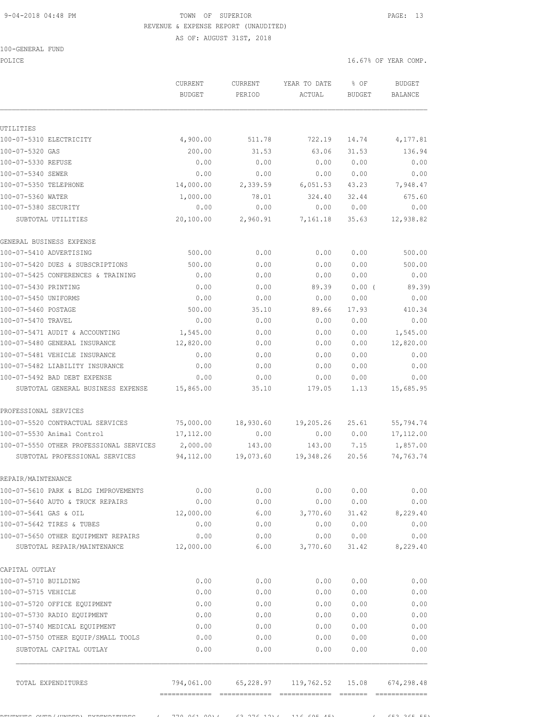#### 9-04-2018 04:48 PM TOWN OF SUPERIOR PAGE: 13 REVENUE & EXPENSE REPORT (UNAUDITED)

AS OF: AUGUST 31ST, 2018

|  | 100-GENERAL FUND |  |
|--|------------------|--|
|  |                  |  |

UTILITIES

REPAIR/MAINTENANCE

CAPITAL OUTLAY

POLICE 16.67% OF YEAR COMP. CURRENT CURRENT YEAR TO DATE % OF BUDGET BUDGET PERIOD ACTUAL BUDGET BALANCE 100-07-5310 ELECTRICITY 4,900.00 511.78 722.19 14.74 4,177.81 100-07-5320 GAS 200.00 31.53 63.06 31.53 136.94 100-07-5330 REFUSE 0.00 0.00 0.00 0.00 0.00 100-07-5340 SEWER 0.00 0.00 0.00 0.00 0.00 100-07-5350 TELEPHONE 14,000.00 2,339.59 6,051.53 43.23 7,948.47  $100-07-5360$  WATER  $1,000.00$  78.01 324.40 32.44 675.60 100-07-5380 SECURITY 0.00 0.00 0.00 0.00 0.00 SUBTOTAL UTILITIES 20,100.00 2,960.91 7,161.18 35.63 12,938.82 GENERAL BUSINESS EXPENSE 100-07-5410 ADVERTISING 500.00 0.00 0.00 0.00 500.00 100-07-5420 DUES & SUBSCRIPTIONS 500.00 0.00 0.00 0.00 500.00 100-07-5425 CONFERENCES & TRAINING 0.00 0.00 0.00 0.00 0.00 100-07-5430 PRINTING 0.00 0.00 89.39 0.00 ( 89.39) 100-07-5450 UNIFORMS 0.00 0.00 0.00 0.00 0.00 100-07-5460 POSTAGE 500.00 35.10 89.66 17.93 410.34 100-07-5470 TRAVEL 0.00 0.00 0.00 0.00 0.00 100-07-5471 AUDIT & ACCOUNTING 1,545.00 0.00 0.00 0.00 1,545.00 100-07-5480 GENERAL INSURANCE 12,820.00 0.00 0.00 0.00 12,820.00 100-07-5481 VEHICLE INSURANCE 0.00 0.00 0.00 0.00 0.00 100-07-5482 LIABILITY INSURANCE 0.00 0.00 0.00 0.00 0.00 100-07-5492 BAD DEBT EXPENSE 0.00 0.00 0.00 0.00 0.00 SUBTOTAL GENERAL BUSINESS EXPENSE 15,865.00 35.10 179.05 1.13 15,685.95 PROFESSIONAL SERVICES 100-07-5520 CONTRACTUAL SERVICES 75,000.00 18,930.60 19,205.26 25.61 55,794.74 100-07-5530 Animal Control 17,112.00 0.00 0.00 0.00 0.00 17,112.00<br>100-07-5550 OTHER PROFESSIONAL SERVICES 2,000.00 143.00 143.00 7.15 1,857.00 100-07-5550 OTHER PROFESSIONAL SERVICES 2,000.00 143.00 143.00 7.15 1,857.00 SUBTOTAL PROFESSIONAL SERVICES 94,112.00 19,073.60 19,348.26 20.56 74,763.74 100-07-5610 PARK & BLDG IMPROVEMENTS 0.00 0.00 0.00 0.00 0.00 100-07-5640 AUTO & TRUCK REPAIRS 0.00 0.00 0.00 0.00 0.00 100-07-5610 PARK & BLDG IMPROVEMENTS<br>
100-07-5640 AUTO & TRUCK REPAIRS<br>
100-07-5641 GAS & OIL 12,000.00 6.00 6.00 3,770.60 31.42 8,229.40<br>
100-07-5642 TIRES & TUBES 0.00 0.00 0.00 0.00 0.00 0.00<br>
100-07-5650 OTHER EQUIPMEN 100-07-5642 TIRES & TUBES 0.00 0.00 0.00 0.00 0.00 100-07-5650 OTHER EQUIPMENT REPAIRS  $0.00$ <br>
100-07-5650 OTHER EQUIPMENT REPAIRS 0.00 0.00 0.00 0.00 0.00 0.00 0.00<br>
12,000.00 0.00 0.00 0.00 0.1.42 8,229.40 SUBTOTAL REPAIR/MAINTENANCE 12,000.00 6.00 3,770.60 31.42 8,229.40 100-07-5710 BUILDING 0.00 0.00 0.00 0.00 0.00 100-07-5715 VEHICLE 0.00 0.00 0.00 0.00 0.00 100-07-5720 OFFICE EQUIPMENT 0.00 0.00 0.00 0.00 0.00

REVENUES OVER/(UNDER) IERNETENDER ( 770,061.00)( 63,276.12)( 116.605.45)( 65) ( 652,365.55) ( 653,365.55)

100-07-5730 RADIO EQUIPMENT 0.00 0.00 0.00 0.00 0.00 100-07-5740 MEDICAL EQUIPMENT 0.00 0.00 0.00 0.00 0.00 100-07-5750 OTHER EQUIP/SMALL TOOLS 0.00 0.00 0.00 0.00 0.00 SUBTOTAL CAPITAL OUTLAY 0.00 0.00 0.00 0.00 0.00

TOTAL EXPENDITURES 794,061.00 65,228.97 119,762.52 15.08 674,298.48

============= ============= ============= ======= =============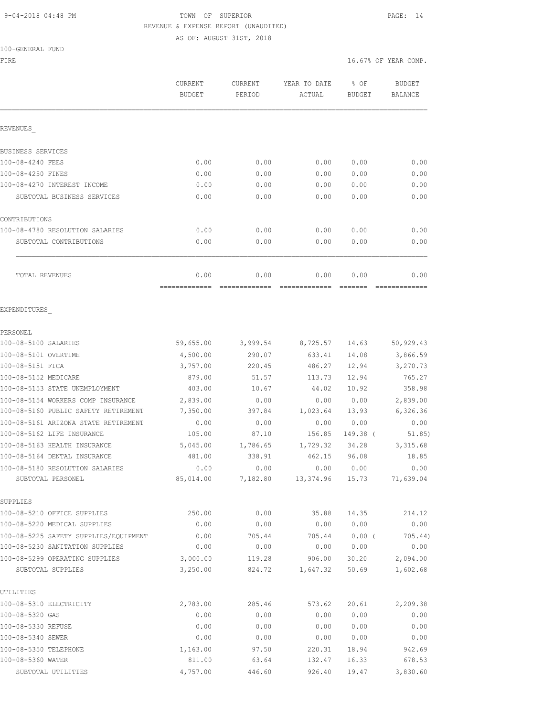### 9-04-2018 04:48 PM TOWN OF SUPERIOR PAGE: 14 REVENUE & EXPENSE REPORT (UNAUDITED) AS OF: AUGUST 31ST, 2018

100-GENERAL FUND

|                                                      | CURRENT<br><b>BUDGET</b> | CURRENT<br>PERIOD | YEAR TO DATE<br>ACTUAL | % OF<br><b>BUDGET</b> | <b>BUDGET</b><br><b>BALANCE</b> |
|------------------------------------------------------|--------------------------|-------------------|------------------------|-----------------------|---------------------------------|
| REVENUES                                             |                          |                   |                        |                       |                                 |
| BUSINESS SERVICES                                    |                          |                   |                        |                       |                                 |
| 100-08-4240 FEES                                     | 0.00                     | 0.00              | 0.00                   | 0.00                  | 0.00                            |
| 100-08-4250 FINES                                    | 0.00                     | 0.00              | 0.00                   | 0.00                  | 0.00                            |
| 100-08-4270 INTEREST INCOME                          | 0.00                     | 0.00              | 0.00                   | 0.00                  | 0.00                            |
| SUBTOTAL BUSINESS SERVICES                           | 0.00                     | 0.00              | 0.00                   | 0.00                  | 0.00                            |
| CONTRIBUTIONS                                        |                          |                   |                        |                       |                                 |
| 100-08-4780 RESOLUTION SALARIES                      | 0.00                     | 0.00              | 0.00                   | 0.00                  | 0.00                            |
| SUBTOTAL CONTRIBUTIONS                               | 0.00                     | 0.00              | 0.00                   | 0.00                  | 0.00                            |
| TOTAL REVENUES                                       | 0.00<br>-------------    | 0.00              | 0.00                   | 0.00                  | 0.00                            |
| EXPENDITURES                                         |                          |                   |                        |                       |                                 |
| PERSONEL                                             |                          |                   |                        |                       |                                 |
| 100-08-5100 SALARIES                                 | 59,655.00                | 3,999.54          | 8,725.57               | 14.63                 | 50,929.43                       |
| 100-08-5101 OVERTIME                                 | 4,500.00                 | 290.07            | 633.41                 | 14.08                 | 3,866.59                        |
| 100-08-5151 FICA                                     | 3,757.00                 | 220.45            | 486.27                 | 12.94                 | 3,270.73                        |
| 100-08-5152 MEDICARE                                 | 879.00                   | 51.57             | 113.73                 | 12.94                 | 765.27                          |
| 100-08-5153 STATE UNEMPLOYMENT                       | 403.00                   | 10.67             | 44.02                  | 10.92                 | 358.98                          |
| 100-08-5154 WORKERS COMP INSURANCE                   | 2,839.00                 | 0.00              | 0.00                   | 0.00                  | 2,839.00                        |
| 100-08-5160 PUBLIC SAFETY RETIREMENT                 | 7,350.00                 | 397.84            | 1,023.64               | 13.93                 | 6,326.36                        |
| 100-08-5161 ARIZONA STATE RETIREMENT                 | 0.00                     | 0.00              | 0.00                   | 0.00                  | 0.00                            |
| 100-08-5162 LIFE INSURANCE                           | 105.00                   | 87.10             | 156.85                 | 149.38 (              | 51.85)                          |
| 100-08-5163 HEALTH INSURANCE                         | 5,045.00                 | 1,786.65          | 1,729.32               | 34.28                 | 3, 315.68                       |
| 100-08-5164 DENTAL INSURANCE                         | 481.00                   | 338.91            | 462.15                 | 96.08                 | 18.85                           |
| 100-08-5180 RESOLUTION SALARIES<br>SUBTOTAL PERSONEL | 0.00<br>85,014.00        | 0.00<br>7,182.80  | 0.00<br>13, 374.96     | 0.00<br>15.73         | 0.00<br>71,639.04               |
|                                                      |                          |                   |                        |                       |                                 |
| SUPPLIES<br>100-08-5210 OFFICE SUPPLIES              | 250.00                   | 0.00              | 35.88                  | 14.35                 | 214.12                          |
| 100-08-5220 MEDICAL SUPPLIES                         | 0.00                     | 0.00              | 0.00                   | 0.00                  | 0.00                            |
| 100-08-5225 SAFETY SUPPLIES/EQUIPMENT                | 0.00                     | 705.44            | 705.44                 | 0.00(                 | 705.44)                         |
| 100-08-5230 SANITATION SUPPLIES                      | 0.00                     | 0.00              | 0.00                   | 0.00                  | 0.00                            |
| 100-08-5299 OPERATING SUPPLIES                       | 3,000.00                 | 119.28            | 906.00                 | 30.20                 | 2,094.00                        |
| SUBTOTAL SUPPLIES                                    | 3,250.00                 | 824.72            | 1,647.32               | 50.69                 | 1,602.68                        |
| UTILITIES                                            |                          |                   |                        |                       |                                 |
| 100-08-5310 ELECTRICITY                              | 2,783.00                 | 285.46            | 573.62                 | 20.61                 | 2,209.38                        |
| 100-08-5320 GAS                                      | 0.00                     | 0.00              | 0.00                   | 0.00                  | 0.00                            |
| 100-08-5330 REFUSE                                   | 0.00                     | 0.00              | 0.00                   | 0.00                  | 0.00                            |
| 100-08-5340 SEWER                                    | 0.00                     | 0.00              | 0.00                   | 0.00                  | 0.00                            |
| 100-08-5350 TELEPHONE                                | 1,163.00                 | 97.50             | 220.31                 | 18.94                 | 942.69                          |

100-08-5360 WATER 811.00 63.64 132.47 16.33 678.53 SUBTOTAL UTILITIES 4,757.00 446.60 926.40 19.47 3,830.60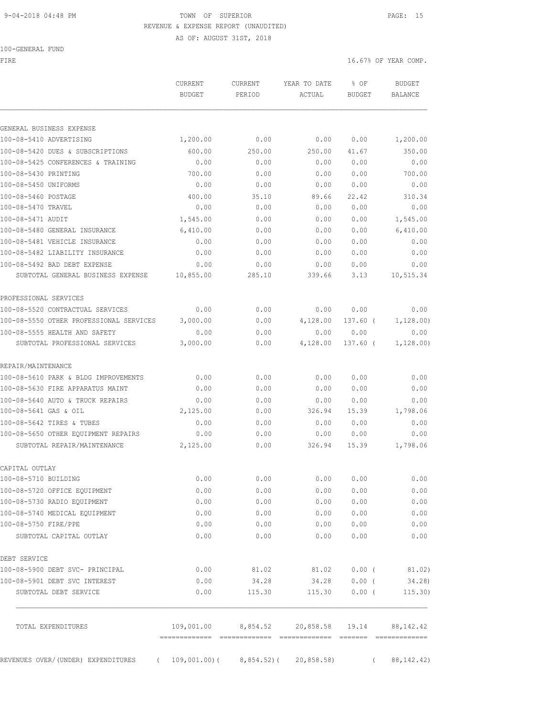#### 9-04-2018 04:48 PM TOWN OF SUPERIOR PAGE: 15 REVENUE & EXPENSE REPORT (UNAUDITED)

AS OF: AUGUST 31ST, 2018

| 100-GENERAL FUND |  |
|------------------|--|
|------------------|--|

FIRE  $16.67$ % OF YEAR COMP.

|                                                        | <b>CURRENT</b><br><b>BUDGET</b> | CURRENT<br>PERIOD   | YEAR TO DATE<br>ACTUAL | % OF<br><b>BUDGET</b> | <b>BUDGET</b><br><b>BALANCE</b> |
|--------------------------------------------------------|---------------------------------|---------------------|------------------------|-----------------------|---------------------------------|
| GENERAL BUSINESS EXPENSE                               |                                 |                     |                        |                       |                                 |
| 100-08-5410 ADVERTISING                                | 1,200.00                        | 0.00                | 0.00                   | 0.00                  | 1,200.00                        |
| 100-08-5420 DUES & SUBSCRIPTIONS                       | 600.00                          | 250.00              | 250.00                 | 41.67                 | 350.00                          |
| 100-08-5425 CONFERENCES & TRAINING                     | 0.00                            | 0.00                | 0.00                   | 0.00                  | 0.00                            |
| 100-08-5430 PRINTING                                   | 700.00                          | 0.00                | 0.00                   | 0.00                  | 700.00                          |
| 100-08-5450 UNIFORMS                                   | 0.00                            | 0.00                | 0.00                   | 0.00                  | 0.00                            |
| 100-08-5460 POSTAGE                                    | 400.00                          | 35.10               | 89.66                  | 22.42                 | 310.34                          |
| 100-08-5470 TRAVEL                                     | 0.00                            | 0.00                | 0.00                   | 0.00                  | 0.00                            |
| 100-08-5471 AUDIT                                      | 1,545.00                        | 0.00                | 0.00                   | 0.00                  | 1,545.00                        |
| 100-08-5480 GENERAL INSURANCE                          | 6,410.00                        | 0.00                | 0.00                   | 0.00                  | 6,410.00                        |
| 100-08-5481 VEHICLE INSURANCE                          | 0.00                            | 0.00                | 0.00                   | 0.00                  | 0.00                            |
| 100-08-5482 LIABILITY INSURANCE                        | 0.00                            | 0.00                | 0.00                   | 0.00                  | 0.00                            |
| 100-08-5492 BAD DEBT EXPENSE                           | 0.00                            | 0.00                | 0.00                   | 0.00                  | 0.00                            |
| SUBTOTAL GENERAL BUSINESS EXPENSE                      | 10,855.00                       | 285.10              | 339.66                 | 3.13                  | 10,515.34                       |
| PROFESSIONAL SERVICES                                  |                                 |                     |                        |                       |                                 |
| 100-08-5520 CONTRACTUAL SERVICES                       | 0.00                            | 0.00                | 0.00                   | 0.00                  | 0.00                            |
| 100-08-5550 OTHER PROFESSIONAL SERVICES                | 3,000.00                        | 0.00                | 4,128.00               | 137.60 (              | 1,128.00)                       |
| 100-08-5555 HEALTH AND SAFETY                          | 0.00                            | 0.00                | 0.00                   | 0.00                  | 0.00                            |
| SUBTOTAL PROFESSIONAL SERVICES                         | 3,000.00                        | 0.00                | 4,128.00               | 137.60 (              | 1,128.00)                       |
| REPAIR/MAINTENANCE                                     |                                 |                     |                        |                       |                                 |
| 100-08-5610 PARK & BLDG IMPROVEMENTS                   | 0.00                            | 0.00                | 0.00                   | 0.00                  | 0.00                            |
| 100-08-5630 FIRE APPARATUS MAINT                       | 0.00                            | 0.00                | 0.00                   | 0.00                  | 0.00                            |
| 100-08-5640 AUTO & TRUCK REPAIRS                       | 0.00                            | 0.00                | 0.00                   | 0.00                  | 0.00                            |
| 100-08-5641 GAS & OIL                                  | 2,125.00                        | 0.00                | 326.94                 | 15.39                 | 1,798.06                        |
| 100-08-5642 TIRES & TUBES                              | 0.00                            | 0.00                | 0.00                   | 0.00                  | 0.00                            |
| 100-08-5650 OTHER EQUIPMENT REPAIRS                    | 0.00                            | 0.00                | 0.00                   | 0.00                  | 0.00                            |
| SUBTOTAL REPAIR/MAINTENANCE                            | 2,125.00                        | 0.00                | 326.94                 | 15.39                 | 1,798.06                        |
| CAPITAL OUTLAY                                         |                                 |                     |                        |                       |                                 |
| 100-08-5710 BUILDING                                   | 0.00                            | 0.00                | 0.00                   | 0.00                  | 0.00                            |
| 100-08-5720 OFFICE EQUIPMENT                           | 0.00                            | 0.00                | 0.00                   | 0.00                  | 0.00                            |
| 100-08-5730 RADIO EQUIPMENT                            | 0.00                            | 0.00                | 0.00                   | 0.00                  | 0.00                            |
| 100-08-5740 MEDICAL EQUIPMENT                          | 0.00                            | 0.00                | 0.00                   | 0.00                  | 0.00                            |
| 100-08-5750 FIRE/PPE                                   | 0.00                            | 0.00                | 0.00                   | 0.00                  | 0.00                            |
| SUBTOTAL CAPITAL OUTLAY                                | 0.00                            | 0.00                | 0.00                   | 0.00                  | 0.00                            |
| DEBT SERVICE                                           |                                 |                     |                        |                       |                                 |
| 100-08-5900 DEBT SVC- PRINCIPAL                        | 0.00                            | 81.02               | 81.02                  | $0.00$ (              | 81.02)                          |
| 100-08-5901 DEBT SVC INTEREST<br>SUBTOTAL DEBT SERVICE | 0.00<br>0.00                    | 34.28<br>115.30     | 34.28<br>115.30        | $0.00$ (<br>0.00(     | 34.28)<br>115.30)               |
|                                                        |                                 |                     |                        |                       |                                 |
| TOTAL EXPENDITURES                                     | 109,001.00                      | 8,854.52<br>======= | 20,858.58 19.14        |                       | 88, 142.42                      |
| REVENUES OVER/(UNDER) EXPENDITURES<br>$\sqrt{2}$       | 109,001.00)(                    | 8,854.52)(          | 20, 858.58)            | $\sqrt{2}$            | 88, 142. 42)                    |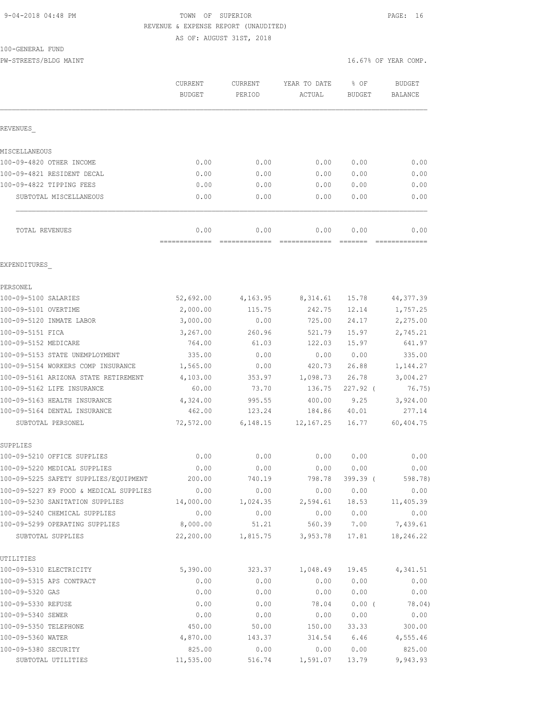#### 9-04-2018 04:48 PM TOWN OF SUPERIOR PAGE: 16 REVENUE & EXPENSE REPORT (UNAUDITED) AS OF: AUGUST 31ST, 2018

100-GENERAL FUND

PW-STREETS/BLDG MAINT 16.67% OF YEAR COMP.

|                                                                           | CURRENT<br><b>BUDGET</b> | CURRENT<br>PERIOD     | YEAR TO DATE<br>ACTUAL | % OF<br><b>BUDGET</b> | <b>BUDGET</b><br>BALANCE |
|---------------------------------------------------------------------------|--------------------------|-----------------------|------------------------|-----------------------|--------------------------|
| REVENUES                                                                  |                          |                       |                        |                       |                          |
| MISCELLANEOUS                                                             |                          |                       |                        |                       |                          |
| 100-09-4820 OTHER INCOME                                                  | 0.00                     | 0.00                  | 0.00                   | 0.00                  | 0.00                     |
| 100-09-4821 RESIDENT DECAL                                                | 0.00                     | 0.00                  | 0.00                   | 0.00                  | 0.00                     |
| 100-09-4822 TIPPING FEES                                                  | 0.00                     | 0.00                  | 0.00                   | 0.00                  | 0.00                     |
| SUBTOTAL MISCELLANEOUS                                                    | 0.00                     | 0.00                  | 0.00                   | 0.00                  | 0.00                     |
| TOTAL REVENUES                                                            | 0.00<br>-------------    | 0.00<br>============= | 0.00<br>=============  | 0.00<br>=======       | 0.00                     |
| EXPENDITURES                                                              |                          |                       |                        |                       |                          |
| PERSONEL                                                                  |                          |                       |                        |                       |                          |
| 100-09-5100 SALARIES                                                      | 52,692.00                | 4,163.95              | 8,314.61               | 15.78                 | 44, 377.39               |
| 100-09-5101 OVERTIME                                                      | 2,000.00                 | 115.75                | 242.75                 | 12.14                 | 1,757.25                 |
| 100-09-5120 INMATE LABOR                                                  | 3,000.00                 | 0.00                  | 725.00                 | 24.17                 | 2,275.00                 |
| 100-09-5151 FICA                                                          | 3,267.00                 | 260.96                | 521.79                 | 15.97                 | 2,745.21                 |
| 100-09-5152 MEDICARE                                                      | 764.00                   | 61.03                 | 122.03                 | 15.97                 | 641.97                   |
| 100-09-5153 STATE UNEMPLOYMENT                                            | 335.00                   | 0.00                  | 0.00                   | 0.00                  | 335.00                   |
| 100-09-5154 WORKERS COMP INSURANCE                                        | 1,565.00                 | 0.00                  | 420.73                 | 26.88                 | 1,144.27                 |
| 100-09-5161 ARIZONA STATE RETIREMENT                                      | 4,103.00                 | 353.97                | 1,098.73               | 26.78                 | 3,004.27                 |
| 100-09-5162 LIFE INSURANCE                                                | 60.00                    | 73.70                 | 136.75                 | $227.92$ (            | 76.75)                   |
| 100-09-5163 HEALTH INSURANCE                                              | 4,324.00                 | 995.55                | 400.00                 | 9.25                  | 3,924.00                 |
| 100-09-5164 DENTAL INSURANCE                                              | 462.00                   | 123.24                | 184.86                 | 40.01                 | 277.14                   |
| SUBTOTAL PERSONEL                                                         | 72,572.00                | 6,148.15              | 12, 167.25             | 16.77                 | 60,404.75                |
| SUPPLIES                                                                  |                          |                       |                        |                       |                          |
| 100-09-5210 OFFICE SUPPLIES                                               | 0.00                     | 0.00                  | 0.00                   | 0.00                  | 0.00                     |
| 100-09-5220 MEDICAL SUPPLIES                                              | 0.00                     | 0.00                  | 0.00                   | 0.00                  | 0.00                     |
| 100-09-5225 SAFETY SUPPLIES/EQUIPMENT                                     | 200.00                   | 740.19                | 798.78                 | 399.39 (              | 598.78)                  |
| 100-09-5227 K9 FOOD & MEDICAL SUPPLIES<br>100-09-5230 SANITATION SUPPLIES | 0.00<br>14,000.00        | 0.00<br>1,024.35      | 0.00                   | 0.00                  | 0.00<br>11,405.39        |
| 100-09-5240 CHEMICAL SUPPLIES                                             |                          |                       | 2,594.61               | 18.53                 |                          |
| 100-09-5299 OPERATING SUPPLIES                                            | 0.00<br>8,000.00         | 0.00<br>51.21         | 0.00                   | 0.00<br>560.39 7.00   | 0.00<br>7,439.61         |
| SUBTOTAL SUPPLIES                                                         | 22,200.00                | 1,815.75              | 3,953.78               | 17.81                 | 18,246.22                |
| UTILITIES                                                                 |                          |                       |                        |                       |                          |
| 100-09-5310 ELECTRICITY                                                   | 5,390.00                 | 323.37                | 1,048.49               | 19.45                 | 4,341.51                 |
| 100-09-5315 APS CONTRACT                                                  | 0.00                     | 0.00                  | 0.00                   | 0.00                  | 0.00                     |
| 100-09-5320 GAS                                                           | 0.00                     | 0.00                  | 0.00                   | 0.00                  | 0.00                     |
| 100-09-5330 REFUSE                                                        | 0.00                     | 0.00                  | 78.04                  | $0.00$ (              | 78.04)                   |
| 100-09-5340 SEWER                                                         | 0.00                     | 0.00                  | 0.00                   | 0.00                  | 0.00                     |
| 100-09-5350 TELEPHONE                                                     | 450.00                   | 50.00                 | 150.00                 | 33.33                 | 300.00                   |
| 100-09-5360 WATER                                                         | 4,870.00                 | 143.37                | 314.54                 | 6.46                  | 4,555.46                 |
| 100-09-5380 SECURITY                                                      | 825.00                   | 0.00                  | 0.00                   | 0.00                  | 825.00                   |
| SUBTOTAL UTILITIES                                                        | 11,535.00                | 516.74                | 1,591.07               | 13.79                 | 9,943.93                 |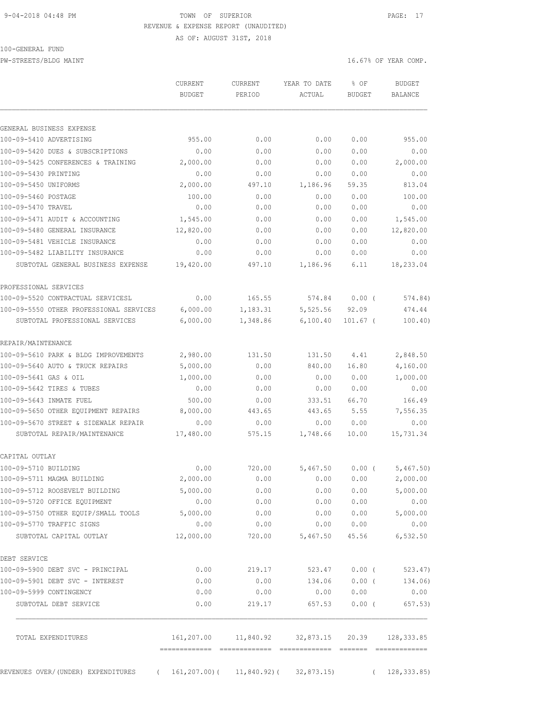### 9-04-2018 04:48 PM TOWN OF SUPERIOR PAGE: 17 REVENUE & EXPENSE REPORT (UNAUDITED)

AS OF: AUGUST 31ST, 2018

PW-STREETS/BLDG MAINT 16.67% OF YEAR COMP.

|                                                                                      | <b>CURRENT</b><br><b>BUDGET</b> | CURRENT<br>PERIOD | YEAR TO DATE<br>ACTUAL                             | % OF<br><b>BUDGET</b> | <b>BUDGET</b><br>BALANCE |
|--------------------------------------------------------------------------------------|---------------------------------|-------------------|----------------------------------------------------|-----------------------|--------------------------|
| GENERAL BUSINESS EXPENSE                                                             |                                 |                   |                                                    |                       |                          |
| 100-09-5410 ADVERTISING                                                              | 955.00                          | 0.00              | 0.00                                               | 0.00                  | 955.00                   |
| 100-09-5420 DUES & SUBSCRIPTIONS                                                     | 0.00                            | 0.00              | 0.00                                               | 0.00                  | 0.00                     |
| 100-09-5425 CONFERENCES & TRAINING                                                   | 2,000.00                        | 0.00              | 0.00                                               | 0.00                  | 2,000.00                 |
| 100-09-5430 PRINTING                                                                 | 0.00                            | 0.00              | 0.00                                               | 0.00                  | 0.00                     |
| 100-09-5450 UNIFORMS                                                                 | 2,000.00                        | 497.10            | 1,186.96                                           | 59.35                 | 813.04                   |
| 100-09-5460 POSTAGE                                                                  | 100.00                          | 0.00              | 0.00                                               | 0.00                  | 100.00                   |
| 100-09-5470 TRAVEL                                                                   | 0.00                            | 0.00              | 0.00                                               | 0.00                  | 0.00                     |
| 100-09-5471 AUDIT & ACCOUNTING                                                       | 1,545.00                        | 0.00              | 0.00                                               | 0.00                  | 1,545.00                 |
| 100-09-5480 GENERAL INSURANCE                                                        | 12,820.00                       | 0.00              | 0.00                                               | 0.00                  | 12,820.00                |
| 100-09-5481 VEHICLE INSURANCE                                                        | 0.00                            | 0.00              | 0.00                                               | 0.00                  | 0.00                     |
| 100-09-5482 LIABILITY INSURANCE                                                      | 0.00                            | 0.00              | 0.00                                               | 0.00                  | 0.00                     |
| SUBTOTAL GENERAL BUSINESS EXPENSE                                                    | 19,420.00                       | 497.10            | 1,186.96                                           | 6.11                  | 18,233.04                |
| PROFESSIONAL SERVICES                                                                |                                 |                   |                                                    |                       |                          |
| 100-09-5520 CONTRACTUAL SERVICESL                                                    | 0.00                            | 165.55            | 574.84                                             | $0.00$ (              | 574.84)                  |
| 100-09-5550 OTHER PROFESSIONAL SERVICES                                              | 6,000.00                        | 1,183.31          | 5,525.56                                           | 92.09                 | 474.44                   |
| SUBTOTAL PROFESSIONAL SERVICES                                                       | 6,000.00                        | 1,348.86          | 6,100.40                                           | $101.67$ (            | 100.40)                  |
| REPAIR/MAINTENANCE                                                                   |                                 |                   |                                                    |                       |                          |
| 100-09-5610 PARK & BLDG IMPROVEMENTS                                                 | 2,980.00                        | 131.50            | 131.50                                             | 4.41                  | 2,848.50                 |
| 100-09-5640 AUTO & TRUCK REPAIRS                                                     | 5,000.00                        | 0.00              | 840.00                                             | 16.80                 | 4,160.00                 |
| 100-09-5641 GAS & OIL                                                                | 1,000.00                        | 0.00              | 0.00                                               | 0.00                  | 1,000.00                 |
| 100-09-5642 TIRES & TUBES                                                            | 0.00                            | 0.00              | 0.00                                               | 0.00                  | 0.00                     |
| 100-09-5643 INMATE FUEL                                                              | 500.00                          | 0.00              | 333.51                                             | 66.70                 | 166.49                   |
| 100-09-5650 OTHER EQUIPMENT REPAIRS                                                  | 8,000.00                        | 443.65            | 443.65                                             | 5.55                  | 7,556.35                 |
| 100-09-5670 STREET & SIDEWALK REPAIR                                                 | 0.00                            | 0.00              | 0.00                                               | 0.00                  | 0.00                     |
| SUBTOTAL REPAIR/MAINTENANCE                                                          | 17,480.00                       | 575.15            | 1,748.66                                           | 10.00                 | 15,731.34                |
| CAPITAL OUTLAY                                                                       |                                 |                   |                                                    |                       |                          |
| 100-09-5710 BUILDING                                                                 | 0.00                            | 720.00            | 5,467.50                                           | $0.00$ (              | 5,467.50)                |
| 100-09-5711 MAGMA BUILDING                                                           | 2,000.00                        | 0.00              | 0.00                                               | 0.00                  | 2,000.00                 |
| 100-09-5712 ROOSEVELT BUILDING                                                       | 5,000.00                        | 0.00              | 0.00                                               | 0.00                  | 5,000.00                 |
| 100-09-5720 OFFICE EQUIPMENT                                                         | 0.00                            | 0.00              | 0.00                                               | 0.00                  | 0.00                     |
| 100-09-5750 OTHER EOUIP/SMALL TOOLS                                                  | 5,000.00                        | 0.00              | 0.00                                               | 0.00                  | 5,000.00                 |
| 100-09-5770 TRAFFIC SIGNS                                                            | 0.00                            | 0.00              | 0.00                                               | 0.00                  | 0.00                     |
| SUBTOTAL CAPITAL OUTLAY                                                              | 12,000.00                       |                   | 720.00 5,467.50                                    | 45.56                 | 6,532.50                 |
| DEBT SERVICE                                                                         |                                 |                   |                                                    |                       |                          |
| 100-09-5900 DEBT SVC - PRINCIPAL                                                     | 0.00                            | 219.17            | 523.47                                             | $0.00$ (              | 523.47)                  |
| 100-09-5901 DEBT SVC - INTEREST                                                      | 0.00                            | 0.00              | 134.06                                             | $0.00$ (              | 134.06)                  |
| 100-09-5999 CONTINGENCY                                                              | 0.00                            | 0.00              | 0.00                                               | 0.00                  | 0.00                     |
| SUBTOTAL DEBT SERVICE                                                                | 0.00                            | 219.17            | 657.53                                             | $0.00$ (              | 657.53)                  |
| TOTAL EXPENDITURES                                                                   |                                 |                   | $161, 207.00$ 11,840.92 32,873.15 20.39 128,333.85 |                       |                          |
| REVENUES OVER/(UNDER) EXPENDITURES (161,207.00) (11,840.92) (32,873.15) (128,333.85) |                                 |                   |                                                    |                       |                          |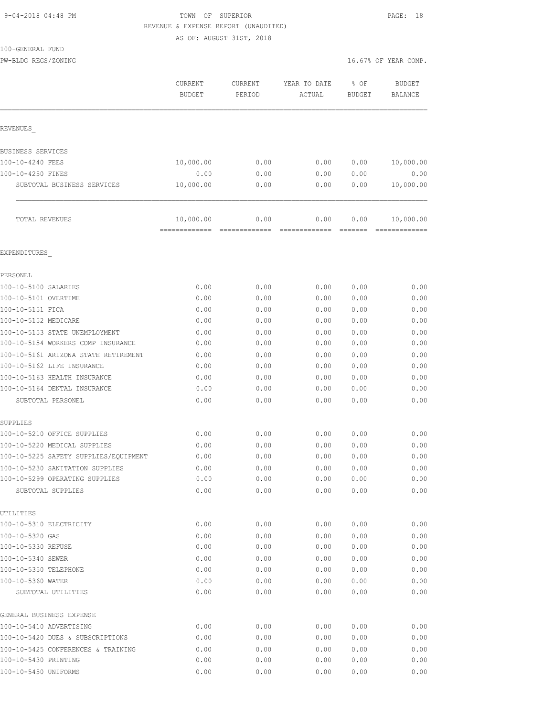### 9-04-2018 04:48 PM TOWN OF SUPERIOR PAGE: 18 REVENUE & EXPENSE REPORT (UNAUDITED)

AS OF: AUGUST 31ST, 2018

PW-BLDG REGS/ZONING  $16.67$ % OF YEAR COMP.

|                                                     | CURRENT<br><b>BUDGET</b>   | CURRENT<br>PERIOD                                                                                                                                                                                                                                                                                                                                                                                                                                                                                    | YEAR TO DATE<br>ACTUAL | % OF<br><b>BUDGET</b> | <b>BUDGET</b><br><b>BALANCE</b> |
|-----------------------------------------------------|----------------------------|------------------------------------------------------------------------------------------------------------------------------------------------------------------------------------------------------------------------------------------------------------------------------------------------------------------------------------------------------------------------------------------------------------------------------------------------------------------------------------------------------|------------------------|-----------------------|---------------------------------|
|                                                     |                            |                                                                                                                                                                                                                                                                                                                                                                                                                                                                                                      |                        |                       |                                 |
| REVENUES                                            |                            |                                                                                                                                                                                                                                                                                                                                                                                                                                                                                                      |                        |                       |                                 |
| BUSINESS SERVICES                                   |                            |                                                                                                                                                                                                                                                                                                                                                                                                                                                                                                      |                        |                       |                                 |
| 100-10-4240 FEES                                    | 10,000.00                  | 0.00                                                                                                                                                                                                                                                                                                                                                                                                                                                                                                 | 0.00                   | 0.00                  | 10,000.00                       |
| 100-10-4250 FINES                                   | 0.00                       | 0.00                                                                                                                                                                                                                                                                                                                                                                                                                                                                                                 | 0.00                   | 0.00                  | 0.00                            |
| SUBTOTAL BUSINESS SERVICES                          | 10,000.00                  | 0.00                                                                                                                                                                                                                                                                                                                                                                                                                                                                                                 | 0.00                   | 0.00                  | 10,000.00                       |
| TOTAL REVENUES                                      | 10,000.00<br>============= | 0.00<br>$\begin{array}{c} \multicolumn{2}{c} {\textbf{1}} & \multicolumn{2}{c} {\textbf{2}} & \multicolumn{2}{c} {\textbf{3}} & \multicolumn{2}{c} {\textbf{4}} \\ \multicolumn{2}{c} {\textbf{5}} & \multicolumn{2}{c} {\textbf{6}} & \multicolumn{2}{c} {\textbf{7}} & \multicolumn{2}{c} {\textbf{8}} & \multicolumn{2}{c} {\textbf{9}} \\ \multicolumn{2}{c} {\textbf{1}} & \multicolumn{2}{c} {\textbf{1}} & \multicolumn{2}{c} {\textbf{1}} & \multicolumn{2}{c} {\textbf{1}} & \multicolumn{$ | 0.00<br>-------------  | 0.00<br>=======       | 10,000.00<br>-------------      |
| EXPENDITURES                                        |                            |                                                                                                                                                                                                                                                                                                                                                                                                                                                                                                      |                        |                       |                                 |
| PERSONEL                                            |                            |                                                                                                                                                                                                                                                                                                                                                                                                                                                                                                      |                        |                       |                                 |
| 100-10-5100 SALARIES                                | 0.00                       | 0.00                                                                                                                                                                                                                                                                                                                                                                                                                                                                                                 | 0.00                   | 0.00                  | 0.00                            |
| 100-10-5101 OVERTIME                                | 0.00                       | 0.00                                                                                                                                                                                                                                                                                                                                                                                                                                                                                                 | 0.00                   | 0.00                  | 0.00                            |
| 100-10-5151 FICA                                    | 0.00                       | 0.00                                                                                                                                                                                                                                                                                                                                                                                                                                                                                                 | 0.00                   | 0.00                  | 0.00                            |
| 100-10-5152 MEDICARE                                | 0.00                       | 0.00                                                                                                                                                                                                                                                                                                                                                                                                                                                                                                 | 0.00                   | 0.00                  | 0.00                            |
| 100-10-5153 STATE UNEMPLOYMENT                      | 0.00                       | 0.00                                                                                                                                                                                                                                                                                                                                                                                                                                                                                                 | 0.00                   | 0.00                  | 0.00                            |
| 100-10-5154 WORKERS COMP INSURANCE                  | 0.00                       | 0.00                                                                                                                                                                                                                                                                                                                                                                                                                                                                                                 | 0.00                   | 0.00                  | 0.00                            |
| 100-10-5161 ARIZONA STATE RETIREMENT                | 0.00                       | 0.00                                                                                                                                                                                                                                                                                                                                                                                                                                                                                                 | 0.00                   | 0.00                  | 0.00                            |
| 100-10-5162 LIFE INSURANCE                          | 0.00                       | 0.00                                                                                                                                                                                                                                                                                                                                                                                                                                                                                                 | 0.00                   | 0.00                  | 0.00                            |
| 100-10-5163 HEALTH INSURANCE                        | 0.00                       | 0.00                                                                                                                                                                                                                                                                                                                                                                                                                                                                                                 | 0.00                   | 0.00                  | 0.00                            |
| 100-10-5164 DENTAL INSURANCE                        | 0.00                       | 0.00                                                                                                                                                                                                                                                                                                                                                                                                                                                                                                 | 0.00                   | 0.00                  | 0.00                            |
| SUBTOTAL PERSONEL                                   | 0.00                       | 0.00                                                                                                                                                                                                                                                                                                                                                                                                                                                                                                 | 0.00                   | 0.00                  | 0.00                            |
| SUPPLIES                                            |                            |                                                                                                                                                                                                                                                                                                                                                                                                                                                                                                      |                        |                       |                                 |
| 100-10-5210 OFFICE SUPPLIES                         | 0.00                       | 0.00                                                                                                                                                                                                                                                                                                                                                                                                                                                                                                 | 0.00                   | 0.00                  | 0.00                            |
| 100-10-5220 MEDICAL SUPPLIES                        | 0.00                       | 0.00                                                                                                                                                                                                                                                                                                                                                                                                                                                                                                 | 0.00                   | 0.00                  | 0.00                            |
| 100-10-5225 SAFETY SUPPLIES/EQUIPMENT               | 0.00                       | 0.00                                                                                                                                                                                                                                                                                                                                                                                                                                                                                                 | 0.00                   | 0.00                  | 0.00                            |
| 100-10-5230 SANITATION SUPPLIES                     | 0.00                       | 0.00                                                                                                                                                                                                                                                                                                                                                                                                                                                                                                 | 0.00                   | 0.00                  | 0.00                            |
| 100-10-5299 OPERATING SUPPLIES<br>SUBTOTAL SUPPLIES | 0.00<br>0.00               | 0.00<br>0.00                                                                                                                                                                                                                                                                                                                                                                                                                                                                                         | 0.00<br>0.00           | 0.00<br>0.00          | 0.00<br>0.00                    |
| UTILITIES                                           |                            |                                                                                                                                                                                                                                                                                                                                                                                                                                                                                                      |                        |                       |                                 |
| 100-10-5310 ELECTRICITY                             | 0.00                       | 0.00                                                                                                                                                                                                                                                                                                                                                                                                                                                                                                 | 0.00                   | 0.00                  | 0.00                            |
| 100-10-5320 GAS                                     | 0.00                       | 0.00                                                                                                                                                                                                                                                                                                                                                                                                                                                                                                 | 0.00                   | 0.00                  | 0.00                            |
| 100-10-5330 REFUSE                                  | 0.00                       | 0.00                                                                                                                                                                                                                                                                                                                                                                                                                                                                                                 | 0.00                   | 0.00                  | 0.00                            |
| 100-10-5340 SEWER                                   | 0.00                       | 0.00                                                                                                                                                                                                                                                                                                                                                                                                                                                                                                 | 0.00                   | 0.00                  | 0.00                            |
| 100-10-5350 TELEPHONE                               | 0.00                       | 0.00                                                                                                                                                                                                                                                                                                                                                                                                                                                                                                 | 0.00                   | 0.00                  | 0.00                            |
| 100-10-5360 WATER                                   | 0.00                       | 0.00                                                                                                                                                                                                                                                                                                                                                                                                                                                                                                 | 0.00                   | 0.00                  | 0.00                            |
| SUBTOTAL UTILITIES                                  | 0.00                       | 0.00                                                                                                                                                                                                                                                                                                                                                                                                                                                                                                 | 0.00                   | 0.00                  | 0.00                            |
| GENERAL BUSINESS EXPENSE                            |                            |                                                                                                                                                                                                                                                                                                                                                                                                                                                                                                      |                        |                       |                                 |
| 100-10-5410 ADVERTISING                             | 0.00                       | 0.00                                                                                                                                                                                                                                                                                                                                                                                                                                                                                                 | 0.00                   | 0.00                  | 0.00                            |
| 100-10-5420 DUES & SUBSCRIPTIONS                    | 0.00                       | 0.00                                                                                                                                                                                                                                                                                                                                                                                                                                                                                                 | 0.00                   | 0.00                  | 0.00                            |
| 100-10-5425 CONFERENCES & TRAINING                  | 0.00                       | 0.00                                                                                                                                                                                                                                                                                                                                                                                                                                                                                                 | 0.00                   | 0.00                  | 0.00                            |
| 100-10-5430 PRINTING                                | 0.00                       | 0.00                                                                                                                                                                                                                                                                                                                                                                                                                                                                                                 | 0.00                   | 0.00                  | 0.00                            |
| 100-10-5450 UNIFORMS                                | 0.00                       | 0.00                                                                                                                                                                                                                                                                                                                                                                                                                                                                                                 | 0.00                   | 0.00                  | 0.00                            |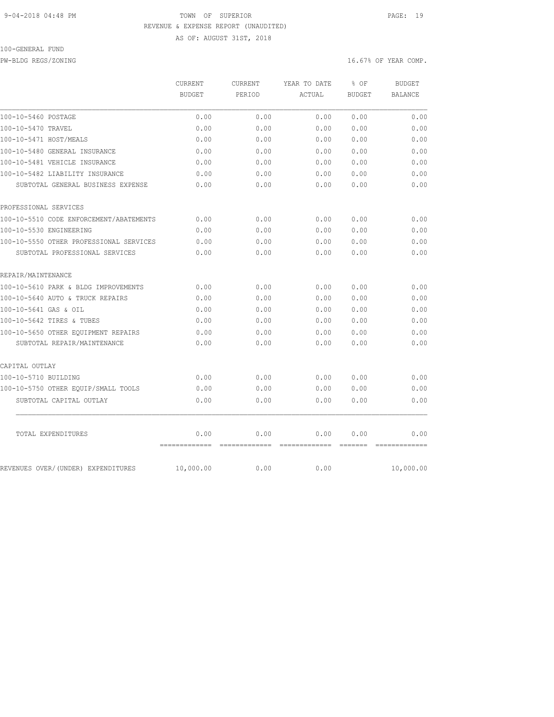### 9-04-2018 04:48 PM TOWN OF SUPERIOR PAGE: 19 REVENUE & EXPENSE REPORT (UNAUDITED)

AS OF: AUGUST 31ST, 2018

## 100-GENERAL FUND

PW-BLDG REGS/ZONING 16.67% OF YEAR COMP.

|                                         | CURRENT<br><b>BUDGET</b> | CURRENT<br>PERIOD      | YEAR TO DATE<br>ACTUAL | % OF<br><b>BUDGET</b>           | <b>BUDGET</b><br><b>BALANCE</b> |
|-----------------------------------------|--------------------------|------------------------|------------------------|---------------------------------|---------------------------------|
|                                         |                          |                        |                        |                                 |                                 |
| 100-10-5460 POSTAGE                     | 0.00                     | 0.00                   | 0.00                   | 0.00                            | 0.00                            |
| 100-10-5470 TRAVEL                      | 0.00                     | 0.00                   | 0.00                   | 0.00                            | 0.00                            |
| 100-10-5471 HOST/MEALS                  | 0.00                     | 0.00                   | 0.00                   | 0.00                            | 0.00                            |
| 100-10-5480 GENERAL INSURANCE           | 0.00                     | 0.00                   | 0.00                   | 0.00                            | 0.00                            |
| 100-10-5481 VEHICLE INSURANCE           | 0.00                     | 0.00                   | 0.00                   | 0.00                            | 0.00                            |
| 100-10-5482 LIABILITY INSURANCE         | 0.00                     | 0.00                   | 0.00                   | 0.00                            | 0.00                            |
| SUBTOTAL GENERAL BUSINESS EXPENSE       | 0.00                     | 0.00                   | 0.00                   | 0.00                            | 0.00                            |
| PROFESSIONAL SERVICES                   |                          |                        |                        |                                 |                                 |
| 100-10-5510 CODE ENFORCEMENT/ABATEMENTS | 0.00                     | 0.00                   | 0.00                   | 0.00                            | 0.00                            |
| 100-10-5530 ENGINEERING                 | 0.00                     | 0.00                   | 0.00                   | 0.00                            | 0.00                            |
| 100-10-5550 OTHER PROFESSIONAL SERVICES | 0.00                     | 0.00                   | 0.00                   | 0.00                            | 0.00                            |
| SUBTOTAL PROFESSIONAL SERVICES          | 0.00                     | 0.00                   | 0.00                   | 0.00                            | 0.00                            |
| REPAIR/MAINTENANCE                      |                          |                        |                        |                                 |                                 |
| 100-10-5610 PARK & BLDG IMPROVEMENTS    | 0.00                     | 0.00                   | 0.00                   | 0.00                            | 0.00                            |
| 100-10-5640 AUTO & TRUCK REPAIRS        | 0.00                     | 0.00                   | 0.00                   | 0.00                            | 0.00                            |
| 100-10-5641 GAS & OIL                   | 0.00                     | 0.00                   | 0.00                   | 0.00                            | 0.00                            |
| 100-10-5642 TIRES & TUBES               | 0.00                     | 0.00                   | 0.00                   | 0.00                            | 0.00                            |
| 100-10-5650 OTHER EOUIPMENT REPAIRS     | 0.00                     | 0.00                   | 0.00                   | 0.00                            | 0.00                            |
| SUBTOTAL REPAIR/MAINTENANCE             | 0.00                     | 0.00                   | 0.00                   | 0.00                            | 0.00                            |
| CAPITAL OUTLAY                          |                          |                        |                        |                                 |                                 |
| 100-10-5710 BUILDING                    | 0.00                     | 0.00                   | 0.00                   | 0.00                            | 0.00                            |
| 100-10-5750 OTHER EQUIP/SMALL TOOLS     | 0.00                     | 0.00                   | 0.00                   | 0.00                            | 0.00                            |
| SUBTOTAL CAPITAL OUTLAY                 | 0.00                     | 0.00                   | 0.00                   | 0.00                            | 0.00                            |
| TOTAL EXPENDITURES                      | 0.00<br>--------------   | 0.00<br>-------------- | 0.00<br>-------------- | 0.00<br>$=$ $=$ $=$ $=$ $=$ $=$ | 0.00                            |
| REVENUES OVER/(UNDER) EXPENDITURES      | 10,000.00                | 0.00                   | 0.00                   |                                 | 10,000.00                       |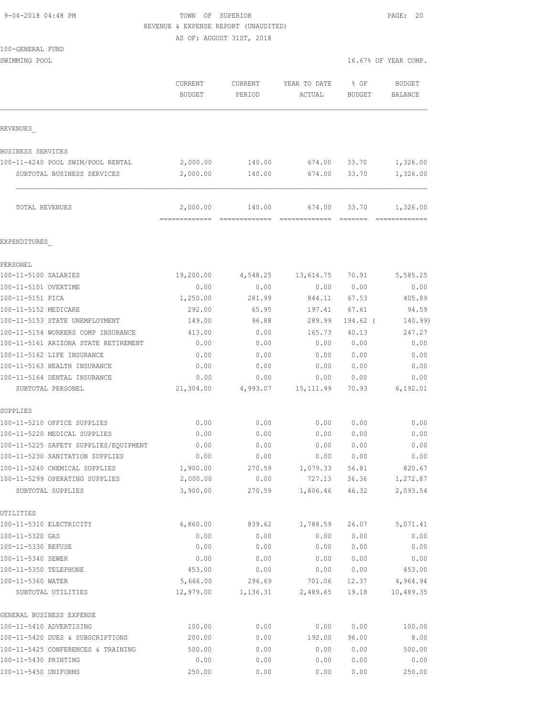| 9-04-2018 04:48 PM |  |
|--------------------|--|
|                    |  |

TOWN OF SUPERIOR **PAGE: 20** REVENUE & EXPENSE REPORT (UNAUDITED)

AS OF: AUGUST 31ST, 2018

| 100-GENERAL FUND |  |
|------------------|--|
|                  |  |

SWIMMING POOL 30 SWIMMING POOL

|                                                     | CURRENT<br><b>BUDGET</b>  | CURRENT<br>PERIOD                                                                                                                                                                                                                                                                                                                                                                                                                                                                                | YEAR TO DATE<br>ACTUAL  | % OF<br><b>BUDGET</b>                | <b>BUDGET</b><br>BALANCE   |
|-----------------------------------------------------|---------------------------|--------------------------------------------------------------------------------------------------------------------------------------------------------------------------------------------------------------------------------------------------------------------------------------------------------------------------------------------------------------------------------------------------------------------------------------------------------------------------------------------------|-------------------------|--------------------------------------|----------------------------|
| REVENUES                                            |                           |                                                                                                                                                                                                                                                                                                                                                                                                                                                                                                  |                         |                                      |                            |
| BUSINESS SERVICES                                   |                           |                                                                                                                                                                                                                                                                                                                                                                                                                                                                                                  |                         |                                      |                            |
| 100-11-4240 POOL SWIM/POOL RENTAL                   | 2,000.00                  | 140.00                                                                                                                                                                                                                                                                                                                                                                                                                                                                                           | 674.00                  | 33.70                                | 1,326.00                   |
| SUBTOTAL BUSINESS SERVICES                          | 2,000.00                  | 140.00                                                                                                                                                                                                                                                                                                                                                                                                                                                                                           | 674.00                  | 33.70                                | 1,326.00                   |
| TOTAL REVENUES                                      | 2,000.00<br>============= | 140.00<br>$\begin{array}{cccccccccccccc} \multicolumn{2}{c}{} & \multicolumn{2}{c}{} & \multicolumn{2}{c}{} & \multicolumn{2}{c}{} & \multicolumn{2}{c}{} & \multicolumn{2}{c}{} & \multicolumn{2}{c}{} & \multicolumn{2}{c}{} & \multicolumn{2}{c}{} & \multicolumn{2}{c}{} & \multicolumn{2}{c}{} & \multicolumn{2}{c}{} & \multicolumn{2}{c}{} & \multicolumn{2}{c}{} & \multicolumn{2}{c}{} & \multicolumn{2}{c}{} & \multicolumn{2}{c}{} & \multicolumn{2}{c}{} & \multicolumn{2}{c}{} & \$ | 674.00<br>============= | 33.70<br>$=$ $=$ $=$ $=$ $=$ $=$ $=$ | 1,326.00<br>-------------- |
| EXPENDITURES                                        |                           |                                                                                                                                                                                                                                                                                                                                                                                                                                                                                                  |                         |                                      |                            |
| PERSONEL                                            |                           |                                                                                                                                                                                                                                                                                                                                                                                                                                                                                                  |                         |                                      |                            |
| 100-11-5100 SALARIES                                | 19,200.00                 | 4,548.25                                                                                                                                                                                                                                                                                                                                                                                                                                                                                         | 13,614.75               | 70.91                                | 5,585.25                   |
| 100-11-5101 OVERTIME                                | 0.00                      | 0.00                                                                                                                                                                                                                                                                                                                                                                                                                                                                                             | 0.00                    | 0.00                                 | 0.00                       |
| 100-11-5151 FICA                                    | 1,250.00                  | 281.99                                                                                                                                                                                                                                                                                                                                                                                                                                                                                           | 844.11                  | 67.53                                | 405.89                     |
| 100-11-5152 MEDICARE                                | 292.00                    | 65.95                                                                                                                                                                                                                                                                                                                                                                                                                                                                                            | 197.41                  | 67.61                                | 94.59                      |
| 100-11-5153 STATE UNEMPLOYMENT                      | 149.00                    | 96.88                                                                                                                                                                                                                                                                                                                                                                                                                                                                                            | 289.99                  | 194.62 (                             | 140.99)                    |
| 100-11-5154 WORKERS COMP INSURANCE                  | 413.00                    | 0.00                                                                                                                                                                                                                                                                                                                                                                                                                                                                                             | 165.73                  | 40.13                                | 247.27                     |
| 100-11-5161 ARIZONA STATE RETIREMENT                | 0.00                      | 0.00                                                                                                                                                                                                                                                                                                                                                                                                                                                                                             | 0.00                    | 0.00                                 | 0.00                       |
| 100-11-5162 LIFE INSURANCE                          | 0.00                      | 0.00                                                                                                                                                                                                                                                                                                                                                                                                                                                                                             | 0.00                    | 0.00                                 | 0.00                       |
| 100-11-5163 HEALTH INSURANCE                        | 0.00                      | 0.00                                                                                                                                                                                                                                                                                                                                                                                                                                                                                             | 0.00                    | 0.00                                 | 0.00                       |
| 100-11-5164 DENTAL INSURANCE                        | 0.00                      | 0.00                                                                                                                                                                                                                                                                                                                                                                                                                                                                                             | 0.00                    | 0.00                                 | 0.00                       |
| SUBTOTAL PERSONEL                                   | 21,304.00                 | 4,993.07                                                                                                                                                                                                                                                                                                                                                                                                                                                                                         | 15, 111.99              | 70.93                                | 6, 192.01                  |
| SUPPLIES                                            |                           |                                                                                                                                                                                                                                                                                                                                                                                                                                                                                                  |                         |                                      |                            |
| 100-11-5210 OFFICE SUPPLIES                         | 0.00                      | 0.00                                                                                                                                                                                                                                                                                                                                                                                                                                                                                             | 0.00                    | 0.00                                 | 0.00                       |
| 100-11-5220 MEDICAL SUPPLIES                        | 0.00                      | 0.00                                                                                                                                                                                                                                                                                                                                                                                                                                                                                             | 0.00                    | 0.00                                 | 0.00                       |
| 100-11-5225 SAFETY SUPPLIES/EQUIPMENT               | 0.00                      | 0.00                                                                                                                                                                                                                                                                                                                                                                                                                                                                                             | 0.00                    | 0.00                                 | 0.00                       |
| 100-11-5230 SANITATION SUPPLIES                     | 0.00                      | 0.00                                                                                                                                                                                                                                                                                                                                                                                                                                                                                             | 0.00                    | 0.00                                 | 0.00                       |
| 100-11-5240 CHEMICAL SUPPLIES                       | 1,900.00                  | 270.59                                                                                                                                                                                                                                                                                                                                                                                                                                                                                           | 1,079.33                | 56.81                                | 820.67                     |
| 100-11-5299 OPERATING SUPPLIES<br>SUBTOTAL SUPPLIES | 2,000.00<br>3,900.00      | 0.00<br>270.59                                                                                                                                                                                                                                                                                                                                                                                                                                                                                   | 727.13<br>1,806.46      | 36.36<br>46.32                       | 1,272.87<br>2,093.54       |
| UTILITIES                                           |                           |                                                                                                                                                                                                                                                                                                                                                                                                                                                                                                  |                         |                                      |                            |
| 100-11-5310 ELECTRICITY                             | 6,860.00                  | 839.62                                                                                                                                                                                                                                                                                                                                                                                                                                                                                           | 1,788.59                | 26.07                                | 5,071.41                   |
| 100-11-5320 GAS                                     | 0.00                      | 0.00                                                                                                                                                                                                                                                                                                                                                                                                                                                                                             | 0.00                    | 0.00                                 | 0.00                       |
| 100-11-5330 REFUSE                                  | 0.00                      | 0.00                                                                                                                                                                                                                                                                                                                                                                                                                                                                                             | 0.00                    | 0.00                                 | 0.00                       |
| 100-11-5340 SEWER                                   | 0.00                      | 0.00                                                                                                                                                                                                                                                                                                                                                                                                                                                                                             | 0.00                    | 0.00                                 | 0.00                       |
| 100-11-5350 TELEPHONE                               | 453.00                    | 0.00                                                                                                                                                                                                                                                                                                                                                                                                                                                                                             | 0.00                    | 0.00                                 | 453.00                     |
| 100-11-5360 WATER                                   | 5,666.00                  | 296.69                                                                                                                                                                                                                                                                                                                                                                                                                                                                                           | 701.06                  | 12.37                                | 4,964.94                   |
| SUBTOTAL UTILITIES                                  | 12,979.00                 | 1,136.31                                                                                                                                                                                                                                                                                                                                                                                                                                                                                         | 2,489.65                | 19.18                                | 10,489.35                  |
| GENERAL BUSINESS EXPENSE                            |                           |                                                                                                                                                                                                                                                                                                                                                                                                                                                                                                  |                         |                                      |                            |
| 100-11-5410 ADVERTISING                             | 100.00                    | 0.00                                                                                                                                                                                                                                                                                                                                                                                                                                                                                             | 0.00                    | 0.00                                 | 100.00                     |
| 100-11-5420 DUES & SUBSCRIPTIONS                    | 200.00                    | 0.00                                                                                                                                                                                                                                                                                                                                                                                                                                                                                             | 192.00                  | 96.00                                | 8.00                       |
| 100-11-5425 CONFERENCES & TRAINING                  | 500.00                    | 0.00                                                                                                                                                                                                                                                                                                                                                                                                                                                                                             | 0.00                    | 0.00                                 | 500.00                     |
| 100-11-5430 PRINTING                                | 0.00                      | 0.00                                                                                                                                                                                                                                                                                                                                                                                                                                                                                             | 0.00                    | 0.00                                 | 0.00                       |
| 100-11-5450 UNIFORMS                                | 250.00                    | 0.00                                                                                                                                                                                                                                                                                                                                                                                                                                                                                             | 0.00                    | 0.00                                 | 250.00                     |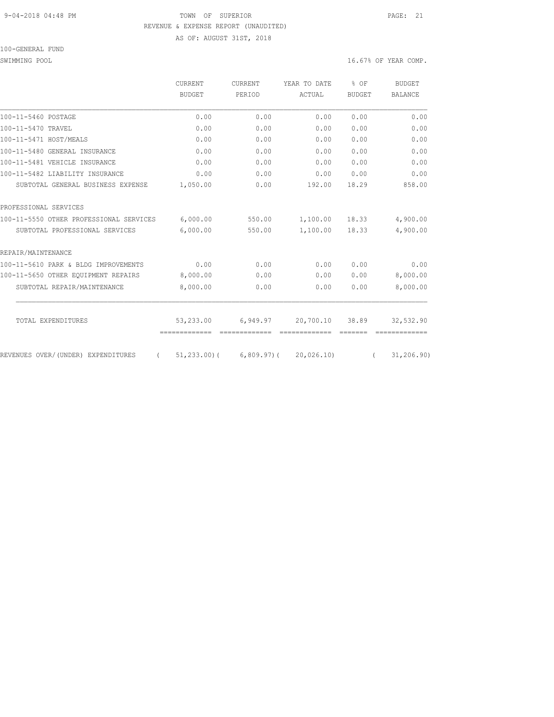### 9-04-2018 04:48 PM TOWN OF SUPERIOR PAGE: 21 REVENUE & EXPENSE REPORT (UNAUDITED) AS OF: AUGUST 31ST, 2018

100-GENERAL FUND

SWIMMING POOL 30 SWIMMING POOL

|                                                | CURRENT       | <b>CURRENT</b> | YEAR TO DATE | $8$ OF<br><b>BUDGET</b> | <b>BUDGET</b><br><b>BALANCE</b> |
|------------------------------------------------|---------------|----------------|--------------|-------------------------|---------------------------------|
|                                                | <b>BUDGET</b> | PERIOD         | ACTUAL       |                         |                                 |
| 100-11-5460 POSTAGE                            | 0.00          | 0.00           | 0.00         | 0.00                    | 0.00                            |
| 100-11-5470 TRAVEL                             | 0.00          | 0.00           | 0.00         | 0.00                    | 0.00                            |
| 100-11-5471 HOST/MEALS                         | 0.00          | 0.00           | 0.00         | 0.00                    | 0.00                            |
| 100-11-5480 GENERAL INSURANCE                  | 0.00          | 0.00           | 0.00         | 0.00                    | 0.00                            |
| 100-11-5481 VEHICLE INSURANCE                  | 0.00          | 0.00           | 0.00         | 0.00                    | 0.00                            |
| 100-11-5482 LIABILITY INSURANCE                | 0.00          | 0.00           | 0.00         | 0.00                    | 0.00                            |
| SUBTOTAL GENERAL BUSINESS EXPENSE              | 1,050.00      | 0.00           | 192.00       | 18.29                   | 858.00                          |
| PROFESSIONAL SERVICES                          |               |                |              |                         |                                 |
| 100-11-5550 OTHER PROFESSIONAL SERVICES        | 6,000.00      | 550.00         | 1,100.00     | 18.33                   | 4,900.00                        |
| SUBTOTAL PROFESSIONAL SERVICES                 | 6,000.00      | 550.00         | 1,100.00     | 18.33                   | 4,900.00                        |
| REPAIR/MAINTENANCE                             |               |                |              |                         |                                 |
| 100-11-5610 PARK & BLDG IMPROVEMENTS           | 0.00          | 0.00           | 0.00         | 0.00                    | 0.00                            |
| 100-11-5650 OTHER EOUIPMENT REPAIRS            | 8,000.00      | 0.00           | 0.00         | 0.00                    | 8,000.00                        |
| SUBTOTAL REPAIR/MAINTENANCE                    | 8,000.00      | 0.00           | 0.00         | 0.00                    | 8,000.00                        |
| TOTAL EXPENDITURES                             | 53,233.00     | 6,949.97       | 20,700.10    | 38.89                   | 32,532.90                       |
|                                                | ============= |                |              |                         |                                 |
| REVENUES OVER/(UNDER) EXPENDITURES<br>$\left($ | 51,233.00)(   | 6,809.97)(     | 20,026.10    | $\sqrt{2}$              | 31, 206.90                      |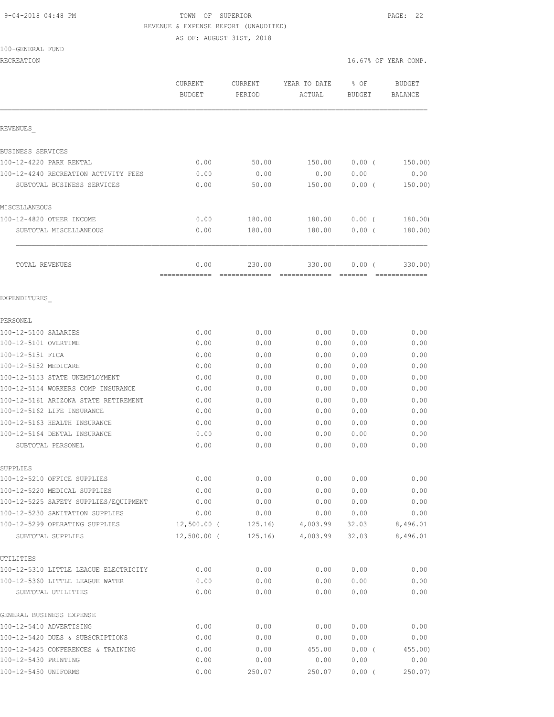## 9-04-2018 04:48 PM TOWN OF SUPERIOR PAGE: 22 REVENUE & EXPENSE REPORT (UNAUDITED)

AS OF: AUGUST 31ST, 2018

#### 100-GENERAL FUND

|                                                                       | CURRENT<br><b>BUDGET</b> | <b>CURRENT</b><br>PERIOD | YEAR TO DATE<br>ACTUAL | % OF<br><b>BUDGET</b>                                                        | <b>BUDGET</b><br><b>BALANCE</b> |
|-----------------------------------------------------------------------|--------------------------|--------------------------|------------------------|------------------------------------------------------------------------------|---------------------------------|
| REVENUES                                                              |                          |                          |                        |                                                                              |                                 |
| BUSINESS SERVICES                                                     |                          |                          |                        |                                                                              |                                 |
| 100-12-4220 PARK RENTAL                                               | 0.00                     | 50.00                    | 150.00                 | $0.00$ (                                                                     | 150.00)                         |
| 100-12-4240 RECREATION ACTIVITY FEES                                  | 0.00                     | 0.00                     | 0.00                   | 0.00                                                                         | 0.00                            |
| SUBTOTAL BUSINESS SERVICES                                            | 0.00                     | 50.00                    | 150.00                 | $0.00$ (                                                                     | 150.00)                         |
| MISCELLANEOUS                                                         |                          |                          |                        |                                                                              |                                 |
| 100-12-4820 OTHER INCOME                                              | 0.00                     | 180.00                   | 180.00                 | $0.00$ (                                                                     | 180.00)                         |
| SUBTOTAL MISCELLANEOUS                                                | 0.00                     | 180.00                   | 180.00                 | 0.00(                                                                        | 180.00)                         |
| TOTAL REVENUES                                                        | 0.00                     | 230.00<br>=============  | 330.00                 | $0.00$ (<br>$\qquad \qquad \equiv \equiv \equiv \equiv \equiv \equiv \equiv$ | 330.00)                         |
| EXPENDITURES                                                          |                          |                          |                        |                                                                              |                                 |
| PERSONEL                                                              |                          |                          |                        |                                                                              |                                 |
| 100-12-5100 SALARIES                                                  | 0.00                     | 0.00                     | 0.00                   | 0.00                                                                         | 0.00                            |
| 100-12-5101 OVERTIME                                                  | 0.00                     | 0.00                     | 0.00                   | 0.00                                                                         | 0.00                            |
| 100-12-5151 FICA                                                      | 0.00                     | 0.00                     | 0.00                   | 0.00                                                                         | 0.00                            |
| 100-12-5152 MEDICARE                                                  | 0.00                     | 0.00                     | 0.00                   | 0.00                                                                         | 0.00                            |
| 100-12-5153 STATE UNEMPLOYMENT                                        | 0.00                     | 0.00                     | 0.00                   | 0.00                                                                         | 0.00                            |
| 100-12-5154 WORKERS COMP INSURANCE                                    | 0.00                     | 0.00                     | 0.00                   | 0.00                                                                         | 0.00                            |
| 100-12-5161 ARIZONA STATE RETIREMENT                                  | 0.00                     | 0.00                     | 0.00                   | 0.00                                                                         | 0.00                            |
| 100-12-5162 LIFE INSURANCE                                            | 0.00                     | 0.00                     | 0.00                   | 0.00                                                                         | 0.00                            |
| 100-12-5163 HEALTH INSURANCE                                          | 0.00                     | 0.00                     | 0.00                   | 0.00                                                                         | 0.00                            |
| 100-12-5164 DENTAL INSURANCE                                          | 0.00                     | 0.00                     | 0.00                   | 0.00                                                                         | 0.00                            |
| SUBTOTAL PERSONEL                                                     | 0.00                     | 0.00                     | 0.00                   | 0.00                                                                         | 0.00                            |
| SUPPLIES                                                              |                          |                          |                        |                                                                              |                                 |
| 100-12-5210 OFFICE SUPPLIES                                           | 0.00                     | 0.00                     | 0.00                   | 0.00                                                                         | 0.00                            |
| 100-12-5220 MEDICAL SUPPLIES<br>100-12-5225 SAFETY SUPPLIES/EQUIPMENT | 0.00<br>0.00             | 0.00<br>0.00             | 0.00<br>0.00           | 0.00<br>0.00                                                                 | 0.00<br>0.00                    |
| 100-12-5230 SANITATION SUPPLIES                                       | 0.00                     | 0.00                     | 0.00                   | 0.00                                                                         | 0.00                            |
| 100-12-5299 OPERATING SUPPLIES                                        | $12,500.00$ (            | 125.16)                  | 4,003.99               | 32.03                                                                        | 8,496.01                        |
| SUBTOTAL SUPPLIES                                                     | $12,500.00$ (            | 125.16)                  | 4,003.99               | 32.03                                                                        | 8,496.01                        |
| UTILITIES                                                             |                          |                          |                        |                                                                              |                                 |
| 100-12-5310 LITTLE LEAGUE ELECTRICITY                                 | 0.00                     | 0.00                     | 0.00                   | 0.00                                                                         | 0.00                            |
| 100-12-5360 LITTLE LEAGUE WATER                                       | 0.00                     | 0.00                     | 0.00                   | 0.00                                                                         | 0.00                            |
| SUBTOTAL UTILITIES                                                    | 0.00                     | 0.00                     | 0.00                   | 0.00                                                                         | 0.00                            |
| GENERAL BUSINESS EXPENSE                                              |                          |                          |                        |                                                                              |                                 |
| 100-12-5410 ADVERTISING                                               | 0.00                     | 0.00                     | 0.00                   | 0.00                                                                         | 0.00                            |
| 100-12-5420 DUES & SUBSCRIPTIONS                                      | 0.00                     | 0.00                     | 0.00                   | 0.00                                                                         | 0.00                            |
| 100-12-5425 CONFERENCES & TRAINING                                    | 0.00                     | 0.00                     | 455.00                 | 0.00(                                                                        | $455.00$ )                      |
| 100-12-5430 PRINTING                                                  | 0.00                     | 0.00                     | 0.00                   | 0.00                                                                         | 0.00                            |
| 100-12-5450 UNIFORMS                                                  | 0.00                     | 250.07                   | 250.07                 | 0.00(                                                                        | $250.07$ )                      |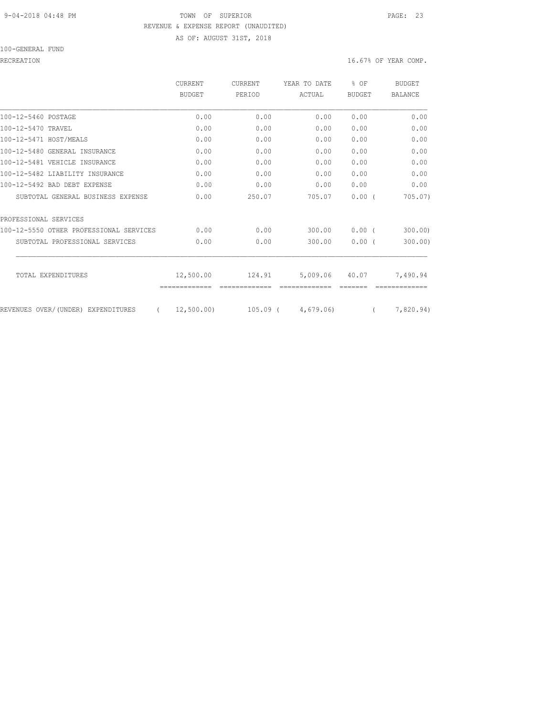#### 9-04-2018 04:48 PM TOWN OF SUPERIOR PAGE: 23 REVENUE & EXPENSE REPORT (UNAUDITED) AS OF: AUGUST 31ST, 2018

100-GENERAL FUND

|                                         | CURRENT<br>BUDGET | <b>CURRENT</b><br>PERIOD | YEAR TO DATE | % OF     | <b>BUDGET</b> |
|-----------------------------------------|-------------------|--------------------------|--------------|----------|---------------|
|                                         |                   |                          |              | ACTUAL   | <b>BUDGET</b> |
| 100-12-5460 POSTAGE                     | 0.00              | 0.00                     | 0.00         | 0.00     | 0.00          |
| 100-12-5470 TRAVEL                      | 0.00              | 0.00                     | 0.00         | 0.00     | 0.00          |
| 100-12-5471 HOST/MEALS                  | 0.00              | 0.00                     | 0.00         | 0.00     | 0.00          |
| 100-12-5480 GENERAL INSURANCE           | 0.00              | 0.00                     | 0.00         | 0.00     | 0.00          |
| 100-12-5481 VEHICLE INSURANCE           | 0.00              | 0.00                     | 0.00         | 0.00     | 0.00          |
| 100-12-5482 LIABILITY INSURANCE         | 0.00              | 0.00                     | 0.00         | 0.00     | 0.00          |
| 100-12-5492 BAD DEBT EXPENSE            | 0.00              | 0.00                     | 0.00         | 0.00     | 0.00          |
| SUBTOTAL GENERAL BUSINESS EXPENSE       | 0.00              | 250.07                   | 705.07       | 0.00(    | 705.07        |
| PROFESSIONAL SERVICES                   |                   |                          |              |          |               |
| 100-12-5550 OTHER PROFESSIONAL SERVICES | 0.00              | 0.00                     | 300.00       | $0.00$ ( | 300.00        |
| SUBTOTAL PROFESSIONAL SERVICES          | 0.00              | 0.00                     | 300.00       | 0.00(    | 300.00)       |
| TOTAL EXPENDITURES                      | 12,500.00         | 124.91                   | 5,009.06     | 40.07    | 7,490.94      |
|                                         | =============     |                          |              |          |               |
| REVENUES OVER/(UNDER) EXPENDITURES      | 12,500.00)        | $105.09$ (               | 4,679,06)    |          | 7,820.94)     |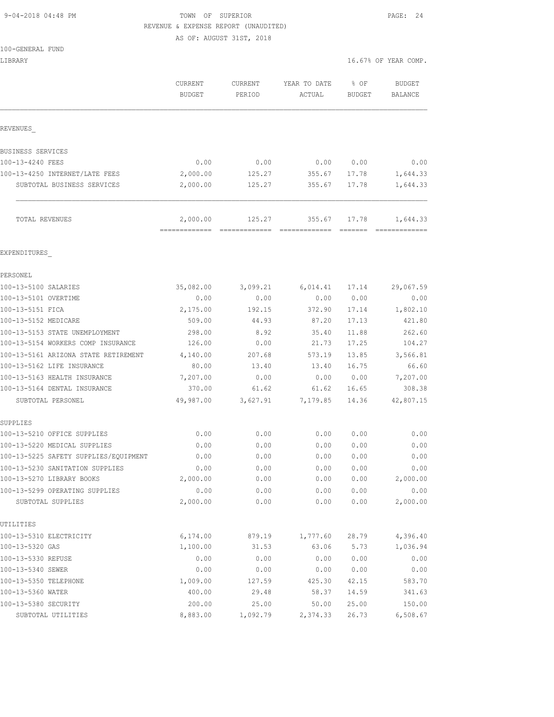### 9-04-2018 04:48 PM TOWN OF SUPERIOR PAGE: 24 REVENUE & EXPENSE REPORT (UNAUDITED)

AS OF: AUGUST 31ST, 2018

| 100-GENERAL FUND |  |
|------------------|--|
|------------------|--|

| LIBRARY                                             |                           |                       | 16.67% OF YEAR COMP.   |                |                          |
|-----------------------------------------------------|---------------------------|-----------------------|------------------------|----------------|--------------------------|
|                                                     | CURRENT<br><b>BUDGET</b>  | CURRENT<br>PERIOD     | YEAR TO DATE<br>ACTUAL | % OF<br>BUDGET | <b>BUDGET</b><br>BALANCE |
| REVENUES                                            |                           |                       |                        |                |                          |
| BUSINESS SERVICES                                   |                           |                       |                        |                |                          |
| 100-13-4240 FEES                                    | 0.00                      | 0.00                  | 0.00                   | 0.00           | 0.00                     |
| 100-13-4250 INTERNET/LATE FEES                      | 2,000.00                  | 125.27                | 355.67                 | 17.78          | 1,644.33                 |
| SUBTOTAL BUSINESS SERVICES                          | 2,000.00                  | 125.27                | 355.67                 | 17.78          | 1,644.33                 |
| TOTAL REVENUES                                      | 2,000.00<br>============= | 125.27<br>=========== | 355.67                 | 17.78          | 1,644.33                 |
| EXPENDITURES                                        |                           |                       |                        |                |                          |
| PERSONEL                                            |                           |                       |                        |                |                          |
| 100-13-5100 SALARIES                                | 35,082.00                 | 3,099.21              | 6,014.41               | 17.14          | 29,067.59                |
| 100-13-5101 OVERTIME                                | 0.00                      | 0.00                  | 0.00                   | 0.00           | 0.00                     |
| 100-13-5151 FICA                                    | 2,175.00                  | 192.15                | 372.90                 | 17.14          | 1,802.10                 |
| 100-13-5152 MEDICARE                                | 509.00                    | 44.93                 | 87.20                  | 17.13          | 421.80                   |
| 100-13-5153 STATE UNEMPLOYMENT                      | 298.00                    | 8.92                  | 35.40                  | 11.88          | 262.60                   |
| 100-13-5154 WORKERS COMP INSURANCE                  | 126.00                    | 0.00                  | 21.73                  | 17.25          | 104.27                   |
| 100-13-5161 ARIZONA STATE RETIREMENT                | 4,140.00                  | 207.68                | 573.19                 | 13.85          | 3,566.81                 |
| 100-13-5162 LIFE INSURANCE                          | 80.00                     | 13.40                 | 13.40                  | 16.75          | 66.60                    |
| 100-13-5163 HEALTH INSURANCE                        | 7,207.00                  | 0.00                  | 0.00                   | 0.00           | 7,207.00                 |
| 100-13-5164 DENTAL INSURANCE                        | 370.00                    | 61.62                 | 61.62                  | 16.65          | 308.38                   |
| SUBTOTAL PERSONEL                                   | 49,987.00                 | 3,627.91              | 7,179.85               | 14.36          | 42,807.15                |
| SUPPLIES                                            |                           |                       |                        |                |                          |
| 100-13-5210 OFFICE SUPPLIES                         | 0.00                      | 0.00                  | 0.00                   | 0.00           | 0.00                     |
| 100-13-5220 MEDICAL SUPPLIES                        | 0.00                      | 0.00                  | 0.00                   | 0.00           | 0.00                     |
| 100-13-5225 SAFETY SUPPLIES/EOUIPMENT               | 0.00                      | 0.00                  | 0.00                   | 0.00           | 0.00                     |
| 100-13-5230 SANITATION SUPPLIES                     | 0.00                      | 0.00                  | 0.00                   | 0.00           | 0.00                     |
| 100-13-5270 LIBRARY BOOKS                           | 2,000.00                  | 0.00                  | 0.00                   | 0.00           | 2,000.00                 |
| 100-13-5299 OPERATING SUPPLIES<br>SUBTOTAL SUPPLIES | 0.00<br>2,000.00          | 0.00<br>0.00          | 0.00<br>0.00           | 0.00<br>0.00   | 0.00<br>2,000.00         |
| UTILITIES                                           |                           |                       |                        |                |                          |
| 100-13-5310 ELECTRICITY                             | 6,174.00                  | 879.19                | 1,777.60               | 28.79          | 4,396.40                 |
| 100-13-5320 GAS                                     | 1,100.00                  | 31.53                 | 63.06                  | 5.73           | 1,036.94                 |
| 100-13-5330 REFUSE                                  | 0.00                      | 0.00                  | 0.00                   | 0.00           | 0.00                     |
| 100-13-5340 SEWER                                   | 0.00                      | 0.00                  | 0.00                   | 0.00           | 0.00                     |
| 100-13-5350 TELEPHONE                               | 1,009.00                  | 127.59                | 425.30                 | 42.15          | 583.70                   |
| 100-13-5360 WATER                                   | 400.00                    | 29.48                 | 58.37                  | 14.59          | 341.63                   |
| 100-13-5380 SECURITY                                | 200.00                    | 25.00                 | 50.00                  | 25.00          | 150.00                   |
| SUBTOTAL UTILITIES                                  | 8,883.00                  | 1,092.79              | 2,374.33               | 26.73          | 6,508.67                 |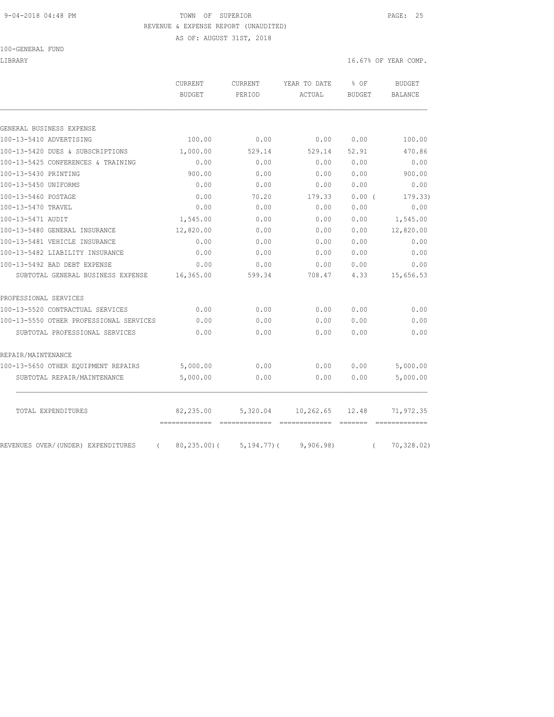### 9-04-2018 04:48 PM TOWN OF SUPERIOR PAGE: 25 REVENUE & EXPENSE REPORT (UNAUDITED)

AS OF: AUGUST 31ST, 2018

100-GENERAL FUND

LIBRARY 16.67% OF YEAR COMP.

|                                         | <b>CURRENT</b><br><b>BUDGET</b> | CURRENT<br>PERIOD | YEAR TO DATE<br>ACTUAL | % OF<br><b>BUDGET</b> | <b>BUDGET</b><br>BALANCE |
|-----------------------------------------|---------------------------------|-------------------|------------------------|-----------------------|--------------------------|
| GENERAL BUSINESS EXPENSE                |                                 |                   |                        |                       |                          |
| 100-13-5410 ADVERTISING                 | 100.00                          | 0.00              | 0.00                   | 0.00                  | 100.00                   |
| 100-13-5420 DUES & SUBSCRIPTIONS        | 1,000.00                        | 529.14            | 529.14                 | 52.91                 | 470.86                   |
| 100-13-5425 CONFERENCES & TRAINING      | 0.00                            | 0.00              | 0.00                   | 0.00                  | 0.00                     |
| 100-13-5430 PRINTING                    | 900.00                          | 0.00              | 0.00                   | 0.00                  | 900.00                   |
| 100-13-5450 UNIFORMS                    | 0.00                            | 0.00              | 0.00                   | 0.00                  | 0.00                     |
| 100-13-5460 POSTAGE                     | 0.00                            | 70.20             | 179.33                 | 0.00(                 | 179.33)                  |
| 100-13-5470 TRAVEL                      | 0.00                            | 0.00              | 0.00                   | 0.00                  | 0.00                     |
| 100-13-5471 AUDIT                       | 1,545.00                        | 0.00              | 0.00                   | 0.00                  | 1,545.00                 |
| 100-13-5480 GENERAL INSURANCE           | 12,820.00                       | 0.00              | 0.00                   | 0.00                  | 12,820.00                |
| 100-13-5481 VEHICLE INSURANCE           | 0.00                            | 0.00              | 0.00                   | 0.00                  | 0.00                     |
| 100-13-5482 LIABILITY INSURANCE         | 0.00                            | 0.00              | 0.00                   | 0.00                  | 0.00                     |
| 100-13-5492 BAD DEBT EXPENSE            | 0.00                            | 0.00              | 0.00                   | 0.00                  | 0.00                     |
| SUBTOTAL GENERAL BUSINESS EXPENSE       | 16,365.00                       | 599.34            | 708.47                 | 4.33                  | 15,656.53                |
| PROFESSIONAL SERVICES                   |                                 |                   |                        |                       |                          |
| 100-13-5520 CONTRACTUAL SERVICES        | 0.00                            | 0.00              | 0.00                   | 0.00                  | 0.00                     |
| 100-13-5550 OTHER PROFESSIONAL SERVICES | 0.00                            | 0.00              | 0.00                   | 0.00                  | 0.00                     |
| SUBTOTAL PROFESSIONAL SERVICES          | 0.00                            | 0.00              | 0.00                   | 0.00                  | 0.00                     |
| REPAIR/MAINTENANCE                      |                                 |                   |                        |                       |                          |
| 100-13-5650 OTHER EQUIPMENT REPAIRS     | 5,000.00                        | 0.00              | 0.00                   | 0.00                  | 5,000.00                 |
| SUBTOTAL REPAIR/MAINTENANCE             | 5,000.00                        | 0.00              | 0.00                   | 0.00                  | 5,000.00                 |
|                                         |                                 |                   |                        |                       |                          |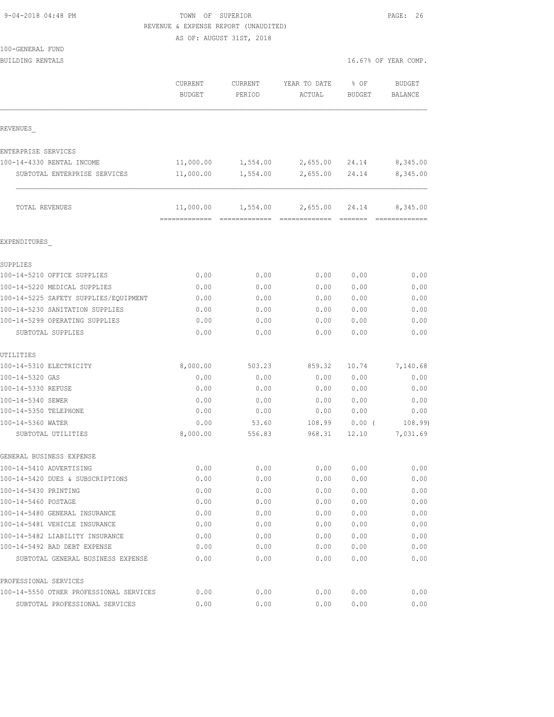| 9-04-2018 04:48 PM |  |
|--------------------|--|
|                    |  |

### TOWN OF SUPERIOR PAGE: 26 REVENUE & EXPENSE REPORT (UNAUDITED)

AS OF: AUGUST 31ST, 2018

| BUILDING RENTALS                        |                          |                   |                                           |                       | 16.67% OF YEAR COMP.      |
|-----------------------------------------|--------------------------|-------------------|-------------------------------------------|-----------------------|---------------------------|
|                                         | CURRENT<br><b>BUDGET</b> | CURRENT<br>PERIOD | YEAR TO DATE<br>ACTUAL                    | % OF<br><b>BUDGET</b> | <b>BUDGET</b><br>BALANCE  |
| REVENUES                                |                          |                   |                                           |                       |                           |
| ENTERPRISE SERVICES                     |                          |                   |                                           |                       |                           |
| 100-14-4330 RENTAL INCOME               | 11,000.00                | 1,554.00          | 2,655.00 24.14                            |                       | 8,345.00                  |
| SUBTOTAL ENTERPRISE SERVICES            | 11,000.00                | 1,554.00          | 2,655.00 24.14                            |                       | 8,345.00                  |
| TOTAL REVENUES                          |                          |                   | $11,000.00$ $1,554.00$ $2,655.00$ $24.14$ |                       | 8,345.00<br>============= |
| EXPENDITURES                            |                          |                   |                                           |                       |                           |
| SUPPLIES                                |                          |                   |                                           |                       |                           |
| 100-14-5210 OFFICE SUPPLIES             | 0.00                     | 0.00              | 0.00                                      | 0.00                  | 0.00                      |
| 100-14-5220 MEDICAL SUPPLIES            | 0.00                     | 0.00              | 0.00                                      | 0.00                  | 0.00                      |
| 100-14-5225 SAFETY SUPPLIES/EOUIPMENT   | 0.00                     | 0.00              | 0.00                                      | 0.00                  | 0.00                      |
| 100-14-5230 SANITATION SUPPLIES         | 0.00                     | 0.00              | 0.00                                      | 0.00                  | 0.00                      |
| 100-14-5299 OPERATING SUPPLIES          | 0.00                     | 0.00              | 0.00                                      | 0.00                  | 0.00                      |
| SUBTOTAL SUPPLIES                       | 0.00                     | 0.00              | 0.00                                      | 0.00                  | 0.00                      |
| UTILITIES                               |                          |                   |                                           |                       |                           |
| 100-14-5310 ELECTRICITY                 | 8,000.00                 | 503.23            | 859.32                                    | 10.74                 | 7,140.68                  |
| 100-14-5320 GAS                         | 0.00                     | 0.00              | 0.00                                      | 0.00                  | 0.00                      |
| 100-14-5330 REFUSE                      | 0.00                     | 0.00              | 0.00                                      | 0.00                  | 0.00                      |
| 100-14-5340 SEWER                       | 0.00                     | 0.00              | 0.00                                      | 0.00                  | 0.00                      |
| 100-14-5350 TELEPHONE                   | 0.00                     | 0.00              | 0.00                                      | 0.00                  | 0.00                      |
| 100-14-5360 WATER<br>SUBTOTAL UTILITIES | 0.00<br>8,000.00         | 53.60<br>556.83   | 108.99<br>968.31                          | $0.00$ (<br>12.10     | 108.99<br>7,031.69        |
| GENERAL BUSINESS EXPENSE                |                          |                   |                                           |                       |                           |
| 100-14-5410 ADVERTISING                 | 0.00                     | 0.00              | 0.00                                      | 0.00                  | 0.00                      |
| 100-14-5420 DUES & SUBSCRIPTIONS        | 0.00                     | 0.00              | 0.00                                      | 0.00                  | 0.00                      |
| 100-14-5430 PRINTING                    | 0.00                     | 0.00              | 0.00                                      | 0.00                  | 0.00                      |
| 100-14-5460 POSTAGE                     | 0.00                     | 0.00              | 0.00                                      | 0.00                  | 0.00                      |
| 100-14-5480 GENERAL INSURANCE           | 0.00                     | 0.00              | 0.00                                      | 0.00                  | 0.00                      |
| 100-14-5481 VEHICLE INSURANCE           | 0.00                     | 0.00              | 0.00                                      | 0.00                  | 0.00                      |
| 100-14-5482 LIABILITY INSURANCE         | 0.00                     | 0.00              | 0.00                                      | 0.00                  | 0.00                      |
| 100-14-5492 BAD DEBT EXPENSE            | 0.00                     | 0.00              | 0.00                                      | 0.00                  | 0.00                      |
| SUBTOTAL GENERAL BUSINESS EXPENSE       | 0.00                     | 0.00              | 0.00                                      | 0.00                  | 0.00                      |
| PROFESSIONAL SERVICES                   |                          |                   |                                           |                       |                           |
| 100-14-5550 OTHER PROFESSIONAL SERVICES | 0.00                     | 0.00              | 0.00                                      | 0.00                  | 0.00                      |
| SUBTOTAL PROFESSIONAL SERVICES          | 0.00                     | 0.00              | 0.00                                      | 0.00                  | 0.00                      |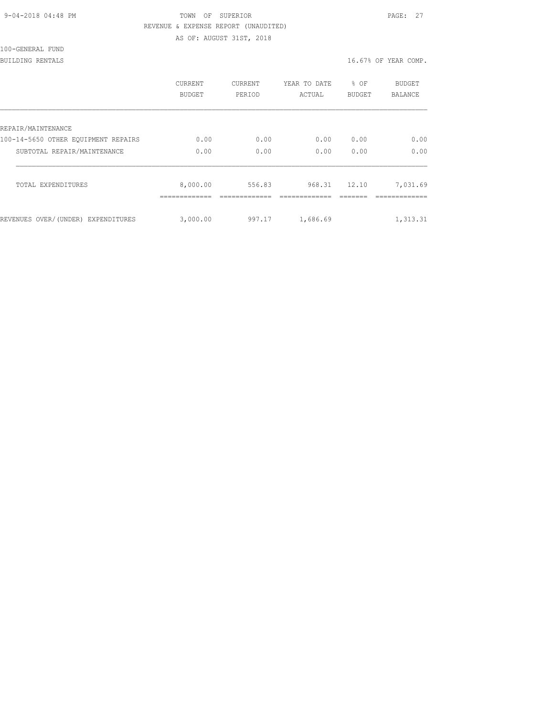| 9-04-2018 04:48 PM |  |
|--------------------|--|
|                    |  |

## TOWN OF SUPERIOR **PAGE:** 27 REVENUE & EXPENSE REPORT (UNAUDITED)

AS OF: AUGUST 31ST, 2018

| 100-GENERAL FUND |  |
|------------------|--|
|------------------|--|

BUILDING RENTALS 16.67% OF YEAR COMP.

|                                     | CURRENT<br><b>BUDGET</b> | <b>CURRENT</b><br>PERIOD | YEAR TO DATE<br>ACTUAL | g.<br>OF<br><b>BUDGET</b> | <b>BUDGET</b><br><b>BALANCE</b> |
|-------------------------------------|--------------------------|--------------------------|------------------------|---------------------------|---------------------------------|
| REPAIR/MAINTENANCE                  |                          |                          |                        |                           |                                 |
| 100-14-5650 OTHER EOUIPMENT REPAIRS | 0.00                     | 0.00                     | 0.00                   | 0.00                      | 0.00                            |
| SUBTOTAL REPAIR/MAINTENANCE         | 0.00                     | 0.00                     | 0.00                   | 0.00                      | 0.00                            |
| TOTAL EXPENDITURES                  | 8,000.00                 | 556.83                   | 968.31                 | 12.10                     | 7,031.69                        |
| REVENUES OVER/(UNDER) EXPENDITURES  | 3,000.00                 | 997.17                   | 1,686.69               |                           | 1,313.31                        |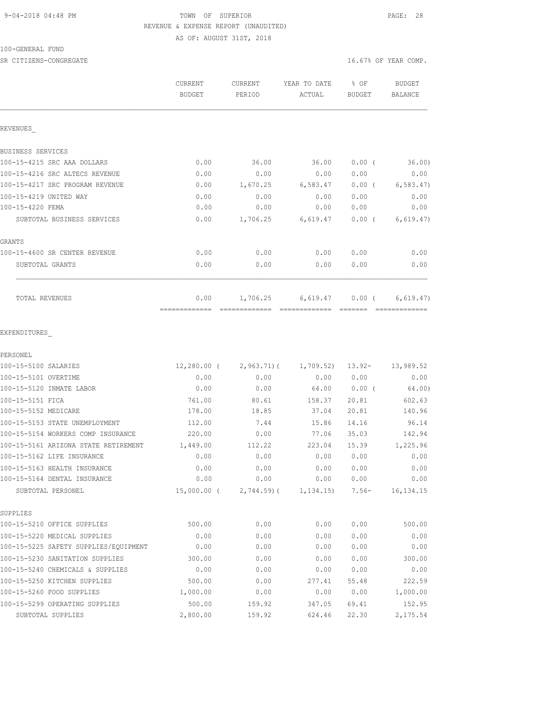## 9-04-2018 04:48 PM TOWN OF SUPERIOR PAGE: 28 REVENUE & EXPENSE REPORT (UNAUDITED)

AS OF: AUGUST 31ST, 2018

| 100-GENERAL FUND |  |
|------------------|--|
|------------------|--|

| SR CITIZENS-CONGREGATE               |                          |                   |                        |                  | 16.67% OF YEAR COMP.        |
|--------------------------------------|--------------------------|-------------------|------------------------|------------------|-----------------------------|
|                                      | CURRENT<br><b>BUDGET</b> | CURRENT<br>PERIOD | YEAR TO DATE<br>ACTUAL | % OF<br>BUDGET   | BUDGET<br><b>BALANCE</b>    |
| REVENUES                             |                          |                   |                        |                  |                             |
| BUSINESS SERVICES                    |                          |                   |                        |                  |                             |
| 100-15-4215 SRC AAA DOLLARS          | 0.00                     | 36.00             | 36.00                  | $0.00$ (         | 36.00)                      |
| 100-15-4216 SRC ALTECS REVENUE       | 0.00                     | 0.00              | 0.00                   | 0.00             | 0.00                        |
| 100-15-4217 SRC PROGRAM REVENUE      | 0.00                     | 1,670.25          | 6,583.47               | $0.00$ (         | 6,583.47                    |
| 100-15-4219 UNITED WAY               | 0.00                     | 0.00              | 0.00                   | 0.00             | 0.00                        |
| 100-15-4220 FEMA                     | 0.00                     | 0.00              | 0.00                   | 0.00             | 0.00                        |
| SUBTOTAL BUSINESS SERVICES           | 0.00                     | 1,706.25          | 6,619.47               | $0.00$ (         | 6, 619.47)                  |
| GRANTS                               |                          |                   |                        |                  |                             |
| 100-15-4600 SR CENTER REVENUE        | 0.00                     | 0.00              | 0.00                   | 0.00             | 0.00                        |
| SUBTOTAL GRANTS                      | 0.00                     | 0.00              | 0.00                   | 0.00             | 0.00                        |
| TOTAL REVENUES                       | 0.00                     | 1,706.25          | 6,619.47               | $0.00$ (         | 6,619.47)<br>-------------- |
| EXPENDITURES                         |                          |                   |                        |                  |                             |
| PERSONEL                             |                          |                   |                        |                  |                             |
| 100-15-5100 SALARIES                 | 12,280.00 (              | 2,963.71)(        |                        | 1,709.52) 13.92- | 13,989.52                   |
| 100-15-5101 OVERTIME                 | 0.00                     | 0.00              | 0.00                   | 0.00             | 0.00                        |
| 100-15-5120 INMATE LABOR             | 0.00                     | 0.00              | 64.00                  | $0.00$ (         | 64.00)                      |
| 100-15-5151 FICA                     | 761.00                   | 80.61             | 158.37                 | 20.81            | 602.63                      |
| 100-15-5152 MEDICARE                 | 178.00                   | 18.85             | 37.04                  | 20.81            | 140.96                      |
| 100-15-5153 STATE UNEMPLOYMENT       | 112.00                   | 7.44              | 15.86                  | 14.16            | 96.14                       |
| 100-15-5154 WORKERS COMP INSURANCE   | 220.00                   | 0.00              | 77.06                  | 35.03            | 142.94                      |
| 100-15-5161 ARIZONA STATE RETIREMENT | 1,449.00                 | 112.22            | 223.04                 | 15.39            | 1,225.96                    |
| 100-15-5162 LIFE INSURANCE           | 0.00                     | 0.00              | 0.00                   | 0.00             | 0.00                        |
| 100-15-5163 HEALTH INSURANCE         | 0.00                     | 0.00              | 0.00                   | 0.00             | 0.00                        |
| 100-15-5164 DENTAL INSURANCE         | 0.00                     | 0.00              | 0.00                   | 0.00             | 0.00                        |
| SUBTOTAL PERSONEL                    | 15,000.00 (              | $2,744.59$ (      | $1,134.15$ 7.56-       |                  | 16, 134. 15                 |
| SUPPLIES                             |                          |                   |                        |                  |                             |

SUPPI

| <b>SUPPLIES</b>                       |          |        |        |       |          |
|---------------------------------------|----------|--------|--------|-------|----------|
| 100-15-5210 OFFICE SUPPLIES           | 500.00   | 0.00   | 0.00   | 0.00  | 500.00   |
| 100-15-5220 MEDICAL SUPPLIES          | 0.00     | 0.00   | 0.00   | 0.00  | 0.00     |
| 100-15-5225 SAFETY SUPPLIES/EOUIPMENT | 0.00     | 0.00   | 0.00   | 0.00  | 0.00     |
| 100-15-5230 SANITATION SUPPLIES       | 300.00   | 0.00   | 0.00   | 0.00  | 300.00   |
| 100-15-5240 CHEMICALS & SUPPLIES      | 0.00     | 0.00   | 0.00   | 0.00  | 0.00     |
| 100-15-5250 KITCHEN SUPPLIES          | 500.00   | 0.00   | 277.41 | 55.48 | 222.59   |
| 100-15-5260 FOOD SUPPLIES             | 1,000.00 | 0.00   | 0.00   | 0.00  | 1,000.00 |
| 100-15-5299 OPERATING SUPPLIES        | 500.00   | 159.92 | 347.05 | 69.41 | 152.95   |
| SUBTOTAL SUPPLIES                     | 2,800.00 | 159.92 | 624.46 | 22.30 | 2,175.54 |
|                                       |          |        |        |       |          |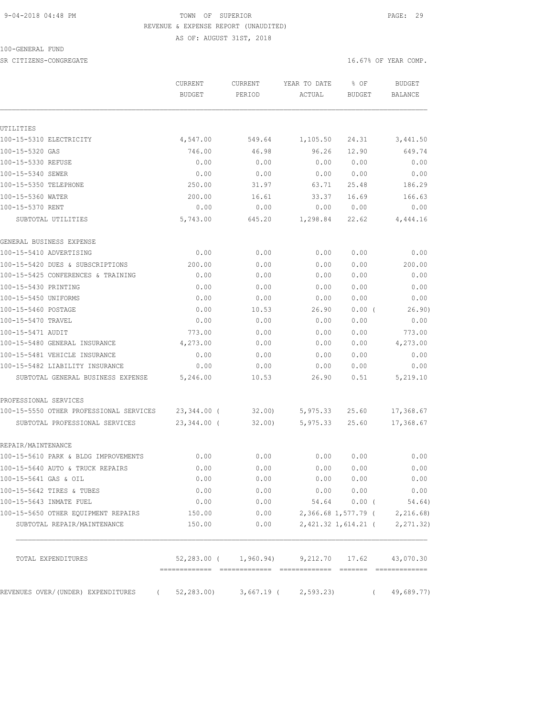#### 9-04-2018 04:48 PM TOWN OF SUPERIOR PAGE: 29 REVENUE & EXPENSE REPORT (UNAUDITED)

AS OF: AUGUST 31ST, 2018

100-GENERAL FUND

SR CITIZENS-CONGREGATE SERVICES AND RESOLUTION OF STRAINING AND RESOLUTION OF STRAINING OF STRAINING OF STRAIN ON THE SERVICES OF STRAINING OF STRAINING OF STRAINING OF STRAINING OF STRAINING OF STRAINING OF STRAINING OF S

|                                                | <b>CURRENT</b><br><b>BUDGET</b> | <b>CURRENT</b><br>PERIOD | YEAR TO DATE<br>ACTUAL                                                                                                                                                                                                                                                                                                                                                                                                                                                                 | % OF<br>BUDGET             |          | <b>BUDGET</b><br>BALANCE    |
|------------------------------------------------|---------------------------------|--------------------------|----------------------------------------------------------------------------------------------------------------------------------------------------------------------------------------------------------------------------------------------------------------------------------------------------------------------------------------------------------------------------------------------------------------------------------------------------------------------------------------|----------------------------|----------|-----------------------------|
|                                                |                                 |                          |                                                                                                                                                                                                                                                                                                                                                                                                                                                                                        |                            |          |                             |
| UTILITIES                                      |                                 |                          |                                                                                                                                                                                                                                                                                                                                                                                                                                                                                        |                            |          |                             |
| 100-15-5310 ELECTRICITY                        | 4,547.00                        | 549.64                   | 1,105.50                                                                                                                                                                                                                                                                                                                                                                                                                                                                               | 24.31                      |          | 3,441.50                    |
| 100-15-5320 GAS                                | 746.00                          | 46.98                    | 96.26                                                                                                                                                                                                                                                                                                                                                                                                                                                                                  | 12.90                      |          | 649.74                      |
| 100-15-5330 REFUSE                             | 0.00                            | 0.00                     | 0.00                                                                                                                                                                                                                                                                                                                                                                                                                                                                                   | 0.00                       |          | 0.00                        |
| 100-15-5340 SEWER                              | 0.00                            | 0.00                     | 0.00                                                                                                                                                                                                                                                                                                                                                                                                                                                                                   | 0.00                       |          | 0.00                        |
| 100-15-5350 TELEPHONE                          | 250.00                          | 31.97                    | 63.71                                                                                                                                                                                                                                                                                                                                                                                                                                                                                  | 25.48                      |          | 186.29                      |
| 100-15-5360 WATER                              | 200.00                          | 16.61                    | 33.37                                                                                                                                                                                                                                                                                                                                                                                                                                                                                  | 16.69                      |          | 166.63                      |
| 100-15-5370 RENT                               | 0.00                            | 0.00                     | 0.00                                                                                                                                                                                                                                                                                                                                                                                                                                                                                   | 0.00                       |          | 0.00                        |
| SUBTOTAL UTILITIES                             | 5,743.00                        | 645.20                   | 1,298.84                                                                                                                                                                                                                                                                                                                                                                                                                                                                               | 22.62                      |          | 4,444.16                    |
| GENERAL BUSINESS EXPENSE                       |                                 |                          |                                                                                                                                                                                                                                                                                                                                                                                                                                                                                        |                            |          |                             |
| 100-15-5410 ADVERTISING                        | 0.00                            | 0.00                     | 0.00                                                                                                                                                                                                                                                                                                                                                                                                                                                                                   | 0.00                       |          | 0.00                        |
| 100-15-5420 DUES & SUBSCRIPTIONS               | 200.00                          | 0.00                     | 0.00                                                                                                                                                                                                                                                                                                                                                                                                                                                                                   | 0.00                       |          | 200.00                      |
| 100-15-5425 CONFERENCES & TRAINING             | 0.00                            | 0.00                     | 0.00                                                                                                                                                                                                                                                                                                                                                                                                                                                                                   | 0.00                       |          | 0.00                        |
| 100-15-5430 PRINTING                           | 0.00                            | 0.00                     | 0.00                                                                                                                                                                                                                                                                                                                                                                                                                                                                                   | 0.00                       |          | 0.00                        |
| 100-15-5450 UNIFORMS                           | 0.00                            | 0.00                     | 0.00                                                                                                                                                                                                                                                                                                                                                                                                                                                                                   | 0.00                       |          | 0.00                        |
| 100-15-5460 POSTAGE                            | 0.00                            | 10.53                    | 26.90                                                                                                                                                                                                                                                                                                                                                                                                                                                                                  | $0.00$ (                   |          | 26.90)                      |
| 100-15-5470 TRAVEL                             | 0.00                            | 0.00                     | 0.00                                                                                                                                                                                                                                                                                                                                                                                                                                                                                   | 0.00                       |          | 0.00                        |
| 100-15-5471 AUDIT                              | 773.00                          | 0.00                     | 0.00                                                                                                                                                                                                                                                                                                                                                                                                                                                                                   | 0.00                       |          | 773.00                      |
| 100-15-5480 GENERAL INSURANCE                  | 4,273.00                        | 0.00                     | 0.00                                                                                                                                                                                                                                                                                                                                                                                                                                                                                   | 0.00                       |          | 4,273.00                    |
| 100-15-5481 VEHICLE INSURANCE                  | 0.00                            | 0.00                     | 0.00                                                                                                                                                                                                                                                                                                                                                                                                                                                                                   | 0.00                       |          | 0.00                        |
| 100-15-5482 LIABILITY INSURANCE                | 0.00                            | 0.00                     | 0.00                                                                                                                                                                                                                                                                                                                                                                                                                                                                                   | 0.00                       |          | 0.00                        |
| SUBTOTAL GENERAL BUSINESS EXPENSE              | 5,246.00                        | 10.53                    | 26.90                                                                                                                                                                                                                                                                                                                                                                                                                                                                                  | 0.51                       |          | 5,219.10                    |
| PROFESSIONAL SERVICES                          |                                 |                          |                                                                                                                                                                                                                                                                                                                                                                                                                                                                                        |                            |          |                             |
| 100-15-5550 OTHER PROFESSIONAL SERVICES        | 23,344.00 (                     | 32.00)                   | 5,975.33                                                                                                                                                                                                                                                                                                                                                                                                                                                                               | 25.60                      |          | 17,368.67                   |
| SUBTOTAL PROFESSIONAL SERVICES                 | $23,344.00$ (                   | 32.00                    | 5,975.33                                                                                                                                                                                                                                                                                                                                                                                                                                                                               | 25.60                      |          | 17,368.67                   |
| REPAIR/MAINTENANCE                             |                                 |                          |                                                                                                                                                                                                                                                                                                                                                                                                                                                                                        |                            |          |                             |
| 100-15-5610 PARK & BLDG IMPROVEMENTS           | 0.00                            | 0.00                     | 0.00                                                                                                                                                                                                                                                                                                                                                                                                                                                                                   | 0.00                       |          | 0.00                        |
| 100-15-5640 AUTO & TRUCK REPAIRS               | 0.00                            | 0.00                     | 0.00                                                                                                                                                                                                                                                                                                                                                                                                                                                                                   | 0.00                       |          | 0.00                        |
| 100-15-5641 GAS & OIL                          | 0.00                            | 0.00                     | 0.00                                                                                                                                                                                                                                                                                                                                                                                                                                                                                   | 0.00                       |          | 0.00                        |
| 100-15-5642 TIRES & TUBES                      | 0.00                            | 0.00                     | 0.00                                                                                                                                                                                                                                                                                                                                                                                                                                                                                   | 0.00                       |          | 0.00                        |
| 100-15-5643 INMATE FUEL                        | 0.00                            | 0.00                     | 54.64                                                                                                                                                                                                                                                                                                                                                                                                                                                                                  | $0.00$ (                   |          | 54.64)                      |
| 100-15-5650 OTHER EQUIPMENT REPAIRS            | 150.00                          | 0.00                     |                                                                                                                                                                                                                                                                                                                                                                                                                                                                                        | 2,366.68 1,577.79 (        |          | 2,216.68)                   |
| SUBTOTAL REPAIR/MAINTENANCE                    | 150.00                          | 0.00                     |                                                                                                                                                                                                                                                                                                                                                                                                                                                                                        | 2,421.32 1,614.21 (        |          | 2, 271.32)                  |
| TOTAL EXPENDITURES                             |                                 | 52,283.00 ( 1,960.94)    | $\begin{array}{cccccccccccccc} \multicolumn{2}{c}{} & \multicolumn{2}{c}{} & \multicolumn{2}{c}{} & \multicolumn{2}{c}{} & \multicolumn{2}{c}{} & \multicolumn{2}{c}{} & \multicolumn{2}{c}{} & \multicolumn{2}{c}{} & \multicolumn{2}{c}{} & \multicolumn{2}{c}{} & \multicolumn{2}{c}{} & \multicolumn{2}{c}{} & \multicolumn{2}{c}{} & \multicolumn{2}{c}{} & \multicolumn{2}{c}{} & \multicolumn{2}{c}{} & \multicolumn{2}{c}{} & \multicolumn{2}{c}{} & \multicolumn{2}{c}{} & \$ | 9,212.70 17.62<br>-------- |          | 43,070.30<br>-------------- |
| REVENUES OVER/(UNDER) EXPENDITURES<br>$\left($ | 52, 283.00                      | 3,667.19 (               | 2, 593.23                                                                                                                                                                                                                                                                                                                                                                                                                                                                              |                            | $\left($ | 49,689.77)                  |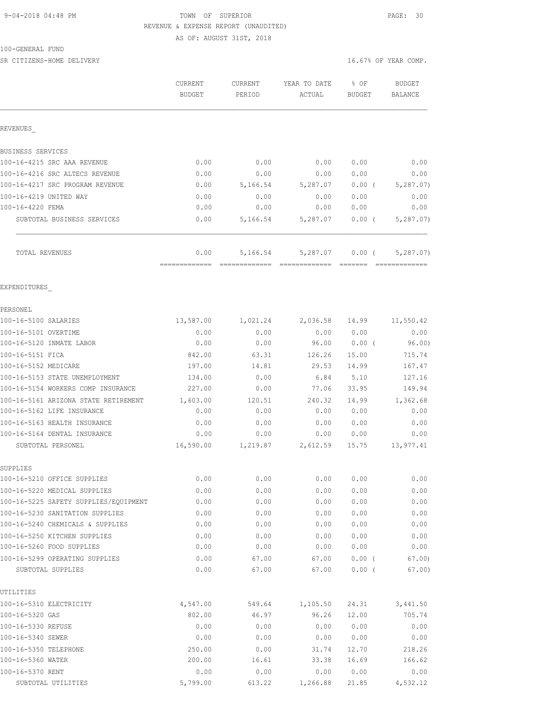## 9-04-2018 04:48 PM TOWN OF SUPERIOR PAGE: 30 REVENUE & EXPENSE REPORT (UNAUDITED)

AS OF: AUGUST 31ST, 2018

| 100-GENERAL<br>FUND |  |
|---------------------|--|
|---------------------|--|

SR CITIZENS-HOME DELIVERY **16.67%** OF YEAR COMP.

|                                                     | CURRENT<br><b>BUDGET</b> | CURRENT<br>PERIOD | YEAR TO DATE<br>ACTUAL | % OF<br>BUDGET       | <b>BUDGET</b><br>BALANCE |
|-----------------------------------------------------|--------------------------|-------------------|------------------------|----------------------|--------------------------|
| REVENUES                                            |                          |                   |                        |                      |                          |
| BUSINESS SERVICES                                   |                          |                   |                        |                      |                          |
| 100-16-4215 SRC AAA REVENUE                         | 0.00                     | 0.00              | 0.00                   | 0.00                 | 0.00                     |
| 100-16-4216 SRC ALTECS REVENUE                      | 0.00                     | 0.00              | 0.00                   | 0.00                 | 0.00                     |
| 100-16-4217 SRC PROGRAM REVENUE                     | 0.00                     | 5,166.54          | 5,287.07               | $0.00$ (             | 5, 287.07)               |
| 100-16-4219 UNITED WAY                              | 0.00                     | 0.00              | 0.00                   | 0.00                 | 0.00                     |
| 100-16-4220 FEMA                                    | 0.00                     | 0.00              | 0.00                   | 0.00                 | 0.00                     |
| SUBTOTAL BUSINESS SERVICES                          | 0.00                     | 5,166.54          | 5,287.07               | $0.00$ (             | 5, 287.07)               |
| TOTAL REVENUES                                      | 0.00                     | 5,166.54          | 5,287.07               | $0.00$ (             | 5, 287.07)               |
| EXPENDITURES                                        |                          |                   |                        |                      |                          |
| PERSONEL                                            |                          |                   |                        |                      |                          |
| 100-16-5100 SALARIES                                | 13,587.00                | 1,021.24          | 2,036.58               | 14.99                | 11,550.42                |
| 100-16-5101 OVERTIME                                | 0.00                     | 0.00              | 0.00                   | 0.00                 | 0.00                     |
| 100-16-5120 INMATE LABOR                            | 0.00                     | 0.00              | 96.00                  | 0.00(                | 96.00)                   |
| 100-16-5151 FICA                                    | 842.00                   | 63.31             | 126.26                 | 15.00                | 715.74                   |
| 100-16-5152 MEDICARE                                | 197.00                   | 14.81             | 29.53                  | 14.99                | 167.47                   |
| 100-16-5153 STATE UNEMPLOYMENT                      | 134.00                   | 0.00              | 6.84                   | 5.10                 | 127.16                   |
| 100-16-5154 WORKERS COMP INSURANCE                  | 227.00                   | 0.00              | 77.06                  | 33.95                | 149.94                   |
| 100-16-5161 ARIZONA STATE RETIREMENT                | 1,603.00                 | 120.51            | 240.32                 | 14.99                | 1,362.68                 |
| 100-16-5162 LIFE INSURANCE                          | 0.00                     | 0.00              | 0.00                   | 0.00                 | 0.00                     |
| 100-16-5163 HEALTH INSURANCE                        | 0.00                     | 0.00              | 0.00                   | 0.00                 | 0.00                     |
| 100-16-5164 DENTAL INSURANCE                        | 0.00                     | 0.00              | 0.00                   | 0.00                 | 0.00                     |
| SUBTOTAL PERSONEL                                   | 16,590.00                | 1,219.87          | 2,612.59               | 15.75                | 13,977.41                |
| SUPPLIES                                            |                          |                   |                        |                      |                          |
| 100-16-5210 OFFICE SUPPLIES                         | 0.00                     | 0.00              | 0.00                   | 0.00                 | 0.00                     |
| 100-16-5220 MEDICAL SUPPLIES                        | 0.00                     | 0.00              | 0.00                   | 0.00                 | 0.00                     |
| 100-16-5225 SAFETY SUPPLIES/EQUIPMENT               | 0.00                     | 0.00              | 0.00                   | 0.00                 | 0.00                     |
| 100-16-5230 SANITATION SUPPLIES                     | 0.00                     | 0.00              | 0.00                   | 0.00                 | 0.00                     |
| 100-16-5240 CHEMICALS & SUPPLIES                    | 0.00                     | 0.00              | 0.00                   | 0.00                 | 0.00                     |
| 100-16-5250 KITCHEN SUPPLIES                        | 0.00                     | 0.00              | 0.00                   | 0.00                 | 0.00                     |
| 100-16-5260 FOOD SUPPLIES                           | 0.00                     | 0.00              | 0.00                   | 0.00                 | 0.00                     |
| 100-16-5299 OPERATING SUPPLIES<br>SUBTOTAL SUPPLIES | 0.00<br>0.00             | 67.00<br>67.00    | 67.00<br>67.00         | $0.00$ (<br>$0.00$ ( | 67.00)<br>67.00          |
| UTILITIES                                           |                          |                   |                        |                      |                          |
| 100-16-5310 ELECTRICITY                             | 4,547.00                 | 549.64            | 1,105.50               | 24.31                | 3,441.50                 |
| 100-16-5320 GAS                                     | 802.00                   | 46.97             | 96.26                  | 12.00                | 705.74                   |
| 100-16-5330 REFUSE                                  | 0.00                     | 0.00              | 0.00                   | 0.00                 | 0.00                     |
| 100-16-5340 SEWER                                   | 0.00                     | 0.00              | 0.00                   | 0.00                 | 0.00                     |
| 100-16-5350 TELEPHONE                               | 250.00                   | 0.00              | 31.74                  | 12.70                | 218.26                   |

100-16-5360 WATER 200.00 16.61 33.38 16.69 166.62 100-16-5370 RENT 0.00 0.00 0.00 0.00 0.00 SUBTOTAL UTILITIES 5,799.00 613.22 1,266.88 21.85 4,532.12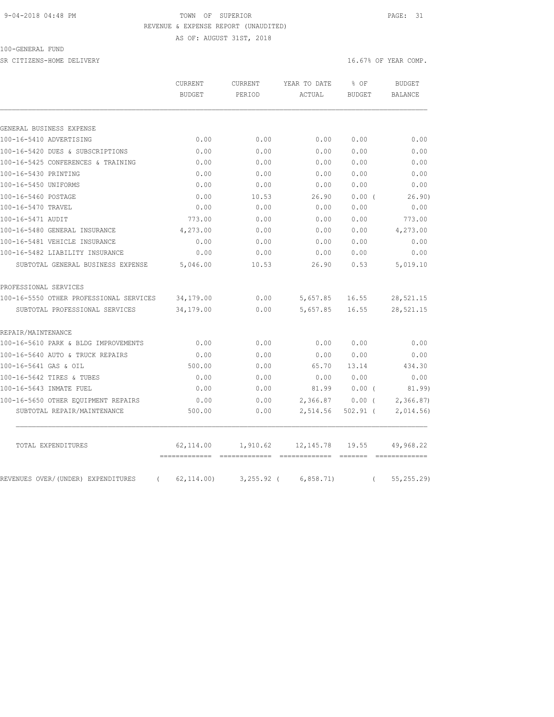### 9-04-2018 04:48 PM TOWN OF SUPERIOR PAGE: 31 REVENUE & EXPENSE REPORT (UNAUDITED)

AS OF: AUGUST 31ST, 2018

100-GENERAL FUND

SR CITIZENS-HOME DELIVERY **16.67%** OF YEAR COMP.

|                                                | CURRENT       |              |           | CURRENT       | YEAR TO DATE | % OF | <b>BUDGET</b> |
|------------------------------------------------|---------------|--------------|-----------|---------------|--------------|------|---------------|
|                                                | <b>BUDGET</b> | PERIOD       | ACTUAL    | <b>BUDGET</b> | BALANCE      |      |               |
|                                                |               |              |           |               |              |      |               |
| GENERAL BUSINESS EXPENSE                       |               |              |           |               |              |      |               |
| 100-16-5410 ADVERTISING                        | 0.00          | 0.00         | 0.00      | 0.00          | 0.00         |      |               |
| 100-16-5420 DUES & SUBSCRIPTIONS               | 0.00          | 0.00         | 0.00      | 0.00          | 0.00         |      |               |
| 100-16-5425 CONFERENCES & TRAINING             | 0.00          | 0.00         | 0.00      | 0.00          | 0.00         |      |               |
| 100-16-5430 PRINTING                           | 0.00          | 0.00         | 0.00      | 0.00          | 0.00         |      |               |
| 100-16-5450 UNIFORMS                           | 0.00          | 0.00         | 0.00      | 0.00          | 0.00         |      |               |
| 100-16-5460 POSTAGE                            | 0.00          | 10.53        | 26.90     | 0.00(         | 26.90)       |      |               |
| 100-16-5470 TRAVEL                             | 0.00          | 0.00         | 0.00      | 0.00          | 0.00         |      |               |
| 100-16-5471 AUDIT                              | 773.00        | 0.00         | 0.00      | 0.00          | 773.00       |      |               |
| 100-16-5480 GENERAL INSURANCE                  | 4,273.00      | 0.00         | 0.00      | 0.00          | 4,273.00     |      |               |
| 100-16-5481 VEHICLE INSURANCE                  | 0.00          | 0.00         | 0.00      | 0.00          | 0.00         |      |               |
| 100-16-5482 LIABILITY INSURANCE                | 0.00          | 0.00         | 0.00      | 0.00          | 0.00         |      |               |
| SUBTOTAL GENERAL BUSINESS EXPENSE              | 5,046.00      | 10.53        | 26.90     | 0.53          | 5,019.10     |      |               |
| PROFESSIONAL SERVICES                          |               |              |           |               |              |      |               |
| 100-16-5550 OTHER PROFESSIONAL SERVICES        | 34,179.00     | 0.00         | 5,657.85  | 16.55         | 28,521.15    |      |               |
| SUBTOTAL PROFESSIONAL SERVICES                 | 34,179.00     | 0.00         | 5,657.85  | 16.55         | 28,521.15    |      |               |
| REPAIR/MAINTENANCE                             |               |              |           |               |              |      |               |
| 100-16-5610 PARK & BLDG IMPROVEMENTS           | 0.00          | 0.00         | 0.00      | 0.00          | 0.00         |      |               |
| 100-16-5640 AUTO & TRUCK REPAIRS               | 0.00          | 0.00         | 0.00      | 0.00          | 0.00         |      |               |
| 100-16-5641 GAS & OIL                          | 500.00        | 0.00         | 65.70     | 13.14         | 434.30       |      |               |
| 100-16-5642 TIRES & TUBES                      | 0.00          | 0.00         | 0.00      | 0.00          | 0.00         |      |               |
| 100-16-5643 INMATE FUEL                        | 0.00          | 0.00         | 81.99     | 0.00(         | 81.99)       |      |               |
| 100-16-5650 OTHER EQUIPMENT REPAIRS            | 0.00          | 0.00         | 2,366.87  | $0.00$ (      | 2,366.87     |      |               |
| SUBTOTAL REPAIR/MAINTENANCE                    | 500.00        | 0.00         | 2,514.56  | $502.91$ (    | 2,014.56     |      |               |
| TOTAL EXPENDITURES                             | 62,114.00     | 1,910.62     | 12,145.78 | 19.55         | 49,968.22    |      |               |
|                                                |               |              |           |               |              |      |               |
| REVENUES OVER/(UNDER) EXPENDITURES<br>$\left($ | 62, 114.00    | $3,255.92$ ( | 6,858.71) | $\left($      | 55, 255.29   |      |               |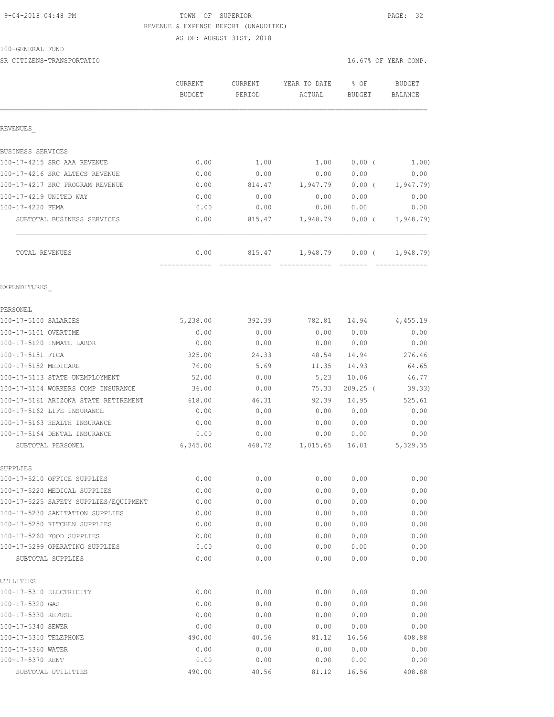## 9-04-2018 04:48 PM TOWN OF SUPERIOR PAGE: 32 REVENUE & EXPENSE REPORT (UNAUDITED)

AS OF: AUGUST 31ST, 2018

| 100-GENERAL FUND |  |
|------------------|--|
|------------------|--|

SR CITIZENS-TRANSPORTATIO 
settled that the computation of the computation of the computation of the computation of the computation of the computation of the computation of the computation of the computation of the computa

|                                                                 | CURRENT<br><b>BUDGET</b> | CURRENT<br>PERIOD | YEAR TO DATE<br>ACTUAL | % OF<br><b>BUDGET</b> | <b>BUDGET</b><br>BALANCE |
|-----------------------------------------------------------------|--------------------------|-------------------|------------------------|-----------------------|--------------------------|
| REVENUES                                                        |                          |                   |                        |                       |                          |
| BUSINESS SERVICES                                               |                          |                   |                        |                       |                          |
| 100-17-4215 SRC AAA REVENUE                                     | 0.00                     | 1.00              | 1.00                   | 0.00(                 | 1.00)                    |
| 100-17-4216 SRC ALTECS REVENUE                                  | 0.00                     | 0.00              | 0.00                   | 0.00                  | 0.00                     |
| 100-17-4217 SRC PROGRAM REVENUE                                 | 0.00                     | 814.47            | 1,947.79               | $0.00$ (              | 1, 947.79                |
| 100-17-4219 UNITED WAY                                          | 0.00                     | 0.00              | 0.00                   | 0.00                  | 0.00                     |
| 100-17-4220 FEMA                                                | 0.00                     | 0.00              | 0.00                   | 0.00                  | 0.00                     |
| SUBTOTAL BUSINESS SERVICES                                      | 0.00                     | 815.47            | 1,948.79               | $0.00$ (              | 1,948.79                 |
| TOTAL REVENUES                                                  | 0.00                     | 815.47            | 1,948.79               | $0.00$ (              | 1,948.79)                |
| EXPENDITURES                                                    |                          |                   |                        |                       |                          |
| PERSONEL                                                        |                          |                   |                        |                       |                          |
| 100-17-5100 SALARIES                                            | 5,238.00                 | 392.39            | 782.81                 | 14.94                 | 4,455.19                 |
| 100-17-5101 OVERTIME                                            | 0.00                     | 0.00              | 0.00                   | 0.00                  | 0.00                     |
| 100-17-5120 INMATE LABOR                                        | 0.00                     | 0.00              | 0.00                   | 0.00                  | 0.00                     |
| 100-17-5151 FICA                                                | 325.00                   | 24.33             | 48.54                  | 14.94                 | 276.46                   |
| 100-17-5152 MEDICARE                                            | 76.00                    | 5.69              | 11.35                  | 14.93                 | 64.65                    |
| 100-17-5153 STATE UNEMPLOYMENT                                  | 52.00                    | 0.00              | 5.23                   | 10.06                 | 46.77                    |
| 100-17-5154 WORKERS COMP INSURANCE                              | 36.00                    | 0.00              | 75.33                  | $209.25$ (            | 39.33)                   |
| 100-17-5161 ARIZONA STATE RETIREMENT                            | 618.00                   | 46.31             | 92.39                  | 14.95                 | 525.61                   |
| 100-17-5162 LIFE INSURANCE                                      | 0.00                     | 0.00              | 0.00                   | 0.00                  | 0.00                     |
| 100-17-5163 HEALTH INSURANCE                                    | 0.00                     | 0.00              | 0.00                   | 0.00                  | 0.00                     |
| 100-17-5164 DENTAL INSURANCE                                    | 0.00                     | 0.00              | 0.00                   | 0.00                  | 0.00                     |
| SUBTOTAL PERSONEL                                               | 6,345.00                 | 468.72            | 1,015.65               | 16.01                 | 5,329.35                 |
| SUPPLIES                                                        |                          |                   |                        |                       |                          |
| 100-17-5210 OFFICE SUPPLIES                                     | 0.00                     | 0.00              | 0.00                   | 0.00                  | 0.00                     |
| 100-17-5220 MEDICAL SUPPLIES                                    | 0.00                     | 0.00              | 0.00                   | 0.00                  | 0.00                     |
| 100-17-5225 SAFETY SUPPLIES/EQUIPMENT                           | 0.00                     | 0.00              | 0.00                   | 0.00                  | 0.00                     |
| 100-17-5230 SANITATION SUPPLIES<br>100-17-5250 KITCHEN SUPPLIES | 0.00                     | 0.00              | 0.00<br>0.00           | 0.00                  | 0.00                     |
|                                                                 | 0.00                     | 0.00              |                        | 0.00                  | 0.00                     |
| 100-17-5260 FOOD SUPPLIES<br>100-17-5299 OPERATING SUPPLIES     | 0.00<br>0.00             | 0.00<br>0.00      | 0.00<br>0.00           | 0.00<br>0.00          | 0.00<br>0.00             |
| SUBTOTAL SUPPLIES                                               | 0.00                     | 0.00              | 0.00                   | 0.00                  | 0.00                     |
| UTILITIES                                                       |                          |                   |                        |                       |                          |
| 100-17-5310 ELECTRICITY                                         | 0.00                     | 0.00              | 0.00                   | 0.00                  | 0.00                     |
| 100-17-5320 GAS                                                 | 0.00                     | 0.00              | 0.00                   | 0.00                  | 0.00                     |
| 100-17-5330 REFUSE                                              | 0.00                     | 0.00              | 0.00                   | 0.00                  | 0.00                     |
| 100-17-5340 SEWER                                               | 0.00                     | 0.00              | 0.00                   | 0.00                  | 0.00                     |
| 100-17-5350 TELEPHONE                                           | 490.00                   | 40.56             | 81.12                  | 16.56                 | 408.88                   |
| 100-17-5360 WATER                                               | 0.00                     | 0.00              | 0.00                   | 0.00                  | 0.00                     |
| 100-17-5370 RENT                                                | 0.00                     | 0.00              | 0.00                   | 0.00                  | 0.00                     |
| SUBTOTAL UTILITIES                                              | 490.00                   | 40.56             | 81.12                  | 16.56                 | 408.88                   |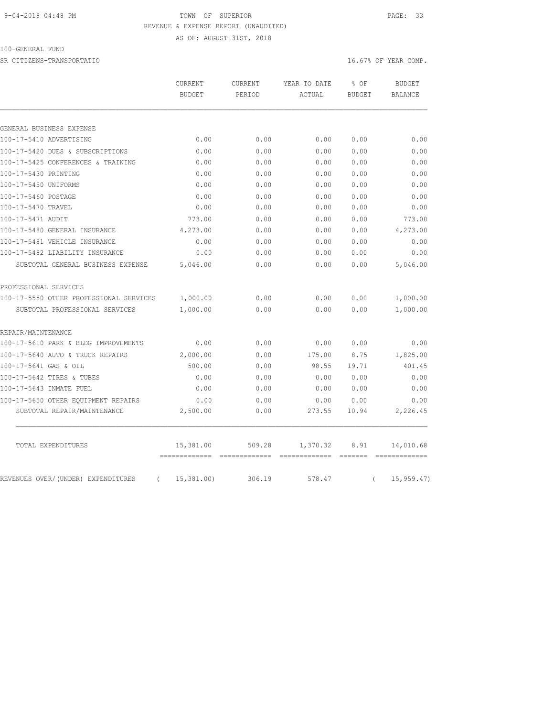### 9-04-2018 04:48 PM TOWN OF SUPERIOR PAGE: 33 REVENUE & EXPENSE REPORT (UNAUDITED) AS OF: AUGUST 31ST, 2018

100-GENERAL FUND

SR CITIZENS-TRANSPORTATIO 
settled that the computation of the computation of the computation of the computation of the computation of the computation of the computation of the computation of the computation of the computa

|                                                | CURRENT<br><b>BUDGET</b> | CURRENT<br>PERIOD | YEAR TO DATE<br>ACTUAL | % OF<br><b>BUDGET</b> | <b>BUDGET</b><br><b>BALANCE</b> |
|------------------------------------------------|--------------------------|-------------------|------------------------|-----------------------|---------------------------------|
|                                                |                          |                   |                        |                       |                                 |
| GENERAL BUSINESS EXPENSE                       |                          |                   |                        |                       |                                 |
| 100-17-5410 ADVERTISING                        | 0.00                     | 0.00              | 0.00                   | 0.00                  | 0.00                            |
| 100-17-5420 DUES & SUBSCRIPTIONS               | 0.00                     | 0.00              | 0.00                   | 0.00                  | 0.00                            |
| 100-17-5425 CONFERENCES & TRAINING             | 0.00                     | 0.00              | 0.00                   | 0.00                  | 0.00                            |
| 100-17-5430 PRINTING                           | 0.00                     | 0.00              | 0.00                   | 0.00                  | 0.00                            |
| 100-17-5450 UNIFORMS                           | 0.00                     | 0.00              | 0.00                   | 0.00                  | 0.00                            |
| 100-17-5460 POSTAGE                            | 0.00                     | 0.00              | 0.00                   | 0.00                  | 0.00                            |
| 100-17-5470 TRAVEL                             | 0.00                     | 0.00              | 0.00                   | 0.00                  | 0.00                            |
| 100-17-5471 AUDIT                              | 773.00                   | 0.00              | 0.00                   | 0.00                  | 773.00                          |
| 100-17-5480 GENERAL INSURANCE                  | 4,273.00                 | 0.00              | 0.00                   | 0.00                  | 4,273.00                        |
| 100-17-5481 VEHICLE INSURANCE                  | 0.00                     | 0.00              | 0.00                   | 0.00                  | 0.00                            |
| 100-17-5482 LIABILITY INSURANCE                | 0.00                     | 0.00              | 0.00                   | 0.00                  | 0.00                            |
| SUBTOTAL GENERAL BUSINESS EXPENSE              | 5,046.00                 | 0.00              | 0.00                   | 0.00                  | 5,046.00                        |
| PROFESSIONAL SERVICES                          |                          |                   |                        |                       |                                 |
| 100-17-5550 OTHER PROFESSIONAL SERVICES        | 1,000.00                 | 0.00              | 0.00                   | 0.00                  | 1,000.00                        |
| SUBTOTAL PROFESSIONAL SERVICES                 | 1,000.00                 | 0.00              | 0.00                   | 0.00                  | 1,000.00                        |
| REPAIR/MAINTENANCE                             |                          |                   |                        |                       |                                 |
| 100-17-5610 PARK & BLDG IMPROVEMENTS           | 0.00                     | 0.00              | 0.00                   | 0.00                  | 0.00                            |
| 100-17-5640 AUTO & TRUCK REPAIRS               | 2,000.00                 | 0.00              | 175.00                 | 8.75                  | 1,825.00                        |
| 100-17-5641 GAS & OIL                          | 500.00                   | 0.00              | 98.55                  | 19.71                 | 401.45                          |
| 100-17-5642 TIRES & TUBES                      | 0.00                     | 0.00              | 0.00                   | 0.00                  | 0.00                            |
| 100-17-5643 INMATE FUEL                        | 0.00                     | 0.00              | 0.00                   | 0.00                  | 0.00                            |
| 100-17-5650 OTHER EQUIPMENT REPAIRS            | 0.00                     | 0.00              | 0.00                   | 0.00                  | 0.00                            |
| SUBTOTAL REPAIR/MAINTENANCE                    | 2,500.00                 | 0.00              | 273.55                 | 10.94                 | 2,226.45                        |
| TOTAL EXPENDITURES                             | 15,381.00                | 509.28            | 1,370.32               | 8.91                  | 14,010.68                       |
| REVENUES OVER/(UNDER) EXPENDITURES<br>$\left($ | 15,381.00                | 306.19            | 578.47                 | $\left($              | 15, 959.47                      |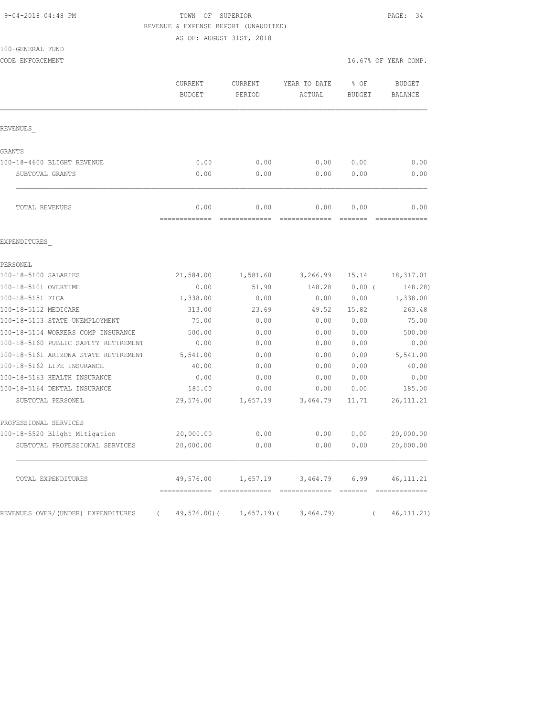### 9-04-2018 04:48 PM TOWN OF SUPERIOR PAGE: 34 REVENUE & EXPENSE REPORT (UNAUDITED)

AS OF: AUGUST 31ST, 2018

| 100-GENERAL FUND |  |
|------------------|--|
|------------------|--|

 BUDGET PERIOD ACTUAL BUDGET BALANCE REVENUES\_ GRANTS 100-18-4600 BLIGHT REVENUE 0.00 0.00 0.00 0.00 0.00 SUBTOTAL GRANTS 0.00 0.00 0.00 0.00 0.00 TOTAL REVENUES 0.00 0.00 0.00 0.00 0.00 ============= ============= ============= ======= ============= EXPENDITURES\_ PERSONEL 100-18-5100 SALARIES 21,584.00 1,581.60 3,266.99 15.14 18,317.01 100-18-5101 OVERTIME 0.00 51.90 148.28 0.00 ( 148.28) 100-18-5151 FICA 1,338.00 0.00 0.00 0.00 1,338.00 100-18-5152 MEDICARE 313.00 23.69 49.52 15.82 263.48 100-18-5153 STATE UNEMPLOYMENT 75.00 0.00 0.00 0.00 75.00 100-18-5154 WORKERS COMP INSURANCE 500.00 0.00 0.00 0.00 500.00 100-18-5160 PUBLIC SAFETY RETIREMENT 0.00 0.00 0.00 0.00 0.00 100-18-5161 ARIZONA STATE RETIREMENT 5,541.00 0.00 0.00 0.00 5,541.00 100-18-5162 LIFE INSURANCE 40.00 0.00 0.00 0.00 40.00 100-18-5163 HEALTH INSURANCE 0.00 0.00 0.00 0.00 0.00 100-18-5164 DENTAL INSURANCE 185.00 0.00 0.00 0.00 185.00 SUBTOTAL PERSONEL 29,576.00 1,657.19 3,464.79 11.71 26,111.21 PROFESSIONAL SERVICES 100-18-5520 Blight Mitigation 20,000.00 0.00 0.00 0.00 20,000.00 SUBTOTAL PROFESSIONAL SERVICES 20,000.00 0.00 0.00 0.00 20,000.00 TOTAL EXPENDITURES 49,576.00 1,657.19 3,464.79 6.99 46,111.21 ============= ============= ============= ======= =============

REVENUES OVER/(UNDER) EXPENDITURES ( 49,576.00)( 1,657.19)( 3,464.79) ( 46,111.21)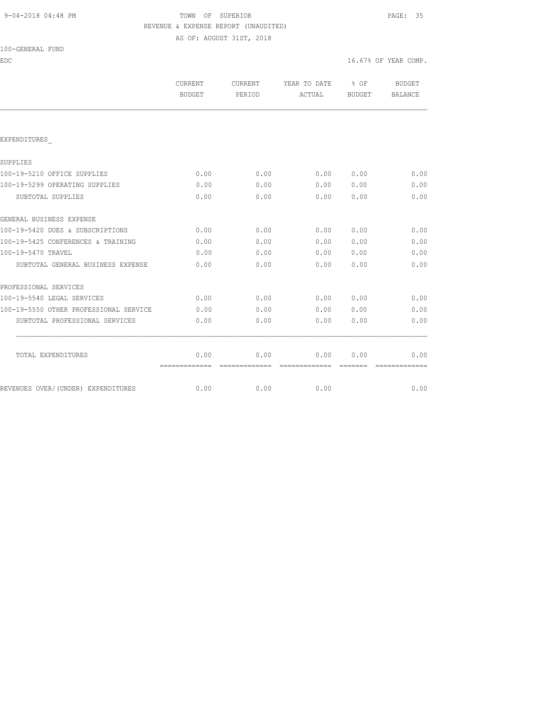# 9-04-2018 04:48 PM TOWN OF SUPERIOR PAGE: 35 REVENUE & EXPENSE REPORT (UNAUDITED)

AS OF: AUGUST 31ST, 2018

| 100-GENERAL FUND |
|------------------|
|------------------|

| EDC                                    |                          |                   |                                                                                                                                                                                                                                                                                                                                                                                                                                                                                        |                                   | 16.67% OF YEAR COMP.     |
|----------------------------------------|--------------------------|-------------------|----------------------------------------------------------------------------------------------------------------------------------------------------------------------------------------------------------------------------------------------------------------------------------------------------------------------------------------------------------------------------------------------------------------------------------------------------------------------------------------|-----------------------------------|--------------------------|
|                                        | CURRENT<br><b>BUDGET</b> | CURRENT<br>PERIOD | YEAR TO DATE<br>ACTUAL                                                                                                                                                                                                                                                                                                                                                                                                                                                                 | $\frac{1}{2}$ OF<br><b>BUDGET</b> | BUDGET<br><b>BALANCE</b> |
|                                        |                          |                   |                                                                                                                                                                                                                                                                                                                                                                                                                                                                                        |                                   |                          |
| EXPENDITURES                           |                          |                   |                                                                                                                                                                                                                                                                                                                                                                                                                                                                                        |                                   |                          |
| SUPPLIES                               |                          |                   |                                                                                                                                                                                                                                                                                                                                                                                                                                                                                        |                                   |                          |
| 100-19-5210 OFFICE SUPPLIES            | 0.00                     | 0.00              | 0.00                                                                                                                                                                                                                                                                                                                                                                                                                                                                                   | 0.00                              | 0.00                     |
| 100-19-5299 OPERATING SUPPLIES         | 0.00                     | 0.00              | 0.00                                                                                                                                                                                                                                                                                                                                                                                                                                                                                   | 0.00                              | 0.00                     |
| SUBTOTAL SUPPLIES                      | 0.00                     | 0.00              | 0.00                                                                                                                                                                                                                                                                                                                                                                                                                                                                                   | 0.00                              | 0.00                     |
| GENERAL BUSINESS EXPENSE               |                          |                   |                                                                                                                                                                                                                                                                                                                                                                                                                                                                                        |                                   |                          |
| 100-19-5420 DUES & SUBSCRIPTIONS       | 0.00                     | 0.00              | 0.00                                                                                                                                                                                                                                                                                                                                                                                                                                                                                   | 0.00                              | 0.00                     |
| 100-19-5425 CONFERENCES & TRAINING     | 0.00                     | 0.00              | 0.00                                                                                                                                                                                                                                                                                                                                                                                                                                                                                   | 0.00                              | 0.00                     |
| 100-19-5470 TRAVEL                     | 0.00                     | 0.00              | 0.00                                                                                                                                                                                                                                                                                                                                                                                                                                                                                   | 0.00                              | 0.00                     |
| SUBTOTAL GENERAL BUSINESS EXPENSE      | 0.00                     | 0.00              | 0.00                                                                                                                                                                                                                                                                                                                                                                                                                                                                                   | 0.00                              | 0.00                     |
| PROFESSIONAL SERVICES                  |                          |                   |                                                                                                                                                                                                                                                                                                                                                                                                                                                                                        |                                   |                          |
| 100-19-5540 LEGAL SERVICES             | 0.00                     | 0.00              | 0.00                                                                                                                                                                                                                                                                                                                                                                                                                                                                                   | 0.00                              | 0.00                     |
| 100-19-5550 OTHER PROFESSIONAL SERVICE | 0.00                     | 0.00              | 0.00                                                                                                                                                                                                                                                                                                                                                                                                                                                                                   | 0.00                              | 0.00                     |
| SUBTOTAL PROFESSIONAL SERVICES         | 0.00                     | 0.00              | 0.00                                                                                                                                                                                                                                                                                                                                                                                                                                                                                   | 0.00                              | 0.00                     |
| TOTAL EXPENDITURES                     | 0.00                     | 0.00              | 0.00                                                                                                                                                                                                                                                                                                                                                                                                                                                                                   | 0.00                              | 0.00                     |
|                                        | =============            | =============     | $\begin{array}{cccccccccccccc} \multicolumn{2}{c}{} & \multicolumn{2}{c}{} & \multicolumn{2}{c}{} & \multicolumn{2}{c}{} & \multicolumn{2}{c}{} & \multicolumn{2}{c}{} & \multicolumn{2}{c}{} & \multicolumn{2}{c}{} & \multicolumn{2}{c}{} & \multicolumn{2}{c}{} & \multicolumn{2}{c}{} & \multicolumn{2}{c}{} & \multicolumn{2}{c}{} & \multicolumn{2}{c}{} & \multicolumn{2}{c}{} & \multicolumn{2}{c}{} & \multicolumn{2}{c}{} & \multicolumn{2}{c}{} & \multicolumn{2}{c}{} & \$ | --------                          | =============            |
| REVENUES OVER/(UNDER) EXPENDITURES     | 0.00                     | 0.00              | 0.00                                                                                                                                                                                                                                                                                                                                                                                                                                                                                   |                                   | 0.00                     |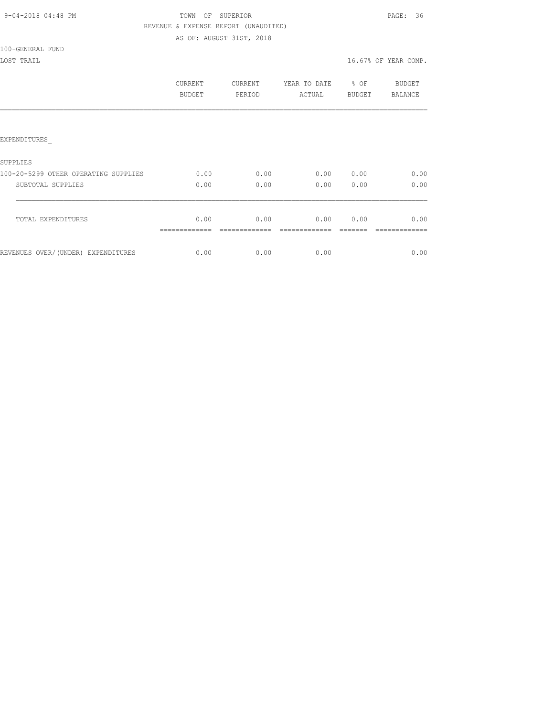| 9-04-2018 04:48 PM |  |
|--------------------|--|
|                    |  |

# TOWN OF SUPERIOR **PAGE:** 36 REVENUE & EXPENSE REPORT (UNAUDITED)

AS OF: AUGUST 31ST, 2018

100-GENERAL FUND

|                                      | CURRENT<br><b>BUDGET</b> | <b>CURRENT</b><br>PERIOD | YEAR TO DATE<br>ACTUAL | % OF<br><b>BUDGET</b> | <b>BUDGET</b><br><b>BALANCE</b> |
|--------------------------------------|--------------------------|--------------------------|------------------------|-----------------------|---------------------------------|
|                                      |                          |                          |                        |                       |                                 |
| <b>EXPENDITURES</b>                  |                          |                          |                        |                       |                                 |
| <b>SUPPLIES</b>                      |                          |                          |                        |                       |                                 |
| 100-20-5299 OTHER OPERATING SUPPLIES | 0.00                     | 0.00                     | 0.00                   | 0.00                  | 0.00                            |
| SUBTOTAL SUPPLIES                    | 0.00                     | 0.00                     | 0.00                   | 0.00                  | 0.00                            |
| TOTAL EXPENDITURES                   | 0.00                     | 0.00                     | 0.00                   | 0.00                  | 0.00                            |
| REVENUES OVER/(UNDER) EXPENDITURES   | 0.00                     | 0.00                     | 0.00                   |                       | 0.00                            |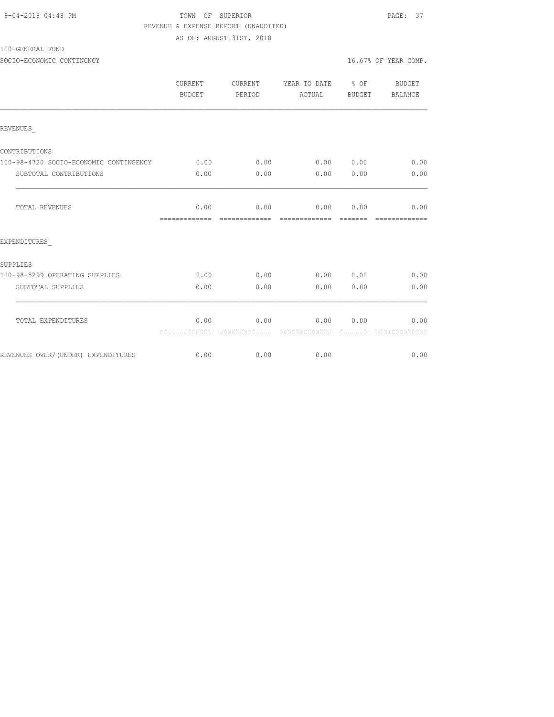## TOWN OF SUPERIOR **PAGE: 37**  REVENUE & EXPENSE REPORT (UNAUDITED) AS OF: AUGUST 31ST, 2018

100-GENERAL FUND

|                                        | CURRENT<br>BUDGET                      | CURRENT<br>PERIOD | YEAR TO DATE % OF<br>ACTUAL BUDGET |      | BUDGET<br>BALANCE                                                                                                                                                                                                                                                                                                                                                                                                                                                                              |
|----------------------------------------|----------------------------------------|-------------------|------------------------------------|------|------------------------------------------------------------------------------------------------------------------------------------------------------------------------------------------------------------------------------------------------------------------------------------------------------------------------------------------------------------------------------------------------------------------------------------------------------------------------------------------------|
| REVENUES                               |                                        |                   |                                    |      |                                                                                                                                                                                                                                                                                                                                                                                                                                                                                                |
| CONTRIBUTIONS                          |                                        |                   |                                    |      |                                                                                                                                                                                                                                                                                                                                                                                                                                                                                                |
| 100-98-4720 SOCIO-ECONOMIC CONTINGENCY | 0.00                                   | 0.00              | 0.00 0.00                          |      | 0.00                                                                                                                                                                                                                                                                                                                                                                                                                                                                                           |
| SUBTOTAL CONTRIBUTIONS                 | 0.00                                   | 0.00              | 0.00                               | 0.00 | 0.00                                                                                                                                                                                                                                                                                                                                                                                                                                                                                           |
| TOTAL REVENUES                         | 0.00                                   |                   | $0.00$ $0.00$ $0.00$ $0.00$        |      | 0.00                                                                                                                                                                                                                                                                                                                                                                                                                                                                                           |
| EXPENDITURES                           |                                        |                   |                                    |      |                                                                                                                                                                                                                                                                                                                                                                                                                                                                                                |
| SUPPLIES                               |                                        |                   |                                    |      |                                                                                                                                                                                                                                                                                                                                                                                                                                                                                                |
| 100-98-5299 OPERATING SUPPLIES         | 0.00                                   | 0.00              | 0.00 0.00                          |      | 0.00                                                                                                                                                                                                                                                                                                                                                                                                                                                                                           |
| SUBTOTAL SUPPLIES                      | 0.00                                   | 0.00              | 0.00                               | 0.00 | 0.00                                                                                                                                                                                                                                                                                                                                                                                                                                                                                           |
| TOTAL EXPENDITURES                     | 0.00<br>============================== | 0.00              | 0.00<br>- cooperate description    | 0.00 | 0.00<br>$\begin{array}{cccccccccccccc} \multicolumn{2}{c}{} & \multicolumn{2}{c}{} & \multicolumn{2}{c}{} & \multicolumn{2}{c}{} & \multicolumn{2}{c}{} & \multicolumn{2}{c}{} & \multicolumn{2}{c}{} & \multicolumn{2}{c}{} & \multicolumn{2}{c}{} & \multicolumn{2}{c}{} & \multicolumn{2}{c}{} & \multicolumn{2}{c}{} & \multicolumn{2}{c}{} & \multicolumn{2}{c}{} & \multicolumn{2}{c}{} & \multicolumn{2}{c}{} & \multicolumn{2}{c}{} & \multicolumn{2}{c}{} & \multicolumn{2}{c}{} & \$ |
| REVENUES OVER/(UNDER) EXPENDITURES     | 0.00                                   | 0.00              | 0.00                               |      | 0.00                                                                                                                                                                                                                                                                                                                                                                                                                                                                                           |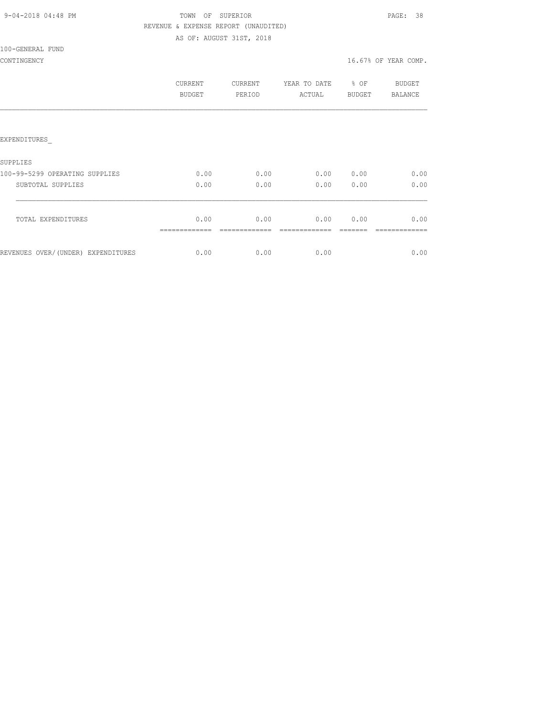| 9-04-2018 04:48 PM |  |
|--------------------|--|
|                    |  |

# TOWN OF SUPERIOR **PAGE:** 38 REVENUE & EXPENSE REPORT (UNAUDITED)

AS OF: AUGUST 31ST, 2018

100-GENERAL FUND

|                                    | CURRENT<br><b>BUDGET</b> | CURRENT<br>PERIOD | YEAR TO DATE<br>ACTUAL | % OF<br><b>BUDGET</b> | BUDGET<br>BALANCE |
|------------------------------------|--------------------------|-------------------|------------------------|-----------------------|-------------------|
|                                    |                          |                   |                        |                       |                   |
| EXPENDITURES                       |                          |                   |                        |                       |                   |
| SUPPLIES                           |                          |                   |                        |                       |                   |
| 100-99-5299 OPERATING SUPPLIES     | 0.00                     | 0.00              | 0.00                   | 0.00                  | 0.00              |
| SUBTOTAL SUPPLIES                  | 0.00                     | 0.00              | 0.00                   | 0.00                  | 0.00              |
| TOTAL EXPENDITURES                 | 0.00                     | 0.00              | 0.00                   | 0.00                  | 0.00              |
| REVENUES OVER/(UNDER) EXPENDITURES | 0.00                     | 0.00              | 0.00                   |                       | 0.00              |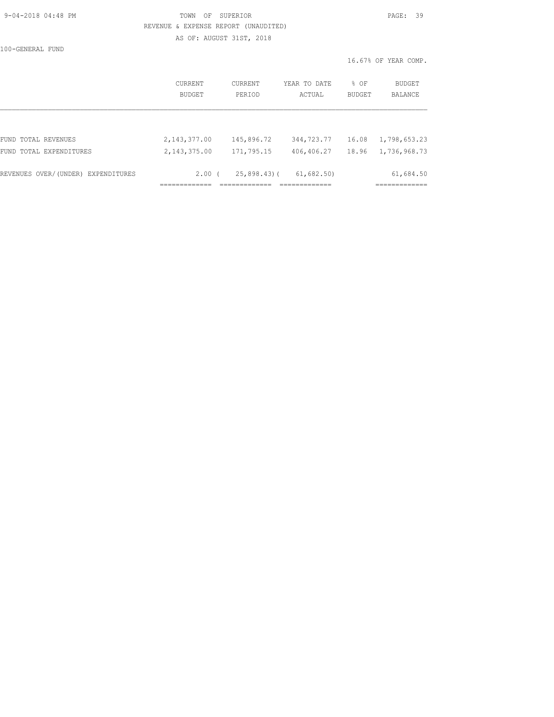| 9-04-2018 04:48 PM |  |
|--------------------|--|
|                    |  |

## TOWN OF SUPERIOR **PAGE:** 39 REVENUE & EXPENSE REPORT (UNAUDITED) AS OF: AUGUST 31ST, 2018

100-GENERAL FUND

|                                    | CURRENT<br>BUDGET | CURRENT<br>PERIOD | YEAR TO DATE<br>ACTUAL | % OF<br>BUDGET | <b>BUDGET</b><br><b>BALANCE</b> |
|------------------------------------|-------------------|-------------------|------------------------|----------------|---------------------------------|
|                                    |                   |                   |                        |                |                                 |
| FUND TOTAL REVENUES                | 2, 143, 377.00    | 145,896.72        | 344,723.77             | 16.08          | 1,798,653.23                    |
| FUND TOTAL EXPENDITURES            | 2, 143, 375.00    | 171,795.15        | 406,406.27             | 18.96          | 1,736,968.73                    |
| REVENUES OVER/(UNDER) EXPENDITURES | 2.00 <sub>0</sub> | $25,898.43$ (     | 61,682.50              |                | 61,684.50                       |
|                                    |                   |                   |                        |                |                                 |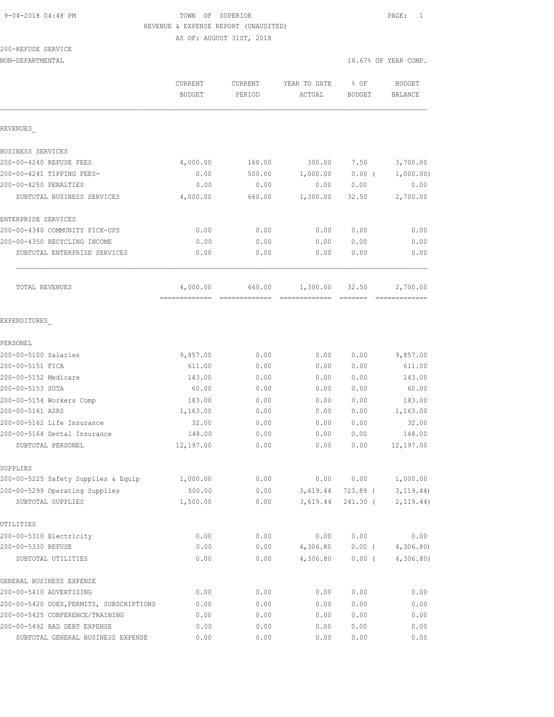AS OF: AUGUST 31ST, 2018

# 200-REFUSE SERVICE

NON-DEPARTMENTAL 16.67% OF YEAR COMP.

|                                                   | CURRENT<br><b>BUDGET</b> | <b>CURRENT</b><br>PERIOD | YEAR TO DATE<br>ACTUAL | $8$ OF<br>BUDGET | <b>BUDGET</b><br>BALANCE |
|---------------------------------------------------|--------------------------|--------------------------|------------------------|------------------|--------------------------|
| REVENUES                                          |                          |                          |                        |                  |                          |
| BUSINESS SERVICES                                 |                          |                          |                        |                  |                          |
| 200-00-4240 REFUSE FEES                           | 4,000.00                 | 160.00                   | 300.00                 | 7.50             | 3,700.00                 |
| 200-00-4241 TIPPING FEES-                         | 0.00                     | 500.00                   | 1,000.00               | $0.00$ (         | 1,000.00)                |
| 200-00-4250 PENALTIES                             | 0.00                     | 0.00                     | 0.00                   | 0.00             | 0.00                     |
| SUBTOTAL BUSINESS SERVICES                        | 4,000.00                 | 660.00                   | 1,300.00               | 32.50            | 2,700.00                 |
| ENTERPRISE SERVICES                               |                          |                          |                        |                  |                          |
| 200-00-4340 COMMUNITY PICK-UPS                    | 0.00                     | 0.00                     | 0.00                   | 0.00             | 0.00                     |
| 200-00-4350 RECYCLING INCOME                      | 0.00                     | 0.00                     | 0.00                   | 0.00             | 0.00                     |
| SUBTOTAL ENTERPRISE SERVICES                      | 0.00                     | 0.00                     | 0.00                   | 0.00             | 0.00                     |
| TOTAL REVENUES                                    | 4,000.00                 | 660.00                   | 1,300.00               | 32.50            | 2,700.00                 |
| EXPENDITURES                                      |                          |                          |                        |                  |                          |
| PERSONEL                                          |                          |                          |                        |                  |                          |
| 200-00-5100 Salaries                              | 9,857.00                 | 0.00                     | 0.00                   | 0.00             | 9,857.00                 |
| 200-00-5151 FICA                                  | 611.00                   | 0.00                     | 0.00                   | 0.00             | 611.00                   |
| 200-00-5152 Medicare                              | 143.00                   | 0.00                     | 0.00                   | 0.00             | 143.00                   |
| 200-00-5153 SUTA                                  | 60.00                    | 0.00                     | 0.00                   | 0.00             | 60.00                    |
| 200-00-5154 Workers Comp                          | 183.00                   | 0.00                     | 0.00                   | 0.00             | 183.00                   |
| 200-00-5161 ASRS                                  | 1,163.00                 | 0.00                     | 0.00                   | 0.00             | 1,163.00                 |
| 200-00-5162 Life Insurance                        | 32.00                    | 0.00                     | 0.00                   | 0.00             | 32.00                    |
| 200-00-5164 Dental Insurance<br>SUBTOTAL PERSONEL | 148.00<br>12,197.00      | 0.00<br>0.00             | 0.00<br>0.00           | 0.00<br>0.00     | 148.00<br>12,197.00      |
|                                                   |                          |                          |                        |                  |                          |
| SUPPLIES<br>200-00-5225 Safety Supplies & Equip   | 1,000.00                 | 0.00                     | 0.00                   | 0.00             | 1,000.00                 |
| 200-00-5299 Operating Supplies                    | 500.00                   | 0.00                     | 3,619.44               | 723.89 (         | 3, 119.44)               |
| SUBTOTAL SUPPLIES                                 | 1,500.00                 | 0.00                     | 3,619.44               | 241.30 (         | 2, 119.44)               |
| UTILITIES                                         |                          |                          |                        |                  |                          |
| 200-00-5310 Electricity                           | 0.00                     | 0.00                     | 0.00                   | 0.00             | 0.00                     |
| 200-00-5330 REFUSE                                | 0.00                     | 0.00                     | 4,306.80               | $0.00$ (         | 4,306.80                 |
| SUBTOTAL UTILITIES                                | 0.00                     | 0.00                     | 4,306.80               | $0.00$ (         | 4,306.80                 |
| GENERAL BUSINESS EXPENSE                          |                          |                          |                        |                  |                          |
| 200-00-5410 ADVERTISING                           | 0.00                     | 0.00                     | 0.00                   | 0.00             | 0.00                     |
| 200-00-5420 DUES, PERMITS, SUBSCRIPTIONS          | 0.00                     | 0.00                     | 0.00                   | 0.00             | 0.00                     |
| 200-00-5425 CONFERENCE/TRAINING                   | 0.00                     | 0.00                     | 0.00                   | 0.00             | 0.00                     |
| 200-00-5492 BAD DEBT EXPENSE                      | 0.00                     | 0.00                     | 0.00                   | 0.00             | 0.00                     |
|                                                   |                          |                          |                        |                  |                          |

SUBTOTAL GENERAL BUSINESS EXPENSE  $0.00$  0.00 0.00 0.00 0.00 0.00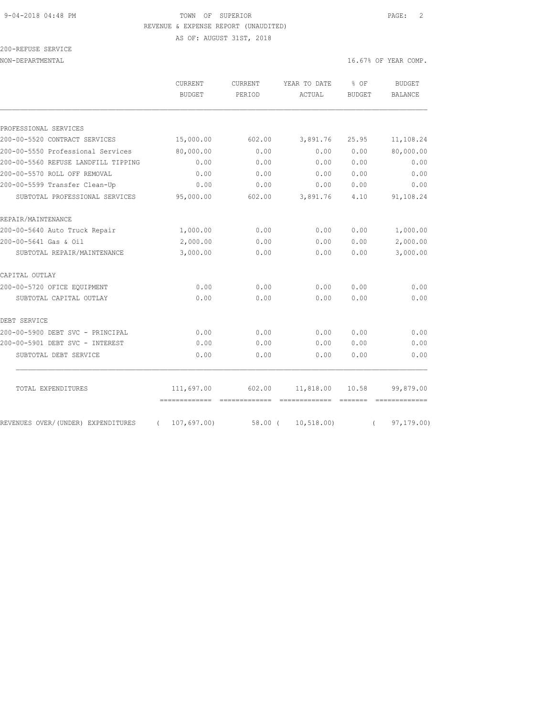AS OF: AUGUST 31ST, 2018

| 200-REFUSE SERVICE |  |
|--------------------|--|
|                    |  |

|                                     | <b>CURRENT</b><br><b>BUDGET</b> | <b>CURRENT</b><br>PERIOD                                                                                                                                                                                                                                                                                                                                                                                                                                                               | YEAR TO DATE<br>ACTUAL                                                                                                                                                                                                                                                                                                                                                                                                                                                                 | % OF<br><b>BUDGET</b> | <b>BUDGET</b><br>BALANCE |
|-------------------------------------|---------------------------------|----------------------------------------------------------------------------------------------------------------------------------------------------------------------------------------------------------------------------------------------------------------------------------------------------------------------------------------------------------------------------------------------------------------------------------------------------------------------------------------|----------------------------------------------------------------------------------------------------------------------------------------------------------------------------------------------------------------------------------------------------------------------------------------------------------------------------------------------------------------------------------------------------------------------------------------------------------------------------------------|-----------------------|--------------------------|
| PROFESSIONAL SERVICES               |                                 |                                                                                                                                                                                                                                                                                                                                                                                                                                                                                        |                                                                                                                                                                                                                                                                                                                                                                                                                                                                                        |                       |                          |
| 200-00-5520 CONTRACT SERVICES       | 15,000.00                       | 602.00                                                                                                                                                                                                                                                                                                                                                                                                                                                                                 | 3,891.76                                                                                                                                                                                                                                                                                                                                                                                                                                                                               | 25.95                 | 11,108.24                |
| 200-00-5550 Professional Services   | 80,000.00                       | 0.00                                                                                                                                                                                                                                                                                                                                                                                                                                                                                   | 0.00                                                                                                                                                                                                                                                                                                                                                                                                                                                                                   | 0.00                  | 80,000.00                |
| 200-00-5560 REFUSE LANDFILL TIPPING | 0.00                            | 0.00                                                                                                                                                                                                                                                                                                                                                                                                                                                                                   | 0.00                                                                                                                                                                                                                                                                                                                                                                                                                                                                                   | 0.00                  | 0.00                     |
| 200-00-5570 ROLL OFF REMOVAL        | 0.00                            | 0.00                                                                                                                                                                                                                                                                                                                                                                                                                                                                                   | 0.00                                                                                                                                                                                                                                                                                                                                                                                                                                                                                   | 0.00                  | 0.00                     |
| 200-00-5599 Transfer Clean-Up       | 0.00                            | 0.00                                                                                                                                                                                                                                                                                                                                                                                                                                                                                   | 0.00                                                                                                                                                                                                                                                                                                                                                                                                                                                                                   | 0.00                  | 0.00                     |
| SUBTOTAL PROFESSIONAL SERVICES      | 95,000.00                       | 602.00                                                                                                                                                                                                                                                                                                                                                                                                                                                                                 | 3,891.76                                                                                                                                                                                                                                                                                                                                                                                                                                                                               | 4.10                  | 91,108.24                |
| REPAIR/MAINTENANCE                  |                                 |                                                                                                                                                                                                                                                                                                                                                                                                                                                                                        |                                                                                                                                                                                                                                                                                                                                                                                                                                                                                        |                       |                          |
| 200-00-5640 Auto Truck Repair       | 1,000.00                        | 0.00                                                                                                                                                                                                                                                                                                                                                                                                                                                                                   | 0.00                                                                                                                                                                                                                                                                                                                                                                                                                                                                                   | 0.00                  | 1,000.00                 |
| 200-00-5641 Gas & Oil               | 2,000.00                        | 0.00                                                                                                                                                                                                                                                                                                                                                                                                                                                                                   | 0.00                                                                                                                                                                                                                                                                                                                                                                                                                                                                                   | 0.00                  | 2,000.00                 |
| SUBTOTAL REPAIR/MAINTENANCE         | 3,000.00                        | 0.00                                                                                                                                                                                                                                                                                                                                                                                                                                                                                   | 0.00                                                                                                                                                                                                                                                                                                                                                                                                                                                                                   | 0.00                  | 3,000.00                 |
| CAPITAL OUTLAY                      |                                 |                                                                                                                                                                                                                                                                                                                                                                                                                                                                                        |                                                                                                                                                                                                                                                                                                                                                                                                                                                                                        |                       |                          |
| 200-00-5720 OFICE EOUIPMENT         | 0.00                            | 0.00                                                                                                                                                                                                                                                                                                                                                                                                                                                                                   | 0.00                                                                                                                                                                                                                                                                                                                                                                                                                                                                                   | 0.00                  | 0.00                     |
| SUBTOTAL CAPITAL OUTLAY             | 0.00                            | 0.00                                                                                                                                                                                                                                                                                                                                                                                                                                                                                   | 0.00                                                                                                                                                                                                                                                                                                                                                                                                                                                                                   | 0.00                  | 0.00                     |
| DEBT SERVICE                        |                                 |                                                                                                                                                                                                                                                                                                                                                                                                                                                                                        |                                                                                                                                                                                                                                                                                                                                                                                                                                                                                        |                       |                          |
| 200-00-5900 DEBT SVC - PRINCIPAL    | 0.00                            | 0.00                                                                                                                                                                                                                                                                                                                                                                                                                                                                                   | 0.00                                                                                                                                                                                                                                                                                                                                                                                                                                                                                   | 0.00                  | 0.00                     |
| 200-00-5901 DEBT SVC - INTEREST     | 0.00                            | 0.00                                                                                                                                                                                                                                                                                                                                                                                                                                                                                   | 0.00                                                                                                                                                                                                                                                                                                                                                                                                                                                                                   | 0.00                  | 0.00                     |
| SUBTOTAL DEBT SERVICE               | 0.00                            | 0.00                                                                                                                                                                                                                                                                                                                                                                                                                                                                                   | 0.00                                                                                                                                                                                                                                                                                                                                                                                                                                                                                   | 0.00                  | 0.00                     |
| TOTAL EXPENDITURES                  | 111,697.00                      | 602.00                                                                                                                                                                                                                                                                                                                                                                                                                                                                                 | 11,818.00                                                                                                                                                                                                                                                                                                                                                                                                                                                                              | 10.58                 | 99,879.00                |
|                                     | -------------                   | $\begin{array}{cccccccccccccc} \multicolumn{2}{c}{} & \multicolumn{2}{c}{} & \multicolumn{2}{c}{} & \multicolumn{2}{c}{} & \multicolumn{2}{c}{} & \multicolumn{2}{c}{} & \multicolumn{2}{c}{} & \multicolumn{2}{c}{} & \multicolumn{2}{c}{} & \multicolumn{2}{c}{} & \multicolumn{2}{c}{} & \multicolumn{2}{c}{} & \multicolumn{2}{c}{} & \multicolumn{2}{c}{} & \multicolumn{2}{c}{} & \multicolumn{2}{c}{} & \multicolumn{2}{c}{} & \multicolumn{2}{c}{} & \multicolumn{2}{c}{} & \$ | $\begin{array}{cccccccccccccc} \multicolumn{2}{c}{} & \multicolumn{2}{c}{} & \multicolumn{2}{c}{} & \multicolumn{2}{c}{} & \multicolumn{2}{c}{} & \multicolumn{2}{c}{} & \multicolumn{2}{c}{} & \multicolumn{2}{c}{} & \multicolumn{2}{c}{} & \multicolumn{2}{c}{} & \multicolumn{2}{c}{} & \multicolumn{2}{c}{} & \multicolumn{2}{c}{} & \multicolumn{2}{c}{} & \multicolumn{2}{c}{} & \multicolumn{2}{c}{} & \multicolumn{2}{c}{} & \multicolumn{2}{c}{} & \multicolumn{2}{c}{} & \$ | =======               | =============            |
| REVENUES OVER/(UNDER) EXPENDITURES  | 107,697.00<br>$\left($          | 58.00 (                                                                                                                                                                                                                                                                                                                                                                                                                                                                                | 10, 518.00                                                                                                                                                                                                                                                                                                                                                                                                                                                                             | $\left($              | 97, 179.00               |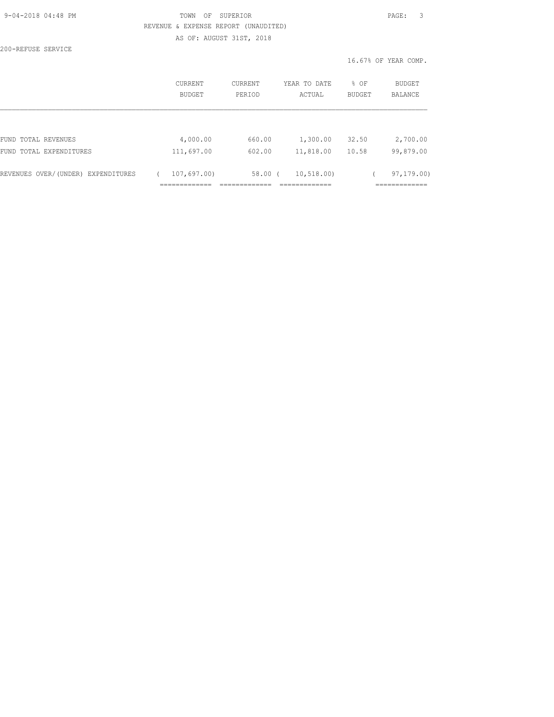| 9-04-2018 04:48 PM |  |
|--------------------|--|
|                    |  |

## TOWN OF SUPERIOR **PAGE:** 3 REVENUE & EXPENSE REPORT (UNAUDITED) AS OF: AUGUST 31ST, 2018

| 200-REFUSE SERVICE |  |
|--------------------|--|
|--------------------|--|

|                                    | <b>CURRENT</b><br>BUDGET | CURRENT<br>PERIOD | YEAR TO DATE<br>ACTUAL | % OF<br><b>BUDGET</b> | <b>BUDGET</b><br><b>BALANCE</b> |
|------------------------------------|--------------------------|-------------------|------------------------|-----------------------|---------------------------------|
| FUND TOTAL REVENUES                | 4,000.00                 | 660.00            | 1,300.00               | 32.50                 | 2,700.00                        |
| FUND TOTAL EXPENDITURES            | 111,697.00               | 602.00            | 11,818.00              | 10.58                 | 99,879.00                       |
| REVENUES OVER/(UNDER) EXPENDITURES | 107,697.00               | $58.00$ (         | 10, 518, 00)           |                       | 97, 179.00                      |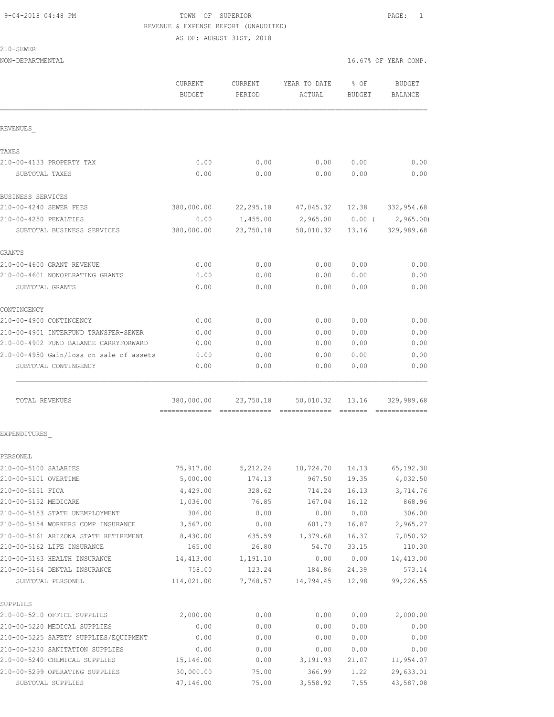AS OF: AUGUST 31ST, 2018

|  | SEWF |
|--|------|
|  |      |

| NON-DEPARTMENTAL                        |                          |                   |                        |                            | 16.67% OF YEAR COMP.     |
|-----------------------------------------|--------------------------|-------------------|------------------------|----------------------------|--------------------------|
|                                         | CURRENT<br><b>BUDGET</b> | CURRENT<br>PERIOD | YEAR TO DATE<br>ACTUAL | $\frac{8}{3}$ OF<br>BUDGET | <b>BUDGET</b><br>BALANCE |
| REVENUES                                |                          |                   |                        |                            |                          |
| TAXES                                   |                          |                   |                        |                            |                          |
| 210-00-4133 PROPERTY TAX                | 0.00                     | 0.00              | 0.00                   | 0.00                       | 0.00                     |
| SUBTOTAL TAXES                          | 0.00                     | 0.00              | 0.00                   | 0.00                       | 0.00                     |
| BUSINESS SERVICES                       |                          |                   |                        |                            |                          |
| 210-00-4240 SEWER FEES                  | 380,000.00               |                   | 22,295.18 47,045.32    | 12.38                      | 332,954.68               |
| 210-00-4250 PENALTIES                   | 0.00                     |                   | 1,455.00 2,965.00      | $0.00$ (                   | 2,965.00)                |
| SUBTOTAL BUSINESS SERVICES              | 380,000.00               | 23,750.18         | 50,010.32              | 13.16                      | 329,989.68               |
| GRANTS                                  |                          |                   |                        |                            |                          |
| 210-00-4600 GRANT REVENUE               | 0.00                     | 0.00              | 0.00                   | 0.00                       | 0.00                     |
| 210-00-4601 NONOPERATING GRANTS         | 0.00                     | 0.00              | 0.00                   | 0.00                       | 0.00                     |
| SUBTOTAL GRANTS                         | 0.00                     | 0.00              | 0.00                   | 0.00                       | 0.00                     |
| CONTINGENCY                             |                          |                   |                        |                            |                          |
| 210-00-4900 CONTINGENCY                 | 0.00                     | 0.00              | 0.00                   | 0.00                       | 0.00                     |
| 210-00-4901 INTERFUND TRANSFER-SEWER    | 0.00                     | 0.00              | 0.00                   | 0.00                       | 0.00                     |
| 210-00-4902 FUND BALANCE CARRYFORWARD   | 0.00                     | 0.00              | 0.00                   | 0.00                       | 0.00                     |
| 210-00-4950 Gain/loss on sale of assets | 0.00                     | 0.00              | 0.00                   | 0.00                       | 0.00                     |
| SUBTOTAL CONTINGENCY                    | 0.00                     | 0.00              | 0.00                   | 0.00                       | 0.00                     |
| TOTAL REVENUES                          | 380,000.00               | 23,750.18         | 50,010.32              | 13.16                      | 329,989.68               |
| EXPENDITURES                            |                          |                   |                        |                            |                          |
| PERSONEL                                |                          |                   |                        |                            |                          |
| 210-00-5100 SALARIES                    | 75,917.00                | 5,212.24          | 10,724.70              | 14.13                      | 65, 192.30               |
| 210-00-5101 OVERTIME                    | 5,000.00                 | 174.13            | 967.50                 | 19.35                      | 4,032.50                 |
| 210-00-5151 FICA                        | 4,429.00                 | 328.62            | 714.24                 | 16.13                      | 3,714.76                 |
| 210-00-5152 MEDICARE                    | 1,036.00                 | 76.85             | 167.04                 | 16.12                      | 868.96                   |
| 210-00-5153 STATE UNEMPLOYMENT          | 306.00                   | 0.00              | 0.00                   | 0.00                       | 306.00                   |
| 210-00-5154 WORKERS COMP INSURANCE      | 3,567.00                 | 0.00              | 601.73                 | 16.87                      | 2,965.27                 |
| 210-00-5161 ARIZONA STATE RETIREMENT    | 8,430.00                 | 635.59            | 1,379.68               | 16.37                      | 7,050.32                 |
| 210-00-5162 LIFE INSURANCE              | 165.00                   | 26.80             | 54.70                  | 33.15                      | 110.30                   |
| 210-00-5163 HEALTH INSURANCE            | 14,413.00                | 1,191.10          | 0.00                   | 0.00                       | 14, 413.00               |
| 210-00-5164 DENTAL INSURANCE            | 758.00                   | 123.24            | 184.86                 | 24.39                      | 573.14                   |
| SUBTOTAL PERSONEL                       | 114,021.00               | 7,768.57          | 14,794.45              | 12.98                      | 99,226.55                |
| SUPPLIES                                |                          |                   |                        |                            |                          |
| 210-00-5210 OFFICE SUPPLIES             | 2,000.00                 | 0.00              | 0.00                   | 0.00                       | 2,000.00                 |
| 210-00-5220 MEDICAL SUPPLIES            | 0.00                     | 0.00              | 0.00                   | 0.00                       | 0.00                     |
| 210-00-5225 SAFETY SUPPLIES/EQUIPMENT   | 0.00                     | 0.00              | 0.00                   | 0.00                       | 0.00                     |
| 210-00-5230 SANITATION SUPPLIES         | 0.00                     | 0.00              | 0.00                   | 0.00                       | 0.00                     |
| 210-00-5240 CHEMICAL SUPPLIES           | 15,146.00                | 0.00              | 3,191.93               | 21.07                      | 11,954.07                |

210-00-5299 OPERATING SUPPLIES 30,000.00 75.00 366.99 1.22 29,633.01 SUBTOTAL SUPPLIES 47,146.00 75.00 3,558.92 7.55 43,587.08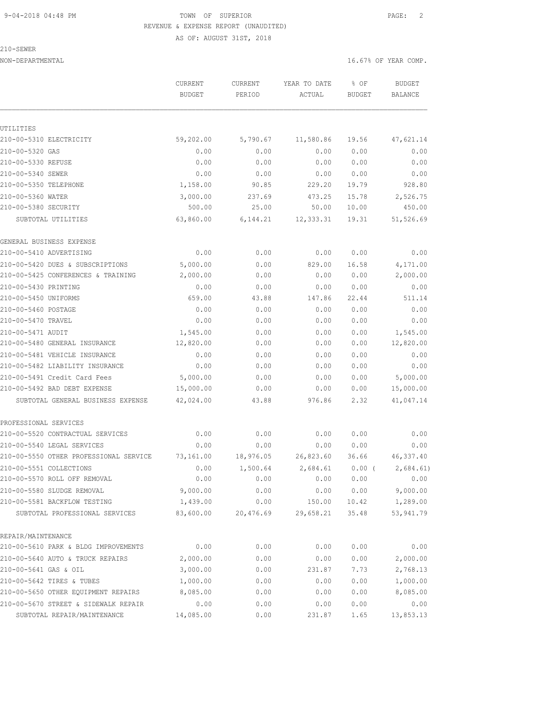210-SEWER

 AS OF: AUGUST 31ST, 2018 NON-DEPARTMENTAL 16.67% OF YEAR COMP. CURRENT CURRENT YEAR TO DATE % OF BUDGET BUDGET PERIOD ACTUAL BUDGET BALANCE

| UTILITIRS                              |           |           |           |       |            |
|----------------------------------------|-----------|-----------|-----------|-------|------------|
| 210-00-5310 ELECTRICITY                | 59,202.00 | 5,790.67  | 11,580.86 | 19.56 | 47,621.14  |
| 210-00-5320 GAS                        | 0.00      | 0.00      | 0.00      | 0.00  | 0.00       |
| 210-00-5330 REFUSE                     | 0.00      | 0.00      | 0.00      | 0.00  | 0.00       |
| 210-00-5340 SEWER                      | 0.00      | 0.00      | 0.00      | 0.00  | 0.00       |
| 210-00-5350 TELEPHONE                  | 1,158.00  | 90.85     | 229.20    | 19.79 | 928.80     |
| 210-00-5360 WATER                      | 3,000.00  | 237.69    | 473.25    | 15.78 | 2,526.75   |
| 210-00-5380 SECURITY                   | 500.00    | 25.00     | 50.00     | 10.00 | 450.00     |
| SUBTOTAL UTILITIES                     | 63,860.00 | 6,144.21  | 12,333.31 | 19.31 | 51,526.69  |
| GENERAL BUSINESS EXPENSE               |           |           |           |       |            |
| 210-00-5410 ADVERTISING                | 0.00      | 0.00      | 0.00      | 0.00  | 0.00       |
| 210-00-5420 DUES & SUBSCRIPTIONS       | 5,000.00  | 0.00      | 829.00    | 16.58 | 4,171.00   |
| 210-00-5425 CONFERENCES & TRAINING     | 2,000.00  | 0.00      | 0.00      | 0.00  | 2,000.00   |
| 210-00-5430 PRINTING                   | 0.00      | 0.00      | 0.00      | 0.00  | 0.00       |
| 210-00-5450 UNIFORMS                   | 659.00    | 43.88     | 147.86    | 22.44 | 511.14     |
| 210-00-5460 POSTAGE                    | 0.00      | 0.00      | 0.00      | 0.00  | 0.00       |
| 210-00-5470 TRAVEL                     | 0.00      | 0.00      | 0.00      | 0.00  | 0.00       |
| 210-00-5471 AUDIT                      | 1,545.00  | 0.00      | 0.00      | 0.00  | 1,545.00   |
| 210-00-5480 GENERAL INSURANCE          | 12,820.00 | 0.00      | 0.00      | 0.00  | 12,820.00  |
| 210-00-5481 VEHICLE INSURANCE          | 0.00      | 0.00      | 0.00      | 0.00  | 0.00       |
| 210-00-5482 LIABILITY INSURANCE        | 0.00      | 0.00      | 0.00      | 0.00  | 0.00       |
| 210-00-5491 Credit Card Fees           | 5,000.00  | 0.00      | 0.00      | 0.00  | 5,000.00   |
| 210-00-5492 BAD DEBT EXPENSE           | 15,000.00 | 0.00      | 0.00      | 0.00  | 15,000.00  |
| SUBTOTAL GENERAL BUSINESS EXPENSE      | 42,024.00 | 43.88     | 976.86    | 2.32  | 41,047.14  |
| PROFESSIONAL SERVICES                  |           |           |           |       |            |
| 210-00-5520 CONTRACTUAL SERVICES       | 0.00      | 0.00      | 0.00      | 0.00  | 0.00       |
| 210-00-5540 LEGAL SERVICES             | 0.00      | 0.00      | 0.00      | 0.00  | 0.00       |
| 210-00-5550 OTHER PROFESSIONAL SERVICE | 73,161.00 | 18,976.05 | 26,823.60 | 36.66 | 46, 337.40 |
| 210-00-5551 COLLECTIONS                | 0.00      | 1,500.64  | 2,684.61  | 0.00( | 2,684.61)  |
| 210-00-5570 ROLL OFF REMOVAL           | 0.00      | 0.00      | 0.00      | 0.00  | 0.00       |
| 210-00-5580 SLUDGE REMOVAL             | 9,000.00  | 0.00      | 0.00      | 0.00  | 9,000.00   |
| 210-00-5581 BACKFLOW TESTING           | 1,439.00  | 0.00      | 150.00    | 10.42 | 1,289.00   |
| SUBTOTAL PROFESSIONAL SERVICES         | 83,600.00 | 20,476.69 | 29,658.21 | 35.48 | 53, 941.79 |
| REPAIR/MAINTENANCE                     |           |           |           |       |            |
| 210-00-5610 PARK & BLDG IMPROVEMENTS   | 0.00      | 0.00      | 0.00      | 0.00  | 0.00       |
| 210-00-5640 AUTO & TRUCK REPAIRS       | 2,000.00  | 0.00      | 0.00      | 0.00  | 2,000.00   |
| 210-00-5641 GAS & OIL                  | 3,000.00  | 0.00      | 231.87    | 7.73  | 2,768.13   |
| 210-00-5642 TIRES & TUBES              | 1,000.00  | 0.00      | 0.00      | 0.00  | 1,000.00   |
| 210-00-5650 OTHER EQUIPMENT REPAIRS    | 8,085.00  | 0.00      | 0.00      | 0.00  | 8,085.00   |
| 210-00-5670 STREET & SIDEWALK REPAIR   | 0.00      | 0.00      | 0.00      | 0.00  | 0.00       |
| SUBTOTAL REPAIR/MAINTENANCE            | 14,085.00 | 0.00      | 231.87    | 1.65  | 13,853.13  |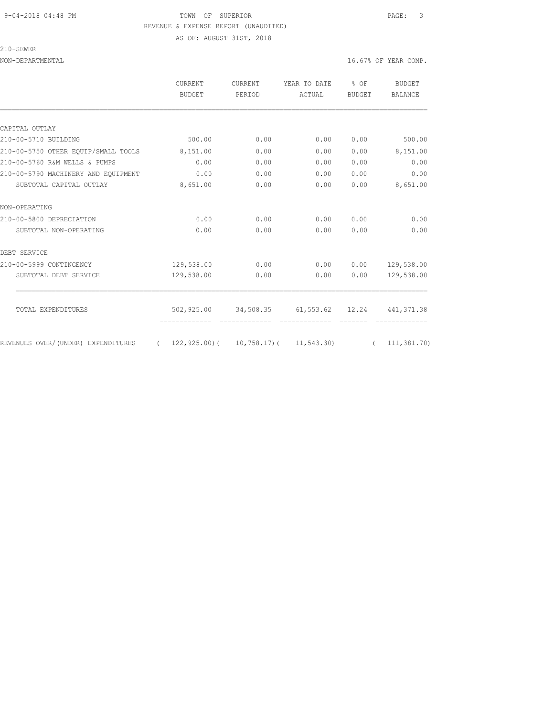#### 9-04-2018 04:48 PM TOWN OF SUPERIOR PAGE: 3 REVENUE & EXPENSE REPORT (UNAUDITED) AS OF: AUGUST 31ST, 2018

210-SEWER

|                                     | <b>CURRENT</b><br>BUDGET | <b>CURRENT</b><br>PERIOD | YEAR TO DATE<br>ACTUAL        | % OF<br><b>BUDGET</b> | <b>BUDGET</b><br><b>BALANCE</b> |
|-------------------------------------|--------------------------|--------------------------|-------------------------------|-----------------------|---------------------------------|
|                                     |                          |                          |                               |                       |                                 |
| CAPITAL OUTLAY                      |                          |                          |                               |                       |                                 |
| 210-00-5710 BUILDING                | 500.00                   | 0.00                     | 0.00                          | 0.00                  | 500.00                          |
| 210-00-5750 OTHER EOUIP/SMALL TOOLS | 8,151.00                 | 0.00                     | 0.00                          | 0.00                  | 8,151.00                        |
| 210-00-5760 R&M WELLS & PUMPS       | 0.00                     | 0.00                     | 0.00                          | 0.00                  | 0.00                            |
| 210-00-5790 MACHINERY AND EOUIPMENT | 0.00                     | 0.00                     | 0.00                          | 0.00                  | 0.00                            |
| SUBTOTAL CAPITAL OUTLAY             | 8,651.00                 | 0.00                     | 0.00                          | 0.00                  | 8,651.00                        |
| NON-OPERATING                       |                          |                          |                               |                       |                                 |
| 210-00-5800 DEPRECIATION            | 0.00                     | 0.00                     | 0.00                          | 0.00                  | 0.00                            |
| SUBTOTAL NON-OPERATING              | 0.00                     | 0.00                     | 0.00                          | 0.00                  | 0.00                            |
| DEBT SERVICE                        |                          |                          |                               |                       |                                 |
| 210-00-5999 CONTINGENCY             | 129,538.00               | 0.00                     | 0.00                          | 0.00                  | 129,538.00                      |
| SUBTOTAL DEBT SERVICE               | 129,538.00               | 0.00                     | 0.00                          | 0.00                  | 129,538.00                      |
|                                     |                          |                          |                               |                       |                                 |
| TOTAL EXPENDITURES                  | 502,925.00               |                          | 34,508.35 61,553.62 12.24     |                       | 441, 371.38                     |
| REVENUES OVER/(UNDER) EXPENDITURES  | 122,925.00)(             |                          | $10, 758.17$ ( $11, 543.30$ ) |                       | 111,381.70)                     |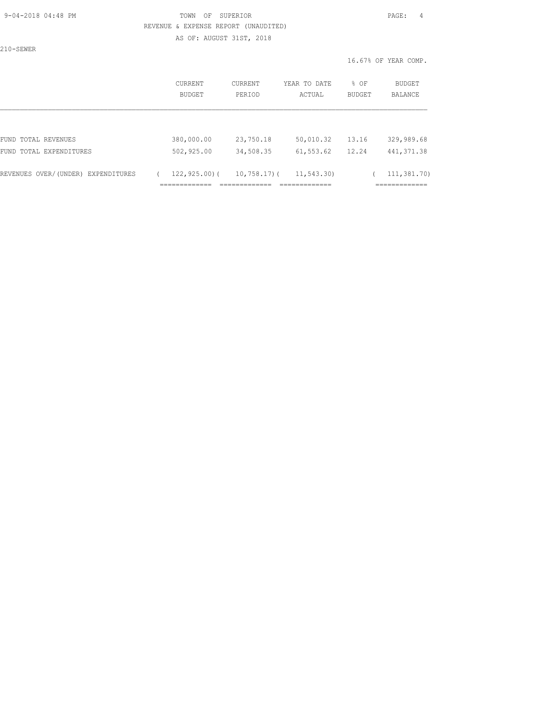#### 9-04-2018 04:48 PM TOWN OF SUPERIOR PAGE: 4 REVENUE & EXPENSE REPORT (UNAUDITED) AS OF: AUGUST 31ST, 2018

210-SEWER

| CURRENT<br>BUDGET | <b>CURRENT</b><br>PERIOD | YEAR TO DATE<br>ACTUAL           | % OF<br><b>BUDGET</b> | BUDGET<br>BALANCE                           |
|-------------------|--------------------------|----------------------------------|-----------------------|---------------------------------------------|
|                   |                          |                                  |                       |                                             |
| 380,000.00        | 23,750.18                | 50,010.32                        | 13.16                 | 329,989.68                                  |
| 502,925.00        | 34,508.35                | 61,553.62                        | 12.24                 | 441, 371.38                                 |
| $122, 925, 00$ (  |                          | 11, 543.30<br>_____________<br>. |                       | 111,381.70)<br>____________<br>------------ |
|                   | --------------<br>.      | _____________<br>-----------     | $10,758,17$ ) (       |                                             |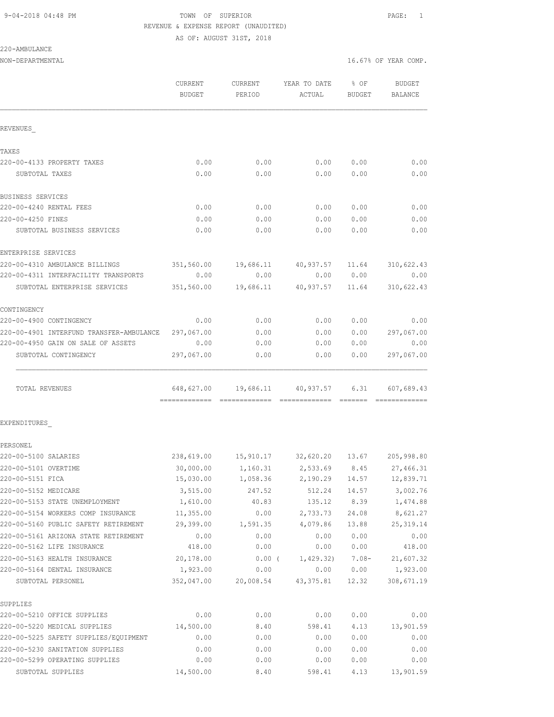AS OF: AUGUST 31ST, 2018

| 220-AMBULANCE |
|---------------|
|---------------|

NON-DEPARTMENTAL 16.67% OF YEAR COMP.

|                                          | CURRENT<br><b>BUDGET</b> | CURRENT<br>PERIOD | YEAR TO DATE<br>ACTUAL                              | $8$ OF<br>BUDGET | <b>BUDGET</b><br>BALANCE |
|------------------------------------------|--------------------------|-------------------|-----------------------------------------------------|------------------|--------------------------|
| REVENUES                                 |                          |                   |                                                     |                  |                          |
|                                          |                          |                   |                                                     |                  |                          |
| TAXES                                    |                          |                   |                                                     |                  |                          |
| 220-00-4133 PROPERTY TAXES               | 0.00                     | 0.00              | 0.00                                                | 0.00             | 0.00                     |
| SUBTOTAL TAXES                           | 0.00                     | 0.00              | 0.00                                                | 0.00             | 0.00                     |
| BUSINESS SERVICES                        |                          |                   |                                                     |                  |                          |
| 220-00-4240 RENTAL FEES                  | 0.00                     | 0.00              | 0.00                                                | 0.00             | 0.00                     |
| 220-00-4250 FINES                        | 0.00                     | 0.00              | 0.00                                                | 0.00             | 0.00                     |
| SUBTOTAL BUSINESS SERVICES               | 0.00                     | 0.00              | 0.00                                                | 0.00             | 0.00                     |
| ENTERPRISE SERVICES                      |                          |                   |                                                     |                  |                          |
| 220-00-4310 AMBULANCE BILLINGS           | 351,560.00               | 19,686.11         | 40,937.57 11.64                                     |                  | 310,622.43               |
| 220-00-4311 INTERFACILITY TRANSPORTS     | 0.00                     | 0.00              | 0.00                                                | 0.00             | 0.00                     |
| SUBTOTAL ENTERPRISE SERVICES             | 351,560.00               | 19,686.11         | 40,937.57 11.64                                     |                  | 310,622.43               |
| CONTINGENCY                              |                          |                   |                                                     |                  |                          |
| 220-00-4900 CONTINGENCY                  | 0.00                     | 0.00              | 0.00                                                | 0.00             | 0.00                     |
| 220-00-4901 INTERFUND TRANSFER-AMBULANCE | 297,067.00               | 0.00              | 0.00                                                | 0.00             | 297,067.00               |
| 220-00-4950 GAIN ON SALE OF ASSETS       | 0.00                     | 0.00              | 0.00                                                | 0.00             | 0.00                     |
| SUBTOTAL CONTINGENCY                     | 297,067.00               | 0.00              | 0.00                                                | 0.00             | 297,067.00               |
| TOTAL REVENUES                           |                          |                   | 648,627.00 19,686.11 40,937.57                      | 6.31             | 607,689.43               |
| EXPENDITURES                             |                          |                   |                                                     |                  |                          |
| PERSONEL                                 |                          |                   |                                                     |                  |                          |
| 220-00-5100 SALARIES                     |                          |                   | 238,619.00  15,910.17  32,620.20  13.67  205,998.80 |                  |                          |
| 220-00-5101 OVERTIME                     | 30,000.00                | 1,160.31          | 2,533.69                                            | 8.45             | 27,466.31                |
| 220-00-5151 FICA                         | 15,030.00                | 1,058.36          | 2,190.29                                            | 14.57            | 12,839.71                |
| 220-00-5152 MEDICARE                     | 3,515.00                 | 247.52            | 512.24                                              | 14.57            | 3,002.76                 |
| 220-00-5153 STATE UNEMPLOYMENT           | 1,610.00                 | 40.83             | 135.12                                              | 8.39             | 1,474.88                 |
| 220-00-5154 WORKERS COMP INSURANCE       | 11,355.00                | 0.00              | 2,733.73                                            | 24.08            | 8,621.27                 |
| 220-00-5160 PUBLIC SAFETY RETIREMENT     | 29,399.00                | 1,591.35          | 4,079.86                                            | 13.88            | 25, 319.14               |
| 220-00-5161 ARIZONA STATE RETIREMENT     | 0.00                     | 0.00              | 0.00                                                | 0.00             | 0.00                     |
| 220-00-5162 LIFE INSURANCE               | 418.00                   | 0.00              | 0.00                                                | 0.00             | 418.00                   |
| 220-00-5163 HEALTH INSURANCE             | 20,178.00                | $0.00$ (          | 1,429.32)                                           | $7.08 -$         | 21,607.32                |
| 220-00-5164 DENTAL INSURANCE             | 1,923.00                 | 0.00              | 0.00                                                | 0.00             | 1,923.00                 |
| SUBTOTAL PERSONEL                        | 352,047.00               | 20,008.54         | 43, 375.81                                          | 12.32            | 308,671.19               |
| SUPPLIES                                 |                          |                   |                                                     |                  |                          |
| 220-00-5210 OFFICE SUPPLIES              | 0.00                     | 0.00              | 0.00                                                | 0.00             | 0.00                     |
| 220-00-5220 MEDICAL SUPPLIES             | 14,500.00                | 8.40              | 598.41                                              | 4.13             | 13,901.59                |
| 220-00-5225 SAFETY SUPPLIES/EQUIPMENT    | 0.00                     | 0.00              | 0.00                                                | 0.00             | 0.00                     |
| 220-00-5230 SANITATION SUPPLIES          | 0.00                     | 0.00              | 0.00                                                | 0.00             | 0.00                     |
| 220-00-5299 OPERATING SUPPLIES           | 0.00                     | 0.00              | 0.00                                                | 0.00             | 0.00                     |

SUBTOTAL SUPPLIES 14,500.00 8.40 598.41 4.13 13,901.59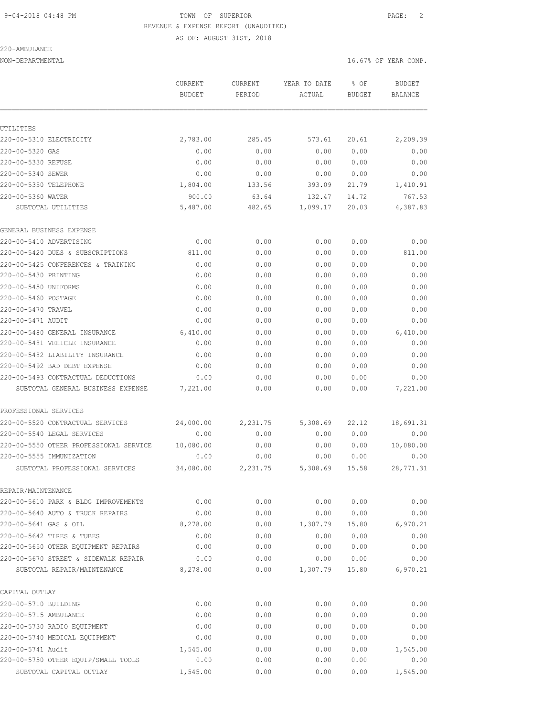#### 220-AMBULANCE

AS OF: AUGUST 31ST, 2018

| NON-DEPARTMENTAL | 16.67% OF YEAR COMP. |
|------------------|----------------------|
|                  |                      |

|                                        | CURRENT<br><b>BUDGET</b> | <b>CURRENT</b><br>PERIOD | YEAR TO DATE<br>ACTUAL | % OF<br><b>BUDGET</b> | <b>BUDGET</b><br>BALANCE |
|----------------------------------------|--------------------------|--------------------------|------------------------|-----------------------|--------------------------|
|                                        |                          |                          |                        |                       |                          |
| UTILITIES                              |                          |                          |                        |                       |                          |
| 220-00-5310 ELECTRICITY                | 2,783.00                 | 285.45                   | 573.61                 | 20.61                 | 2,209.39                 |
| 220-00-5320 GAS                        | 0.00                     | 0.00                     | 0.00                   | 0.00                  | 0.00                     |
| 220-00-5330 REFUSE                     | 0.00                     | 0.00                     | 0.00                   | 0.00                  | 0.00                     |
| 220-00-5340 SEWER                      | 0.00                     | 0.00                     | 0.00                   | 0.00                  | 0.00                     |
| 220-00-5350 TELEPHONE                  | 1,804.00                 | 133.56                   | 393.09                 | 21.79                 | 1,410.91                 |
| 220-00-5360 WATER                      | 900.00                   | 63.64                    | 132.47                 | 14.72                 | 767.53                   |
| SUBTOTAL UTILITIES                     | 5,487.00                 | 482.65                   | 1,099.17               | 20.03                 | 4,387.83                 |
| GENERAL BUSINESS EXPENSE               |                          |                          |                        |                       |                          |
| 220-00-5410 ADVERTISING                | 0.00                     | 0.00                     | 0.00                   | 0.00                  | 0.00                     |
| 220-00-5420 DUES & SUBSCRIPTIONS       | 811.00                   | 0.00                     | 0.00                   | 0.00                  | 811.00                   |
| 220-00-5425 CONFERENCES & TRAINING     | 0.00                     | 0.00                     | 0.00                   | 0.00                  | 0.00                     |
| 220-00-5430 PRINTING                   | 0.00                     | 0.00                     | 0.00                   | 0.00                  | 0.00                     |
| 220-00-5450 UNIFORMS                   | 0.00                     | 0.00                     | 0.00                   | 0.00                  | 0.00                     |
| 220-00-5460 POSTAGE                    | 0.00                     | 0.00                     | 0.00                   | 0.00                  | 0.00                     |
| 220-00-5470 TRAVEL                     | 0.00                     | 0.00                     | 0.00                   | 0.00                  | 0.00                     |
| 220-00-5471 AUDIT                      | 0.00                     | 0.00                     | 0.00                   | 0.00                  | 0.00                     |
| 220-00-5480 GENERAL INSURANCE          | 6,410.00                 | 0.00                     | 0.00                   | 0.00                  | 6,410.00                 |
| 220-00-5481 VEHICLE INSURANCE          | 0.00                     | 0.00                     | 0.00                   | 0.00                  | 0.00                     |
| 220-00-5482 LIABILITY INSURANCE        | 0.00                     | 0.00                     | 0.00                   | 0.00                  | 0.00                     |
| 220-00-5492 BAD DEBT EXPENSE           | 0.00                     | 0.00                     | 0.00                   | 0.00                  | 0.00                     |
| 220-00-5493 CONTRACTUAL DEDUCTIONS     | 0.00                     | 0.00                     | 0.00                   | 0.00                  | 0.00                     |
| SUBTOTAL GENERAL BUSINESS EXPENSE      | 7,221.00                 | 0.00                     | 0.00                   | 0.00                  | 7,221.00                 |
| PROFESSIONAL SERVICES                  |                          |                          |                        |                       |                          |
| 220-00-5520 CONTRACTUAL SERVICES       | 24,000.00                | 2,231.75                 | 5,308.69               | 22.12                 | 18,691.31                |
| 220-00-5540 LEGAL SERVICES             | 0.00                     | 0.00                     | 0.00                   | 0.00                  | 0.00                     |
| 220-00-5550 OTHER PROFESSIONAL SERVICE | 10,080.00                | 0.00                     | 0.00                   | 0.00                  | 10,080.00                |
| 220-00-5555 IMMUNIZATION               | 0.00                     | 0.00                     | 0.00                   | 0.00                  | 0.00                     |
| SUBTOTAL PROFESSIONAL SERVICES         | 34,080.00                | 2,231.75                 | 5,308.69               | 15.58                 | 28,771.31                |
| REPAIR/MAINTENANCE                     |                          |                          |                        |                       |                          |
| 220-00-5610 PARK & BLDG IMPROVEMENTS   | 0.00                     | 0.00                     | 0.00                   | 0.00                  | 0.00                     |
| 220-00-5640 AUTO & TRUCK REPAIRS       | 0.00                     | 0.00                     | 0.00                   | 0.00                  | 0.00                     |
| 220-00-5641 GAS & OIL                  | 8,278.00                 | 0.00                     | 1,307.79               | 15.80                 | 6,970.21                 |
| 220-00-5642 TIRES & TUBES              | 0.00                     | 0.00                     | 0.00                   | 0.00                  | 0.00                     |
| 220-00-5650 OTHER EQUIPMENT REPAIRS    | 0.00                     | 0.00                     | 0.00                   | 0.00                  | 0.00                     |
| 220-00-5670 STREET & SIDEWALK REPAIR   | 0.00                     | 0.00                     | 0.00                   | 0.00                  | 0.00                     |
| SUBTOTAL REPAIR/MAINTENANCE            | 8,278.00                 | 0.00                     | 1,307.79               | 15.80                 | 6,970.21                 |
| CAPITAL OUTLAY                         |                          |                          |                        |                       |                          |
| 220-00-5710 BUILDING                   | 0.00                     | 0.00                     | 0.00                   | 0.00                  | 0.00                     |
| 220-00-5715 AMBULANCE                  | 0.00                     | 0.00                     | 0.00                   | 0.00                  | 0.00                     |
| 220-00-5730 RADIO EQUIPMENT            | 0.00                     | 0.00                     | 0.00                   | 0.00                  | 0.00                     |
| 220-00-5740 MEDICAL EQUIPMENT          | 0.00                     | 0.00                     | 0.00                   | 0.00                  | 0.00                     |
| 220-00-5741 Audit                      | 1,545.00                 | 0.00                     | 0.00                   | 0.00                  | 1,545.00                 |
| 220-00-5750 OTHER EQUIP/SMALL TOOLS    | 0.00                     | 0.00                     | 0.00                   | 0.00                  | 0.00                     |
| SUBTOTAL CAPITAL OUTLAY                | 1,545.00                 | 0.00                     | 0.00                   | 0.00                  | 1,545.00                 |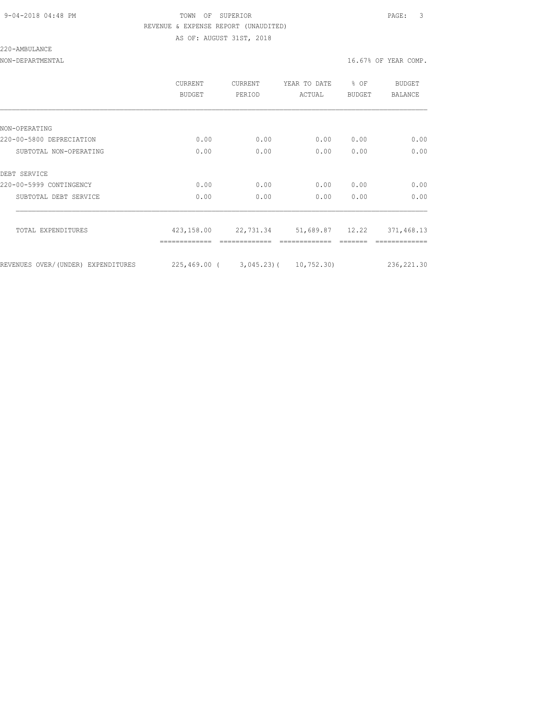#### 9-04-2018 04:48 PM TOWN OF SUPERIOR PAGE: 3 REVENUE & EXPENSE REPORT (UNAUDITED) AS OF: AUGUST 31ST, 2018

220-AMBULANCE

|                                    | <b>CURRENT</b><br><b>BUDGET</b>       | CURRENT<br>PERIOD | YEAR TO DATE<br>ACTUAL | % OF<br><b>BUDGET</b> | BUDGET<br><b>BALANCE</b> |
|------------------------------------|---------------------------------------|-------------------|------------------------|-----------------------|--------------------------|
|                                    |                                       |                   |                        |                       |                          |
| NON-OPERATING                      |                                       |                   |                        |                       |                          |
| 220-00-5800 DEPRECIATION           | 0.00                                  | 0.00              | 0.00                   | 0.00                  | 0.00                     |
| SUBTOTAL NON-OPERATING             | 0.00                                  | 0.00              | 0.00                   | 0.00                  | 0.00                     |
| DEBT SERVICE                       |                                       |                   |                        |                       |                          |
| 220-00-5999 CONTINGENCY            | 0.00                                  | 0.00              | 0.00                   | 0.00                  | 0.00                     |
| SUBTOTAL DEBT SERVICE              | 0.00                                  | 0.00              | 0.00                   | 0.00                  | 0.00                     |
| TOTAL EXPENDITURES                 | 423,158.00                            | 22,731.34         | 51,689.87 12.22        |                       | 371,468.13               |
|                                    |                                       |                   |                        |                       |                          |
| REVENUES OVER/(UNDER) EXPENDITURES | $225,469.00$ ( 3,045.23) ( 10,752.30) |                   |                        |                       | 236, 221.30              |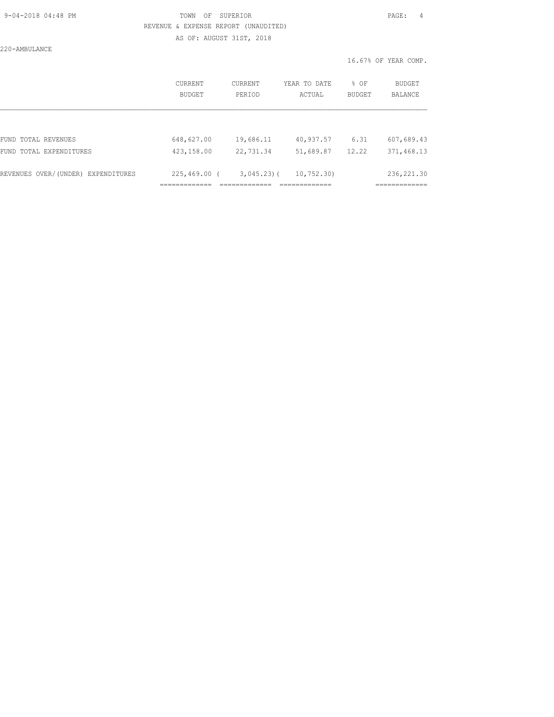#### 9-04-2018 04:48 PM TOWN OF SUPERIOR PAGE: 4 REVENUE & EXPENSE REPORT (UNAUDITED) AS OF: AUGUST 31ST, 2018

220-AMBULANCE

|                                    | CURRENT<br>BUDGET | CURRENT<br>PERIOD | YEAR TO DATE<br>ACTUAL | % OF<br>BUDGET | <b>BUDGET</b><br><b>BALANCE</b> |
|------------------------------------|-------------------|-------------------|------------------------|----------------|---------------------------------|
|                                    |                   |                   |                        |                |                                 |
| FUND TOTAL REVENUES                | 648,627.00        | 19,686.11         | 40,937.57              | 6.31           | 607,689.43                      |
| FUND TOTAL EXPENDITURES            | 423,158.00        | 22,731.34         | 51,689.87              | 12.22          | 371,468.13                      |
| REVENUES OVER/(UNDER) EXPENDITURES | $225,469.00$ (    | $3,045.23$ (      | 10, 752, 30)           |                | 236, 221.30                     |
|                                    |                   |                   |                        |                |                                 |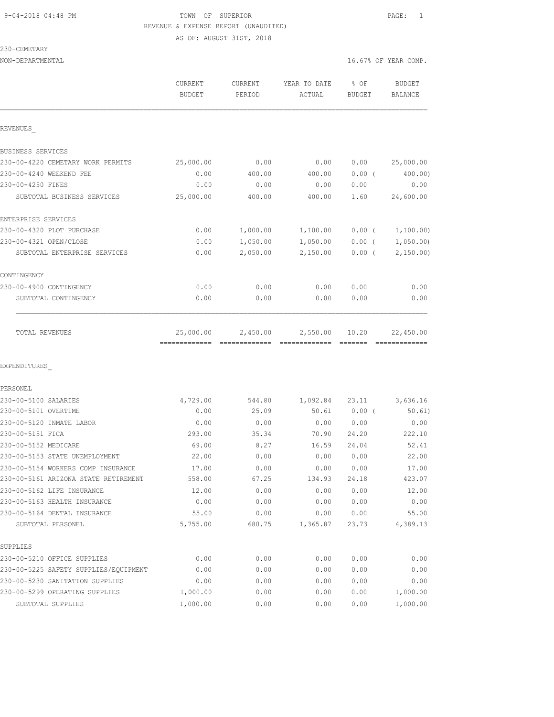### 9-04-2018 04:48 PM TOWN OF SUPERIOR PAGE: 1 REVENUE & EXPENSE REPORT (UNAUDITED) AS OF: AUGUST 31ST, 2018

230-CEMETARY

| NON-DEPARTMENTAL                                           |                                 |                          |                        | 16.67% OF YEAR COMP. |                          |  |
|------------------------------------------------------------|---------------------------------|--------------------------|------------------------|----------------------|--------------------------|--|
|                                                            | <b>CURRENT</b><br><b>BUDGET</b> | <b>CURRENT</b><br>PERIOD | YEAR TO DATE<br>ACTUAL | % OF<br>BUDGET       | <b>BUDGET</b><br>BALANCE |  |
| REVENUES                                                   |                                 |                          |                        |                      |                          |  |
| BUSINESS SERVICES                                          |                                 |                          |                        |                      |                          |  |
| 230-00-4220 CEMETARY WORK PERMITS                          | 25,000.00                       | 0.00                     | 0.00                   | 0.00                 | 25,000.00                |  |
| 230-00-4240 WEEKEND FEE                                    | 0.00                            | 400.00                   | 400.00                 | $0.00$ (             | 400.00)                  |  |
| 230-00-4250 FINES                                          | 0.00                            | 0.00                     | 0.00                   | 0.00                 | 0.00                     |  |
| SUBTOTAL BUSINESS SERVICES                                 | 25,000.00                       | 400.00                   | 400.00                 | 1.60                 | 24,600.00                |  |
| ENTERPRISE SERVICES                                        |                                 |                          |                        |                      |                          |  |
| 230-00-4320 PLOT PURCHASE                                  | 0.00                            | 1,000.00                 | 1,100.00               | $0.00$ (             | 1,100.00)                |  |
| 230-00-4321 OPEN/CLOSE                                     | 0.00                            | 1,050.00                 | 1,050.00               | $0.00$ (             | 1,050.00                 |  |
| SUBTOTAL ENTERPRISE SERVICES                               | 0.00                            | 2,050.00                 | 2,150.00               | $0.00$ (             | 2,150.00                 |  |
| CONTINGENCY                                                |                                 |                          |                        |                      |                          |  |
| 230-00-4900 CONTINGENCY                                    | 0.00                            | 0.00                     | 0.00                   | 0.00                 | 0.00                     |  |
| SUBTOTAL CONTINGENCY                                       | 0.00                            | 0.00                     | 0.00                   | 0.00                 | 0.00                     |  |
| TOTAL REVENUES                                             | 25,000.00                       | 2,450.00                 | 2,550.00               | 10.20                | 22,450.00                |  |
| EXPENDITURES                                               |                                 |                          |                        |                      |                          |  |
| PERSONEL                                                   |                                 |                          |                        |                      |                          |  |
| 230-00-5100 SALARIES                                       | 4,729.00                        | 544.80                   | 1,092.84               | 23.11                | 3,636.16                 |  |
| 230-00-5101 OVERTIME                                       | 0.00                            | 25.09                    | 50.61                  | 0.00(                | 50.61)                   |  |
| 230-00-5120 INMATE LABOR                                   | 0.00                            | 0.00                     | 0.00                   | 0.00                 | 0.00                     |  |
| 230-00-5151 FICA                                           | 293.00                          | 35.34                    | 70.90                  | 24.20                | 222.10                   |  |
| 230-00-5152 MEDICARE                                       | 69.00                           | 8.27                     | 16.59                  | 24.04                | 52.41                    |  |
| 230-00-5153 STATE UNEMPLOYMENT                             | 22.00                           | 0.00                     | 0.00                   | 0.00                 | 22.00                    |  |
| 230-00-5154 WORKERS COMP INSURANCE                         | 17.00                           | 0.00<br>67.25            | 0.00                   | 0.00                 | 17.00                    |  |
| 230-00-5161 ARIZONA STATE RETIREMENT                       | 558.00                          |                          | 134.93                 | 24.18                | 423.07                   |  |
| 230-00-5162 LIFE INSURANCE<br>230-00-5163 HEALTH INSURANCE | 12.00<br>0.00                   | 0.00<br>0.00             | 0.00<br>0.00           | 0.00<br>0.00         | 12.00<br>0.00            |  |
| 230-00-5164 DENTAL INSURANCE                               | 55.00                           | 0.00                     | 0.00                   | 0.00                 | 55.00                    |  |
| SUBTOTAL PERSONEL                                          | 5,755.00                        | 680.75                   | 1,365.87               | 23.73                | 4,389.13                 |  |
| SUPPLIES                                                   |                                 |                          |                        |                      |                          |  |
| 230-00-5210 OFFICE SUPPLIES                                | 0.00                            | 0.00                     | 0.00                   | 0.00                 | 0.00                     |  |
| 230-00-5225 SAFETY SUPPLIES/EQUIPMENT                      | 0.00                            | 0.00                     | 0.00                   | 0.00                 | 0.00                     |  |
| 230-00-5230 SANITATION SUPPLIES                            | 0.00                            | 0.00                     | 0.00                   | 0.00                 | 0.00                     |  |
| 230-00-5299 OPERATING SUPPLIES                             | 1,000.00                        | 0.00                     | 0.00                   | 0.00                 | 1,000.00                 |  |
| SUBTOTAL SUPPLIES                                          | 1,000.00                        | 0.00                     | 0.00                   | 0.00                 | 1,000.00                 |  |
|                                                            |                                 |                          |                        |                      |                          |  |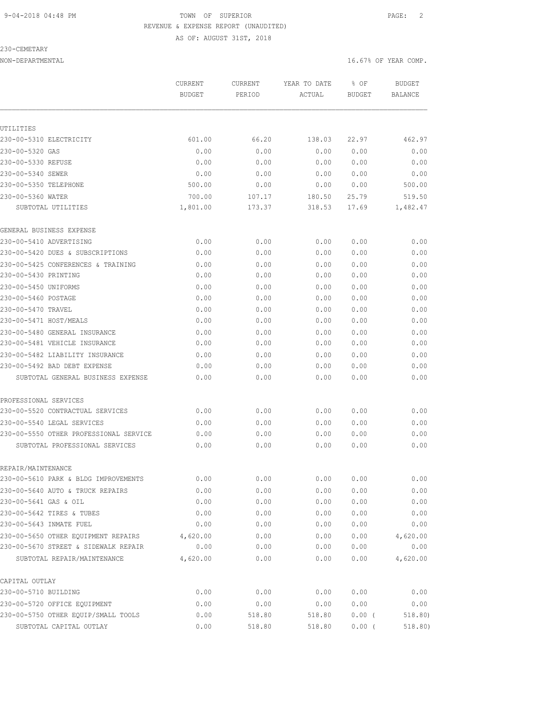AS OF: AUGUST 31ST, 2018

230-CEMETARY

|                                        | CURRENT<br><b>BUDGET</b> | CURRENT<br>PERIOD | YEAR TO DATE<br>ACTUAL | % OF<br><b>BUDGET</b> | <b>BUDGET</b><br><b>BALANCE</b> |
|----------------------------------------|--------------------------|-------------------|------------------------|-----------------------|---------------------------------|
|                                        |                          |                   |                        |                       |                                 |
| UTILITIES                              |                          |                   |                        |                       |                                 |
| 230-00-5310 ELECTRICITY                | 601.00                   | 66.20             | 138.03                 | 22.97                 | 462.97                          |
| 230-00-5320 GAS                        | 0.00                     | 0.00              | 0.00                   | 0.00                  | 0.00                            |
| 230-00-5330 REFUSE                     | 0.00                     | 0.00              | 0.00                   | 0.00                  | 0.00                            |
| 230-00-5340 SEWER                      | 0.00                     | 0.00              | 0.00                   | 0.00                  | 0.00                            |
| 230-00-5350 TELEPHONE                  | 500.00                   | 0.00              | 0.00                   | 0.00                  | 500.00                          |
| 230-00-5360 WATER                      | 700.00                   | 107.17            | 180.50                 | 25.79                 | 519.50                          |
| SUBTOTAL UTILITIES                     | 1,801.00                 | 173.37            | 318.53                 | 17.69                 | 1,482.47                        |
| GENERAL BUSINESS EXPENSE               |                          |                   |                        |                       |                                 |
| 230-00-5410 ADVERTISING                | 0.00                     | 0.00              | 0.00                   | 0.00                  | 0.00                            |
| 230-00-5420 DUES & SUBSCRIPTIONS       | 0.00                     | 0.00              | 0.00                   | 0.00                  | 0.00                            |
| 230-00-5425 CONFERENCES & TRAINING     | 0.00                     | 0.00              | 0.00                   | 0.00                  | 0.00                            |
| 230-00-5430 PRINTING                   | 0.00                     | 0.00              | 0.00                   | 0.00                  | 0.00                            |
| 230-00-5450 UNIFORMS                   | 0.00                     | 0.00              | 0.00                   | 0.00                  | 0.00                            |
| 230-00-5460 POSTAGE                    | 0.00                     | 0.00              | 0.00                   | 0.00                  | 0.00                            |
| 230-00-5470 TRAVEL                     | 0.00                     | 0.00              | 0.00                   | 0.00                  | 0.00                            |
| 230-00-5471 HOST/MEALS                 | 0.00                     | 0.00              | 0.00                   | 0.00                  | 0.00                            |
| 230-00-5480 GENERAL INSURANCE          | 0.00                     | 0.00              | 0.00                   | 0.00                  | 0.00                            |
| 230-00-5481 VEHICLE INSURANCE          | 0.00                     | 0.00              | 0.00                   | 0.00                  | 0.00                            |
| 230-00-5482 LIABILITY INSURANCE        | 0.00                     | 0.00              | 0.00                   | 0.00                  | 0.00                            |
| 230-00-5492 BAD DEBT EXPENSE           | 0.00                     | 0.00              | 0.00                   | 0.00                  | 0.00                            |
| SUBTOTAL GENERAL BUSINESS EXPENSE      | 0.00                     | 0.00              | 0.00                   | 0.00                  | 0.00                            |
| PROFESSIONAL SERVICES                  |                          |                   |                        |                       |                                 |
| 230-00-5520 CONTRACTUAL SERVICES       | 0.00                     | 0.00              | 0.00                   | 0.00                  | 0.00                            |
| 230-00-5540 LEGAL SERVICES             | 0.00                     | 0.00              | 0.00                   | 0.00                  | 0.00                            |
| 230-00-5550 OTHER PROFESSIONAL SERVICE | 0.00                     | 0.00              | 0.00                   | 0.00                  | 0.00                            |
| SUBTOTAL PROFESSIONAL SERVICES         | 0.00                     | 0.00              | 0.00                   | 0.00                  | 0.00                            |
| REPAIR/MAINTENANCE                     |                          |                   |                        |                       |                                 |
| 230-00-5610 PARK & BLDG IMPROVEMENTS   | 0.00                     | 0.00              | 0.00                   | 0.00                  | 0.00                            |
| 230-00-5640 AUTO & TRUCK REPAIRS       | 0.00                     | 0.00              | 0.00                   | 0.00                  | 0.00                            |
| 230-00-5641 GAS & OIL                  | 0.00                     | 0.00              | 0.00                   | 0.00                  | 0.00                            |
| 230-00-5642 TIRES & TUBES              | 0.00                     | 0.00              | 0.00                   | 0.00                  | 0.00                            |
| 230-00-5643 INMATE FUEL                | 0.00                     | 0.00              | 0.00                   | 0.00                  | 0.00                            |
| 230-00-5650 OTHER EQUIPMENT REPAIRS    | 4,620.00                 | 0.00              | 0.00                   | 0.00                  | 4,620.00                        |
| 230-00-5670 STREET & SIDEWALK REPAIR   | 0.00                     | 0.00              | 0.00                   | 0.00                  | 0.00                            |
| SUBTOTAL REPAIR/MAINTENANCE            | 4,620.00                 | 0.00              | 0.00                   | 0.00                  | 4,620.00                        |
| CAPITAL OUTLAY                         |                          |                   |                        |                       |                                 |
| 230-00-5710 BUILDING                   | 0.00                     | 0.00              | 0.00                   | 0.00                  | 0.00                            |
| 230-00-5720 OFFICE EQUIPMENT           | 0.00                     | 0.00              | 0.00                   | 0.00                  | 0.00                            |
| 230-00-5750 OTHER EQUIP/SMALL TOOLS    | 0.00                     | 518.80            | 518.80                 | $0.00$ (              | 518.80)                         |
| SUBTOTAL CAPITAL OUTLAY                | 0.00                     | 518.80            | 518.80                 | $0.00$ (              | 518.80)                         |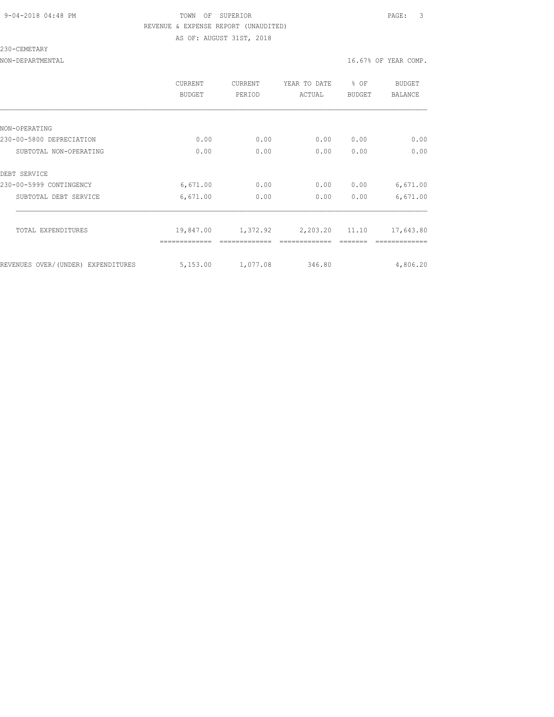#### 9-04-2018 04:48 PM TOWN OF SUPERIOR PAGE: 3 REVENUE & EXPENSE REPORT (UNAUDITED) AS OF: AUGUST 31ST, 2018

230-CEMETARY

|                                    | <b>CURRENT</b><br>BUDGET | CURRENT<br>PERIOD | YEAR TO DATE<br>ACTUAL | $8$ OF<br><b>BUDGET</b> | BUDGET<br><b>BALANCE</b> |
|------------------------------------|--------------------------|-------------------|------------------------|-------------------------|--------------------------|
|                                    |                          |                   |                        |                         |                          |
| NON-OPERATING                      |                          |                   |                        |                         |                          |
| 230-00-5800 DEPRECIATION           | 0.00                     | 0.00              | 0.00                   | 0.00                    | 0.00                     |
| SUBTOTAL NON-OPERATING             | 0.00                     | 0.00              | 0.00                   | 0.00                    | 0.00                     |
| DEBT SERVICE                       |                          |                   |                        |                         |                          |
| 230-00-5999 CONTINGENCY            | 6,671.00                 | 0.00              | 0.00                   | 0.00                    | 6,671.00                 |
| SUBTOTAL DEBT SERVICE              | 6,671.00                 | 0.00              | 0.00                   | 0.00                    | 6,671.00                 |
| TOTAL EXPENDITURES                 | 19,847.00                | 1,372.92          | 2,203.20 11.10         |                         | 17,643.80                |
|                                    |                          |                   |                        |                         |                          |
| REVENUES OVER/(UNDER) EXPENDITURES | 5,153.00                 | 1,077.08          | 346.80                 |                         | 4,806.20                 |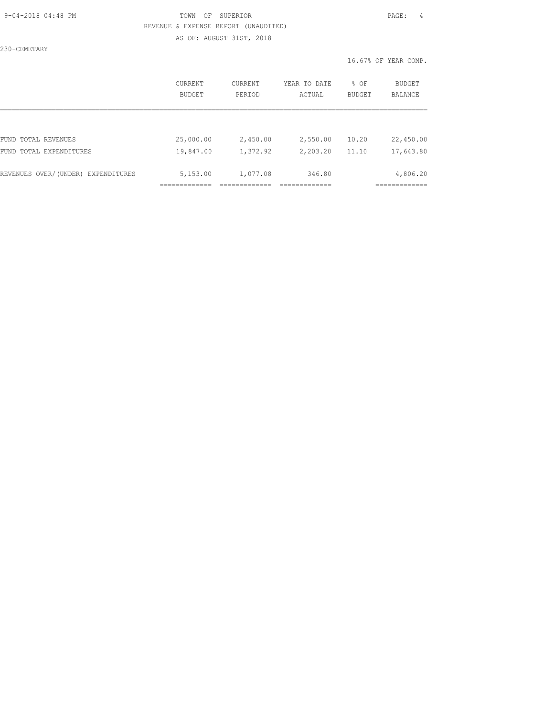#### 9-04-2018 04:48 PM TOWN OF SUPERIOR PAGE: 4 REVENUE & EXPENSE REPORT (UNAUDITED) AS OF: AUGUST 31ST, 2018

230-CEMETARY

|                                    | CURRENT<br>BUDGET | CURRENT<br>PERIOD | YEAR TO DATE<br>ACTUAL | % OF<br>BUDGET | <b>BUDGET</b><br>BALANCE |
|------------------------------------|-------------------|-------------------|------------------------|----------------|--------------------------|
|                                    |                   |                   |                        |                |                          |
| FUND TOTAL REVENUES                | 25,000.00         | 2,450.00          | 2,550.00               | 10.20          | 22,450.00                |
| FUND TOTAL EXPENDITURES            | 19,847.00         | 1,372.92          | 2,203.20               | 11.10          | 17,643.80                |
| REVENUES OVER/(UNDER) EXPENDITURES | 5,153.00          | 1,077.08          | 346.80                 |                | 4,806.20                 |
|                                    |                   |                   |                        |                |                          |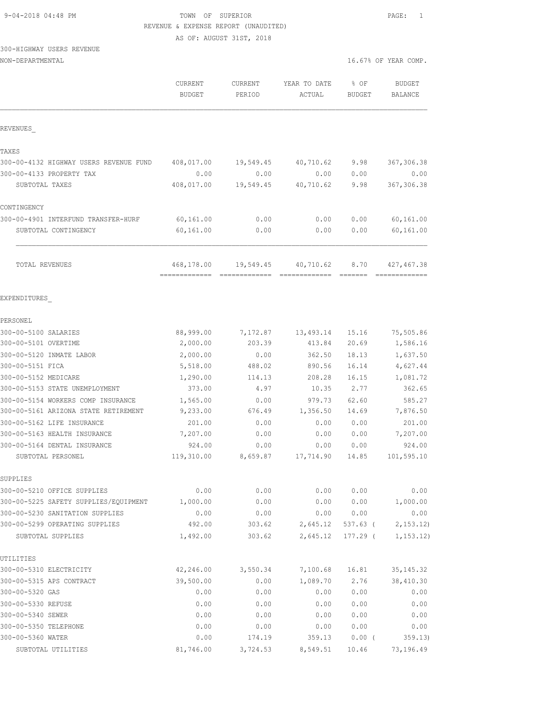# 9-04-2018 04:48 PM TOWN OF SUPERIOR PAGE: 1

## 300-HIGHWAY USERS REVENUE

| REVENUE & EXPENSE REPORT (UNAUDITED)   |                                 |                          |                                                                                                                                                                                                                                                                                                                                                                                                                                                                                        |                             |                                 |
|----------------------------------------|---------------------------------|--------------------------|----------------------------------------------------------------------------------------------------------------------------------------------------------------------------------------------------------------------------------------------------------------------------------------------------------------------------------------------------------------------------------------------------------------------------------------------------------------------------------------|-----------------------------|---------------------------------|
|                                        |                                 | AS OF: AUGUST 31ST, 2018 |                                                                                                                                                                                                                                                                                                                                                                                                                                                                                        |                             |                                 |
| 300-HIGHWAY USERS REVENUE              |                                 |                          |                                                                                                                                                                                                                                                                                                                                                                                                                                                                                        |                             |                                 |
| NON-DEPARTMENTAL                       |                                 |                          |                                                                                                                                                                                                                                                                                                                                                                                                                                                                                        |                             | 16.67% OF YEAR COMP.            |
|                                        | <b>CURRENT</b><br><b>BUDGET</b> | CURRENT<br>PERIOD        | YEAR TO DATE<br>ACTUAL                                                                                                                                                                                                                                                                                                                                                                                                                                                                 | % OF<br><b>BUDGET</b>       | <b>BUDGET</b><br><b>BALANCE</b> |
|                                        |                                 |                          |                                                                                                                                                                                                                                                                                                                                                                                                                                                                                        |                             |                                 |
| REVENUES                               |                                 |                          |                                                                                                                                                                                                                                                                                                                                                                                                                                                                                        |                             |                                 |
| TAXES                                  |                                 |                          |                                                                                                                                                                                                                                                                                                                                                                                                                                                                                        |                             |                                 |
| 300-00-4132 HIGHWAY USERS REVENUE FUND | 408,017.00                      | 19,549.45                | 40,710.62                                                                                                                                                                                                                                                                                                                                                                                                                                                                              | 9.98                        | 367,306.38                      |
| 300-00-4133 PROPERTY TAX               | 0.00                            | 0.00                     | 0.00                                                                                                                                                                                                                                                                                                                                                                                                                                                                                   | 0.00                        | 0.00                            |
| SUBTOTAL TAXES                         | 408,017.00                      | 19,549.45                | 40,710.62                                                                                                                                                                                                                                                                                                                                                                                                                                                                              | 9.98                        | 367, 306.38                     |
| CONTINGENCY                            |                                 |                          |                                                                                                                                                                                                                                                                                                                                                                                                                                                                                        |                             |                                 |
| 300-00-4901 INTERFUND TRANSFER-HURF    | 60,161.00                       | 0.00                     | 0.00                                                                                                                                                                                                                                                                                                                                                                                                                                                                                   | 0.00                        | 60,161.00                       |
| SUBTOTAL CONTINGENCY                   | 60,161.00                       | 0.00                     | 0.00                                                                                                                                                                                                                                                                                                                                                                                                                                                                                   | 0.00                        | 60,161.00                       |
| TOTAL REVENUES                         | 468,178.00                      | 19,549.45                | 40,710.62                                                                                                                                                                                                                                                                                                                                                                                                                                                                              | 8.70                        | 427, 467.38                     |
|                                        | ==============================  |                          | $\begin{array}{cccccccccccccc} \multicolumn{2}{c}{} & \multicolumn{2}{c}{} & \multicolumn{2}{c}{} & \multicolumn{2}{c}{} & \multicolumn{2}{c}{} & \multicolumn{2}{c}{} & \multicolumn{2}{c}{} & \multicolumn{2}{c}{} & \multicolumn{2}{c}{} & \multicolumn{2}{c}{} & \multicolumn{2}{c}{} & \multicolumn{2}{c}{} & \multicolumn{2}{c}{} & \multicolumn{2}{c}{} & \multicolumn{2}{c}{} & \multicolumn{2}{c}{} & \multicolumn{2}{c}{} & \multicolumn{2}{c}{} & \multicolumn{2}{c}{} & \$ | $=$ $=$ $=$ $=$ $=$ $=$ $=$ | =============                   |
| EXPENDITURES                           |                                 |                          |                                                                                                                                                                                                                                                                                                                                                                                                                                                                                        |                             |                                 |
| PERSONEL                               |                                 |                          |                                                                                                                                                                                                                                                                                                                                                                                                                                                                                        |                             |                                 |
| 300-00-5100 SALARIES                   | 88,999.00                       | 7,172.87                 | 13,493.14                                                                                                                                                                                                                                                                                                                                                                                                                                                                              | 15.16                       | 75,505.86                       |
| 300-00-5101 OVERTIME                   | 2,000.00                        | 203.39                   | 413.84                                                                                                                                                                                                                                                                                                                                                                                                                                                                                 | 20.69                       | 1,586.16                        |
| 300-00-5120 INMATE LABOR               | 2,000.00                        | 0.00                     | 362.50                                                                                                                                                                                                                                                                                                                                                                                                                                                                                 | 18.13                       | 1,637.50                        |
| 300-00-5151 FICA                       | 5,518.00                        | 488.02                   | 890.56                                                                                                                                                                                                                                                                                                                                                                                                                                                                                 | 16.14                       | 4,627.44                        |
| 300-00-5152 MEDICARE                   | 1,290.00                        | 114.13                   | 208.28                                                                                                                                                                                                                                                                                                                                                                                                                                                                                 | 16.15                       | 1,081.72                        |
| 300-00-5153 STATE UNEMPLOYMENT         | 373.00                          | 4.97                     | 10.35                                                                                                                                                                                                                                                                                                                                                                                                                                                                                  | 2.77                        | 362.65                          |
| 300-00-5154 WORKERS COMP INSURANCE     | 1,565.00                        | 0.00                     | 979.73                                                                                                                                                                                                                                                                                                                                                                                                                                                                                 | 62.60                       | 585.27                          |
| 300-00-5161 ARIZONA STATE RETIREMENT   | 9,233.00                        | 676.49                   | 1,356.50                                                                                                                                                                                                                                                                                                                                                                                                                                                                               | 14.69                       | 7,876.50                        |
| 300-00-5162 LIFE INSURANCE             | 201.00                          | 0.00                     | 0.00                                                                                                                                                                                                                                                                                                                                                                                                                                                                                   | 0.00                        | 201.00                          |
| 300-00-5163 HEALTH INSURANCE           | 7,207.00                        | 0.00                     | 0.00                                                                                                                                                                                                                                                                                                                                                                                                                                                                                   | 0.00                        | 7,207.00                        |
| 300-00-5164 DENTAL INSURANCE           | 924.00                          | 0.00                     | 0.00                                                                                                                                                                                                                                                                                                                                                                                                                                                                                   | 0.00                        | 924.00                          |
| SUBTOTAL PERSONEL                      | 119,310.00                      | 8,659.87                 | 17,714.90                                                                                                                                                                                                                                                                                                                                                                                                                                                                              | 14.85                       | 101,595.10                      |
| SUPPLIES                               |                                 |                          |                                                                                                                                                                                                                                                                                                                                                                                                                                                                                        |                             |                                 |
| 300-00-5210 OFFICE SUPPLIES            | 0.00                            | 0.00                     | 0.00                                                                                                                                                                                                                                                                                                                                                                                                                                                                                   | 0.00                        | 0.00                            |
| 300-00-5225 SAFETY SUPPLIES/EQUIPMENT  | 1,000.00                        | 0.00                     | 0.00                                                                                                                                                                                                                                                                                                                                                                                                                                                                                   | 0.00                        | 1,000.00                        |
| 300-00-5230 SANITATION SUPPLIES        | 0.00                            | 0.00                     | 0.00                                                                                                                                                                                                                                                                                                                                                                                                                                                                                   | 0.00                        | 0.00                            |
| 300-00-5299 OPERATING SUPPLIES         | 492.00                          | 303.62                   | 2,645.12                                                                                                                                                                                                                                                                                                                                                                                                                                                                               | 537.63 (                    | 2, 153.12                       |
| SUBTOTAL SUPPLIES                      | 1,492.00                        | 303.62                   | 2,645.12                                                                                                                                                                                                                                                                                                                                                                                                                                                                               | 177.29 (                    | 1, 153.12)                      |
| UTILITIES                              |                                 |                          |                                                                                                                                                                                                                                                                                                                                                                                                                                                                                        |                             |                                 |
| 300-00-5310 ELECTRICITY                | 42,246.00                       | 3,550.34                 | 7,100.68                                                                                                                                                                                                                                                                                                                                                                                                                                                                               | 16.81                       | 35, 145.32                      |
| 300-00-5315 APS CONTRACT               | 39,500.00                       | 0.00                     | 1,089.70                                                                                                                                                                                                                                                                                                                                                                                                                                                                               | 2.76                        | 38,410.30                       |
| 300-00-5320 GAS                        | 0.00                            | 0.00                     | 0.00                                                                                                                                                                                                                                                                                                                                                                                                                                                                                   | 0.00                        | 0.00                            |

300-00-5330 REFUSE 0.00 0.00 0.00 0.00 0.00 300-00-5340 SEWER 0.00 0.00 0.00 0.00 0.00 300-00-5350 TELEPHONE 0.00 0.00 0.00 0.00 0.00 300-00-5360 WATER 0.00 174.19 359.13 0.00 ( 359.13) SUBTOTAL UTILITIES 81,746.00 3,724.53 8,549.51 10.46 73,196.49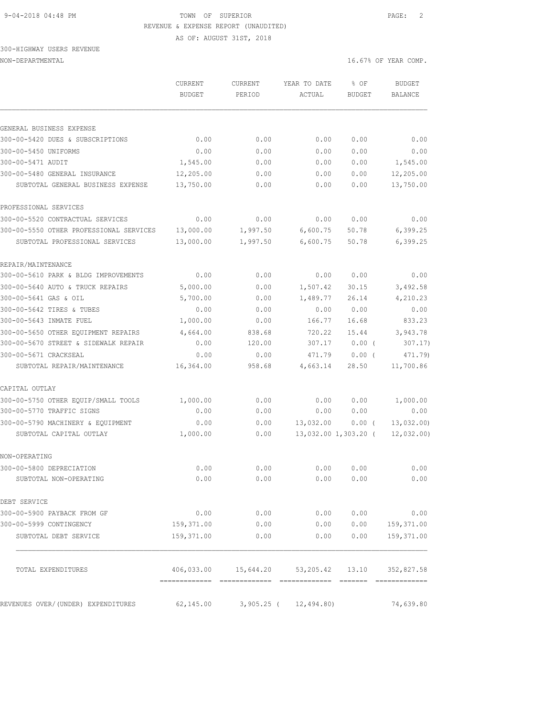AS OF: AUGUST 31ST, 2018

# 300-HIGHWAY USERS REVENUE

|                                         | CURRENT<br><b>BUDGET</b> | CURRENT<br>PERIOD                       | YEAR TO DATE<br>ACTUAL | % OF<br>BUDGET       | <b>BUDGET</b><br><b>BALANCE</b> |
|-----------------------------------------|--------------------------|-----------------------------------------|------------------------|----------------------|---------------------------------|
|                                         |                          |                                         |                        |                      |                                 |
| GENERAL BUSINESS EXPENSE                |                          |                                         |                        |                      |                                 |
| 300-00-5420 DUES & SUBSCRIPTIONS        | 0.00                     | 0.00                                    | 0.00                   | 0.00                 | 0.00                            |
| 300-00-5450 UNIFORMS                    | 0.00                     | 0.00                                    | 0.00                   | 0.00                 | 0.00                            |
| 300-00-5471 AUDIT                       | 1,545.00                 | 0.00                                    | 0.00                   | 0.00                 | 1,545.00                        |
| 300-00-5480 GENERAL INSURANCE           | 12,205.00                | 0.00                                    | 0.00                   | 0.00                 | 12,205.00                       |
| SUBTOTAL GENERAL BUSINESS EXPENSE       | 13,750.00                | 0.00                                    | 0.00                   | 0.00                 | 13,750.00                       |
| PROFESSIONAL SERVICES                   |                          |                                         |                        |                      |                                 |
| 300-00-5520 CONTRACTUAL SERVICES        | 0.00                     | 0.00                                    | 0.00                   | 0.00                 | 0.00                            |
| 300-00-5550 OTHER PROFESSIONAL SERVICES | 13,000.00                | 1,997.50                                | 6,600.75               | 50.78                | 6,399.25                        |
| SUBTOTAL PROFESSIONAL SERVICES          | 13,000.00                | 1,997.50                                | 6,600.75               | 50.78                | 6,399.25                        |
| REPAIR/MAINTENANCE                      |                          |                                         |                        |                      |                                 |
| 300-00-5610 PARK & BLDG IMPROVEMENTS    | 0.00                     | 0.00                                    | 0.00                   | 0.00                 | 0.00                            |
| 300-00-5640 AUTO & TRUCK REPAIRS        | 5,000.00                 | 0.00                                    | 1,507.42               | 30.15                | 3,492.58                        |
| 300-00-5641 GAS & OIL                   | 5,700.00                 | 0.00                                    | 1,489.77               | 26.14                | 4,210.23                        |
| 300-00-5642 TIRES & TUBES               | 0.00                     | 0.00                                    | 0.00                   | 0.00                 | 0.00                            |
| 300-00-5643 INMATE FUEL                 | 1,000.00                 | 0.00                                    | 166.77                 | 16.68                | 833.23                          |
| 300-00-5650 OTHER EQUIPMENT REPAIRS     | 4,664.00                 | 838.68                                  | 720.22                 | 15.44                | 3,943.78                        |
| 300-00-5670 STREET & SIDEWALK REPAIR    | 0.00                     | 120.00                                  | 307.17                 | 0.00(                | 307.17)                         |
| 300-00-5671 CRACKSEAL                   | 0.00                     | 0.00                                    | 471.79                 | 0.00(                | 471.79)                         |
| SUBTOTAL REPAIR/MAINTENANCE             | 16,364.00                | 958.68                                  | 4,663.14               | 28.50                | 11,700.86                       |
| CAPITAL OUTLAY                          |                          |                                         |                        |                      |                                 |
| 300-00-5750 OTHER EQUIP/SMALL TOOLS     | 1,000.00                 | 0.00                                    | 0.00                   | 0.00                 | 1,000.00                        |
| 300-00-5770 TRAFFIC SIGNS               | 0.00                     | 0.00                                    | 0.00                   | 0.00                 | 0.00                            |
| 300-00-5790 MACHINERY & EQUIPMENT       | 0.00                     | 0.00                                    | 13,032.00              | $0.00$ (             | 13,032.00                       |
| SUBTOTAL CAPITAL OUTLAY                 | 1,000.00                 | 0.00                                    |                        | 13,032.00 1,303.20 ( | 12,032.00                       |
| NON-OPERATING                           |                          |                                         |                        |                      |                                 |
| 300-00-5800 DEPRECIATION                | 0.00                     | 0.00                                    | 0.00                   | 0.00                 | 0.00                            |
| SUBTOTAL NON-OPERATING                  | 0.00                     | 0.00                                    | 0.00                   | 0.00                 | 0.00                            |
| DEBT SERVICE                            |                          |                                         |                        |                      |                                 |
| 300-00-5900 PAYBACK FROM GF             | 0.00                     | 0.00                                    |                        | 0.00 0.00            | 0.00                            |
| 300-00-5999 CONTINGENCY                 | 159,371.00               | 0.00                                    | 0.00                   |                      | $0.00$ 159,371.00               |
| SUBTOTAL DEBT SERVICE                   | 159,371.00               |                                         | 0.00<br>0.00           | 0.00                 | 159,371.00                      |
| TOTAL EXPENDITURES                      |                          | 406,033.00  15,644.20  53,205.42  13.10 |                        |                      | 352,827.58                      |
| REVENUES OVER/(UNDER) EXPENDITURES      |                          | 62,145.00 3,905.25 ( 12,494.80)         |                        |                      | 74,639.80                       |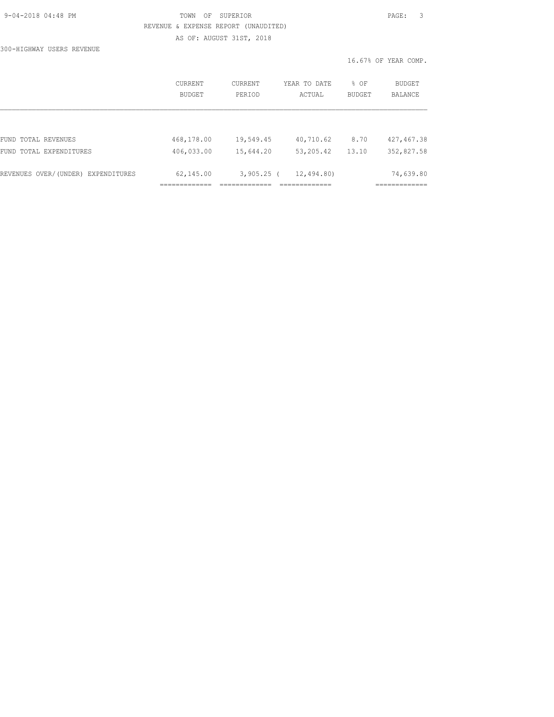300-HIGHWAY USERS REVENUE

## TOWN OF SUPERIOR **PAGE:** 3 REVENUE & EXPENSE REPORT (UNAUDITED) AS OF: AUGUST 31ST, 2018

|                                    | CURRENT<br>BUDGET | CURRENT<br>PERIOD | YEAR TO DATE<br>ACTUAL | $8$ OF<br><b>BUDGET</b> | BUDGET<br><b>BALANCE</b> |
|------------------------------------|-------------------|-------------------|------------------------|-------------------------|--------------------------|
|                                    |                   |                   |                        |                         |                          |
| FUND TOTAL REVENUES                | 468,178.00        | 19,549.45         | 40,710.62              | 8.70                    | 427, 467.38              |
| FUND TOTAL EXPENDITURES            | 406,033.00        | 15,644.20         | 53, 205.42             | 13.10                   | 352,827.58               |
| REVENUES OVER/(UNDER) EXPENDITURES | 62,145.00         | $3,905.25$ (      | 12,494.80)             |                         | 74,639.80                |
|                                    |                   |                   |                        |                         |                          |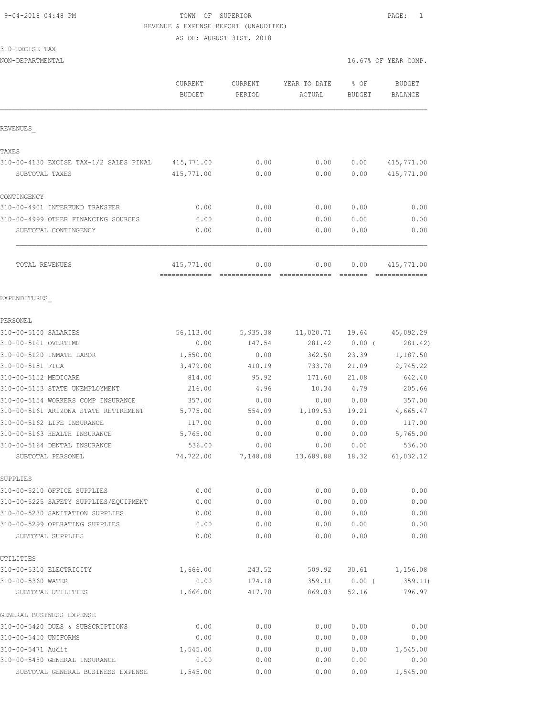AS OF: AUGUST 31ST, 2018

## 310-EXCISE TAX

|                                                                      | CURRENT<br><b>BUDGET</b> | <b>CURRENT</b><br>PERIOD | YEAR TO DATE<br><b>ACTUAL</b> | % OF<br><b>BUDGET</b> | <b>BUDGET</b><br>BALANCE |
|----------------------------------------------------------------------|--------------------------|--------------------------|-------------------------------|-----------------------|--------------------------|
| REVENUES                                                             |                          |                          |                               |                       |                          |
| TAXES                                                                |                          |                          |                               |                       |                          |
| 310-00-4130 EXCISE TAX-1/2 SALES PINAL                               | 415,771.00               | 0.00                     | 0.00                          | 0.00                  | 415,771.00               |
| SUBTOTAL TAXES                                                       | 415,771.00               | 0.00                     | 0.00                          | 0.00                  | 415,771.00               |
| CONTINGENCY                                                          |                          |                          |                               |                       |                          |
| 310-00-4901 INTERFUND TRANSFER                                       | 0.00                     | 0.00                     | 0.00                          | 0.00                  | 0.00                     |
| 310-00-4999 OTHER FINANCING SOURCES                                  | 0.00                     | 0.00                     | 0.00                          | 0.00                  | 0.00                     |
| SUBTOTAL CONTINGENCY                                                 | 0.00                     | 0.00                     | 0.00                          | 0.00                  | 0.00                     |
| TOTAL REVENUES                                                       | 415,771.00               | 0.00                     | 0.00                          | 0.00                  | 415,771.00               |
| EXPENDITURES                                                         |                          |                          |                               |                       |                          |
| PERSONEL                                                             |                          |                          |                               |                       |                          |
| 310-00-5100 SALARIES                                                 | 56,113.00                | 5,935.38                 | 11,020.71                     | 19.64                 | 45,092.29                |
| 310-00-5101 OVERTIME                                                 | 0.00                     | 147.54                   | 281.42                        | $0.00$ (              | 281.42)                  |
| 310-00-5120 INMATE LABOR                                             | 1,550.00                 | 0.00                     | 362.50                        | 23.39                 | 1,187.50                 |
| 310-00-5151 FICA                                                     | 3,479.00                 | 410.19                   | 733.78                        | 21.09                 | 2,745.22                 |
| 310-00-5152 MEDICARE                                                 | 814.00                   | 95.92                    | 171.60                        | 21.08                 | 642.40                   |
| 310-00-5153 STATE UNEMPLOYMENT                                       | 216.00                   | 4.96                     | 10.34                         | 4.79                  | 205.66                   |
| 310-00-5154 WORKERS COMP INSURANCE                                   | 357.00                   | 0.00                     | 0.00                          | 0.00                  | 357.00                   |
| 310-00-5161 ARIZONA STATE RETIREMENT                                 | 5,775.00                 | 554.09                   | 1,109.53                      | 19.21                 | 4,665.47                 |
| 310-00-5162 LIFE INSURANCE                                           | 117.00                   | 0.00                     | 0.00                          | 0.00                  | 117.00                   |
| 310-00-5163 HEALTH INSURANCE                                         | 5,765.00                 | 0.00                     | 0.00                          | 0.00                  | 5,765.00                 |
| 310-00-5164 DENTAL INSURANCE                                         | 536.00                   | 0.00                     | 0.00                          | 0.00                  | 536.00                   |
| SUBTOTAL PERSONEL                                                    | 74,722.00                | 7,148.08                 | 13,689.88                     | 18.32                 | 61,032.12                |
| SUPPLIES                                                             |                          |                          |                               |                       |                          |
| 310-00-5210 OFFICE SUPPLIES<br>310-00-5225 SAFETY SUPPLIES/EQUIPMENT | 0.00<br>0.00             | 0.00<br>0.00             | 0.00<br>0.00                  | 0.00<br>0.00          | 0.00<br>0.00             |
|                                                                      |                          |                          |                               |                       |                          |
| 310-00-5230 SANITATION SUPPLIES<br>310-00-5299 OPERATING SUPPLIES    | 0.00<br>0.00             | 0.00<br>0.00             | 0.00<br>0.00                  | 0.00<br>0.00          | 0.00<br>0.00             |
| SUBTOTAL SUPPLIES                                                    | 0.00                     | 0.00                     | 0.00                          | 0.00                  | 0.00                     |
| UTILITIES                                                            |                          |                          |                               |                       |                          |
| 310-00-5310 ELECTRICITY                                              | 1,666.00                 | 243.52                   | 509.92                        | 30.61                 | 1,156.08                 |
| 310-00-5360 WATER                                                    | 0.00                     | 174.18                   | 359.11                        | $0.00$ (              | 359.11)                  |
| SUBTOTAL UTILITIES                                                   | 1,666.00                 | 417.70                   | 869.03                        | 52.16                 | 796.97                   |
| GENERAL BUSINESS EXPENSE                                             |                          |                          |                               |                       |                          |
| 310-00-5420 DUES & SUBSCRIPTIONS                                     | 0.00                     | 0.00                     | 0.00                          | 0.00                  | 0.00                     |
| 310-00-5450 UNIFORMS                                                 | 0.00                     | 0.00                     | 0.00                          | 0.00                  | 0.00                     |
| 310-00-5471 Audit                                                    | 1,545.00                 | 0.00                     | 0.00                          | 0.00                  | 1,545.00                 |
| 310-00-5480 GENERAL INSURANCE                                        | 0.00                     | 0.00                     | 0.00                          | 0.00                  | 0.00                     |
| SUBTOTAL GENERAL BUSINESS EXPENSE                                    | 1,545.00                 | 0.00                     | 0.00                          | 0.00                  | 1,545.00                 |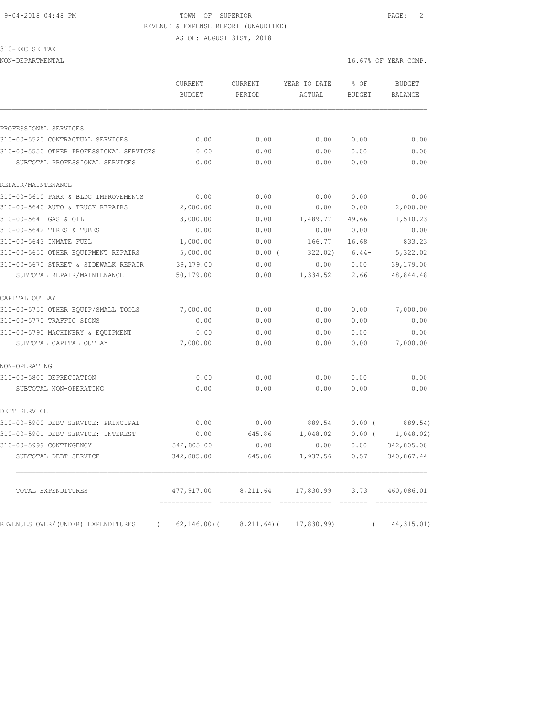#### 9-04-2018 04:48 PM TOWN OF SUPERIOR PAGE: 2 REVENUE & EXPENSE REPORT (UNAUDITED) AS OF: AUGUST 31ST, 2018

310-EXCISE TAX

|                                                | CURRENT<br><b>BUDGET</b> | CURRENT<br>PERIOD | YEAR TO DATE<br>ACTUAL | % OF<br><b>BUDGET</b> | <b>BUDGET</b><br><b>BALANCE</b> |
|------------------------------------------------|--------------------------|-------------------|------------------------|-----------------------|---------------------------------|
|                                                |                          |                   |                        |                       |                                 |
| PROFESSIONAL SERVICES                          |                          |                   |                        |                       |                                 |
| 310-00-5520 CONTRACTUAL SERVICES               | 0.00                     | 0.00              | 0.00                   | 0.00                  | 0.00                            |
| 310-00-5550 OTHER PROFESSIONAL SERVICES        | 0.00                     | 0.00              | 0.00                   | 0.00                  | 0.00                            |
| SUBTOTAL PROFESSIONAL SERVICES                 | 0.00                     | 0.00              | 0.00                   | 0.00                  | 0.00                            |
| REPAIR/MAINTENANCE                             |                          |                   |                        |                       |                                 |
| 310-00-5610 PARK & BLDG IMPROVEMENTS           | 0.00                     | 0.00              | 0.00                   | 0.00                  | 0.00                            |
| 310-00-5640 AUTO & TRUCK REPAIRS               | 2,000.00                 | 0.00              | 0.00                   | 0.00                  | 2,000.00                        |
| 310-00-5641 GAS & OIL                          | 3,000.00                 | 0.00              | 1,489.77               | 49.66                 | 1,510.23                        |
| 310-00-5642 TIRES & TUBES                      | 0.00                     | 0.00              | 0.00                   | 0.00                  | 0.00                            |
| 310-00-5643 INMATE FUEL                        | 1,000.00                 | 0.00              | 166.77                 | 16.68                 | 833.23                          |
| 310-00-5650 OTHER EQUIPMENT REPAIRS            | 5,000.00                 | $0.00$ (          | 322.02)                | $6.44-$               | 5,322.02                        |
| 310-00-5670 STREET & SIDEWALK REPAIR           | 39,179.00                | 0.00              | 0.00                   | 0.00                  | 39,179.00                       |
| SUBTOTAL REPAIR/MAINTENANCE                    | 50,179.00                | 0.00              | 1,334.52               | 2.66                  | 48,844.48                       |
| CAPITAL OUTLAY                                 |                          |                   |                        |                       |                                 |
| 310-00-5750 OTHER EOUIP/SMALL TOOLS            | 7,000.00                 | 0.00              | 0.00                   | 0.00                  | 7,000.00                        |
| 310-00-5770 TRAFFIC SIGNS                      | 0.00                     | 0.00              | 0.00                   | 0.00                  | 0.00                            |
| 310-00-5790 MACHINERY & EQUIPMENT              | 0.00                     | 0.00              | 0.00                   | 0.00                  | 0.00                            |
| SUBTOTAL CAPITAL OUTLAY                        | 7,000.00                 | 0.00              | 0.00                   | 0.00                  | 7,000.00                        |
| NON-OPERATING                                  |                          |                   |                        |                       |                                 |
| 310-00-5800 DEPRECIATION                       | 0.00                     | 0.00              | 0.00                   | 0.00                  | 0.00                            |
| SUBTOTAL NON-OPERATING                         | 0.00                     | 0.00              | 0.00                   | 0.00                  | 0.00                            |
| DEBT SERVICE                                   |                          |                   |                        |                       |                                 |
| 310-00-5900 DEBT SERVICE: PRINCIPAL            | 0.00                     | 0.00              | 889.54                 | $0.00$ (              | 889.54)                         |
| 310-00-5901 DEBT SERVICE: INTEREST             | 0.00                     | 645.86            | 1,048.02               | $0.00$ (              | 1,048.02)                       |
| 310-00-5999 CONTINGENCY                        | 342,805.00               | 0.00              | 0.00                   | 0.00                  | 342,805.00                      |
| SUBTOTAL DEBT SERVICE                          | 342,805.00               | 645.86            | 1,937.56               | 0.57                  | 340,867.44                      |
| TOTAL EXPENDITURES                             | 477,917.00               | 8,211.64          | 17,830.99              | 3.73                  | 460,086.01                      |
| REVENUES OVER/(UNDER) EXPENDITURES<br>$\left($ | $62, 146.00$ (           | $8, 211.64)$ (    | 17,830.99)             | $\left($              | 44, 315.01)                     |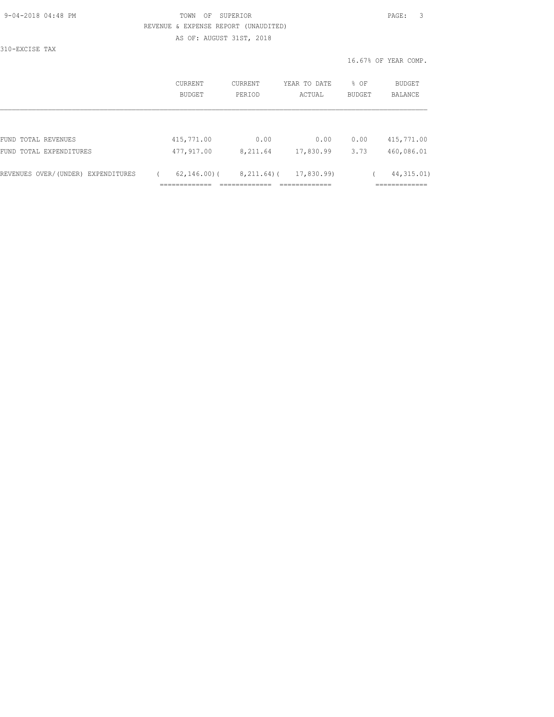| 9-04-2018 04:48 PM |  |
|--------------------|--|
|                    |  |

## TOWN OF SUPERIOR **PAGE:** 3 REVENUE & EXPENSE REPORT (UNAUDITED) AS OF: AUGUST 31ST, 2018

310-EXCISE TAX

|                                    | <b>CURRENT</b><br>BUDGET | CURRENT<br>PERIOD | YEAR TO DATE<br>ACTUAL | % OF<br>BUDGET | BUDGET<br><b>BALANCE</b>                |
|------------------------------------|--------------------------|-------------------|------------------------|----------------|-----------------------------------------|
|                                    |                          |                   |                        |                |                                         |
| FUND TOTAL REVENUES                | 415,771.00               | 0.00              | 0.00                   | 0.00           | 415,771.00                              |
| FUND TOTAL EXPENDITURES            | 477,917.00               | 8,211.64          | 17,830.99              | 3.73           | 460,086.01                              |
| REVENUES OVER/(UNDER) EXPENDITURES | $62, 146, 00)$ (         | $8,211.64$ ) (    | 17,830.99)             |                | 44, 315.01)<br>___________<br>--------- |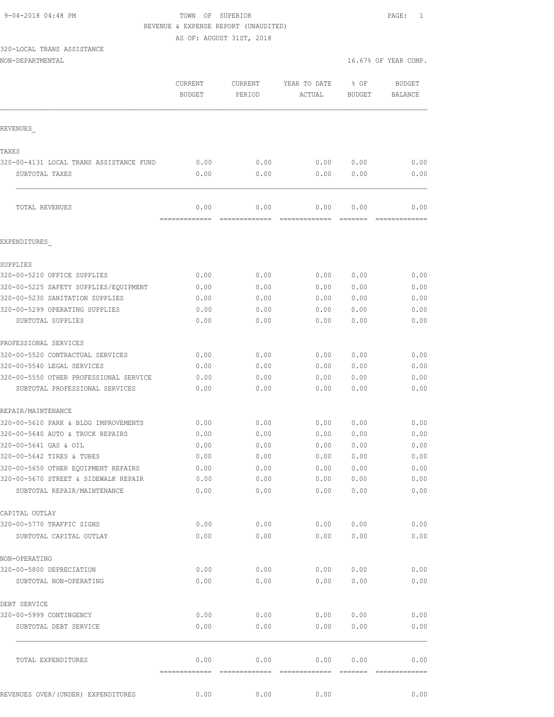AS OF: AUGUST 31ST, 2018

# 320-LOCAL TRANS ASSISTANCE

| NON-DEPARTMENTAL |  |
|------------------|--|
|                  |  |

|                                             | CURRENT<br><b>BUDGET</b> | CURRENT<br>PERIOD | YEAR TO DATE<br>ACTUAL | % OF<br><b>BUDGET</b> | <b>BUDGET</b><br><b>BALANCE</b> |
|---------------------------------------------|--------------------------|-------------------|------------------------|-----------------------|---------------------------------|
| REVENUES                                    |                          |                   |                        |                       |                                 |
| TAXES                                       |                          |                   |                        |                       |                                 |
| 320-00-4131 LOCAL TRANS ASSISTANCE FUND     | 0.00                     | 0.00              | 0.00                   | 0.00                  | 0.00                            |
| SUBTOTAL TAXES                              | 0.00                     | 0.00              | 0.00                   | 0.00                  | 0.00                            |
| TOTAL REVENUES                              | 0.00                     | 0.00              | 0.00                   | 0.00                  | 0.00                            |
| EXPENDITURES                                | =============            | =============     |                        | =======               |                                 |
|                                             |                          |                   |                        |                       |                                 |
| SUPPLIES                                    |                          |                   |                        |                       |                                 |
| 320-00-5210 OFFICE SUPPLIES                 | 0.00                     | 0.00              | 0.00                   | 0.00                  | 0.00                            |
| 320-00-5225 SAFETY SUPPLIES/EOUIPMENT       | 0.00                     | 0.00              | 0.00                   | 0.00                  | 0.00                            |
| 320-00-5230 SANITATION SUPPLIES             | 0.00                     | 0.00              | 0.00                   | 0.00                  | 0.00                            |
| 320-00-5299 OPERATING SUPPLIES              | 0.00                     | 0.00              | 0.00                   | 0.00                  | 0.00                            |
| SUBTOTAL SUPPLIES                           | 0.00                     | 0.00              | 0.00                   | 0.00                  | 0.00                            |
| PROFESSIONAL SERVICES                       |                          |                   |                        |                       |                                 |
| 320-00-5520 CONTRACTUAL SERVICES            | 0.00                     | 0.00              | 0.00                   | 0.00                  | 0.00                            |
| 320-00-5540 LEGAL SERVICES                  | 0.00                     | 0.00              | 0.00                   | 0.00                  | 0.00                            |
| 320-00-5550 OTHER PROFESSIONAL SERVICE      | 0.00                     | 0.00              | 0.00                   | 0.00                  | 0.00                            |
| SUBTOTAL PROFESSIONAL SERVICES              | 0.00                     | 0.00              | 0.00                   | 0.00                  | 0.00                            |
| REPAIR/MAINTENANCE                          |                          |                   |                        |                       |                                 |
| 320-00-5610 PARK & BLDG IMPROVEMENTS        | 0.00                     | 0.00              | 0.00                   | 0.00                  | 0.00                            |
| 320-00-5640 AUTO & TRUCK REPAIRS            | 0.00                     | 0.00              | 0.00                   | 0.00                  | 0.00                            |
| 320-00-5641 GAS & OIL                       | 0.00                     | 0.00              | 0.00                   | 0.00                  | 0.00                            |
| 320-00-5642 TIRES & TUBES                   | 0.00                     | 0.00              | 0.00                   | 0.00                  | 0.00                            |
| 320-00-5650 OTHER EQUIPMENT REPAIRS         | 0.00                     | 0.00              | 0.00                   | 0.00                  | 0.00                            |
| 320-00-5670 STREET & SIDEWALK REPAIR        | 0.00                     | 0.00              |                        | 0.00 0.00             | 0.00                            |
| SUBTOTAL REPAIR/MAINTENANCE                 | 0.00                     | 0.00              | 0.00                   | 0.00                  | 0.00                            |
|                                             |                          |                   |                        |                       |                                 |
| CAPITAL OUTLAY<br>320-00-5770 TRAFFIC SIGNS | 0.00                     | 0.00              | 0.00                   | 0.00                  | 0.00                            |
| SUBTOTAL CAPITAL OUTLAY                     | 0.00                     | 0.00              | 0.00                   | 0.00                  | 0.00                            |
|                                             |                          |                   |                        |                       |                                 |
| NON-OPERATING                               |                          |                   |                        |                       |                                 |
| 320-00-5800 DEPRECIATION                    | 0.00                     | 0.00              | 0.00                   | 0.00                  | 0.00                            |
| SUBTOTAL NON-OPERATING                      | 0.00                     | 0.00              | 0.00                   | 0.00                  | 0.00                            |
| DEBT SERVICE                                |                          |                   |                        |                       |                                 |
| 320-00-5999 CONTINGENCY                     | 0.00                     | 0.00              | 0.00                   | 0.00                  | 0.00                            |
| SUBTOTAL DEBT SERVICE                       | 0.00                     | 0.00              | 0.00                   | 0.00                  | 0.00                            |
| TOTAL EXPENDITURES                          | 0.00                     | 0.00              | 0.00                   | 0.00                  | 0.00                            |
|                                             |                          |                   |                        |                       |                                 |
| REVENUES OVER/ (UNDER) EXPENDITURES         | 0.00                     | 0.00              | 0.00                   |                       | 0.00                            |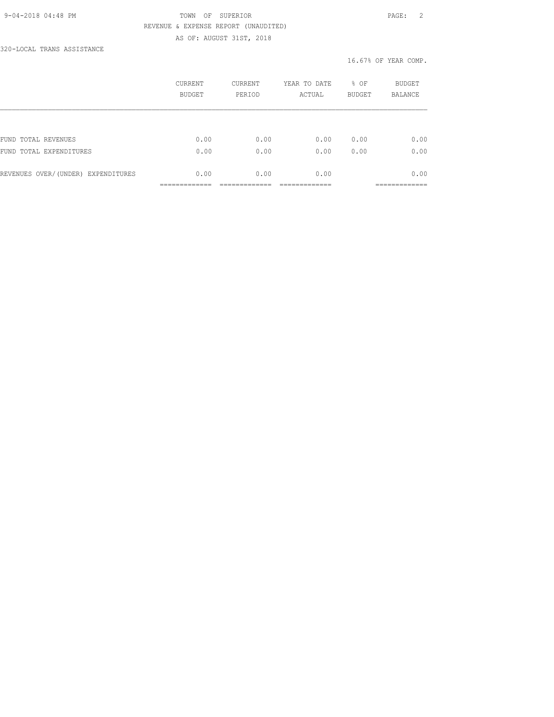#### 9-04-2018 04:48 PM TOWN OF SUPERIOR PAGE: 2 REVENUE & EXPENSE REPORT (UNAUDITED) AS OF: AUGUST 31ST, 2018

320-LOCAL TRANS ASSISTANCE

|                                    | CURRENT<br>BUDGET | <b>CURRENT</b><br>PERIOD | YEAR TO DATE<br>ACTUAL | % OF<br><b>BUDGET</b> | <b>BUDGET</b><br><b>BALANCE</b> |
|------------------------------------|-------------------|--------------------------|------------------------|-----------------------|---------------------------------|
|                                    |                   |                          |                        |                       |                                 |
| FUND TOTAL REVENUES                | 0.00              | 0.00                     | 0.00                   | 0.00                  | 0.00                            |
| FUND TOTAL EXPENDITURES            | 0.00              | 0.00                     | 0.00                   | 0.00                  | 0.00                            |
| REVENUES OVER/(UNDER) EXPENDITURES | 0.00              | 0.00                     | 0.00                   |                       | 0.00                            |
|                                    |                   |                          |                        |                       |                                 |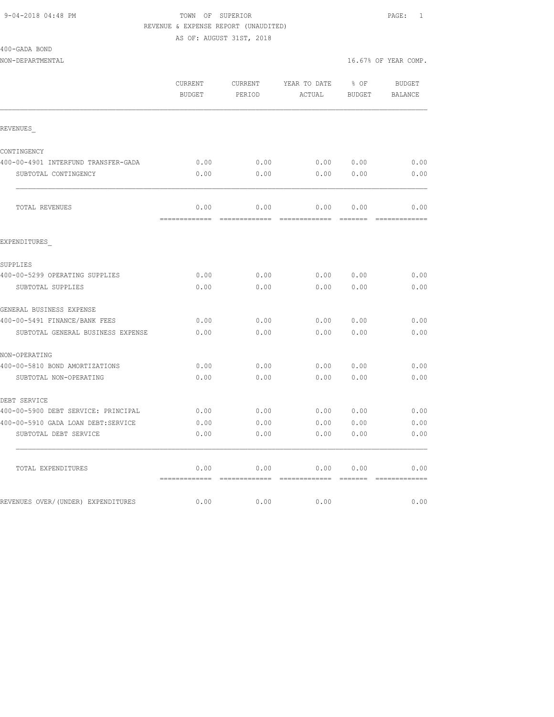AS OF: AUGUST 31ST, 2018

| 400-GADA BOND |  |
|---------------|--|
|---------------|--|

|                                     | CURRENT<br><b>BUDGET</b> | CURRENT<br>PERIOD | YEAR TO DATE<br>ACTUAL      | % OF<br><b>BUDGET</b> | BUDGET<br><b>BALANCE</b> |
|-------------------------------------|--------------------------|-------------------|-----------------------------|-----------------------|--------------------------|
| REVENUES                            |                          |                   |                             |                       |                          |
| CONTINGENCY                         |                          |                   |                             |                       |                          |
| 400-00-4901 INTERFUND TRANSFER-GADA | 0.00                     | 0.00              | 0.00 0.00                   |                       | 0.00                     |
| SUBTOTAL CONTINGENCY                | 0.00                     | 0.00              | 0.00                        | 0.00                  | 0.00                     |
| TOTAL REVENUES                      | 0.00                     | 0.00              | 0.00                        | 0.00                  | 0.00                     |
| EXPENDITURES                        |                          |                   |                             |                       |                          |
| SUPPLIES                            |                          |                   |                             |                       |                          |
| 400-00-5299 OPERATING SUPPLIES      | 0.00                     | 0.00              | 0.00                        | 0.00                  | 0.00                     |
| SUBTOTAL SUPPLIES                   | 0.00                     | 0.00              | 0.00                        | 0.00                  | 0.00                     |
| GENERAL BUSINESS EXPENSE            |                          |                   |                             |                       |                          |
| 400-00-5491 FINANCE/BANK FEES       | 0.00                     | 0.00              | 0.00                        | 0.00                  | 0.00                     |
| SUBTOTAL GENERAL BUSINESS EXPENSE   | 0.00                     | 0.00              | 0.00                        | 0.00                  | 0.00                     |
| NON-OPERATING                       |                          |                   |                             |                       |                          |
| 400-00-5810 BOND AMORTIZATIONS      | 0.00                     | 0.00              | 0.00                        | 0.00                  | 0.00                     |
| SUBTOTAL NON-OPERATING              | 0.00                     | 0.00              | 0.00                        | 0.00                  | 0.00                     |
| DEBT SERVICE                        |                          |                   |                             |                       |                          |
| 400-00-5900 DEBT SERVICE: PRINCIPAL | 0.00                     | 0.00              | 0.00                        | 0.00                  | 0.00                     |
| 400-00-5910 GADA LOAN DEBT:SERVICE  | 0.00                     | 0.00              | 0.00                        | 0.00                  | 0.00                     |
| SUBTOTAL DEBT SERVICE               | 0.00                     | 0.00              | 0.00                        | 0.00                  | 0.00                     |
| TOTAL EXPENDITURES                  | 0.00                     | 0.00              | 0.00<br>------------ ------ | 0.00                  | 0.00                     |
| REVENUES OVER/(UNDER) EXPENDITURES  | 0.00                     | 0.00              | 0.00                        |                       | 0.00                     |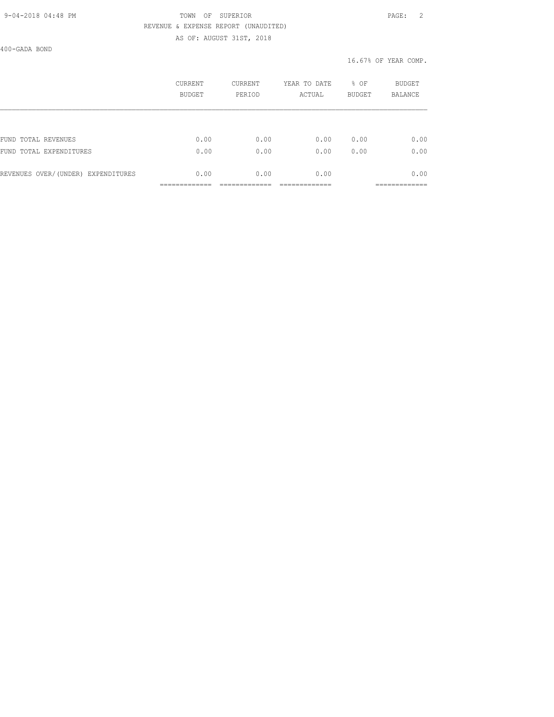#### 9-04-2018 04:48 PM TOWN OF SUPERIOR PAGE: 2 REVENUE & EXPENSE REPORT (UNAUDITED) AS OF: AUGUST 31ST, 2018

400-GADA BOND

|                                    | CURRENT<br>BUDGET | CURRENT<br>PERIOD | YEAR TO DATE<br>ACTUAL | % OF<br><b>BUDGET</b> | <b>BUDGET</b><br><b>BALANCE</b> |
|------------------------------------|-------------------|-------------------|------------------------|-----------------------|---------------------------------|
|                                    |                   |                   |                        |                       |                                 |
| FUND TOTAL REVENUES                | 0.00              | 0.00              | 0.00                   | 0.00                  | 0.00                            |
| FUND TOTAL EXPENDITURES            | 0.00              | 0.00              | 0.00                   | 0.00                  | 0.00                            |
| REVENUES OVER/(UNDER) EXPENDITURES | 0.00              | 0.00              | 0.00                   |                       | 0.00                            |
|                                    |                   |                   |                        |                       |                                 |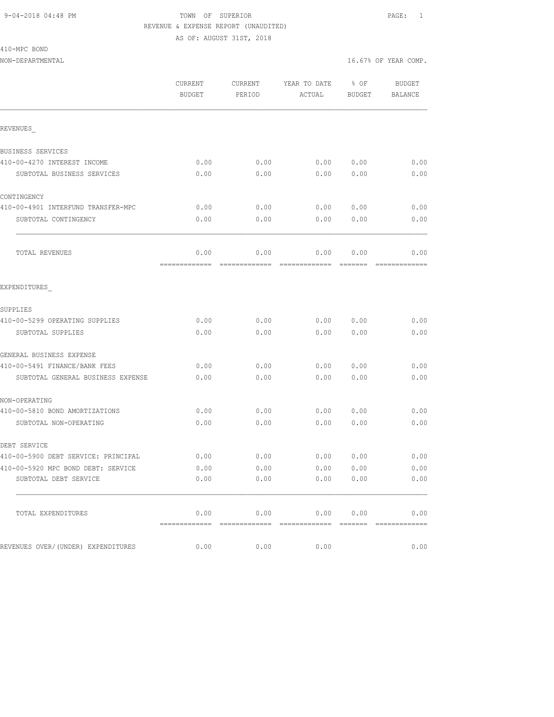AS OF: AUGUST 31ST, 2018

#### 410-MPC BOND

|                                     | CURRENT<br><b>BUDGET</b> | CURRENT<br>PERIOD | YEAR TO DATE<br>ACTUAL                | % OF<br><b>BUDGET</b>                                                                                                                                                                                                                                                                                                                                                                                                                                                                          | <b>BUDGET</b><br><b>BALANCE</b> |
|-------------------------------------|--------------------------|-------------------|---------------------------------------|------------------------------------------------------------------------------------------------------------------------------------------------------------------------------------------------------------------------------------------------------------------------------------------------------------------------------------------------------------------------------------------------------------------------------------------------------------------------------------------------|---------------------------------|
| REVENUES                            |                          |                   |                                       |                                                                                                                                                                                                                                                                                                                                                                                                                                                                                                |                                 |
| BUSINESS SERVICES                   |                          |                   |                                       |                                                                                                                                                                                                                                                                                                                                                                                                                                                                                                |                                 |
| 410-00-4270 INTEREST INCOME         | 0.00                     | 0.00              | 0.00                                  | 0.00                                                                                                                                                                                                                                                                                                                                                                                                                                                                                           | 0.00                            |
| SUBTOTAL BUSINESS SERVICES          | 0.00                     | 0.00              | 0.00                                  | 0.00                                                                                                                                                                                                                                                                                                                                                                                                                                                                                           | 0.00                            |
| CONTINGENCY                         |                          |                   |                                       |                                                                                                                                                                                                                                                                                                                                                                                                                                                                                                |                                 |
| 410-00-4901 INTERFUND TRANSFER-MPC  | 0.00                     | 0.00              | 0.00                                  | 0.00                                                                                                                                                                                                                                                                                                                                                                                                                                                                                           | 0.00                            |
| SUBTOTAL CONTINGENCY                | 0.00                     | 0.00              | 0.00                                  | 0.00                                                                                                                                                                                                                                                                                                                                                                                                                                                                                           | 0.00                            |
| TOTAL REVENUES                      | 0.00<br>=============    | 0.00              | 0.00<br>-------------- -------------- | 0.00<br>$\begin{array}{cccccccccc} \multicolumn{2}{c}{} & \multicolumn{2}{c}{} & \multicolumn{2}{c}{} & \multicolumn{2}{c}{} & \multicolumn{2}{c}{} & \multicolumn{2}{c}{} & \multicolumn{2}{c}{} & \multicolumn{2}{c}{} & \multicolumn{2}{c}{} & \multicolumn{2}{c}{} & \multicolumn{2}{c}{} & \multicolumn{2}{c}{} & \multicolumn{2}{c}{} & \multicolumn{2}{c}{} & \multicolumn{2}{c}{} & \multicolumn{2}{c}{} & \multicolumn{2}{c}{} & \multicolumn{2}{c}{} & \multicolumn{2}{c}{} & \mult$ | 0.00<br>=============           |
| EXPENDITURES                        |                          |                   |                                       |                                                                                                                                                                                                                                                                                                                                                                                                                                                                                                |                                 |
| SUPPLIES                            |                          |                   |                                       |                                                                                                                                                                                                                                                                                                                                                                                                                                                                                                |                                 |
| 410-00-5299 OPERATING SUPPLIES      | 0.00                     | 0.00              | 0.00                                  | 0.00                                                                                                                                                                                                                                                                                                                                                                                                                                                                                           | 0.00                            |
| SUBTOTAL SUPPLIES                   | 0.00                     | 0.00              | 0.00                                  | 0.00                                                                                                                                                                                                                                                                                                                                                                                                                                                                                           | 0.00                            |
| GENERAL BUSINESS EXPENSE            |                          |                   |                                       |                                                                                                                                                                                                                                                                                                                                                                                                                                                                                                |                                 |
| 410-00-5491 FINANCE/BANK FEES       | 0.00                     | 0.00              | 0.00                                  | 0.00                                                                                                                                                                                                                                                                                                                                                                                                                                                                                           | 0.00                            |
| SUBTOTAL GENERAL BUSINESS EXPENSE   | 0.00                     | 0.00              | 0.00                                  | 0.00                                                                                                                                                                                                                                                                                                                                                                                                                                                                                           | 0.00                            |
| NON-OPERATING                       |                          |                   |                                       |                                                                                                                                                                                                                                                                                                                                                                                                                                                                                                |                                 |
| 410-00-5810 BOND AMORTIZATIONS      | 0.00                     | 0.00              | 0.00                                  | 0.00                                                                                                                                                                                                                                                                                                                                                                                                                                                                                           | 0.00                            |
| SUBTOTAL NON-OPERATING              | 0.00                     | 0.00              | 0.00                                  | 0.00                                                                                                                                                                                                                                                                                                                                                                                                                                                                                           | 0.00                            |
| DEBT SERVICE                        |                          |                   |                                       |                                                                                                                                                                                                                                                                                                                                                                                                                                                                                                |                                 |
| 410-00-5900 DEBT SERVICE: PRINCIPAL | 0.00                     | 0.00              | 0.00                                  | 0.00                                                                                                                                                                                                                                                                                                                                                                                                                                                                                           | 0.00                            |
| 410-00-5920 MPC BOND DEBT: SERVICE  | 0.00                     | 0.00              | 0.00                                  | 0.00                                                                                                                                                                                                                                                                                                                                                                                                                                                                                           | 0.00                            |
| SUBTOTAL DEBT SERVICE               | 0.00                     | 0.00              | 0.00                                  | 0.00                                                                                                                                                                                                                                                                                                                                                                                                                                                                                           | 0.00                            |
| TOTAL EXPENDITURES                  | 0.00<br>=============    | 0.00              | 0.00<br>-------------- -------------  | 0.00<br><b>EEEEEEE</b>                                                                                                                                                                                                                                                                                                                                                                                                                                                                         | 0.00<br><b>COOCCOOCCOOC</b>     |
| REVENUES OVER/(UNDER) EXPENDITURES  | 0.00                     | 0.00              | 0.00                                  |                                                                                                                                                                                                                                                                                                                                                                                                                                                                                                | 0.00                            |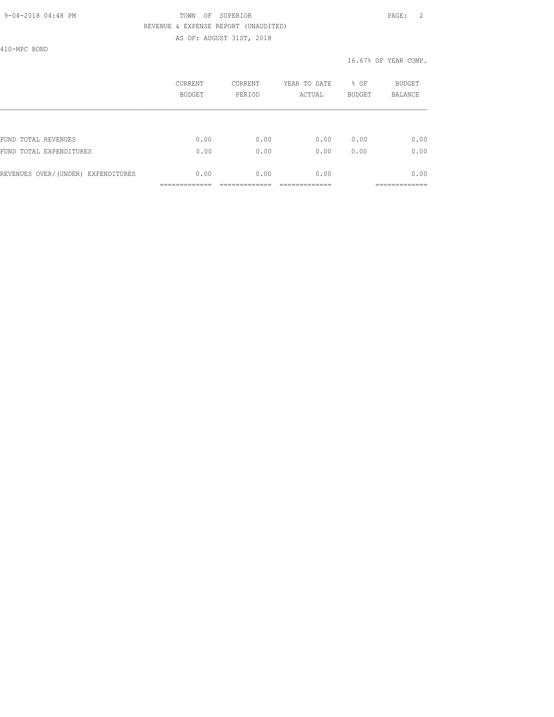#### 9-04-2018 04:48 PM TOWN OF SUPERIOR PAGE: 2 REVENUE & EXPENSE REPORT (UNAUDITED) AS OF: AUGUST 31ST, 2018

410-MPC BOND

|      |      |      | <b>BUDGET</b>              | <b>BALANCE</b> |
|------|------|------|----------------------------|----------------|
|      |      |      |                            |                |
| 0.00 | 0.00 | 0.00 | 0.00                       | 0.00           |
| 0.00 | 0.00 | 0.00 | 0.00                       | 0.00           |
| 0.00 | 0.00 | 0.00 |                            | 0.00           |
|      |      |      | BUDGET<br>PERIOD<br>ACTUAL |                |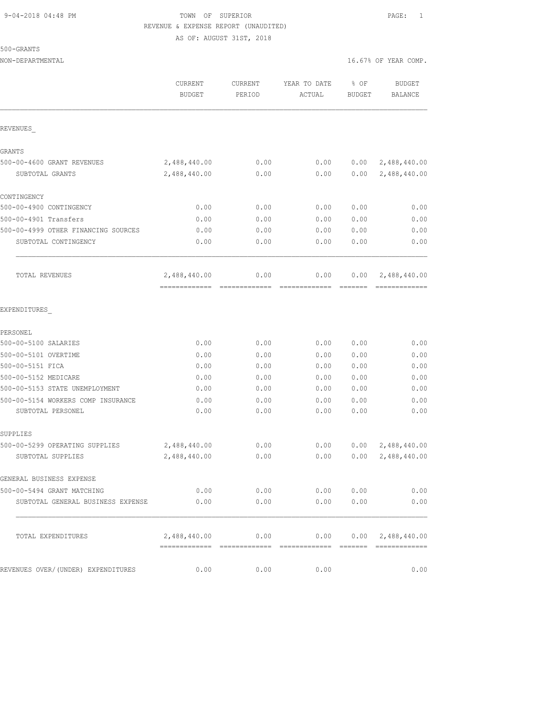AS OF: AUGUST 31ST, 2018

|                                                         | CURRENT<br><b>BUDGET</b> | <b>CURRENT</b><br>PERIOD | YEAR TO DATE<br>ACTUAL | % OF<br><b>BUDGET</b> | <b>BUDGET</b><br>BALANCE      |
|---------------------------------------------------------|--------------------------|--------------------------|------------------------|-----------------------|-------------------------------|
| REVENUES                                                |                          |                          |                        |                       |                               |
| <b>GRANTS</b>                                           |                          |                          |                        |                       |                               |
| 500-00-4600 GRANT REVENUES                              | 2,488,440.00             | 0.00                     | 0.00                   |                       | $0.00 \quad 2,488,440.00$     |
| SUBTOTAL GRANTS                                         | 2,488,440.00             | 0.00                     | 0.00                   | 0.00                  | 2,488,440.00                  |
| CONTINGENCY                                             |                          |                          |                        |                       |                               |
| 500-00-4900 CONTINGENCY                                 | 0.00                     | 0.00                     | 0.00                   | 0.00                  | 0.00                          |
| 500-00-4901 Transfers                                   | 0.00                     | 0.00                     | 0.00                   | 0.00                  | 0.00                          |
| 500-00-4999 OTHER FINANCING SOURCES                     | 0.00                     | 0.00                     | 0.00                   | 0.00                  | 0.00                          |
| SUBTOTAL CONTINGENCY                                    | 0.00                     | 0.00                     | 0.00                   | 0.00                  | 0.00                          |
| TOTAL REVENUES                                          | 2,488,440.00             | 0.00                     | 0.00                   | 0.00                  | 2,488,440.00                  |
| EXPENDITURES                                            |                          |                          |                        |                       |                               |
| PERSONEL                                                |                          |                          |                        |                       |                               |
| 500-00-5100 SALARIES                                    | 0.00                     | 0.00                     | 0.00                   | 0.00                  | 0.00                          |
| 500-00-5101 OVERTIME                                    | 0.00                     | 0.00                     | 0.00                   | 0.00                  | 0.00                          |
| 500-00-5151 FICA                                        | 0.00                     | 0.00                     | 0.00                   | 0.00                  | 0.00                          |
| 500-00-5152 MEDICARE                                    | 0.00                     | 0.00                     | 0.00                   | 0.00                  | 0.00                          |
| 500-00-5153 STATE UNEMPLOYMENT                          | 0.00                     | 0.00                     | 0.00                   | 0.00                  | 0.00                          |
| 500-00-5154 WORKERS COMP INSURANCE<br>SUBTOTAL PERSONEL | 0.00<br>0.00             | 0.00<br>0.00             | 0.00<br>0.00           | 0.00<br>0.00          | 0.00<br>0.00                  |
| SUPPLIES                                                |                          |                          |                        |                       |                               |
| 500-00-5299 OPERATING SUPPLIES                          | 2,488,440.00             | 0.00                     | 0.00                   |                       | 0.00 2,488,440.00             |
| SUBTOTAL SUPPLIES                                       | 2,488,440.00             | 0.00                     | 0.00                   | 0.00                  | 2,488,440.00                  |
| GENERAL BUSINESS EXPENSE                                |                          |                          |                        |                       |                               |
| 500-00-5494 GRANT MATCHING                              | 0.00                     | 0.00                     | 0.00                   | 0.00                  | 0.00                          |
| SUBTOTAL GENERAL BUSINESS EXPENSE                       | 0.00                     | 0.00                     | 0.00                   | 0.00                  | 0.00                          |
| TOTAL EXPENDITURES                                      | 2,488,440.00             | 0.00<br>--------------   | 0.00                   |                       | 0.00 2,488,440.00<br>======== |
| REVENUES OVER/(UNDER) EXPENDITURES                      | 0.00                     | 0.00                     | 0.00                   |                       | 0.00                          |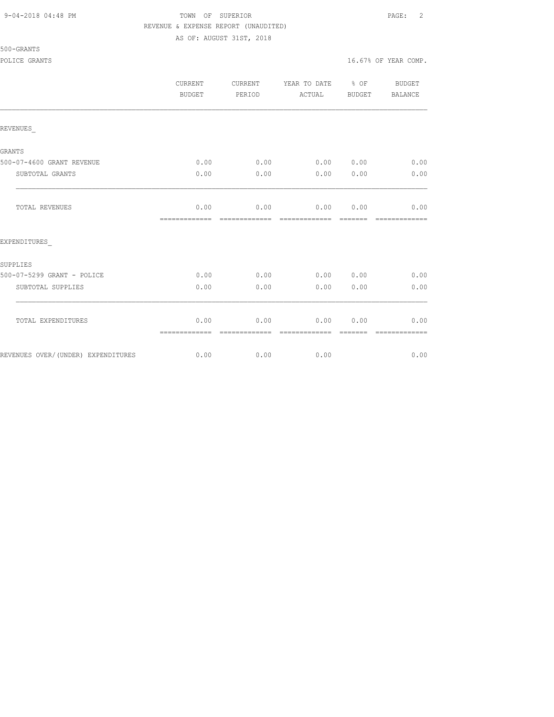AS OF: AUGUST 31ST, 2018

500-GRANTS

|                                     | <b>CURRENT</b><br><b>BUDGET</b> | <b>CURRENT</b><br>PERIOD | YEAR TO DATE<br>ACTUAL     | $8$ OF<br>BUDGET | <b>BUDGET</b><br>BALANCE |
|-------------------------------------|---------------------------------|--------------------------|----------------------------|------------------|--------------------------|
| REVENUES                            |                                 |                          |                            |                  |                          |
|                                     |                                 |                          |                            |                  |                          |
| GRANTS<br>500-07-4600 GRANT REVENUE | 0.00                            | 0.00                     | 0.00                       | 0.00             | 0.00                     |
| SUBTOTAL GRANTS                     | 0.00                            | 0.00                     | 0.00                       | 0.00             | 0.00                     |
|                                     |                                 |                          |                            |                  |                          |
| TOTAL REVENUES                      | 0.00<br>=============           | 0.00<br>=============    | 0.00 0.00<br>============= |                  | 0.00<br>=============    |
| EXPENDITURES                        |                                 |                          |                            |                  |                          |
| SUPPLIES                            |                                 |                          |                            |                  |                          |
| 500-07-5299 GRANT - POLICE          | 0.00                            | 0.00                     | 0.00                       | 0.00             | 0.00                     |
| SUBTOTAL SUPPLIES                   | 0.00                            | 0.00                     | 0.00                       | 0.00             | 0.00                     |
| TOTAL EXPENDITURES                  | 0.00                            | 0.00                     | 0.00                       | 0.00             | 0.00                     |
| REVENUES OVER/(UNDER) EXPENDITURES  | =============<br>0.00           | -------------<br>0.00    | -------------<br>0.00      | -------          | -------------<br>0.00    |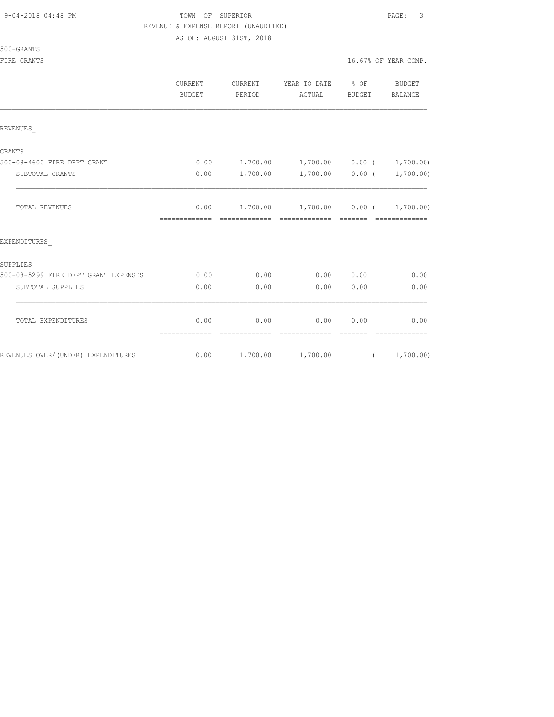## TOWN OF SUPERIOR **PAGE:** 3 REVENUE & EXPENSE REPORT (UNAUDITED)

AS OF: AUGUST 31ST, 2018

|                                      | <b>CURRENT</b><br>BUDGET | CURRENT<br>PERIOD     | YEAR TO DATE<br>ACTUAL                                        | $\frac{1}{6}$ OF<br>BUDGET | BUDGET<br>BALANCE     |
|--------------------------------------|--------------------------|-----------------------|---------------------------------------------------------------|----------------------------|-----------------------|
| REVENUES                             |                          |                       |                                                               |                            |                       |
| <b>GRANTS</b>                        |                          |                       |                                                               |                            |                       |
| 500-08-4600 FIRE DEPT GRANT          | 0.00                     | 1,700.00              | $1,700.00$ 0.00 (                                             |                            | 1,700.00)             |
| SUBTOTAL GRANTS                      | 0.00                     | 1,700.00              |                                                               | $1,700.00$ 0.00 (          | 1,700.00)             |
| TOTAL REVENUES                       | 0.00<br>=============    |                       | $1,700.00$ $1,700.00$ $0.00$ $($ $1,700.00)$<br>============= | =======                    | =============         |
| EXPENDITURES                         |                          |                       |                                                               |                            |                       |
| SUPPLIES                             |                          |                       |                                                               |                            |                       |
| 500-08-5299 FIRE DEPT GRANT EXPENSES | 0.00                     | 0.00                  | 0.00                                                          | 0.00                       | 0.00                  |
| SUBTOTAL SUPPLIES                    | 0.00                     | 0.00                  | 0.00                                                          | 0.00                       | 0.00                  |
| TOTAL EXPENDITURES                   | 0.00<br>=============    | 0.00<br>------------- | 0.00<br>-------------                                         | 0.00<br>--------           | 0.00<br>------------- |
| REVENUES OVER/(UNDER) EXPENDITURES   | 0.00                     | 1,700.00              | 1,700.00                                                      | $\sqrt{2}$                 | 1,700.00)             |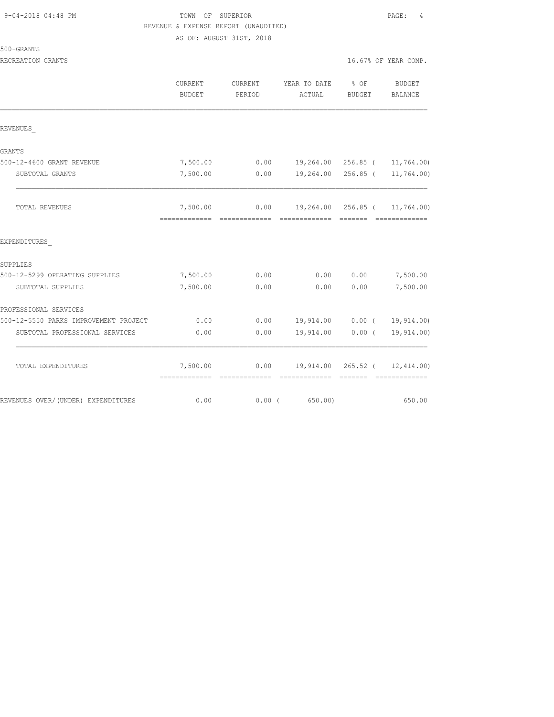| 9-04-2018 04:48 PM |  |  |
|--------------------|--|--|
|--------------------|--|--|

# TOWN OF SUPERIOR **PAGE:** 4 REVENUE & EXPENSE REPORT (UNAUDITED)

AS OF: AUGUST 31ST, 2018

| 500-GRANTS |
|------------|
|------------|

|                                       | CURRENT<br><b>BUDGET</b>  | CURRENT<br>PERIOD | YEAR TO DATE<br>ACTUAL               | % OF<br>BUDGET | BUDGET<br><b>BALANCE</b>      |
|---------------------------------------|---------------------------|-------------------|--------------------------------------|----------------|-------------------------------|
| REVENUES                              |                           |                   |                                      |                |                               |
| GRANTS                                |                           |                   |                                      |                |                               |
| 500-12-4600 GRANT REVENUE             | 7,500.00                  |                   | $0.00$ 19,264.00 256.85 ( 11,764.00) |                |                               |
| SUBTOTAL GRANTS                       | 7,500.00                  | 0.00              |                                      |                | 19,264.00 256.85 ( 11,764.00) |
| TOTAL REVENUES                        | 7,500.00<br>============= | --------------    | $0.00$ 19,264.00 256.85 ( 11,764.00) |                | --------------                |
| EXPENDITURES                          |                           |                   |                                      |                |                               |
| SUPPLIES                              |                           |                   |                                      |                |                               |
| 500-12-5299 OPERATING SUPPLIES        | 7,500.00                  | 0.00              | 0.00                                 | 0.00           | 7,500.00                      |
| SUBTOTAL SUPPLIES                     | 7,500.00                  | 0.00              | 0.00                                 | 0.00           | 7,500.00                      |
| PROFESSIONAL SERVICES                 |                           |                   |                                      |                |                               |
| 500-12-5550 PARKS IMPROVEMENT PROJECT | 0.00                      | 0.00              |                                      |                | 19,914.00   0.00   19,914.00) |
| SUBTOTAL PROFESSIONAL SERVICES        | 0.00                      | 0.00              | 19,914.00                            | $0.00$ (       | 19,914.00)                    |
| TOTAL EXPENDITURES                    | 7,500.00                  |                   | $0.00$ 19,914.00 265.52 ( 12,414.00) |                |                               |
| REVENUES OVER/(UNDER) EXPENDITURES    | 0.00                      | 0.00(             | 650.00)                              |                | 650.00                        |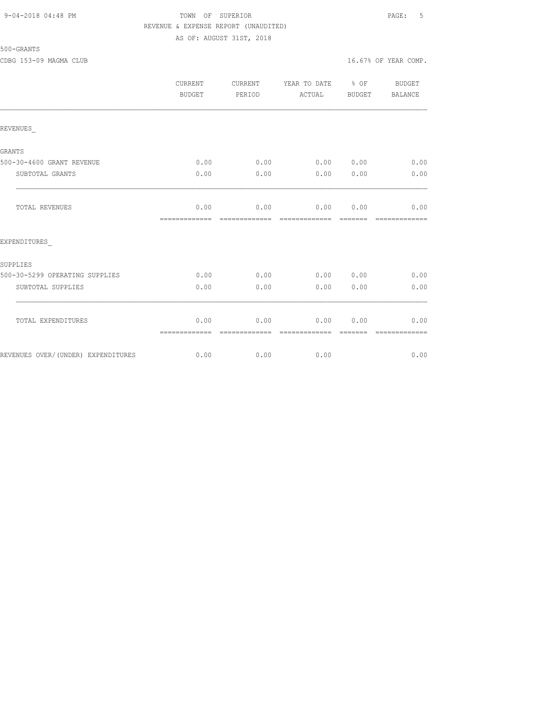#### 9-04-2018 04:48 PM TOWN OF SUPERIOR PAGE: 5 REVENUE & EXPENSE REPORT (UNAUDITED) AS OF: AUGUST 31ST, 2018

#### 500-GRANTS

CDBG 153-09 MAGMA CLUB 16.67% OF YEAR COMP.

|                                    | <b>CURRENT</b><br><b>BUDGET</b> | <b>CURRENT</b><br>PERIOD | YEAR TO DATE<br>ACTUAL | $8$ OF<br>BUDGET | <b>BUDGET</b><br>BALANCE |
|------------------------------------|---------------------------------|--------------------------|------------------------|------------------|--------------------------|
| REVENUES                           |                                 |                          |                        |                  |                          |
| GRANTS                             |                                 |                          |                        |                  |                          |
| 500-30-4600 GRANT REVENUE          | 0.00                            | 0.00                     | 0.000000               |                  | 0.00                     |
| SUBTOTAL GRANTS                    | 0.00                            | 0.00                     | 0.00                   | 0.00             | 0.00                     |
| TOTAL REVENUES                     | 0.00<br>-------------           | 0.00<br>-------------    | 0.00<br>-------------  | 0.00<br>-------- | 0.00<br>-------------    |
| EXPENDITURES                       |                                 |                          |                        |                  |                          |
| SUPPLIES                           |                                 |                          |                        |                  |                          |
| 500-30-5299 OPERATING SUPPLIES     | 0.00                            | 0.00                     | $0.00$ $0.00$          |                  | 0.00                     |
| SUBTOTAL SUPPLIES                  | 0.00                            | 0.00                     | 0.00                   | 0.00             | 0.00                     |
| TOTAL EXPENDITURES                 | 0.00<br>=============           | 0.00                     | 0.00<br>========       | 0.00             | 0.00                     |
| REVENUES OVER/(UNDER) EXPENDITURES | 0.00                            | 0.00                     | 0.00                   |                  | 0.00                     |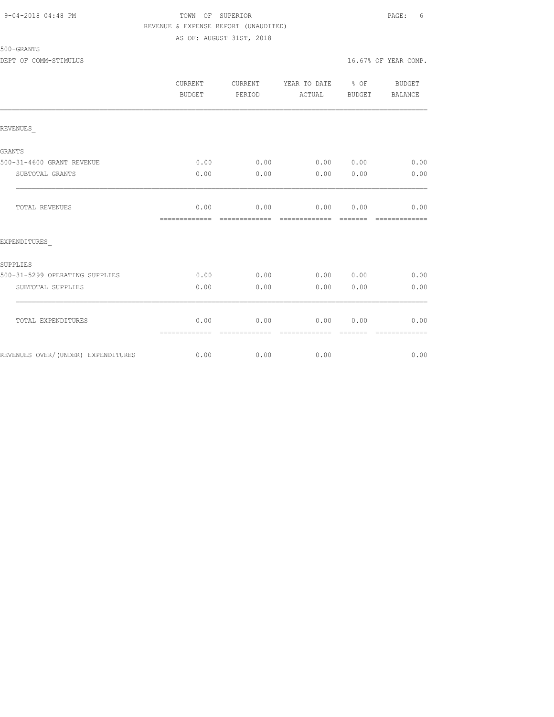#### 9-04-2018 04:48 PM TOWN OF SUPERIOR PAGE: 6 REVENUE & EXPENSE REPORT (UNAUDITED) AS OF: AUGUST 31ST, 2018

500-GRANTS

|                                     | CURRENT<br><b>BUDGET</b> | CURRENT<br>PERIOD | YEAR TO DATE<br>ACTUAL | $8$ OF<br><b>BUDGET</b> | BUDGET<br>BALANCE |
|-------------------------------------|--------------------------|-------------------|------------------------|-------------------------|-------------------|
| REVENUES                            |                          |                   |                        |                         |                   |
|                                     |                          |                   |                        |                         |                   |
| GRANTS<br>500-31-4600 GRANT REVENUE | 0.00                     | 0.00              | 0.00                   | 0.00                    | 0.00              |
| SUBTOTAL GRANTS                     | 0.00                     | 0.00              | 0.00                   | 0.00                    | 0.00              |
| TOTAL REVENUES                      | 0.00<br>=============    | 0.00              | 0.00<br>-------------  | 0.00                    | 0.00              |
| EXPENDITURES                        |                          |                   |                        |                         |                   |
| SUPPLIES                            |                          |                   |                        |                         |                   |
| 500-31-5299 OPERATING SUPPLIES      | 0.00                     | 0.00              | 0.00                   | 0.00                    | 0.00              |
| SUBTOTAL SUPPLIES                   | 0.00                     | 0.00              | 0.00                   | 0.00                    | 0.00              |
| TOTAL EXPENDITURES                  | 0.00                     | 0.00              | 0.00                   | 0.00                    | 0.00              |
|                                     | =============            | =============     | =============          |                         | =============     |

REVENUES OVER/(UNDER) EXPENDITURES 0.00 0.00 0.00 0.00 0.00 0.00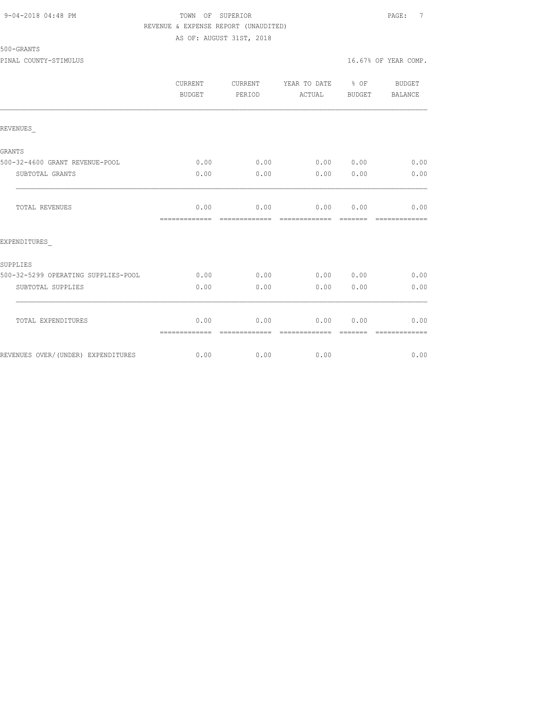## 9-04-2018 04:48 PM TOWN OF SUPERIOR PAGE: 7 REVENUE & EXPENSE REPORT (UNAUDITED) AS OF: AUGUST 31ST, 2018

500-GRANTS

PINAL COUNTY-STIMULUS 16.67% OF YEAR COMP.

|                                     | CURRENT<br>BUDGET     | CURRENT<br>PERIOD     | YEAR TO DATE % OF<br>ACTUAL    | BUDGET | BUDGET<br><b>BALANCE</b> |
|-------------------------------------|-----------------------|-----------------------|--------------------------------|--------|--------------------------|
| REVENUES                            |                       |                       |                                |        |                          |
| <b>GRANTS</b>                       |                       |                       |                                |        |                          |
| 500-32-4600 GRANT REVENUE-POOL      | 0.00                  | 0.00                  | 0.00 0.00                      |        | 0.00                     |
| SUBTOTAL GRANTS                     | 0.00                  | 0.00                  | 0.00                           | 0.00   | 0.00                     |
| TOTAL REVENUES                      | 0.00<br>============= | 0.00<br>============= | $0.00$ $0.00$<br>============= |        | 0.00                     |
| EXPENDITURES                        |                       |                       |                                |        |                          |
| SUPPLIES                            |                       |                       |                                |        |                          |
| 500-32-5299 OPERATING SUPPLIES-POOL | 0.00                  | 0.00                  | 0.00 0.00                      |        | 0.00                     |
| SUBTOTAL SUPPLIES                   | 0.00                  | 0.00                  | 0.00                           | 0.00   | 0.00                     |
| TOTAL EXPENDITURES                  | 0.00<br>============= | 0.00<br>------------- | 0.00<br>=============          | 0.00   | 0.00                     |
| REVENUES OVER/(UNDER) EXPENDITURES  | 0.00                  | 0.00                  | 0.00                           |        | 0.00                     |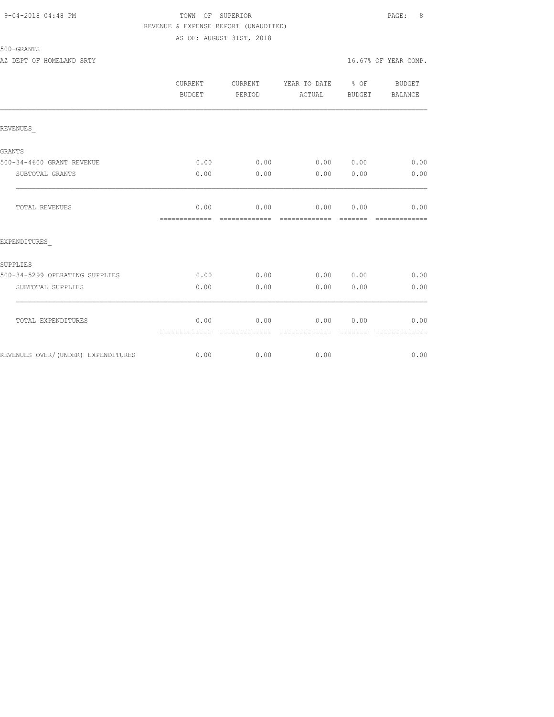## 9-04-2018 04:48 PM TOWN OF SUPERIOR PAGE: 8 REVENUE & EXPENSE REPORT (UNAUDITED) AS OF: AUGUST 31ST, 2018

## 500-GRANTS

AZ DEPT OF HOMELAND SRTY **16.67%** OF YEAR COMP.

|                                    | CURRENT<br>BUDGET     | CURRENT<br>PERIOD     | YEAR TO DATE % OF<br>ACTUAL | BUDGET          | <b>BUDGET</b><br><b>BALANCE</b> |
|------------------------------------|-----------------------|-----------------------|-----------------------------|-----------------|---------------------------------|
| REVENUES                           |                       |                       |                             |                 |                                 |
| <b>GRANTS</b>                      |                       |                       |                             |                 |                                 |
| 500-34-4600 GRANT REVENUE          | 0.00                  | 0.00                  | 0.00 0.00                   |                 | 0.00                            |
| SUBTOTAL GRANTS                    | 0.00                  | 0.00                  | 0.00                        | 0.00            | 0.00                            |
| TOTAL REVENUES                     | 0.00<br>============= | 0.00<br>============= | 0.00<br>=============       | 0.00<br>======= | 0.00<br>-------------           |
| EXPENDITURES                       |                       |                       |                             |                 |                                 |
| SUPPLIES                           |                       |                       |                             |                 |                                 |
| 500-34-5299 OPERATING SUPPLIES     | 0.00                  | 0.00                  | 0.00 0.00                   |                 | 0.00                            |
| SUBTOTAL SUPPLIES                  | 0.00                  | 0.00                  | 0.00                        | 0.00            | 0.00                            |
| TOTAL EXPENDITURES                 | 0.00<br>============= | 0.00<br>------------- | 0.00<br>-------------       | 0.00            | 0.00<br>=============           |
| REVENUES OVER/(UNDER) EXPENDITURES | 0.00                  | 0.00                  | 0.00                        |                 | 0.00                            |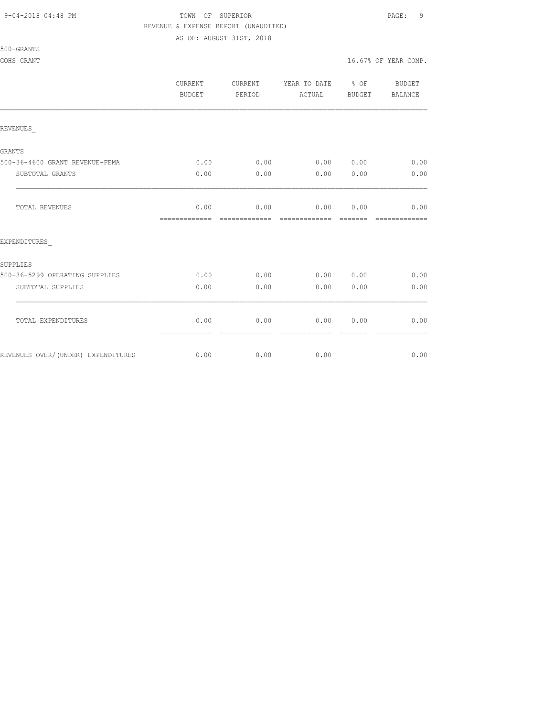500-GRANTS

### 9-04-2018 04:48 PM TOWN OF SUPERIOR PAGE: 9 REVENUE & EXPENSE REPORT (UNAUDITED)

AS OF: AUGUST 31ST, 2018

GOHS GRANT  $16.67$ % OF YEAR COMP.

|                                    | CURRENT<br><b>BUDGET</b> | CURRENT<br>PERIOD      | YEAR TO DATE % OF<br>ACTUAL   | BUDGET          | BUDGET<br>BALANCE      |
|------------------------------------|--------------------------|------------------------|-------------------------------|-----------------|------------------------|
| REVENUES                           |                          |                        |                               |                 |                        |
| <b>GRANTS</b>                      |                          |                        |                               |                 |                        |
| 500-36-4600 GRANT REVENUE-FEMA     | 0.00                     |                        | $0.00$ $0.00$ $0.00$          |                 | 0.00                   |
| SUBTOTAL GRANTS                    | 0.00                     | 0.00                   | 0.00                          | 0.00            | 0.00                   |
| <b>TOTAL REVENUES</b>              | 0.00<br>=============    | 0.00<br>-------------- | $0.00$ 0.00<br>-------------- | --------        | 0.00<br>-------------- |
| EXPENDITURES                       |                          |                        |                               |                 |                        |
| <b>SUPPLIES</b>                    |                          |                        |                               |                 |                        |
| 500-36-5299 OPERATING SUPPLIES     | 0.00                     | 0.00                   | 0.00 0.00                     |                 | 0.00                   |
| SUBTOTAL SUPPLIES                  | 0.00                     | 0.00                   | 0.00                          | 0.00            | 0.00                   |
| TOTAL EXPENDITURES                 | 0.00<br>=============    | 0.00<br>=============  | 0.00<br>=============         | 0.00<br>------- | 0.00<br>=============  |
| REVENUES OVER/(UNDER) EXPENDITURES | 0.00                     | 0.00                   | 0.00                          |                 | 0.00                   |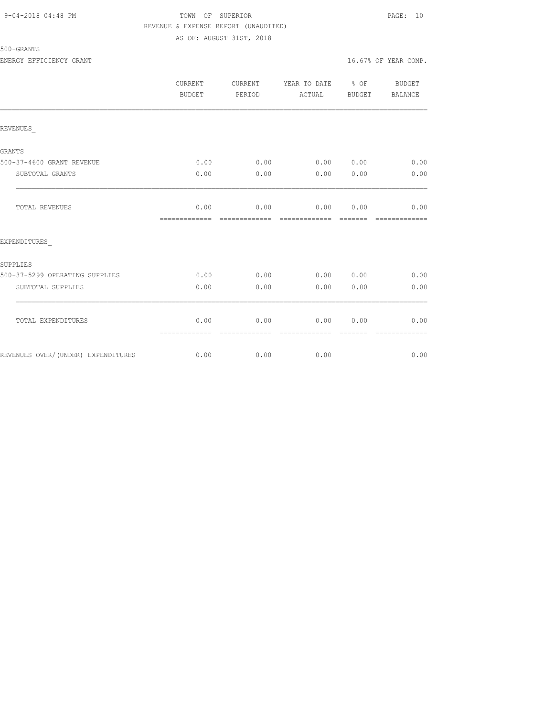## 9-04-2018 04:48 PM TOWN OF SUPERIOR PAGE: 10 REVENUE & EXPENSE REPORT (UNAUDITED) AS OF: AUGUST 31ST, 2018

## 500-GRANTS

ENERGY EFFICIENCY GRANT 16.67% OF YEAR COMP.

|                                    | CURRENT<br><b>BUDGET</b>             | CURRENT<br>PERIOD | YEAR TO DATE % OF<br>ACTUAL               | BUDGET | BUDGET<br>BALANCE      |
|------------------------------------|--------------------------------------|-------------------|-------------------------------------------|--------|------------------------|
| REVENUES                           |                                      |                   |                                           |        |                        |
| <b>GRANTS</b>                      |                                      |                   |                                           |        |                        |
| 500-37-4600 GRANT REVENUE          | 0.00                                 |                   | $0.00$ $0.00$ $0.00$ $0.00$ $0.00$ $0.00$ |        |                        |
| SUBTOTAL GRANTS                    | 0.00                                 | 0.00              | 0.00                                      | 0.00   | 0.00                   |
| <b>TOTAL REVENUES</b>              | 0.00<br>-------------- ------------- |                   | $0.00$ $0.00$ $0.00$ $0.00$               |        | 0.00<br>-------------- |
| EXPENDITURES                       |                                      |                   |                                           |        |                        |
| <b>SUPPLIES</b>                    |                                      |                   |                                           |        |                        |
| 500-37-5299 OPERATING SUPPLIES     | 0.00                                 | 0.00              | $0.00$ $0.00$ $0.00$ $0.00$               |        |                        |
| SUBTOTAL SUPPLIES                  | 0.00                                 | 0.00              | 0.00                                      | 0.00   | 0.00                   |
| TOTAL EXPENDITURES                 | 0.00<br>=============                | -------------     | $0.00$ 0.00<br>--------------             | 0.00   | 0.00<br>-------------  |
| REVENUES OVER/(UNDER) EXPENDITURES |                                      | $0.00$ 0.00       | 0.00                                      |        | 0.00                   |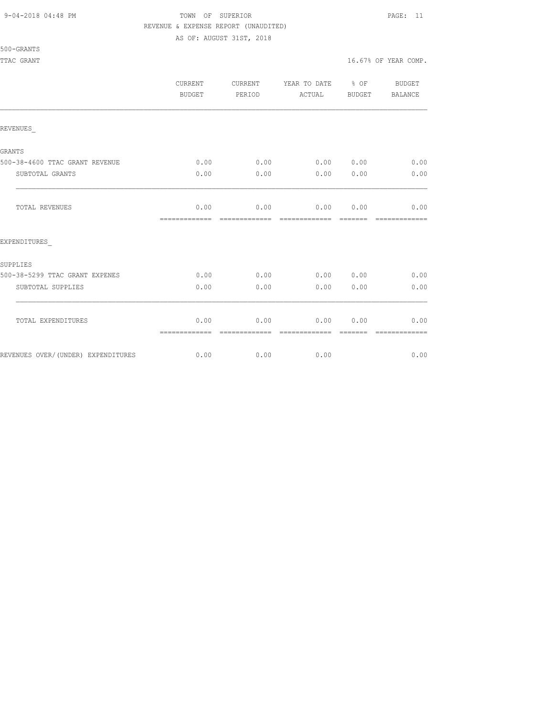#### 9-04-2018 04:48 PM TOWN OF SUPERIOR PAGE: 11 REVENUE & EXPENSE REPORT (UNAUDITED)

AS OF: AUGUST 31ST, 2018

| 500-GRANT |  |
|-----------|--|
|-----------|--|

|                                    | <b>CURRENT</b><br><b>BUDGET</b> | <b>CURRENT</b><br>PERIOD | YEAR TO DATE % OF<br>ACTUAL | <b>BUDGET</b> | <b>BUDGET</b><br>BALANCE |
|------------------------------------|---------------------------------|--------------------------|-----------------------------|---------------|--------------------------|
| REVENUES                           |                                 |                          |                             |               |                          |
| GRANTS                             |                                 |                          |                             |               |                          |
| 500-38-4600 TTAC GRANT REVENUE     | 0.00                            | 0.00                     | 0.00 0.00                   |               | 0.00                     |
| SUBTOTAL GRANTS                    | 0.00                            | 0.00                     | 0.00                        | 0.00          | 0.00                     |
| TOTAL REVENUES                     | 0.00<br>=============           | 0.00                     | 0.00<br>-------------       | 0.00          | 0.00                     |
| EXPENDITURES                       |                                 |                          |                             |               |                          |
| SUPPLIES                           |                                 |                          |                             |               |                          |
| 500-38-5299 TTAC GRANT EXPENES     | 0.00                            | 0.00                     | 0.00                        | 0.00          | 0.00                     |
| SUBTOTAL SUPPLIES                  | 0.00                            | 0.00                     | 0.00                        | 0.00          | 0.00                     |
| TOTAL EXPENDITURES                 | 0.00<br>=============           | 0.00<br>-------------    | 0.00<br>--------------      | 0.00          | 0.00                     |
| REVENUES OVER/(UNDER) EXPENDITURES | 0.00                            | 0.00                     | 0.00                        |               | 0.00                     |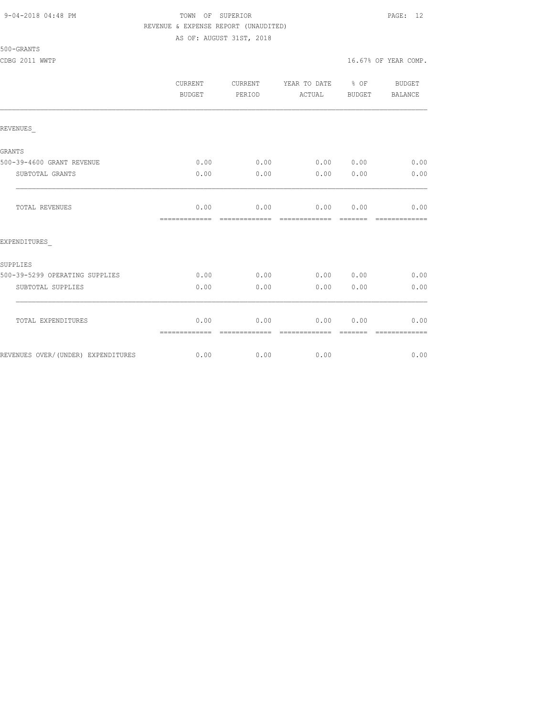## 9-04-2018 04:48 PM TOWN OF SUPERIOR PAGE: 12 REVENUE & EXPENSE REPORT (UNAUDITED) AS OF: AUGUST 31ST, 2018

## 500-GRANTS

|                                    | CURRENT<br>BUDGET     | CURRENT<br>PERIOD     | YEAR TO DATE % OF<br>ACTUAL | BUDGET                                                                                                                                                                                                                                                                                                                                                                                                                                                                                         | BUDGET<br><b>BALANCE</b> |
|------------------------------------|-----------------------|-----------------------|-----------------------------|------------------------------------------------------------------------------------------------------------------------------------------------------------------------------------------------------------------------------------------------------------------------------------------------------------------------------------------------------------------------------------------------------------------------------------------------------------------------------------------------|--------------------------|
| REVENUES                           |                       |                       |                             |                                                                                                                                                                                                                                                                                                                                                                                                                                                                                                |                          |
| GRANTS                             |                       |                       |                             |                                                                                                                                                                                                                                                                                                                                                                                                                                                                                                |                          |
| 500-39-4600 GRANT REVENUE          | 0.00                  | 0.00                  | 0.00                        | 0.00                                                                                                                                                                                                                                                                                                                                                                                                                                                                                           | 0.00                     |
| SUBTOTAL GRANTS                    | 0.00                  | 0.00                  | 0.00                        | 0.00                                                                                                                                                                                                                                                                                                                                                                                                                                                                                           | 0.00                     |
| TOTAL REVENUES                     | 0.00                  | 0.00                  | 0.00                        | 0.00                                                                                                                                                                                                                                                                                                                                                                                                                                                                                           | 0.00<br>=============    |
| EXPENDITURES                       |                       |                       |                             |                                                                                                                                                                                                                                                                                                                                                                                                                                                                                                |                          |
| SUPPLIES                           |                       |                       |                             |                                                                                                                                                                                                                                                                                                                                                                                                                                                                                                |                          |
| 500-39-5299 OPERATING SUPPLIES     | 0.00                  | 0.00                  | 0.00                        | 0.00                                                                                                                                                                                                                                                                                                                                                                                                                                                                                           | 0.00                     |
| SUBTOTAL SUPPLIES                  | 0.00                  | 0.00                  | 0.00                        | 0.00                                                                                                                                                                                                                                                                                                                                                                                                                                                                                           | 0.00                     |
| TOTAL EXPENDITURES                 | 0.00<br>============= | 0.00<br>============= | 0.00<br>-------------       | 0.00<br>$\begin{array}{cccccccccc} \multicolumn{2}{c}{} & \multicolumn{2}{c}{} & \multicolumn{2}{c}{} & \multicolumn{2}{c}{} & \multicolumn{2}{c}{} & \multicolumn{2}{c}{} & \multicolumn{2}{c}{} & \multicolumn{2}{c}{} & \multicolumn{2}{c}{} & \multicolumn{2}{c}{} & \multicolumn{2}{c}{} & \multicolumn{2}{c}{} & \multicolumn{2}{c}{} & \multicolumn{2}{c}{} & \multicolumn{2}{c}{} & \multicolumn{2}{c}{} & \multicolumn{2}{c}{} & \multicolumn{2}{c}{} & \multicolumn{2}{c}{} & \mult$ | 0.00<br>=============    |
| REVENUES OVER/(UNDER) EXPENDITURES | 0.00                  | 0.00                  | 0.00                        |                                                                                                                                                                                                                                                                                                                                                                                                                                                                                                | 0.00                     |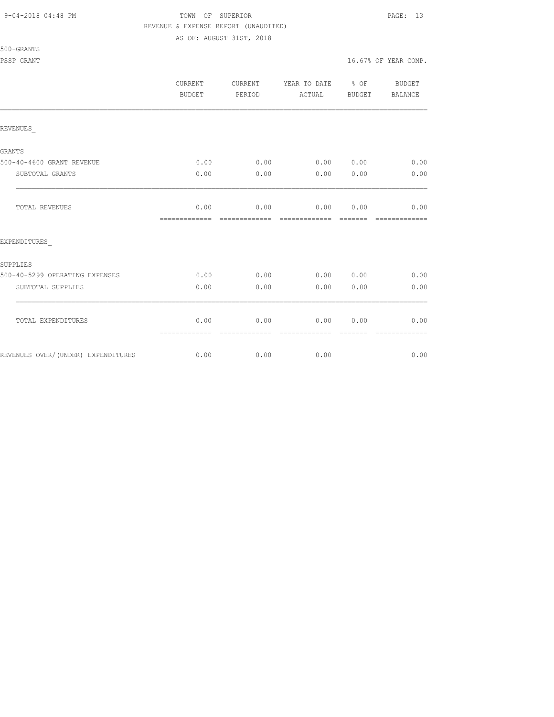#### 9-04-2018 04:48 PM TOWN OF SUPERIOR PAGE: 13 REVENUE & EXPENSE REPORT (UNAUDITED)

AS OF: AUGUST 31ST, 2018

|                                    | CURRENT<br>BUDGET     | CURRENT<br>PERIOD     | YEAR TO DATE % OF<br>ACTUAL | BUDGET          | BUDGET<br>BALANCE     |
|------------------------------------|-----------------------|-----------------------|-----------------------------|-----------------|-----------------------|
| REVENUES                           |                       |                       |                             |                 |                       |
| GRANTS                             |                       |                       |                             |                 |                       |
| 500-40-4600 GRANT REVENUE          | 0.00                  | 0.00                  | 0.00 0.00                   |                 | 0.00                  |
| SUBTOTAL GRANTS                    | 0.00                  | 0.00                  | 0.00                        | 0.00            | 0.00                  |
| <b>TOTAL REVENUES</b>              | 0.00<br>============= | 0.00<br>============= | 0.00<br>=============       | 0.00<br>------- | 0.00<br>------------- |
| EXPENDITURES                       |                       |                       |                             |                 |                       |
| SUPPLIES                           |                       |                       |                             |                 |                       |
| 500-40-5299 OPERATING EXPENSES     | 0.00                  | 0.00                  | 0.00 0.00                   |                 | 0.00                  |
| SUBTOTAL SUPPLIES                  | 0.00                  | 0.00                  | 0.00                        | 0.00            | 0.00                  |
| TOTAL EXPENDITURES                 | 0.00<br>============= | 0.00                  | 0.00                        | 0.00            | 0.00                  |
| REVENUES OVER/(UNDER) EXPENDITURES | 0.00                  | 0.00                  | 0.00                        |                 | 0.00                  |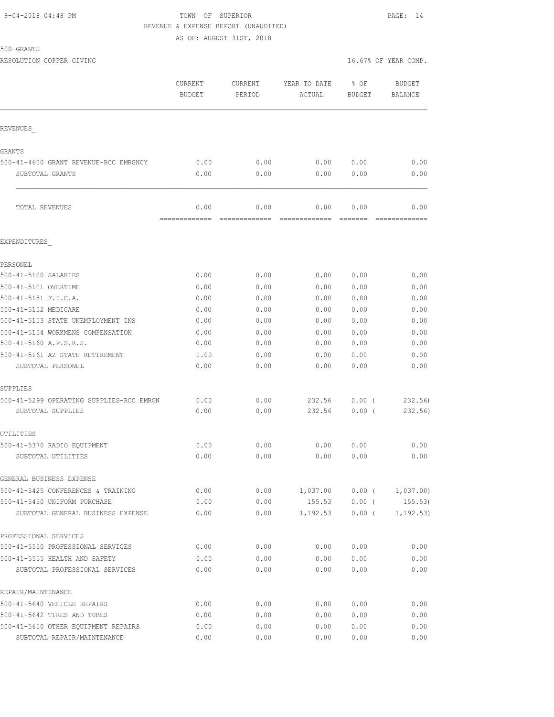## 9-04-2018 04:48 PM TOWN OF SUPERIOR PAGE: 14 REVENUE & EXPENSE REPORT (UNAUDITED) AS OF: AUGUST 31ST, 2018

500-GRANTS

|                                                                   | CURRENT<br><b>BUDGET</b> | <b>CURRENT</b><br>PERIOD | YEAR TO DATE<br>ACTUAL | % OF<br><b>BUDGET</b> | <b>BUDGET</b><br>BALANCE |
|-------------------------------------------------------------------|--------------------------|--------------------------|------------------------|-----------------------|--------------------------|
| REVENUES                                                          |                          |                          |                        |                       |                          |
|                                                                   |                          |                          |                        |                       |                          |
| GRANTS                                                            |                          |                          |                        |                       |                          |
| 500-41-4600 GRANT REVENUE-RCC EMRGNCY                             | 0.00                     | 0.00                     | 0.00                   | 0.00                  | 0.00                     |
| SUBTOTAL GRANTS                                                   | 0.00                     | 0.00                     | 0.00                   | 0.00                  | 0.00                     |
| TOTAL REVENUES                                                    | 0.00<br>-------------    | 0.00<br>-------------    | 0.00<br>-------------  | 0.00                  | 0.00<br>=============    |
| EXPENDITURES                                                      |                          |                          |                        |                       |                          |
| PERSONEL                                                          |                          |                          |                        |                       |                          |
| 500-41-5100 SALARIES                                              | 0.00                     | 0.00                     | 0.00                   | 0.00                  | 0.00                     |
| 500-41-5101 OVERTIME                                              | 0.00                     | 0.00                     | 0.00                   | 0.00                  | 0.00                     |
| 500-41-5151 F.I.C.A.                                              | 0.00                     | 0.00                     | 0.00                   | 0.00                  | 0.00                     |
| 500-41-5152 MEDICARE                                              | 0.00                     | 0.00                     | 0.00                   | 0.00                  | 0.00                     |
| 500-41-5153 STATE UNEMPLOYMENT INS                                | 0.00                     | 0.00                     | 0.00                   | 0.00                  | 0.00                     |
| 500-41-5154 WORKMENS COMPENSATION                                 | 0.00                     | 0.00                     | 0.00                   | 0.00                  | 0.00                     |
| 500-41-5160 A.P.S.R.S.                                            | 0.00                     | 0.00                     | 0.00                   | 0.00                  | 0.00                     |
| 500-41-5161 AZ STATE RETIREMENT                                   | 0.00                     | 0.00                     | 0.00                   | 0.00                  | 0.00                     |
| SUBTOTAL PERSONEL                                                 | 0.00                     | 0.00                     | 0.00                   | 0.00                  | 0.00                     |
| SUPPLIES                                                          |                          |                          |                        |                       |                          |
| 500-41-5299 OPERATING SUPPLIES-RCC EMRGN                          | 0.00                     | 0.00                     | 232.56                 | 0.00(                 | 232.56)                  |
| SUBTOTAL SUPPLIES                                                 | 0.00                     | 0.00                     | 232.56                 | $0.00$ (              | 232.56)                  |
| UTILITIES                                                         |                          |                          |                        |                       |                          |
| 500-41-5370 RADIO EQUIPMENT                                       | 0.00                     | 0.00                     | 0.00                   | 0.00                  | 0.00                     |
| SUBTOTAL UTILITIES                                                | 0.00                     | 0.00                     | 0.00                   | 0.00                  | 0.00                     |
| GENERAL BUSINESS EXPENSE                                          |                          |                          |                        |                       |                          |
| 500-41-5425 CONFERENCES & TRAINING                                | 0.00                     | 0.00                     | 1,037.00               | $0.00$ (              | 1,037.00                 |
| 500-41-5450 UNIFORM PURCHASE<br>SUBTOTAL GENERAL BUSINESS EXPENSE | 0.00<br>0.00             | 0.00<br>0.00             | 155.53<br>1,192.53     | $0.00$ (<br>$0.00$ (  | 155.53)<br>1, 192.53)    |
|                                                                   |                          |                          |                        |                       |                          |
| PROFESSIONAL SERVICES<br>500-41-5550 PROFESSIONAL SERVICES        | 0.00                     | 0.00                     | 0.00                   | 0.00                  | 0.00                     |
| 500-41-5555 HEALTH AND SAFETY                                     | 0.00                     | 0.00                     | 0.00                   | 0.00                  | 0.00                     |
| SUBTOTAL PROFESSIONAL SERVICES                                    | 0.00                     | 0.00                     | 0.00                   | 0.00                  | 0.00                     |
| REPAIR/MAINTENANCE                                                |                          |                          |                        |                       |                          |
| 500-41-5640 VEHICLE REPAIRS                                       | 0.00                     | 0.00                     | 0.00                   | 0.00                  | 0.00                     |
| 500-41-5642 TIRES AND TUBES                                       | 0.00                     | 0.00                     | 0.00                   | 0.00                  | 0.00                     |
| 500-41-5650 OTHER EQUIPMENT REPAIRS                               | 0.00                     | 0.00                     | 0.00                   | 0.00                  | 0.00                     |

SUBTOTAL REPAIR/MAINTENANCE 0.00 0.00 0.00 0.00 0.00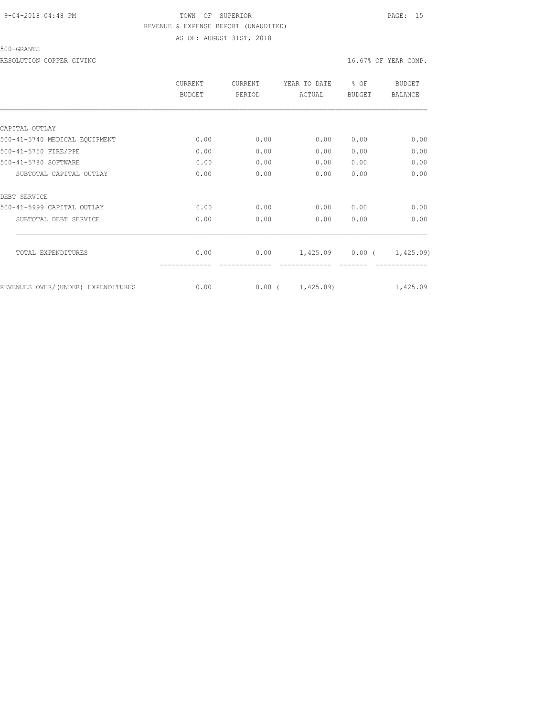## 9-04-2018 04:48 PM TOWN OF SUPERIOR PAGE: 15 REVENUE & EXPENSE REPORT (UNAUDITED) AS OF: AUGUST 31ST, 2018

500-GRANTS

RESOLUTION COPPER GIVING  $16.67$ % OF YEAR COMP.

|                                     | CURRENT<br>BUDGET | CURRENT<br>PERIOD | YEAR TO DATE<br>ACTUAL | % OF<br><b>BUDGET</b> | BUDGET<br><b>BALANCE</b> |
|-------------------------------------|-------------------|-------------------|------------------------|-----------------------|--------------------------|
|                                     |                   |                   |                        |                       |                          |
| CAPITAL OUTLAY                      |                   |                   |                        |                       |                          |
| 500-41-5740 MEDICAL EQUIPMENT       | 0.00              | 0.00              | 0.00                   | 0.00                  | 0.00                     |
| 500-41-5750 FIRE/PPE                | 0.00              | 0.00              | 0.00                   | 0.00                  | 0.00                     |
| 500-41-5780 SOFTWARE                | 0.00              | 0.00              | 0.00                   | 0.00                  | 0.00                     |
| SUBTOTAL CAPITAL OUTLAY             | 0.00              | 0.00              | 0.00                   | 0.00                  | 0.00                     |
| DEBT SERVICE                        |                   |                   |                        |                       |                          |
| 500-41-5999 CAPITAL OUTLAY          | 0.00              | 0.00              | 0.00                   | 0.00                  | 0.00                     |
| SUBTOTAL DEBT SERVICE               | 0.00              | 0.00              | 0.00                   | 0.00                  | 0.00                     |
| TOTAL EXPENDITURES                  | 0.00              | 0.00              | 1,425.09               | $0.00$ (              | 1,425.09)                |
|                                     |                   |                   |                        |                       |                          |
| REVENUES OVER/ (UNDER) EXPENDITURES | 0.00              | $0.00$ (          | 1,425.09               |                       | 1,425.09                 |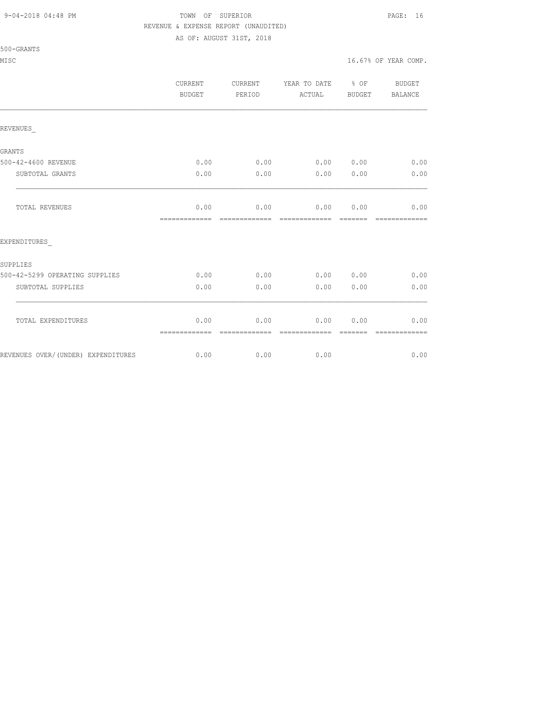#### 9-04-2018 04:48 PM TOWN OF SUPERIOR PAGE: 16 REVENUE & EXPENSE REPORT (UNAUDITED)

AS OF: AUGUST 31ST, 2018

| 500-GRANTS |  |
|------------|--|
|            |  |

|                                    | <b>CURRENT</b><br>BUDGET | <b>CURRENT</b><br>PERIOD | YEAR TO DATE<br>ACTUAL | % OF<br>BUDGET | <b>BUDGET</b><br><b>BALANCE</b> |
|------------------------------------|--------------------------|--------------------------|------------------------|----------------|---------------------------------|
| REVENUES                           |                          |                          |                        |                |                                 |
| GRANTS                             |                          |                          |                        |                |                                 |
| 500-42-4600 REVENUE                | 0.00                     | 0.00                     | 0.00 0.00              |                | 0.00                            |
| SUBTOTAL GRANTS                    | 0.00                     | 0.00                     | 0.00                   | 0.00           | 0.00                            |
| TOTAL REVENUES                     | 0.00<br>=============    | 0.00                     | 0.00                   | 0.00           | 0.00<br>-------------           |
| EXPENDITURES                       |                          |                          |                        |                |                                 |
| SUPPLIES                           |                          |                          |                        |                |                                 |
| 500-42-5299 OPERATING SUPPLIES     | 0.00                     | 0.00                     | 0.00                   | 0.00           | 0.00                            |
| SUBTOTAL SUPPLIES                  | 0.00                     | 0.00                     | 0.00                   | 0.00           | 0.00                            |
| TOTAL EXPENDITURES                 | 0.00<br>=============    | 0.00                     | 0.00                   | 0.00           | 0.00                            |
| REVENUES OVER/(UNDER) EXPENDITURES | 0.00                     | 0.00                     | 0.00                   |                | 0.00                            |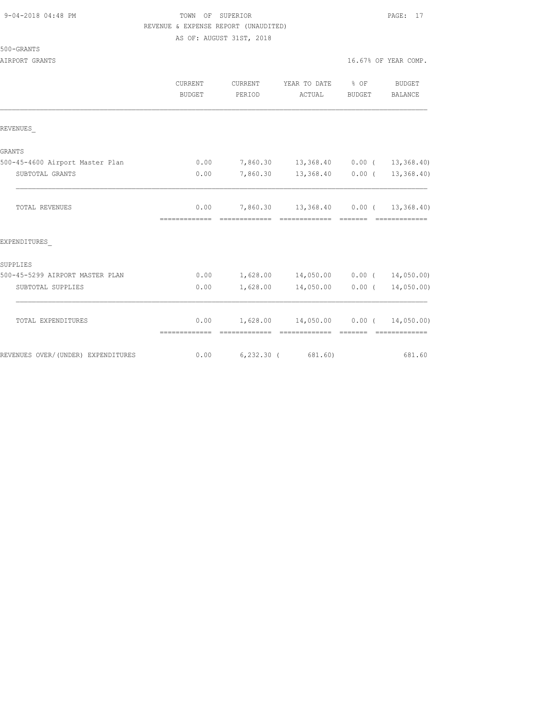## TOWN OF SUPERIOR **PAGE:** 17 REVENUE & EXPENSE REPORT (UNAUDITED)

AS OF: AUGUST 31ST, 2018

| )-GRANTS<br>500 |  |
|-----------------|--|
|-----------------|--|

|                                    | CURRENT<br><b>BUDGET</b> | <b>CURRENT</b><br>PERIOD  | YEAR TO DATE<br>ACTUAL                                                                                                                                                                                                                                                                                                                                                                                                                                                                              | % OF<br>BUDGET                                                                                                                                                                                                                                                                                                                                                                                                                                                                         | <b>BUDGET</b><br>BALANCE                                                                                                                                                                                                                                                                                                                                                                                                                                                                             |
|------------------------------------|--------------------------|---------------------------|-----------------------------------------------------------------------------------------------------------------------------------------------------------------------------------------------------------------------------------------------------------------------------------------------------------------------------------------------------------------------------------------------------------------------------------------------------------------------------------------------------|----------------------------------------------------------------------------------------------------------------------------------------------------------------------------------------------------------------------------------------------------------------------------------------------------------------------------------------------------------------------------------------------------------------------------------------------------------------------------------------|------------------------------------------------------------------------------------------------------------------------------------------------------------------------------------------------------------------------------------------------------------------------------------------------------------------------------------------------------------------------------------------------------------------------------------------------------------------------------------------------------|
| REVENUES                           |                          |                           |                                                                                                                                                                                                                                                                                                                                                                                                                                                                                                     |                                                                                                                                                                                                                                                                                                                                                                                                                                                                                        |                                                                                                                                                                                                                                                                                                                                                                                                                                                                                                      |
| <b>GRANTS</b>                      |                          |                           |                                                                                                                                                                                                                                                                                                                                                                                                                                                                                                     |                                                                                                                                                                                                                                                                                                                                                                                                                                                                                        |                                                                                                                                                                                                                                                                                                                                                                                                                                                                                                      |
| 500-45-4600 Airport Master Plan    | 0.00                     |                           | 7,860.30 13,368.40 0.00 ( 13,368.40)                                                                                                                                                                                                                                                                                                                                                                                                                                                                |                                                                                                                                                                                                                                                                                                                                                                                                                                                                                        |                                                                                                                                                                                                                                                                                                                                                                                                                                                                                                      |
| SUBTOTAL GRANTS                    | 0.00                     | 7,860.30                  | 13,368.40 0.00 ( 13,368.40)                                                                                                                                                                                                                                                                                                                                                                                                                                                                         |                                                                                                                                                                                                                                                                                                                                                                                                                                                                                        |                                                                                                                                                                                                                                                                                                                                                                                                                                                                                                      |
| <b>TOTAL REVENUES</b>              | 0.00<br>=============    |                           | 7,860.30 13,368.40 0.00 ( 13,368.40)                                                                                                                                                                                                                                                                                                                                                                                                                                                                | $\begin{array}{cccccccccc} \multicolumn{2}{c}{} & \multicolumn{2}{c}{} & \multicolumn{2}{c}{} & \multicolumn{2}{c}{} & \multicolumn{2}{c}{} & \multicolumn{2}{c}{} & \multicolumn{2}{c}{} & \multicolumn{2}{c}{} & \multicolumn{2}{c}{} & \multicolumn{2}{c}{} & \multicolumn{2}{c}{} & \multicolumn{2}{c}{} & \multicolumn{2}{c}{} & \multicolumn{2}{c}{} & \multicolumn{2}{c}{} & \multicolumn{2}{c}{} & \multicolumn{2}{c}{} & \multicolumn{2}{c}{} & \multicolumn{2}{c}{} & \mult$ | --------------                                                                                                                                                                                                                                                                                                                                                                                                                                                                                       |
| EXPENDITURES                       |                          |                           |                                                                                                                                                                                                                                                                                                                                                                                                                                                                                                     |                                                                                                                                                                                                                                                                                                                                                                                                                                                                                        |                                                                                                                                                                                                                                                                                                                                                                                                                                                                                                      |
| SUPPLIES                           |                          |                           |                                                                                                                                                                                                                                                                                                                                                                                                                                                                                                     |                                                                                                                                                                                                                                                                                                                                                                                                                                                                                        |                                                                                                                                                                                                                                                                                                                                                                                                                                                                                                      |
| 500-45-5299 AIRPORT MASTER PLAN    | 0.00                     |                           | $1,628.00$ $14,050.00$ $0.00$ ( $14,050.00$ )                                                                                                                                                                                                                                                                                                                                                                                                                                                       |                                                                                                                                                                                                                                                                                                                                                                                                                                                                                        |                                                                                                                                                                                                                                                                                                                                                                                                                                                                                                      |
| SUBTOTAL SUPPLIES                  | 0.00                     | 1,628.00                  | 14,050.00                                                                                                                                                                                                                                                                                                                                                                                                                                                                                           | 0.00(                                                                                                                                                                                                                                                                                                                                                                                                                                                                                  | 14,050.00)                                                                                                                                                                                                                                                                                                                                                                                                                                                                                           |
| TOTAL EXPENDITURES                 | 0.00<br>=============    | 1,628.00<br>============= | $14,050.00$ 0.00 (<br>$\begin{array}{cccccc} \multicolumn{2}{c}{{\color{red}c}} & \multicolumn{2}{c}{{\color{red}c}} & \multicolumn{2}{c}{{\color{red}c}} & \multicolumn{2}{c}{{\color{red}c}} & \multicolumn{2}{c}{{\color{red}c}} & \multicolumn{2}{c}{{\color{red}c}} & \multicolumn{2}{c}{{\color{red}c}} & \multicolumn{2}{c}{{\color{red}c}} & \multicolumn{2}{c}{{\color{red}c}} & \multicolumn{2}{c}{{\color{red}c}} & \multicolumn{2}{c}{{\color{red}c}} & \multicolumn{2}{c}{{\color{red$ |                                                                                                                                                                                                                                                                                                                                                                                                                                                                                        | 14,050.00)<br>$\begin{array}{cccccccccccccc} \multicolumn{2}{c}{} & \multicolumn{2}{c}{} & \multicolumn{2}{c}{} & \multicolumn{2}{c}{} & \multicolumn{2}{c}{} & \multicolumn{2}{c}{} & \multicolumn{2}{c}{} & \multicolumn{2}{c}{} & \multicolumn{2}{c}{} & \multicolumn{2}{c}{} & \multicolumn{2}{c}{} & \multicolumn{2}{c}{} & \multicolumn{2}{c}{} & \multicolumn{2}{c}{} & \multicolumn{2}{c}{} & \multicolumn{2}{c}{} & \multicolumn{2}{c}{} & \multicolumn{2}{c}{} & \multicolumn{2}{c}{} & \$ |
| REVENUES OVER/(UNDER) EXPENDITURES | 0.00                     |                           | $6, 232.30$ ( 681.60)                                                                                                                                                                                                                                                                                                                                                                                                                                                                               |                                                                                                                                                                                                                                                                                                                                                                                                                                                                                        | 681.60                                                                                                                                                                                                                                                                                                                                                                                                                                                                                               |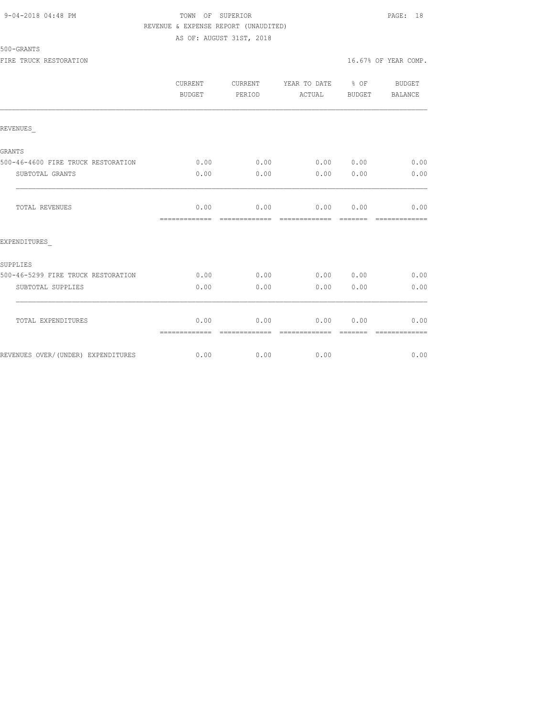## 9-04-2018 04:48 PM TOWN OF SUPERIOR PAGE: 18 REVENUE & EXPENSE REPORT (UNAUDITED) AS OF: AUGUST 31ST, 2018

## 500-GRANTS

|                                    | CURRENT<br><b>BUDGET</b> | CURRENT<br>PERIOD      | YEAR TO DATE % OF BUDGET<br>ACTUAL | BUDGET   | <b>BALANCE</b>                                                                                                                                                                                                                                                                                                                                                                                                                                                                                 |
|------------------------------------|--------------------------|------------------------|------------------------------------|----------|------------------------------------------------------------------------------------------------------------------------------------------------------------------------------------------------------------------------------------------------------------------------------------------------------------------------------------------------------------------------------------------------------------------------------------------------------------------------------------------------|
| REVENUES                           |                          |                        |                                    |          |                                                                                                                                                                                                                                                                                                                                                                                                                                                                                                |
| <b>GRANTS</b>                      |                          |                        |                                    |          |                                                                                                                                                                                                                                                                                                                                                                                                                                                                                                |
| 500-46-4600 FIRE TRUCK RESTORATION | 0.00                     | 0.00                   | 0.00 0.00                          |          | 0.00                                                                                                                                                                                                                                                                                                                                                                                                                                                                                           |
| SUBTOTAL GRANTS                    | 0.00                     | 0.00                   | $0.00$ $0.00$                      |          | 0.00                                                                                                                                                                                                                                                                                                                                                                                                                                                                                           |
| TOTAL REVENUES                     | 0.00                     |                        | $0.00$ $0.00$ $0.00$ $0.00$        |          | 0.00<br>$\begin{array}{cccccccccc} \multicolumn{2}{c}{} & \multicolumn{2}{c}{} & \multicolumn{2}{c}{} & \multicolumn{2}{c}{} & \multicolumn{2}{c}{} & \multicolumn{2}{c}{} & \multicolumn{2}{c}{} & \multicolumn{2}{c}{} & \multicolumn{2}{c}{} & \multicolumn{2}{c}{} & \multicolumn{2}{c}{} & \multicolumn{2}{c}{} & \multicolumn{2}{c}{} & \multicolumn{2}{c}{} & \multicolumn{2}{c}{} & \multicolumn{2}{c}{} & \multicolumn{2}{c}{} & \multicolumn{2}{c}{} & \multicolumn{2}{c}{} & \mult$ |
| EXPENDITURES                       |                          |                        |                                    |          |                                                                                                                                                                                                                                                                                                                                                                                                                                                                                                |
| SUPPLIES                           |                          |                        |                                    |          |                                                                                                                                                                                                                                                                                                                                                                                                                                                                                                |
| 500-46-5299 FIRE TRUCK RESTORATION | 0.00                     | 0.00                   | 0.00 0.00                          |          | 0.00                                                                                                                                                                                                                                                                                                                                                                                                                                                                                           |
| SUBTOTAL SUPPLIES                  | 0.00                     | 0.00                   | 0.00                               | 0.00     | 0.00                                                                                                                                                                                                                                                                                                                                                                                                                                                                                           |
| TOTAL EXPENDITURES                 | 0.00<br>-------------    | 0.00<br>-------------- | $0.00$ $0.00$<br>==============    | -------- | 0.00<br>$\begin{array}{cccccccccccccc} \multicolumn{2}{c}{} & \multicolumn{2}{c}{} & \multicolumn{2}{c}{} & \multicolumn{2}{c}{} & \multicolumn{2}{c}{} & \multicolumn{2}{c}{} & \multicolumn{2}{c}{} & \multicolumn{2}{c}{} & \multicolumn{2}{c}{} & \multicolumn{2}{c}{} & \multicolumn{2}{c}{} & \multicolumn{2}{c}{} & \multicolumn{2}{c}{} & \multicolumn{2}{c}{} & \multicolumn{2}{c}{} & \multicolumn{2}{c}{} & \multicolumn{2}{c}{} & \multicolumn{2}{c}{} & \multicolumn{2}{c}{} & \$ |
| REVENUES OVER/(UNDER) EXPENDITURES |                          | $0.00$ 0.00            | 0.00                               |          | 0.00                                                                                                                                                                                                                                                                                                                                                                                                                                                                                           |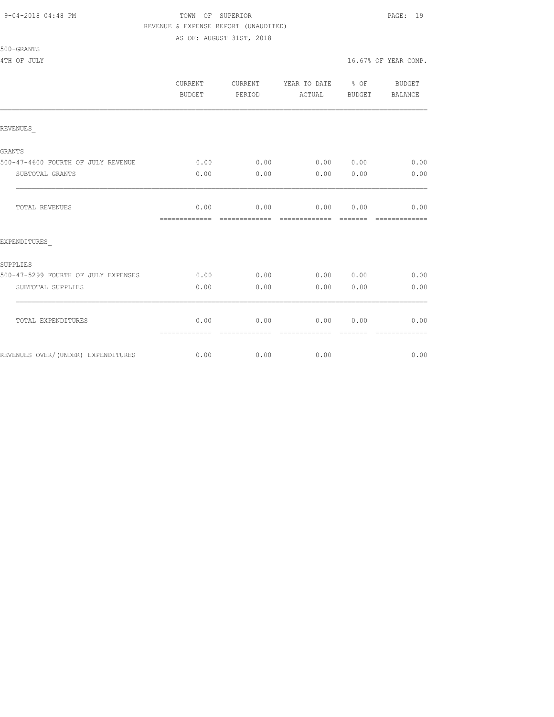## 9-04-2018 04:48 PM TOWN OF SUPERIOR PAGE: 19 REVENUE & EXPENSE REPORT (UNAUDITED) AS OF: AUGUST 31ST, 2018

# 500-GRANTS

ATH OF JULY 16.67% OF YEAR COMP.

|                                     | CURRENT<br>BUDGET     | CURRENT<br>PERIOD     | YEAR TO DATE % OF<br>ACTUAL    | BUDGET   | BUDGET<br>BALANCE     |
|-------------------------------------|-----------------------|-----------------------|--------------------------------|----------|-----------------------|
| REVENUES                            |                       |                       |                                |          |                       |
| <b>GRANTS</b>                       |                       |                       |                                |          |                       |
| 500-47-4600 FOURTH OF JULY REVENUE  | 0.00                  | 0.00                  | 0.00 0.00                      |          | 0.00                  |
| SUBTOTAL GRANTS                     | 0.00                  | 0.00                  | 0.00                           | 0.00     | 0.00                  |
| <b>TOTAL REVENUES</b>               | 0.00<br>============= | 0.00<br>------------- | $0.00$ $0.00$<br>============= | -------- | 0.00<br>------------- |
| EXPENDITURES                        |                       |                       |                                |          |                       |
| SUPPLIES                            |                       |                       |                                |          |                       |
| 500-47-5299 FOURTH OF JULY EXPENSES | 0.00                  | 0.00                  | 0.00                           | 0.00     | 0.00                  |
| SUBTOTAL SUPPLIES                   | 0.00                  | 0.00                  | 0.00                           | 0.00     | 0.00                  |
| TOTAL EXPENDITURES                  | 0.00<br>============= | 0.00                  | 0.00                           | 0.00     | 0.00                  |
| REVENUES OVER/(UNDER) EXPENDITURES  | 0.00                  | 0.00                  | 0.00                           |          | 0.00                  |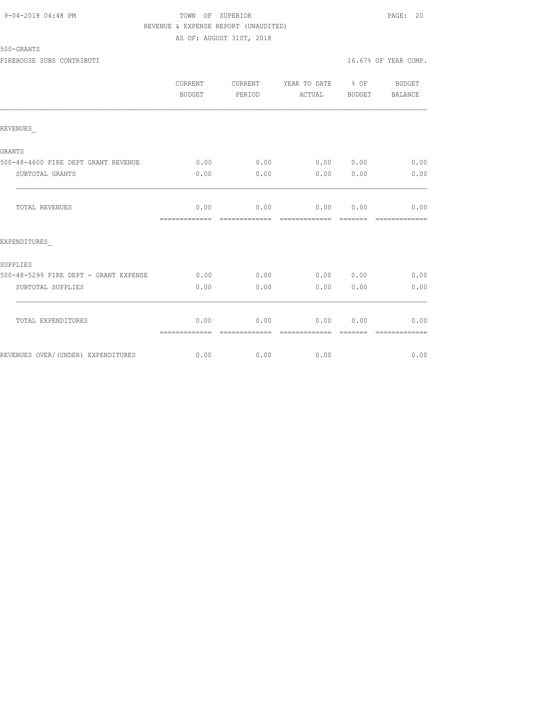## 9-04-2018 04:48 PM TOWN OF SUPERIOR PAGE: 20 REVENUE & EXPENSE REPORT (UNAUDITED) AS OF: AUGUST 31ST, 2018

## 500-GRANTS

FIREHOUSE SUBS CONTRIBUTI **16.67%** OF YEAR COMP.

|                                       | <b>CURRENT</b><br>BUDGET | CURRENT<br>PERIOD     | YEAR TO DATE % OF<br>ACTUAL | BUDGET   | BUDGET<br>BALANCE     |
|---------------------------------------|--------------------------|-----------------------|-----------------------------|----------|-----------------------|
| REVENUES                              |                          |                       |                             |          |                       |
| GRANTS                                |                          |                       |                             |          |                       |
| 500-48-4600 FIRE DEPT GRANT REVENUE   | 0.00                     | 0.00                  | 0.00 0.00                   |          | 0.00                  |
| SUBTOTAL GRANTS                       | 0.00                     | 0.00                  | 0.00                        | 0.00     | 0.00                  |
| TOTAL REVENUES                        | 0.00<br>-------------    | 0.00<br>============= | 0.00 0.00<br>-------------  | -------- | 0.00<br>============= |
| EXPENDITURES                          |                          |                       |                             |          |                       |
| SUPPLIES                              |                          |                       |                             |          |                       |
| 500-48-5299 FIRE DEPT - GRANT EXPENSE | 0.00                     | 0.00                  | 0.00 0.00                   |          | 0.00                  |
| SUBTOTAL SUPPLIES                     | 0.00                     | 0.00                  | 0.00                        | 0.00     | 0.00                  |
| TOTAL EXPENDITURES                    | 0.00<br>=============    | 0.00<br>============= | 0.00<br>=============       | 0.00     | 0.00                  |
| REVENUES OVER/(UNDER) EXPENDITURES    | 0.00                     | 0.00                  | 0.00                        |          | 0.00                  |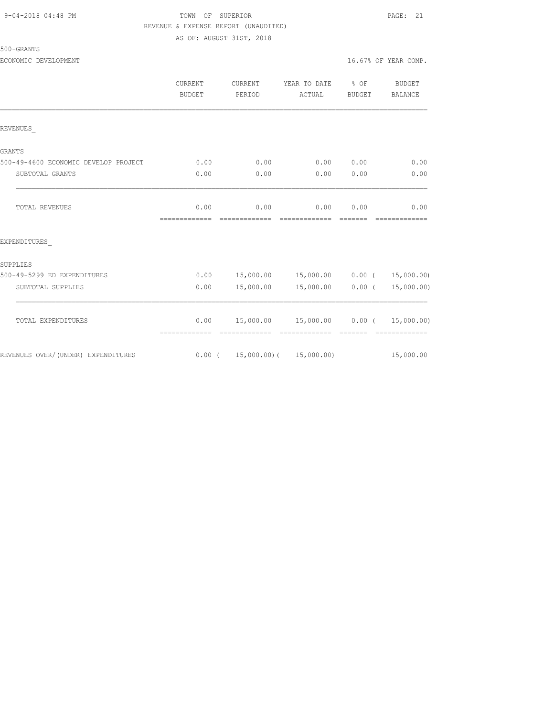## 9-04-2018 04:48 PM TOWN OF SUPERIOR PAGE: 21 REVENUE & EXPENSE REPORT (UNAUDITED)

AS OF: AUGUST 31ST, 2018

| )-GRANTS<br>500 |  |
|-----------------|--|
|-----------------|--|

ECONOMIC DEVELOPMENT **EXECUTE A EXECUTE A EXECUTE A EXECUTE A EXECUTE A 16.67% OF YEAR COMP.** 

|                                      | CURRENT<br>BUDGET     | <b>CURRENT</b><br>PERIOD         | YEAR TO DATE<br>ACTUAL        | $\frac{1}{6}$ OF<br>BUDGET                                                                                                                                                                                                                                                                                                                                                                                                                                                                   | BUDGET<br>BALANCE           |
|--------------------------------------|-----------------------|----------------------------------|-------------------------------|----------------------------------------------------------------------------------------------------------------------------------------------------------------------------------------------------------------------------------------------------------------------------------------------------------------------------------------------------------------------------------------------------------------------------------------------------------------------------------------------|-----------------------------|
| REVENUES                             |                       |                                  |                               |                                                                                                                                                                                                                                                                                                                                                                                                                                                                                              |                             |
| GRANTS                               |                       |                                  |                               |                                                                                                                                                                                                                                                                                                                                                                                                                                                                                              |                             |
| 500-49-4600 ECONOMIC DEVELOP PROJECT | 0.00                  | 0.00                             | 0.00                          | 0.00                                                                                                                                                                                                                                                                                                                                                                                                                                                                                         | 0.00                        |
| SUBTOTAL GRANTS                      | 0.00                  | 0.00                             | 0.00                          | 0.00                                                                                                                                                                                                                                                                                                                                                                                                                                                                                         | 0.00                        |
| TOTAL REVENUES                       | 0.00<br>------------- | 0.00<br>=============            | 0.00                          | 0.00<br>$\begin{array}{cccccc} \multicolumn{2}{c}{} & \multicolumn{2}{c}{} & \multicolumn{2}{c}{} & \multicolumn{2}{c}{} & \multicolumn{2}{c}{} & \multicolumn{2}{c}{} & \multicolumn{2}{c}{} & \multicolumn{2}{c}{} & \multicolumn{2}{c}{} & \multicolumn{2}{c}{} & \multicolumn{2}{c}{} & \multicolumn{2}{c}{} & \multicolumn{2}{c}{} & \multicolumn{2}{c}{} & \multicolumn{2}{c}{} & \multicolumn{2}{c}{} & \multicolumn{2}{c}{} & \multicolumn{2}{c}{} & \multicolumn{2}{c}{} & \multic$ | 0.00<br>=============       |
| EXPENDITURES                         |                       |                                  |                               |                                                                                                                                                                                                                                                                                                                                                                                                                                                                                              |                             |
| SUPPLIES                             |                       |                                  |                               |                                                                                                                                                                                                                                                                                                                                                                                                                                                                                              |                             |
| 500-49-5299 ED EXPENDITURES          | 0.00                  |                                  | 15,000.00  15,000.00  0.00  ( |                                                                                                                                                                                                                                                                                                                                                                                                                                                                                              | 15,000.00)                  |
| SUBTOTAL SUPPLIES                    | 0.00                  | 15,000.00                        | 15,000.00                     | $0.00$ (                                                                                                                                                                                                                                                                                                                                                                                                                                                                                     | 15,000.00)                  |
| TOTAL EXPENDITURES                   | 0.00<br>============= |                                  | 15,000.00 15,000.00           | 0.00(                                                                                                                                                                                                                                                                                                                                                                                                                                                                                        | 15,000.00)<br>------------- |
| REVENUES OVER/(UNDER) EXPENDITURES   |                       | $0.00$ ( 15,000.00) ( 15,000.00) |                               |                                                                                                                                                                                                                                                                                                                                                                                                                                                                                              | 15,000.00                   |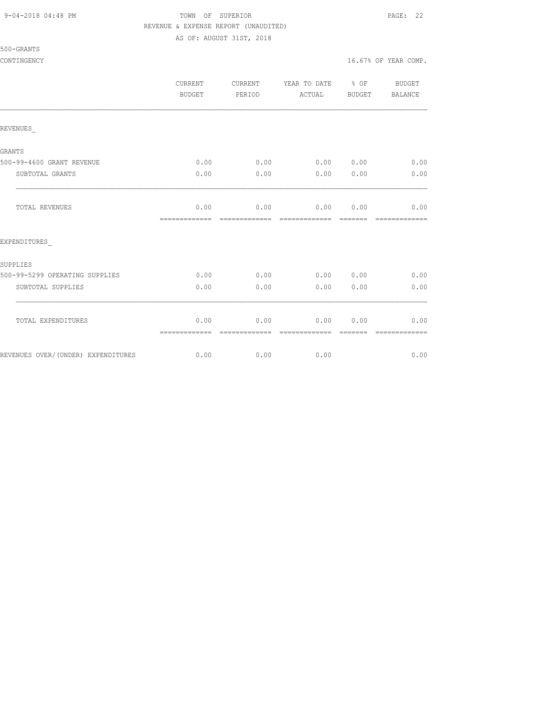## 9-04-2018 04:48 PM TOWN OF SUPERIOR PAGE: 22 REVENUE & EXPENSE REPORT (UNAUDITED)

AS OF: AUGUST 31ST, 2018

|                                    | <b>CURRENT</b><br><b>BUDGET</b> | CURRENT<br>PERIOD     | YEAR TO DATE<br>ACTUAL     | % OF<br>BUDGET | <b>BUDGET</b><br>BALANCE |
|------------------------------------|---------------------------------|-----------------------|----------------------------|----------------|--------------------------|
| REVENUES                           |                                 |                       |                            |                |                          |
|                                    |                                 |                       |                            |                |                          |
| GRANTS                             |                                 |                       |                            |                |                          |
| 500-99-4600 GRANT REVENUE          | 0.00                            | 0.00                  | 0.00 0.00                  |                | 0.00                     |
| SUBTOTAL GRANTS                    | 0.00                            | 0.00                  | 0.00                       | 0.00           | 0.00                     |
| TOTAL REVENUES                     | 0.00<br>=============           | 0.00<br>============= | 0.00 0.00<br>============= |                | 0.00<br>=============    |
| EXPENDITURES                       |                                 |                       |                            |                |                          |
| SUPPLIES                           |                                 |                       |                            |                |                          |
| 500-99-5299 OPERATING SUPPLIES     | 0.00                            | 0.00                  | 0.00                       | 0.00           | 0.00                     |
| SUBTOTAL SUPPLIES                  | 0.00                            | 0.00                  | 0.00                       | 0.00           | 0.00                     |
| TOTAL EXPENDITURES                 | 0.00                            | 0.00                  | 0.00                       | 0.00           | 0.00                     |
|                                    | =============                   | -------------         | --------------             | -------        | -------------            |
| REVENUES OVER/(UNDER) EXPENDITURES | 0.00                            | 0.00                  | 0.00                       |                | 0.00                     |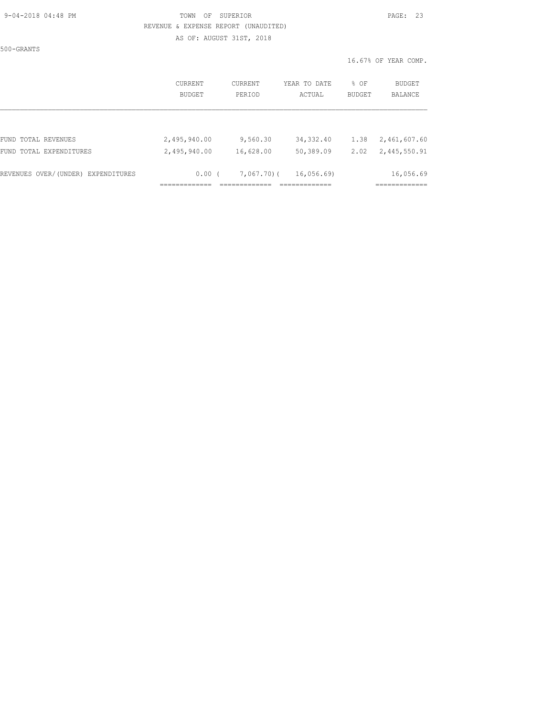500-GRANTS

## 9-04-2018 04:48 PM TOWN OF SUPERIOR PAGE: 23 REVENUE & EXPENSE REPORT (UNAUDITED) AS OF: AUGUST 31ST, 2018

|                                    | CURRENT       | CURRENT   | YEAR TO DATE | % OF   | BUDGET         |
|------------------------------------|---------------|-----------|--------------|--------|----------------|
|                                    | <b>BUDGET</b> | PERIOD    | ACTUAL       | BUDGET | <b>BALANCE</b> |
| FUND TOTAL REVENUES                | 2,495,940.00  | 9,560.30  | 34, 332.40   | 1.38   | 2,461,607.60   |
| FUND TOTAL EXPENDITURES            | 2,495,940.00  | 16,628.00 | 50,389.09    | 2.02   | 2,445,550.91   |
| REVENUES OVER/(UNDER) EXPENDITURES | $0.00$ (      | 7,067,70( | 16,056.69    |        | 16,056.69      |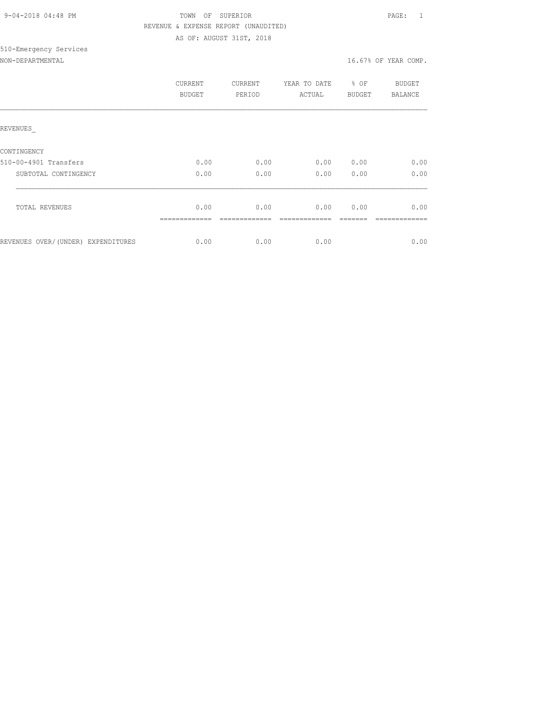| 9-04-2018 04:48 PM |  |
|--------------------|--|

## TOWN OF SUPERIOR **PAGE:** 1 REVENUE & EXPENSE REPORT (UNAUDITED) AS OF: AUGUST 31ST, 2018

# 510-Emergency Services

## NON-DEPARTMENTAL 16.67% OF YEAR COMP.

|                                    | CURRENT<br><b>BUDGET</b> | CURRENT<br>PERIOD | YEAR TO DATE<br>ACTUAL | % OF<br><b>BUDGET</b> | BUDGET<br>BALANCE |
|------------------------------------|--------------------------|-------------------|------------------------|-----------------------|-------------------|
| REVENUES                           |                          |                   |                        |                       |                   |
| CONTINGENCY                        |                          |                   |                        |                       |                   |
| 510-00-4901 Transfers              | 0.00                     | 0.00              | 0.00                   | 0.00                  | 0.00              |
| SUBTOTAL CONTINGENCY               | 0.00                     | 0.00              | 0.00                   | 0.00                  | 0.00              |
| <b>TOTAL REVENUES</b>              | 0.00                     | 0.00              | 0.00                   | 0.00                  | 0.00              |
|                                    |                          |                   |                        |                       |                   |
| REVENUES OVER/(UNDER) EXPENDITURES | 0.00                     | 0.00              | 0.00                   |                       | 0.00              |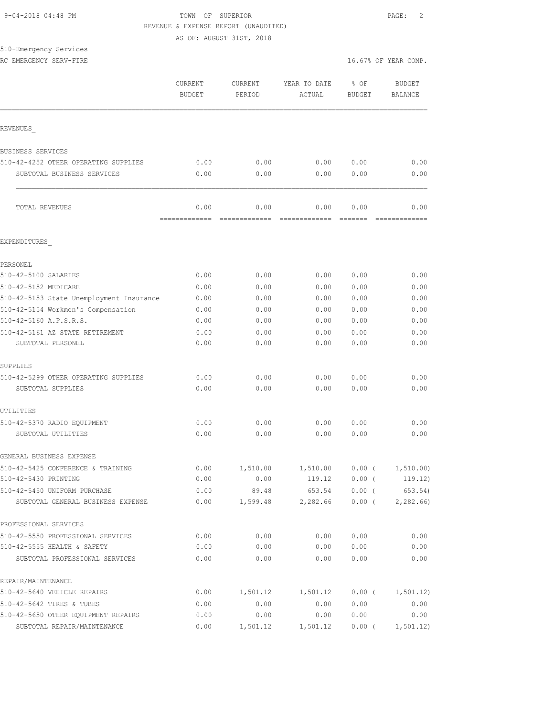## 9-04-2018 04:48 PM TOWN OF SUPERIOR PAGE: 2 REVENUE & EXPENSE REPORT (UNAUDITED)

AS OF: AUGUST 31ST, 2018

|  | 510-Emergency Services |  |
|--|------------------------|--|
|  |                        |  |

|                                          | CURRENT<br><b>BUDGET</b> | <b>CURRENT</b><br>PERIOD | YEAR TO DATE<br>ACTUAL | % OF<br><b>BUDGET</b> | <b>BUDGET</b><br>BALANCE |
|------------------------------------------|--------------------------|--------------------------|------------------------|-----------------------|--------------------------|
|                                          |                          |                          |                        |                       |                          |
| REVENUES                                 |                          |                          |                        |                       |                          |
| BUSINESS SERVICES                        |                          |                          |                        |                       |                          |
| 510-42-4252 OTHER OPERATING SUPPLIES     | 0.00                     | 0.00                     | 0.00                   | 0.00                  | 0.00                     |
| SUBTOTAL BUSINESS SERVICES               | 0.00                     | 0.00                     | 0.00                   | 0.00                  | 0.00                     |
| TOTAL REVENUES                           | 0.00<br>=============    | 0.00<br>=============    | 0.00                   | 0.00                  | 0.00                     |
| EXPENDITURES                             |                          |                          |                        |                       |                          |
| PERSONEL                                 |                          |                          |                        |                       |                          |
| 510-42-5100 SALARIES                     | 0.00                     | 0.00                     | 0.00                   | 0.00                  | 0.00                     |
| 510-42-5152 MEDICARE                     | 0.00                     | 0.00                     | 0.00                   | 0.00                  | 0.00                     |
| 510-42-5153 State Unemployment Insurance | 0.00                     | 0.00                     | 0.00                   | 0.00                  | 0.00                     |
| 510-42-5154 Workmen's Compensation       | 0.00                     | 0.00                     | 0.00                   | 0.00                  | 0.00                     |
| 510-42-5160 A.P.S.R.S.                   | 0.00                     | 0.00                     | 0.00                   | 0.00                  | 0.00                     |
| 510-42-5161 AZ STATE RETIREMENT          | 0.00                     | 0.00                     | 0.00                   | 0.00                  | 0.00                     |
| SUBTOTAL PERSONEL                        | 0.00                     | 0.00                     | 0.00                   | 0.00                  | 0.00                     |
| SUPPLIES                                 |                          |                          |                        |                       |                          |
| 510-42-5299 OTHER OPERATING SUPPLIES     | 0.00                     | 0.00                     | 0.00                   | 0.00                  | 0.00                     |
| SUBTOTAL SUPPLIES                        | 0.00                     | 0.00                     | 0.00                   | 0.00                  | 0.00                     |
| UTILITIES                                |                          |                          |                        |                       |                          |
| 510-42-5370 RADIO EQUIPMENT              | 0.00                     | 0.00                     | 0.00                   | 0.00                  | 0.00                     |
| SUBTOTAL UTILITIES                       | 0.00                     | 0.00                     | 0.00                   | 0.00                  | 0.00                     |
| GENERAL BUSINESS EXPENSE                 |                          |                          |                        |                       |                          |
| 510-42-5425 CONFERENCE & TRAINING        | 0.00                     | 1,510.00                 | 1,510.00               | $0.00$ (              | 1, 510.00)               |
| 510-42-5430 PRINTING                     | 0.00                     | 0.00                     | 119.12                 | $0.00$ (              | 119.12)                  |
| 510-42-5450 UNIFORM PURCHASE             | 0.00                     | 89.48                    | 653.54                 | $0.00$ (              | 653.54)                  |
| SUBTOTAL GENERAL BUSINESS EXPENSE        | 0.00                     | 1,599.48                 | 2,282.66               | $0.00$ (              | 2,282.66                 |
| PROFESSIONAL SERVICES                    |                          |                          |                        |                       |                          |
| 510-42-5550 PROFESSIONAL SERVICES        | 0.00                     | 0.00                     | 0.00                   | 0.00                  | 0.00                     |
| 510-42-5555 HEALTH & SAFETY              | 0.00                     | 0.00                     | 0.00                   | 0.00                  | 0.00                     |
| SUBTOTAL PROFESSIONAL SERVICES           | 0.00                     | 0.00                     | 0.00                   | 0.00                  | 0.00                     |
| REPAIR/MAINTENANCE                       |                          |                          |                        |                       |                          |
| 510-42-5640 VEHICLE REPAIRS              | 0.00                     | 1,501.12                 | 1,501.12               | $0.00$ (              | 1,501.12)                |
| 510-42-5642 TIRES & TUBES                | 0.00                     | 0.00                     | 0.00                   | 0.00                  | 0.00                     |
| 510-42-5650 OTHER EQUIPMENT REPAIRS      | 0.00                     | 0.00                     | 0.00                   | 0.00                  | 0.00                     |
| SUBTOTAL REPAIR/MAINTENANCE              | 0.00                     | 1,501.12                 | 1,501.12               | $0.00$ (              | 1, 501.12)               |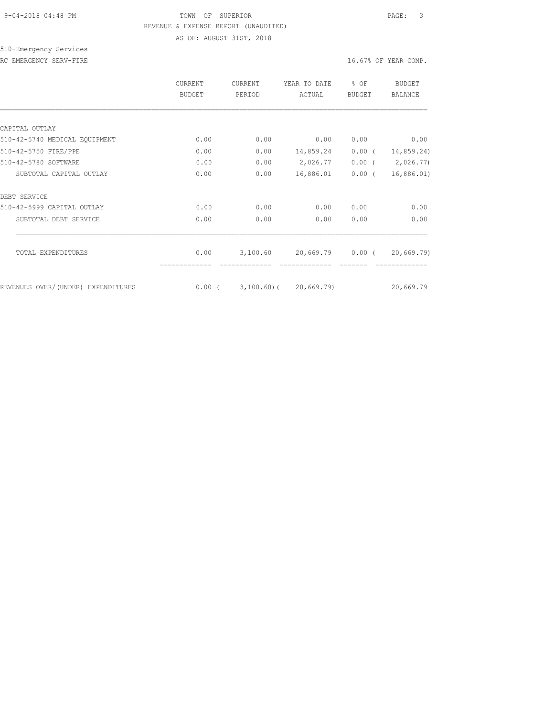## 9-04-2018 04:48 PM TOWN OF SUPERIOR PAGE: 3 REVENUE & EXPENSE REPORT (UNAUDITED)

AS OF: AUGUST 31ST, 2018

510-Emergency Services

RC EMERGENCY SERV-FIRE **16.67%** OF YEAR COMP.

|                                    | <b>CURRENT</b><br><b>BUDGET</b> | CURRENT<br>PERIOD | YEAR TO DATE<br>ACTUAL          | % OF<br><b>BUDGET</b> | BUDGET<br><b>BALANCE</b> |
|------------------------------------|---------------------------------|-------------------|---------------------------------|-----------------------|--------------------------|
|                                    |                                 |                   |                                 |                       |                          |
| CAPITAL OUTLAY                     |                                 |                   |                                 |                       |                          |
| 510-42-5740 MEDICAL EQUIPMENT      | 0.00                            | 0.00              | 0.00                            | 0.00                  | 0.00                     |
| 510-42-5750 FIRE/PPE               | 0.00                            | 0.00              | 14,859.24                       | $0.00$ (              | 14,859.24)               |
| 510-42-5780 SOFTWARE               | 0.00                            | 0.00              | 2,026.77                        | $0.00$ (              | 2,026.77)                |
| SUBTOTAL CAPITAL OUTLAY            | 0.00                            | 0.00              | 16,886.01                       | $0.00$ (              | 16,886.01)               |
| DEBT SERVICE                       |                                 |                   |                                 |                       |                          |
| 510-42-5999 CAPITAL OUTLAY         | 0.00                            | 0.00              | 0.00                            | 0.00                  | 0.00                     |
| SUBTOTAL DEBT SERVICE              | 0.00                            | 0.00              | 0.00                            | 0.00                  | 0.00                     |
| TOTAL EXPENDITURES                 | 0.00                            | 3,100.60          | 20,669.79                       | $0.00$ (              | 20,669.79                |
|                                    |                                 |                   |                                 |                       |                          |
| REVENUES OVER/(UNDER) EXPENDITURES |                                 |                   | $0.00$ ( 3,100.60) ( 20,669.79) |                       | 20,669.79                |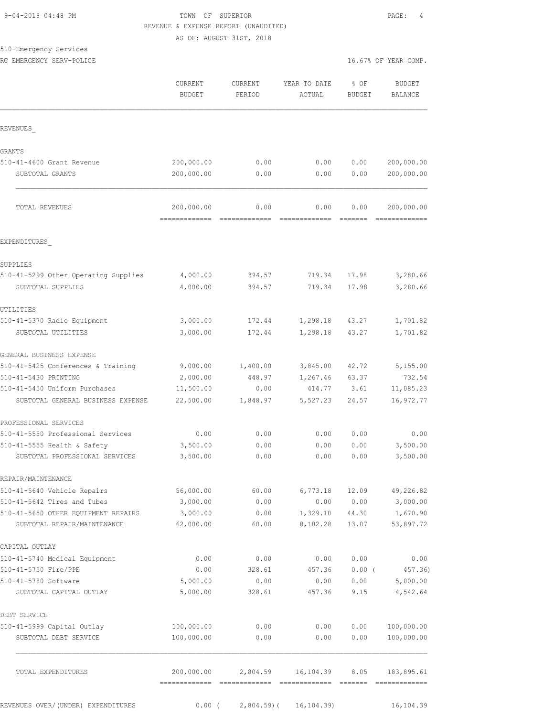## 9-04-2018 04:48 PM TOWN OF SUPERIOR PAGE: 4 REVENUE & EXPENSE REPORT (UNAUDITED) AS OF: AUGUST 31ST, 2018

510-Emergency Services

RC EMERGENCY SERV-POLICE **16.67%** OF YEAR COMP.

|                                                           | CURRENT<br><b>BUDGET</b> | CURRENT<br>PERIOD   | YEAR TO DATE<br>$\verb ACTUAL $ | % OF<br><b>BUDGET</b> | <b>BUDGET</b><br>BALANCE                                                                                                                                                                                                                                                                                                                                                                                                                                                                             |
|-----------------------------------------------------------|--------------------------|---------------------|---------------------------------|-----------------------|------------------------------------------------------------------------------------------------------------------------------------------------------------------------------------------------------------------------------------------------------------------------------------------------------------------------------------------------------------------------------------------------------------------------------------------------------------------------------------------------------|
| REVENUES                                                  |                          |                     |                                 |                       |                                                                                                                                                                                                                                                                                                                                                                                                                                                                                                      |
| <b>GRANTS</b>                                             |                          |                     |                                 |                       |                                                                                                                                                                                                                                                                                                                                                                                                                                                                                                      |
| 510-41-4600 Grant Revenue                                 | 200,000.00               | 0.00                | 0.00                            | 0.00                  | 200,000.00                                                                                                                                                                                                                                                                                                                                                                                                                                                                                           |
| SUBTOTAL GRANTS                                           | 200,000.00               | 0.00                | 0.00                            | 0.00                  | 200,000.00                                                                                                                                                                                                                                                                                                                                                                                                                                                                                           |
| TOTAL REVENUES                                            | 200,000.00               | 0.00                | 0.00                            | 0.00                  | 200,000.00                                                                                                                                                                                                                                                                                                                                                                                                                                                                                           |
| EXPENDITURES                                              |                          |                     |                                 |                       |                                                                                                                                                                                                                                                                                                                                                                                                                                                                                                      |
|                                                           |                          |                     |                                 |                       |                                                                                                                                                                                                                                                                                                                                                                                                                                                                                                      |
| SUPPLIES                                                  |                          |                     |                                 |                       |                                                                                                                                                                                                                                                                                                                                                                                                                                                                                                      |
| 510-41-5299 Other Operating Supplies<br>SUBTOTAL SUPPLIES | 4,000.00<br>4,000.00     | 394.57<br>394.57    | 719.34<br>719.34                | 17.98<br>17.98        | 3,280.66<br>3,280.66                                                                                                                                                                                                                                                                                                                                                                                                                                                                                 |
| UTILITIES                                                 |                          |                     |                                 |                       |                                                                                                                                                                                                                                                                                                                                                                                                                                                                                                      |
| 510-41-5370 Radio Equipment                               | 3,000.00                 | 172.44              | 1,298.18                        | 43.27                 | 1,701.82                                                                                                                                                                                                                                                                                                                                                                                                                                                                                             |
| SUBTOTAL UTILITIES                                        | 3,000.00                 | 172.44              | 1,298.18                        | 43.27                 | 1,701.82                                                                                                                                                                                                                                                                                                                                                                                                                                                                                             |
| GENERAL BUSINESS EXPENSE                                  |                          |                     |                                 |                       |                                                                                                                                                                                                                                                                                                                                                                                                                                                                                                      |
| 510-41-5425 Conferences & Training                        | 9,000.00                 | 1,400.00            | 3,845.00                        | 42.72                 | 5,155.00                                                                                                                                                                                                                                                                                                                                                                                                                                                                                             |
| 510-41-5430 PRINTING                                      | 2,000.00                 | 448.97              | 1,267.46                        | 63.37                 | 732.54                                                                                                                                                                                                                                                                                                                                                                                                                                                                                               |
| 510-41-5450 Uniform Purchases                             | 11,500.00                | 0.00                | 414.77                          | 3.61                  | 11,085.23                                                                                                                                                                                                                                                                                                                                                                                                                                                                                            |
| SUBTOTAL GENERAL BUSINESS EXPENSE                         | 22,500.00                | 1,848.97            | 5,527.23                        | 24.57                 | 16,972.77                                                                                                                                                                                                                                                                                                                                                                                                                                                                                            |
| PROFESSIONAL SERVICES                                     |                          |                     |                                 |                       |                                                                                                                                                                                                                                                                                                                                                                                                                                                                                                      |
| 510-41-5550 Professional Services                         | 0.00                     | 0.00                | 0.00                            | 0.00                  | 0.00                                                                                                                                                                                                                                                                                                                                                                                                                                                                                                 |
| 510-41-5555 Health & Safety                               | 3,500.00                 | 0.00                | 0.00                            | 0.00                  | 3,500.00                                                                                                                                                                                                                                                                                                                                                                                                                                                                                             |
| SUBTOTAL PROFESSIONAL SERVICES                            | 3,500.00                 | 0.00                | 0.00                            | 0.00                  | 3,500.00                                                                                                                                                                                                                                                                                                                                                                                                                                                                                             |
| REPAIR/MAINTENANCE                                        |                          |                     |                                 |                       |                                                                                                                                                                                                                                                                                                                                                                                                                                                                                                      |
| 510-41-5640 Vehicle Repairs                               | 56,000.00                | 60.00               | 6,773.18                        | 12.09                 | 49,226.82                                                                                                                                                                                                                                                                                                                                                                                                                                                                                            |
| 510-41-5642 Tires and Tubes                               | 3,000.00                 | 0.00                | 0.00                            | 0.00                  | 3,000.00                                                                                                                                                                                                                                                                                                                                                                                                                                                                                             |
| 510-41-5650 OTHER EQUIPMENT REPAIRS                       | 3,000.00                 | 0.00                | 1,329.10                        | 44.30                 | 1,670.90                                                                                                                                                                                                                                                                                                                                                                                                                                                                                             |
| SUBTOTAL REPAIR/MAINTENANCE                               | 62,000.00                | 60.00               | 8,102.28                        | 13.07                 | 53,897.72                                                                                                                                                                                                                                                                                                                                                                                                                                                                                            |
| CAPITAL OUTLAY                                            |                          |                     |                                 |                       |                                                                                                                                                                                                                                                                                                                                                                                                                                                                                                      |
| 510-41-5740 Medical Equipment                             | 0.00                     | 0.00                | 0.00                            | 0.00                  | 0.00                                                                                                                                                                                                                                                                                                                                                                                                                                                                                                 |
| 510-41-5750 Fire/PPE                                      | 0.00<br>5,000.00         | 328.61              | 457.36                          | $0.00$ (              | 457.36)                                                                                                                                                                                                                                                                                                                                                                                                                                                                                              |
| 510-41-5780 Software<br>SUBTOTAL CAPITAL OUTLAY           | 5,000.00                 | 0.00<br>328.61      | 0.00<br>457.36                  | 0.00<br>9.15          | 5,000.00<br>4,542.64                                                                                                                                                                                                                                                                                                                                                                                                                                                                                 |
| DEBT SERVICE                                              |                          |                     |                                 |                       |                                                                                                                                                                                                                                                                                                                                                                                                                                                                                                      |
| 510-41-5999 Capital Outlay                                | 100,000.00               | 0.00                | 0.00                            | 0.00                  | 100,000.00                                                                                                                                                                                                                                                                                                                                                                                                                                                                                           |
| SUBTOTAL DEBT SERVICE                                     | 100,000.00               | 0.00                | 0.00                            | 0.00                  | 100,000.00                                                                                                                                                                                                                                                                                                                                                                                                                                                                                           |
| TOTAL EXPENDITURES                                        |                          | 200,000.00 2,804.59 | 16,104.39                       | 8.05                  | 183,895.61<br>$\begin{array}{cccccccccccccc} \multicolumn{2}{c}{} & \multicolumn{2}{c}{} & \multicolumn{2}{c}{} & \multicolumn{2}{c}{} & \multicolumn{2}{c}{} & \multicolumn{2}{c}{} & \multicolumn{2}{c}{} & \multicolumn{2}{c}{} & \multicolumn{2}{c}{} & \multicolumn{2}{c}{} & \multicolumn{2}{c}{} & \multicolumn{2}{c}{} & \multicolumn{2}{c}{} & \multicolumn{2}{c}{} & \multicolumn{2}{c}{} & \multicolumn{2}{c}{} & \multicolumn{2}{c}{} & \multicolumn{2}{c}{} & \multicolumn{2}{c}{} & \$ |
| REVENUES OVER/(UNDER) EXPENDITURES                        | $0.00$ (                 | $2,804.59$ (        | 16, 104.39                      |                       | 16,104.39                                                                                                                                                                                                                                                                                                                                                                                                                                                                                            |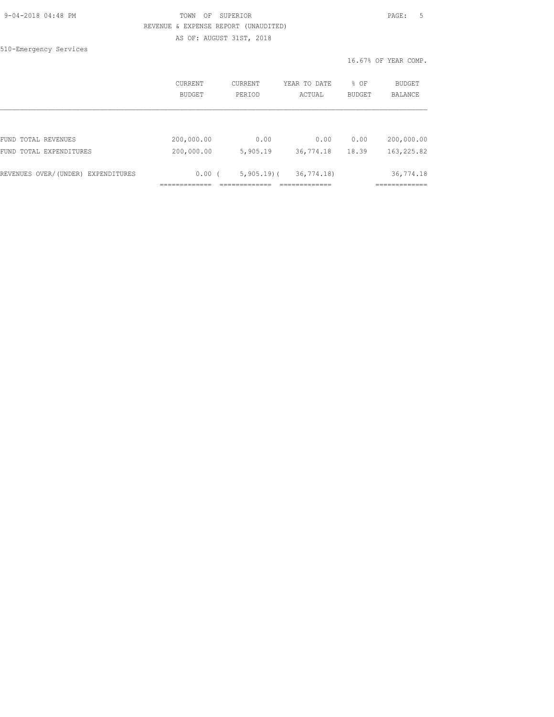| 9-04-2018 04:48 PM |  |
|--------------------|--|
|                    |  |

## TOWN OF SUPERIOR **PAGE:** 5 REVENUE & EXPENSE REPORT (UNAUDITED) AS OF: AUGUST 31ST, 2018

510-Emergency Services

|                                    | <b>CURRENT</b> | CURRENT      | YEAR TO DATE | % OF          | <b>BUDGET</b>  |
|------------------------------------|----------------|--------------|--------------|---------------|----------------|
|                                    | BUDGET         | PERIOD       | ACTUAL       | <b>BUDGET</b> | <b>BALANCE</b> |
| FUND TOTAL REVENUES                | 200,000.00     | 0.00         | 0.00         | 0.00          | 200,000.00     |
| FUND TOTAL EXPENDITURES            | 200,000.00     | 5,905.19     | 36,774.18    | 18.39         | 163,225.82     |
| REVENUES OVER/(UNDER) EXPENDITURES | 0.00(          | $5,905.19$ ( | 36, 774.18   |               | 36,774.18      |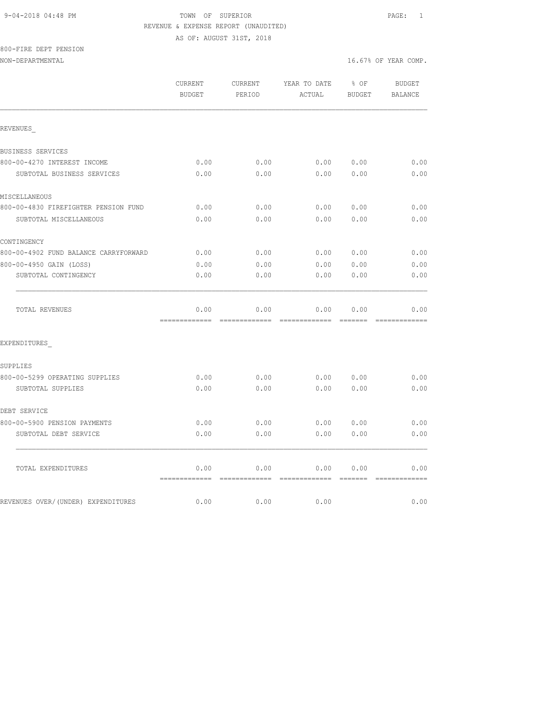## 9-04-2018 04:48 PM TOWN OF SUPERIOR PAGE: 1 REVENUE & EXPENSE REPORT (UNAUDITED) AS OF: AUGUST 31ST, 2018

800-FIRE DEPT PENSION

NON-DEPARTMENTAL 16.67% OF YEAR COMP.

|                                       | CURRENT<br><b>BUDGET</b> | CURRENT<br>PERIOD | YEAR TO DATE<br>ACTUAL | % OF<br><b>BUDGET</b> | <b>BUDGET</b><br><b>BALANCE</b> |
|---------------------------------------|--------------------------|-------------------|------------------------|-----------------------|---------------------------------|
| REVENUES                              |                          |                   |                        |                       |                                 |
| BUSINESS SERVICES                     |                          |                   |                        |                       |                                 |
| 800-00-4270 INTEREST INCOME           | 0.00                     | 0.00              | 0.00                   | 0.00                  | 0.00                            |
| SUBTOTAL BUSINESS SERVICES            | 0.00                     | 0.00              | 0.00                   | 0.00                  | 0.00                            |
| MISCELLANEOUS                         |                          |                   |                        |                       |                                 |
| 800-00-4830 FIREFIGHTER PENSION FUND  | 0.00                     | 0.00              | 0.00                   | 0.00                  | 0.00                            |
| SUBTOTAL MISCELLANEOUS                | 0.00                     | 0.00              | 0.00                   | 0.00                  | 0.00                            |
| CONTINGENCY                           |                          |                   |                        |                       |                                 |
| 800-00-4902 FUND BALANCE CARRYFORWARD | 0.00                     | 0.00              | 0.00                   | 0.00                  | 0.00                            |
| 800-00-4950 GAIN (LOSS)               | 0.00                     | 0.00              | 0.00                   | 0.00                  | 0.00                            |
| SUBTOTAL CONTINGENCY                  | 0.00                     | 0.00              | 0.00                   | 0.00                  | 0.00                            |
| TOTAL REVENUES                        | 0.00                     | 0.00              | 0.00                   | 0.00                  | 0.00                            |
| EXPENDITURES                          |                          |                   |                        |                       |                                 |
| SUPPLIES                              |                          |                   |                        |                       |                                 |
| 800-00-5299 OPERATING SUPPLIES        | 0.00                     | 0.00              | 0.00                   | 0.00                  | 0.00                            |
| SUBTOTAL SUPPLIES                     | 0.00                     | 0.00              | 0.00                   | 0.00                  | 0.00                            |
| DEBT SERVICE                          |                          |                   |                        |                       |                                 |
| 800-00-5900 PENSION PAYMENTS          | 0.00                     | 0.00              | 0.00                   | 0.00                  | 0.00                            |
| SUBTOTAL DEBT SERVICE                 | 0.00                     | 0.00              | 0.00                   | 0.00                  | 0.00                            |
| TOTAL EXPENDITURES                    | 0.00                     | 0.00              | 0.00                   | 0.00                  | 0.00                            |
| REVENUES OVER/(UNDER) EXPENDITURES    | =============<br>0.00    | 0.00              | 0.00                   |                       | 0.00                            |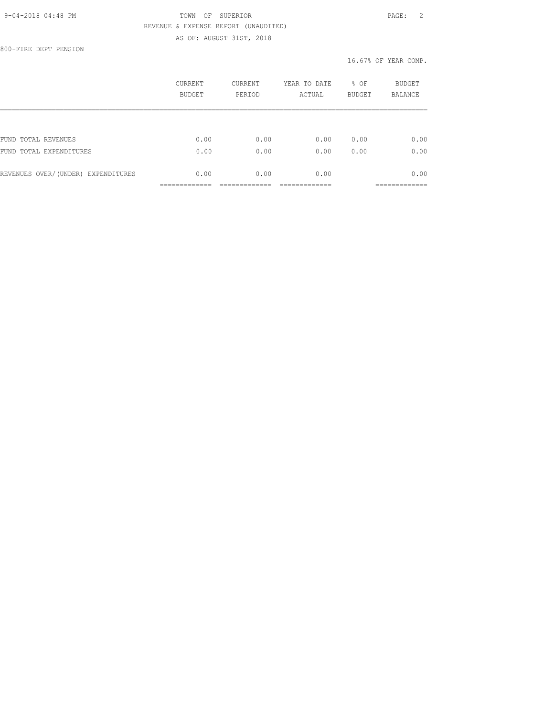## 9-04-2018 04:48 PM TOWN OF SUPERIOR PAGE: 2 REVENUE & EXPENSE REPORT (UNAUDITED) AS OF: AUGUST 31ST, 2018

800-FIRE DEPT PENSION

|                                    | CURRENT<br><b>BUDGET</b> | <b>CURRENT</b><br>PERIOD | YEAR TO DATE<br>ACTUAL | % OF<br><b>BUDGET</b> | <b>BUDGET</b><br><b>BALANCE</b> |
|------------------------------------|--------------------------|--------------------------|------------------------|-----------------------|---------------------------------|
|                                    |                          |                          |                        |                       |                                 |
| FUND TOTAL REVENUES                | 0.00                     | 0.00                     | 0.00                   | 0.00                  | 0.00                            |
| FUND TOTAL EXPENDITURES            | 0.00                     | 0.00                     | 0.00                   | 0.00                  | 0.00                            |
| REVENUES OVER/(UNDER) EXPENDITURES | 0.00                     | 0.00                     | 0.00                   |                       | 0.00                            |
|                                    |                          |                          |                        |                       | __________                      |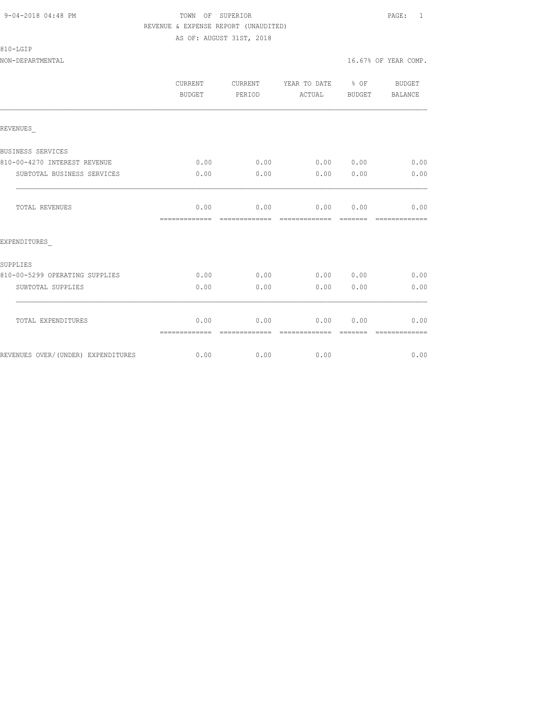## 9-04-2018 04:48 PM TOWN OF SUPERIOR PAGE: 1 REVENUE & EXPENSE REPORT (UNAUDITED) AS OF: AUGUST 31ST, 2018

810-LGIP

|                                    | CURRENT<br><b>BUDGET</b> | CURRENT<br>PERIOD     | YEAR TO DATE % OF<br>ACTUAL | BUDGET | BUDGET<br><b>BALANCE</b> |
|------------------------------------|--------------------------|-----------------------|-----------------------------|--------|--------------------------|
| REVENUES                           |                          |                       |                             |        |                          |
| BUSINESS SERVICES                  |                          |                       |                             |        |                          |
| 810-00-4270 INTEREST REVENUE       | 0.00                     | 0.00                  | 0.00 0.00                   |        | 0.00                     |
| SUBTOTAL BUSINESS SERVICES         | 0.00                     | 0.00                  | 0.00                        | 0.00   | 0.00                     |
| TOTAL REVENUES                     | 0.00<br>=============    | 0.00<br>------------- | 0.00 0.00<br>-------------  |        | 0.00                     |
| EXPENDITURES                       |                          |                       |                             |        |                          |
| SUPPLIES                           |                          |                       |                             |        |                          |
| 810-00-5299 OPERATING SUPPLIES     | 0.00                     | 0.00                  | 0.00 0.00                   |        | 0.00                     |
| SUBTOTAL SUPPLIES                  | 0.00                     | 0.00                  | 0.00                        | 0.00   | 0.00                     |
| TOTAL EXPENDITURES                 | 0.00<br>=============    | 0.00<br>------------- | 0.00<br>--------------      | 0.00   | 0.00                     |
| REVENUES OVER/(UNDER) EXPENDITURES | 0.00                     | 0.00                  | 0.00                        |        | 0.00                     |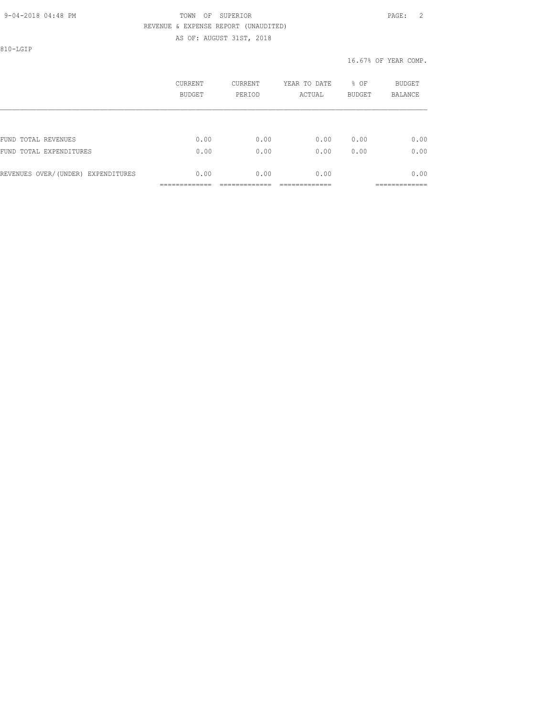## 9-04-2018 04:48 PM TOWN OF SUPERIOR PAGE: 2 REVENUE & EXPENSE REPORT (UNAUDITED) AS OF: AUGUST 31ST, 2018

810-LGIP

| CURRENT<br><b>BUDGET</b> | CURRENT<br>PERIOD | YEAR TO DATE<br>ACTUAL | % OF<br><b>BUDGET</b> | <b>BUDGET</b><br><b>BALANCE</b>      |
|--------------------------|-------------------|------------------------|-----------------------|--------------------------------------|
|                          |                   |                        |                       |                                      |
| 0.00                     | 0.00              | 0.00                   | 0.00                  | 0.00                                 |
| 0.00                     | 0.00              | 0.00                   | 0.00                  | 0.00                                 |
| 0.00                     | 0.00              | 0.00                   |                       | 0.00<br>-------------<br>___________ |
|                          | --------------    |                        |                       |                                      |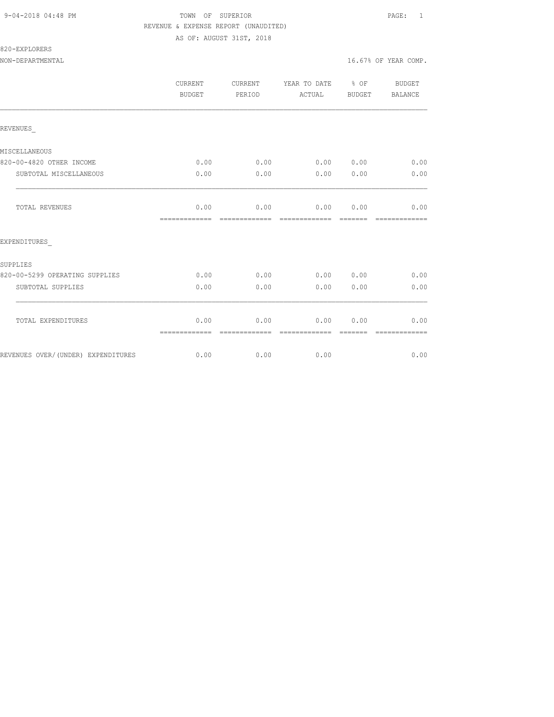## 9-04-2018 04:48 PM TOWN OF SUPERIOR PAGE: 1 REVENUE & EXPENSE REPORT (UNAUDITED) AS OF: AUGUST 31ST, 2018

820-EXPLORERS

|                                    | <b>CURRENT</b><br><b>BUDGET</b> | <b>CURRENT</b><br>PERIOD | YEAR TO DATE % OF<br>ACTUAL | <b>BUDGET</b>    | <b>BUDGET</b><br>BALANCE |
|------------------------------------|---------------------------------|--------------------------|-----------------------------|------------------|--------------------------|
| REVENUES                           |                                 |                          |                             |                  |                          |
| MISCELLANEOUS                      |                                 |                          |                             |                  |                          |
| 820-00-4820 OTHER INCOME           | 0.00                            | 0.00                     | 0.00 0.00                   |                  | 0.00                     |
| SUBTOTAL MISCELLANEOUS             | 0.00                            | 0.00                     | 0.00                        | 0.00             | 0.00                     |
| <b>TOTAL REVENUES</b>              | 0.00<br>=============           | 0.00<br>-------------    | 0.00<br>--------------      | 0.00<br>-------- | 0.00                     |
| EXPENDITURES                       |                                 |                          |                             |                  |                          |
| SUPPLIES                           |                                 |                          |                             |                  |                          |
| 820-00-5299 OPERATING SUPPLIES     | 0.00                            | 0.00                     | 0.00                        | 0.00             | 0.00                     |
| SUBTOTAL SUPPLIES                  | 0.00                            | 0.00                     | 0.00                        | 0.00             | 0.00                     |
| TOTAL EXPENDITURES                 | 0.00<br>=============           | 0.00                     | 0.00<br>=============       | 0.00             | 0.00                     |
| REVENUES OVER/(UNDER) EXPENDITURES | 0.00                            | 0.00                     | 0.00                        |                  | 0.00                     |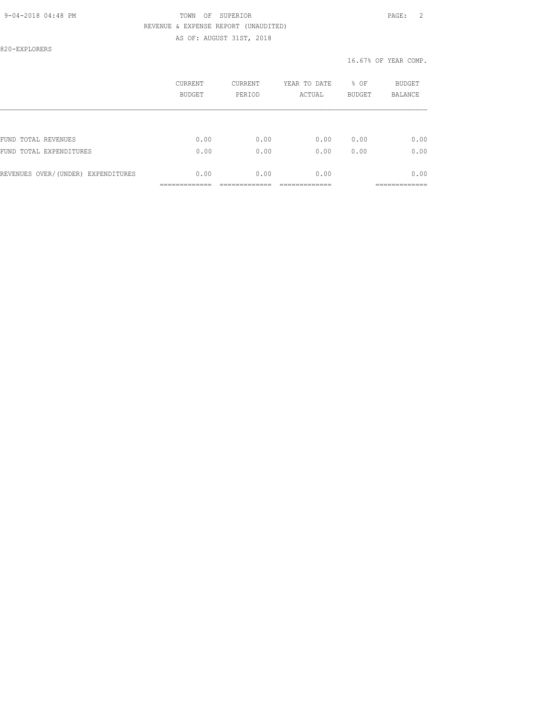## 9-04-2018 04:48 PM TOWN OF SUPERIOR PAGE: 2 REVENUE & EXPENSE REPORT (UNAUDITED) AS OF: AUGUST 31ST, 2018

820-EXPLORERS

|                                    | CURRENT<br><b>BUDGET</b> | CURRENT<br>PERIOD | YEAR TO DATE<br>ACTUAL | % OF<br><b>BUDGET</b> | <b>BUDGET</b><br><b>BALANCE</b> |
|------------------------------------|--------------------------|-------------------|------------------------|-----------------------|---------------------------------|
|                                    |                          |                   |                        |                       |                                 |
| FUND TOTAL REVENUES                | 0.00                     | 0.00              | 0.00                   | 0.00                  | 0.00                            |
| FUND TOTAL EXPENDITURES            | 0.00                     | 0.00              | 0.00                   | 0.00                  | 0.00                            |
| REVENUES OVER/(UNDER) EXPENDITURES | 0.00                     | 0.00              | 0.00                   |                       | 0.00                            |
|                                    |                          |                   |                        |                       |                                 |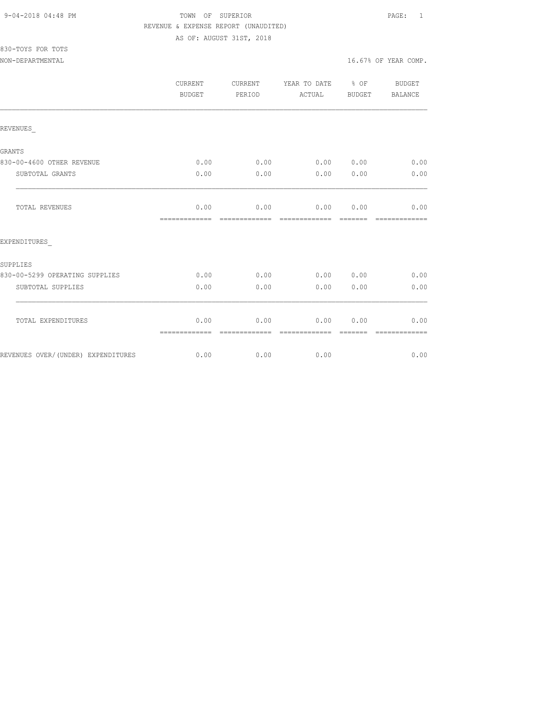830-TOYS FOR TOTS

## 9-04-2018 04:48 PM TOWN OF SUPERIOR PAGE: 1 REVENUE & EXPENSE REPORT (UNAUDITED) AS OF: AUGUST 31ST, 2018

NON-DEPARTMENTAL 16.67% OF YEAR COMP.

|                                    | CURRENT<br><b>BUDGET</b> | CURRENT<br>PERIOD     | YEAR TO DATE % OF<br>ACTUAL | <b>BUDGET</b>   | BUDGET<br>BALANCE     |
|------------------------------------|--------------------------|-----------------------|-----------------------------|-----------------|-----------------------|
| REVENUES                           |                          |                       |                             |                 |                       |
| <b>GRANTS</b>                      |                          |                       |                             |                 |                       |
| 830-00-4600 OTHER REVENUE          | 0.00                     | 0.00                  | 0.00 0.00                   |                 | 0.00                  |
| SUBTOTAL GRANTS                    | 0.00                     | 0.00                  | 0.00                        | 0.00            | 0.00                  |
| <b>TOTAL REVENUES</b>              | 0.00                     | 0.00                  | 0.00 0.00                   |                 | 0.00                  |
| EXPENDITURES                       | -------------            | -------------         | -------------               | -------         | -------------         |
| SUPPLIES                           |                          |                       |                             |                 |                       |
| 830-00-5299 OPERATING SUPPLIES     | 0.00                     | 0.00                  | 0.00 0.00                   |                 | 0.00                  |
| SUBTOTAL SUPPLIES                  | 0.00                     | 0.00                  | 0.00                        | 0.00            | 0.00                  |
| TOTAL EXPENDITURES                 | 0.00<br>=============    | 0.00<br>============= | 0.00<br>=============       | 0.00<br>======= | 0.00<br>============= |
| REVENUES OVER/(UNDER) EXPENDITURES | 0.00                     | 0.00                  | 0.00                        |                 | 0.00                  |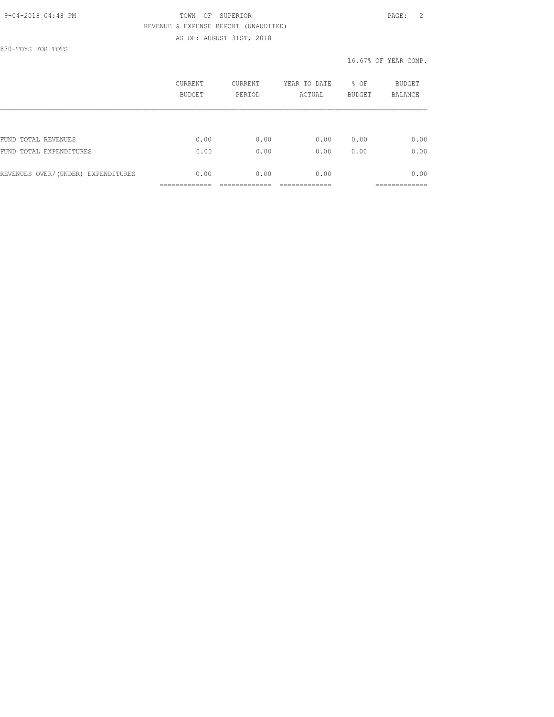## 9-04-2018 04:48 PM TOWN OF SUPERIOR PAGE: 2 REVENUE & EXPENSE REPORT (UNAUDITED) AS OF: AUGUST 31ST, 2018

830-TOYS FOR TOTS

|                                    | CURRENT<br><b>BUDGET</b> | <b>CURRENT</b><br>PERIOD | YEAR TO DATE<br>ACTUAL | % OF<br><b>BUDGET</b> | BUDGET<br><b>BALANCE</b> |
|------------------------------------|--------------------------|--------------------------|------------------------|-----------------------|--------------------------|
|                                    |                          |                          |                        |                       |                          |
| FUND TOTAL REVENUES                | 0.00                     | 0.00                     | 0.00                   | 0.00                  | 0.00                     |
| FUND TOTAL EXPENDITURES            | 0.00                     | 0.00                     | 0.00                   | 0.00                  | 0.00                     |
| REVENUES OVER/(UNDER) EXPENDITURES | 0.00                     | 0.00                     | 0.00                   |                       | 0.00                     |
|                                    |                          |                          |                        |                       |                          |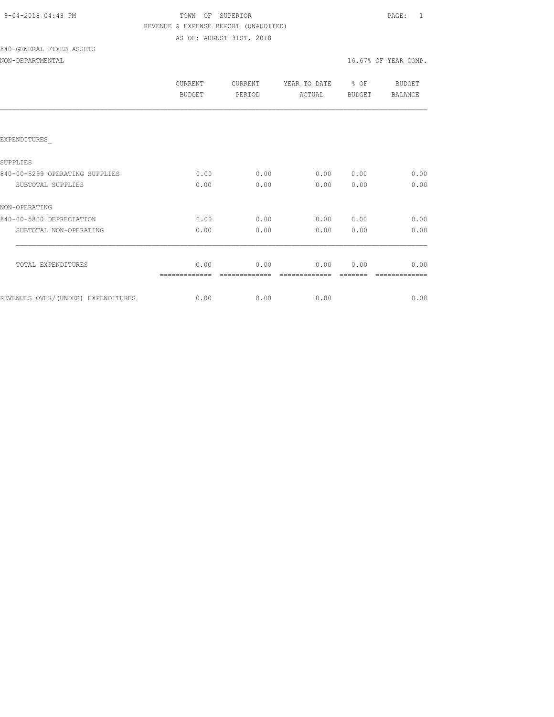| 9-04-2018 04:48 PM |  |
|--------------------|--|
|                    |  |

## TOWN OF SUPERIOR **PAGE:** 1 REVENUE & EXPENSE REPORT (UNAUDITED) AS OF: AUGUST 31ST, 2018

# 840-GENERAL FIXED ASSETS

## NON-DEPARTMENTAL 16.67% OF YEAR COMP.

|                                    | <b>CURRENT</b><br>BUDGET | CURRENT<br>PERIOD | YEAR TO DATE<br>ACTUAL | % OF<br><b>BUDGET</b> | BUDGET<br><b>BALANCE</b> |
|------------------------------------|--------------------------|-------------------|------------------------|-----------------------|--------------------------|
|                                    |                          |                   |                        |                       |                          |
| EXPENDITURES                       |                          |                   |                        |                       |                          |
| SUPPLIES                           |                          |                   |                        |                       |                          |
| 840-00-5299 OPERATING SUPPLIES     | 0.00                     | 0.00              | 0.00                   | 0.00                  | 0.00                     |
| SUBTOTAL SUPPLIES                  | 0.00                     | 0.00              | 0.00                   | 0.00                  | 0.00                     |
| NON-OPERATING                      |                          |                   |                        |                       |                          |
| 840-00-5800 DEPRECIATION           | 0.00                     | 0.00              | 0.00                   | 0.00                  | 0.00                     |
| SUBTOTAL NON-OPERATING             | 0.00                     | 0.00              | 0.00                   | 0.00                  | 0.00                     |
|                                    |                          |                   |                        |                       |                          |
| TOTAL EXPENDITURES                 | 0.00                     | 0.00              | 0.00                   | 0.00                  | 0.00                     |
| REVENUES OVER/(UNDER) EXPENDITURES | 0.00                     | 0.00              | 0.00                   |                       | 0.00                     |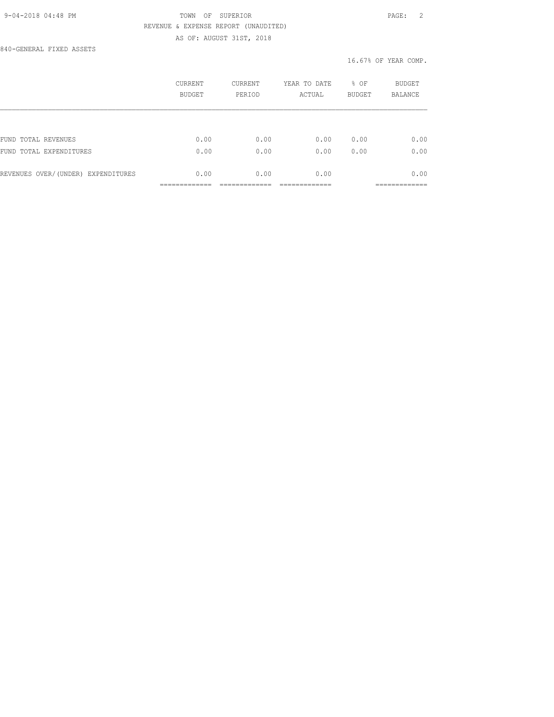## 9-04-2018 04:48 PM TOWN OF SUPERIOR PAGE: 2 REVENUE & EXPENSE REPORT (UNAUDITED) AS OF: AUGUST 31ST, 2018

840-GENERAL FIXED ASSETS

|                                    | CURRENT<br><b>BUDGET</b> | CURRENT<br>PERIOD | YEAR TO DATE<br>ACTUAL | % OF<br><b>BUDGET</b> | <b>BUDGET</b><br>BALANCE |
|------------------------------------|--------------------------|-------------------|------------------------|-----------------------|--------------------------|
|                                    |                          |                   |                        |                       |                          |
| FUND TOTAL REVENUES                | 0.00                     | 0.00              | 0.00                   | 0.00                  | 0.00                     |
| FUND TOTAL EXPENDITURES            | 0.00                     | 0.00              | 0.00                   | 0.00                  | 0.00                     |
| REVENUES OVER/(UNDER) EXPENDITURES | 0.00                     | 0.00              | 0.00                   |                       | 0.00                     |
|                                    |                          |                   |                        |                       | __________               |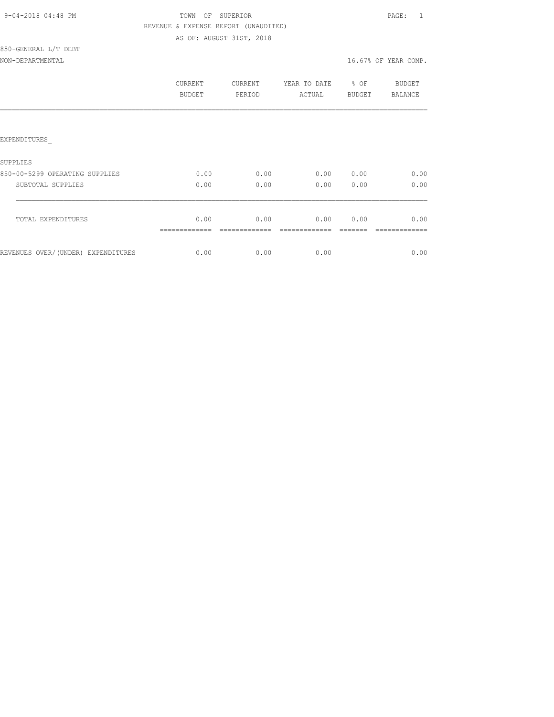| 9-04-2018 04:48 PM |  |
|--------------------|--|
|                    |  |

## TOWN OF SUPERIOR **PAGE:** 1 REVENUE & EXPENSE REPORT (UNAUDITED) AS OF: AUGUST 31ST, 2018

## 850-GENERAL L/T DEBT NON-DEPARTMENTAL 16.67% OF YEAR COMP.

|                                     | CURRENT<br><b>BUDGET</b> | CURRENT<br>PERIOD | YEAR TO DATE<br>ACTUAL | % OF<br><b>BUDGET</b> | <b>BUDGET</b><br>BALANCE |
|-------------------------------------|--------------------------|-------------------|------------------------|-----------------------|--------------------------|
|                                     |                          |                   |                        |                       |                          |
| EXPENDITURES                        |                          |                   |                        |                       |                          |
| SUPPLIES                            |                          |                   |                        |                       |                          |
| 850-00-5299 OPERATING SUPPLIES      | 0.00                     | 0.00              | 0.00                   | 0.00                  | 0.00                     |
| SUBTOTAL SUPPLIES                   | 0.00                     | 0.00              | 0.00                   | 0.00                  | 0.00                     |
| TOTAL EXPENDITURES                  | 0.00                     | 0.00              | 0.00                   | 0.00                  | 0.00                     |
| REVENUES OVER/ (UNDER) EXPENDITURES | 0.00                     | 0.00              | 0.00                   |                       | 0.00                     |